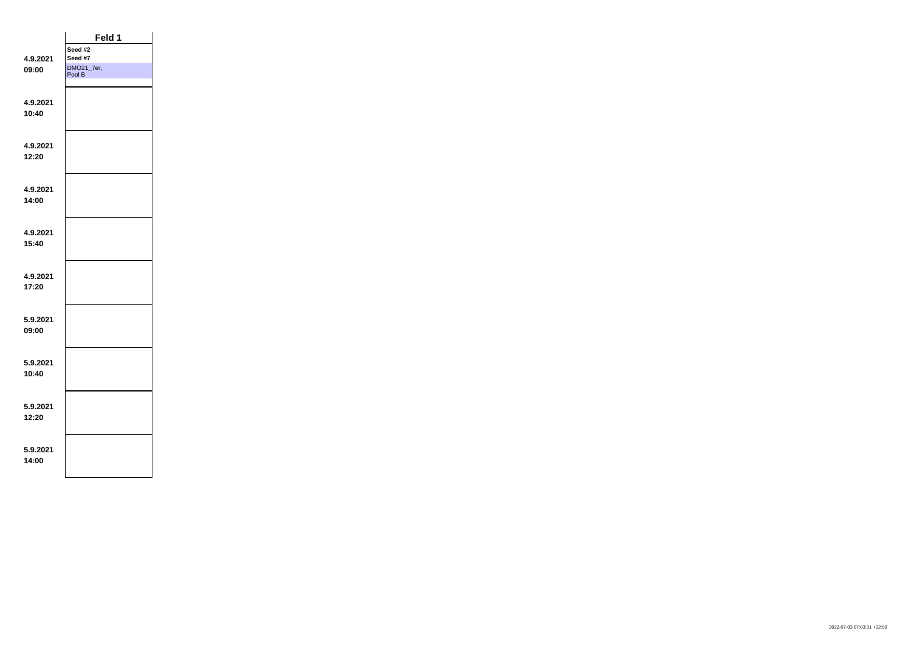|                   | Feld 1               |  |
|-------------------|----------------------|--|
|                   | Seed #2              |  |
| 4.9.2021          | Seed #7              |  |
| 09:00             | DMO21_7er,<br>Pool B |  |
|                   |                      |  |
|                   |                      |  |
| 4.9.2021<br>10:40 |                      |  |
|                   |                      |  |
|                   |                      |  |
| 4.9.2021          |                      |  |
| 12:20             |                      |  |
|                   |                      |  |
|                   |                      |  |
| 4.9.2021          |                      |  |
| 14:00             |                      |  |
|                   |                      |  |
|                   |                      |  |
| 4.9.2021          |                      |  |
| 15:40             |                      |  |
|                   |                      |  |
| 4.9.2021          |                      |  |
| 17:20             |                      |  |
|                   |                      |  |
|                   |                      |  |
| 5.9.2021          |                      |  |
| 09:00             |                      |  |
|                   |                      |  |
|                   |                      |  |
| 5.9.2021          |                      |  |
| 10:40             |                      |  |
|                   |                      |  |
| 5.9.2021          |                      |  |
| 12:20             |                      |  |
|                   |                      |  |
|                   |                      |  |
| 5.9.2021          |                      |  |
| 14:00             |                      |  |
|                   |                      |  |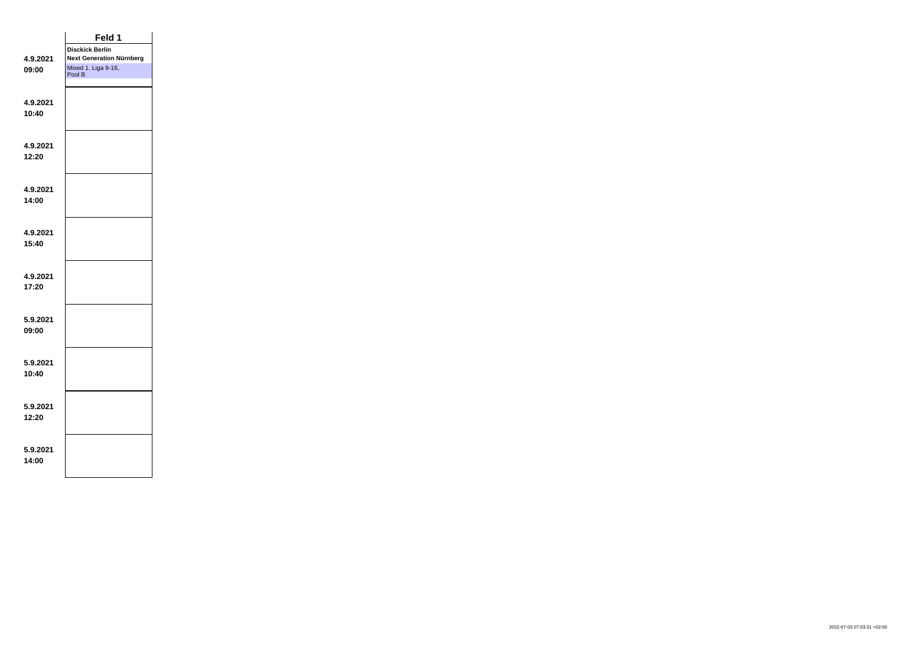|          | Feld 1                          |  |
|----------|---------------------------------|--|
|          | <b>Disckick Berlin</b>          |  |
| 4.9.2021 | <b>Next Generation Nürnberg</b> |  |
| 09:00    | Mixed 1. Liga 9-16,<br>Pool B   |  |
|          |                                 |  |
|          |                                 |  |
| 4.9.2021 |                                 |  |
| 10:40    |                                 |  |
|          |                                 |  |
|          |                                 |  |
| 4.9.2021 |                                 |  |
| 12:20    |                                 |  |
|          |                                 |  |
|          |                                 |  |
| 4.9.2021 |                                 |  |
| 14:00    |                                 |  |
|          |                                 |  |
| 4.9.2021 |                                 |  |
| 15:40    |                                 |  |
|          |                                 |  |
|          |                                 |  |
| 4.9.2021 |                                 |  |
| 17:20    |                                 |  |
|          |                                 |  |
|          |                                 |  |
| 5.9.2021 |                                 |  |
| 09:00    |                                 |  |
|          |                                 |  |
|          |                                 |  |
| 5.9.2021 |                                 |  |
| 10:40    |                                 |  |
|          |                                 |  |
|          |                                 |  |
| 5.9.2021 |                                 |  |
| 12:20    |                                 |  |
|          |                                 |  |
|          |                                 |  |
| 5.9.2021 |                                 |  |
| 14:00    |                                 |  |
|          |                                 |  |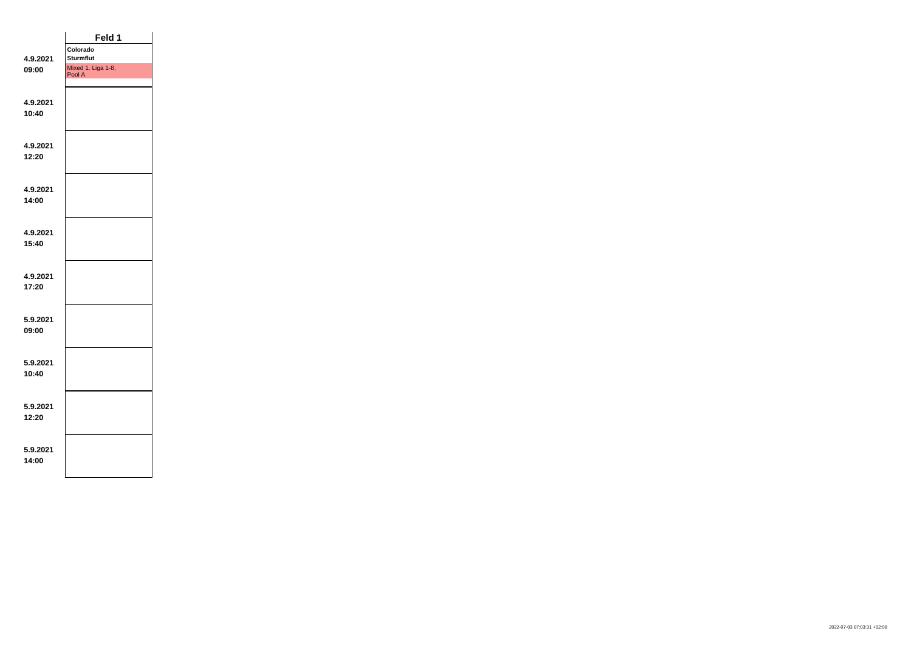|                   | Feld 1                       |  |
|-------------------|------------------------------|--|
|                   | Colorado                     |  |
| 4.9.2021          | <b>Sturmflut</b>             |  |
| 09:00             | Mixed 1. Liga 1-8,<br>Pool A |  |
| 4.9.2021          |                              |  |
| 10:40             |                              |  |
|                   |                              |  |
| 4.9.2021          |                              |  |
| 12:20             |                              |  |
|                   |                              |  |
| 4.9.2021          |                              |  |
| 14:00             |                              |  |
|                   |                              |  |
| 4.9.2021          |                              |  |
| 15:40             |                              |  |
|                   |                              |  |
| 4.9.2021          |                              |  |
| 17:20             |                              |  |
|                   |                              |  |
| 5.9.2021          |                              |  |
| 09:00             |                              |  |
|                   |                              |  |
| 5.9.2021<br>10:40 |                              |  |
|                   |                              |  |
| 5.9.2021          |                              |  |
| 12:20             |                              |  |
|                   |                              |  |
| 5.9.2021          |                              |  |
| 14:00             |                              |  |
|                   |                              |  |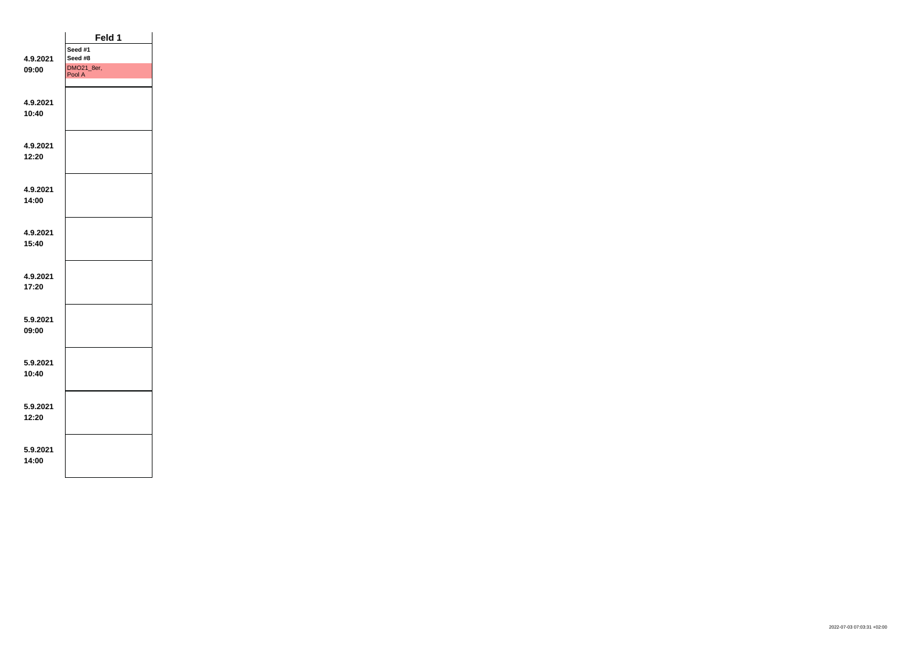|          | Feld 1               |  |
|----------|----------------------|--|
|          | Seed #1              |  |
| 4.9.2021 | Seed #8              |  |
| 09:00    | DMO21_8er,<br>Pool A |  |
|          |                      |  |
|          |                      |  |
| 4.9.2021 |                      |  |
| 10:40    |                      |  |
|          |                      |  |
|          |                      |  |
| 4.9.2021 |                      |  |
| 12:20    |                      |  |
|          |                      |  |
|          |                      |  |
| 4.9.2021 |                      |  |
| 14:00    |                      |  |
|          |                      |  |
| 4.9.2021 |                      |  |
| 15:40    |                      |  |
|          |                      |  |
|          |                      |  |
| 4.9.2021 |                      |  |
| 17:20    |                      |  |
|          |                      |  |
|          |                      |  |
| 5.9.2021 |                      |  |
| 09:00    |                      |  |
|          |                      |  |
|          |                      |  |
| 5.9.2021 |                      |  |
| 10:40    |                      |  |
|          |                      |  |
|          |                      |  |
| 5.9.2021 |                      |  |
| 12:20    |                      |  |
|          |                      |  |
| 5.9.2021 |                      |  |
| 14:00    |                      |  |
|          |                      |  |
|          |                      |  |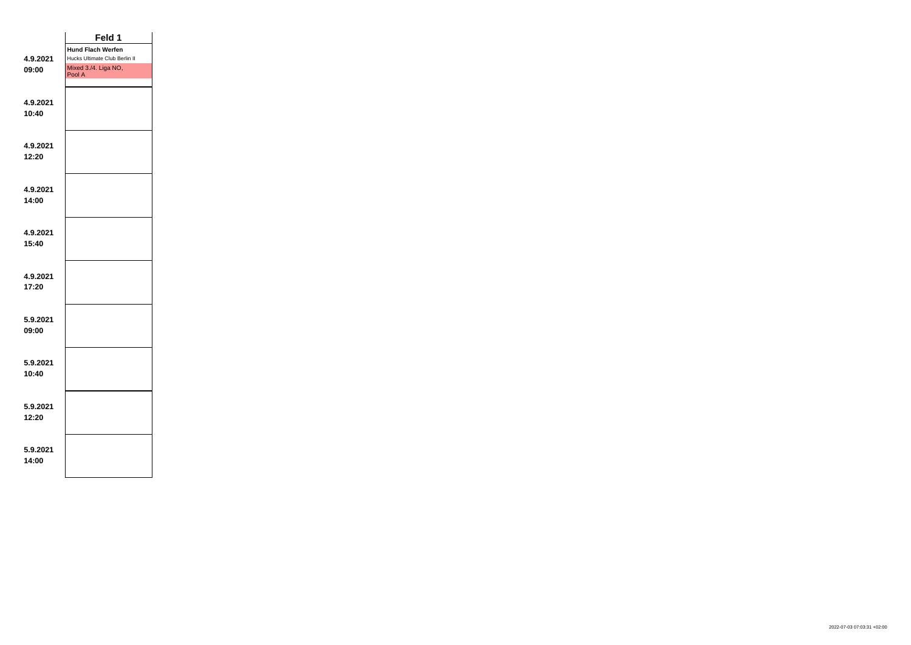|                   | Feld 1                         |  |
|-------------------|--------------------------------|--|
|                   | <b>Hund Flach Werfen</b>       |  |
| 4.9.2021          | Hucks Ultimate Club Berlin II  |  |
| 09:00             | Mixed 3./4. Liga NO,<br>Pool A |  |
| 4.9.2021          |                                |  |
| 10:40             |                                |  |
|                   |                                |  |
| 4.9.2021          |                                |  |
| 12:20             |                                |  |
|                   |                                |  |
| 4.9.2021          |                                |  |
| 14:00             |                                |  |
|                   |                                |  |
| 4.9.2021          |                                |  |
| 15:40             |                                |  |
|                   |                                |  |
| 4.9.2021<br>17:20 |                                |  |
|                   |                                |  |
| 5.9.2021          |                                |  |
| 09:00             |                                |  |
|                   |                                |  |
| 5.9.2021          |                                |  |
| 10:40             |                                |  |
|                   |                                |  |
| 5.9.2021          |                                |  |
| 12:20             |                                |  |
|                   |                                |  |
| 5.9.2021          |                                |  |
| 14:00             |                                |  |
|                   |                                |  |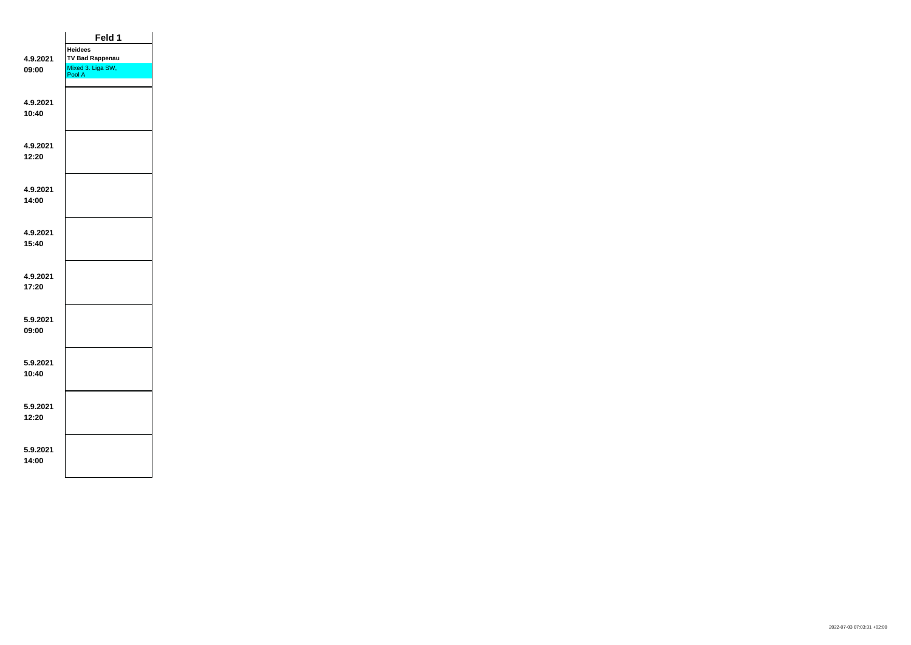|          | Feld 1                      |  |
|----------|-----------------------------|--|
|          | <b>Heidees</b>              |  |
| 4.9.2021 | <b>TV Bad Rappenau</b>      |  |
| 09:00    | Mixed 3. Liga SW,<br>Pool A |  |
|          |                             |  |
|          |                             |  |
| 4.9.2021 |                             |  |
| 10:40    |                             |  |
|          |                             |  |
| 4.9.2021 |                             |  |
| 12:20    |                             |  |
|          |                             |  |
|          |                             |  |
| 4.9.2021 |                             |  |
| 14:00    |                             |  |
|          |                             |  |
| 4.9.2021 |                             |  |
| 15:40    |                             |  |
|          |                             |  |
|          |                             |  |
| 4.9.2021 |                             |  |
| 17:20    |                             |  |
|          |                             |  |
| 5.9.2021 |                             |  |
| 09:00    |                             |  |
|          |                             |  |
|          |                             |  |
| 5.9.2021 |                             |  |
| 10:40    |                             |  |
|          |                             |  |
|          |                             |  |
| 5.9.2021 |                             |  |
| 12:20    |                             |  |
|          |                             |  |
| 5.9.2021 |                             |  |
| 14:00    |                             |  |
|          |                             |  |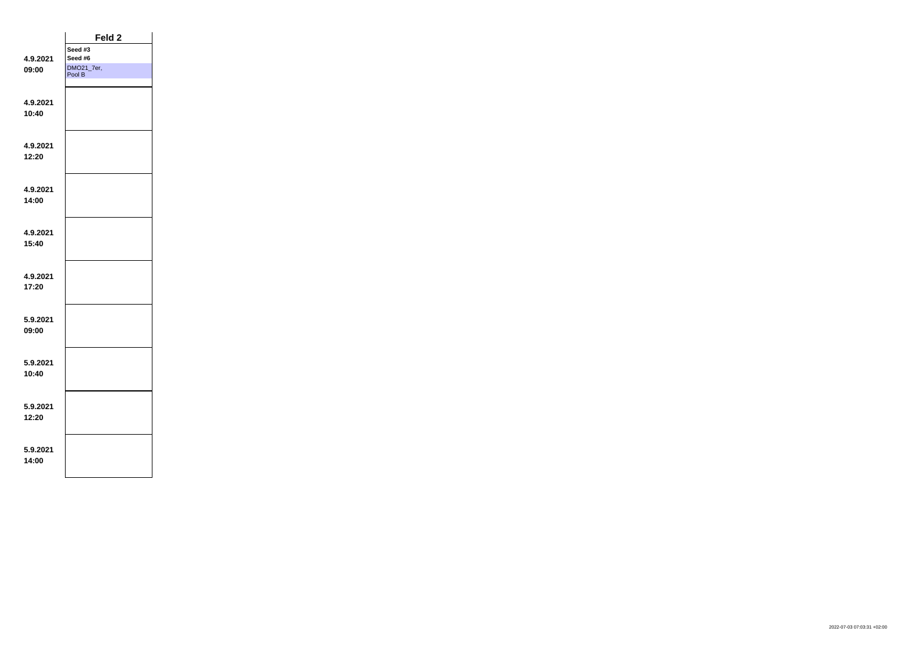|                   | Feld 2               |  |
|-------------------|----------------------|--|
|                   | Seed #3              |  |
| 4.9.2021          | Seed #6              |  |
| 09:00             | DMO21_7er,<br>Pool B |  |
| 4.9.2021          |                      |  |
| 10:40             |                      |  |
|                   |                      |  |
| 4.9.2021          |                      |  |
| 12:20             |                      |  |
|                   |                      |  |
| 4.9.2021          |                      |  |
| 14:00             |                      |  |
|                   |                      |  |
| 4.9.2021          |                      |  |
| 15:40             |                      |  |
|                   |                      |  |
| 4.9.2021          |                      |  |
| 17:20             |                      |  |
|                   |                      |  |
| 5.9.2021          |                      |  |
| 09:00             |                      |  |
|                   |                      |  |
| 5.9.2021<br>10:40 |                      |  |
|                   |                      |  |
| 5.9.2021          |                      |  |
| 12:20             |                      |  |
|                   |                      |  |
| 5.9.2021          |                      |  |
| 14:00             |                      |  |
|                   |                      |  |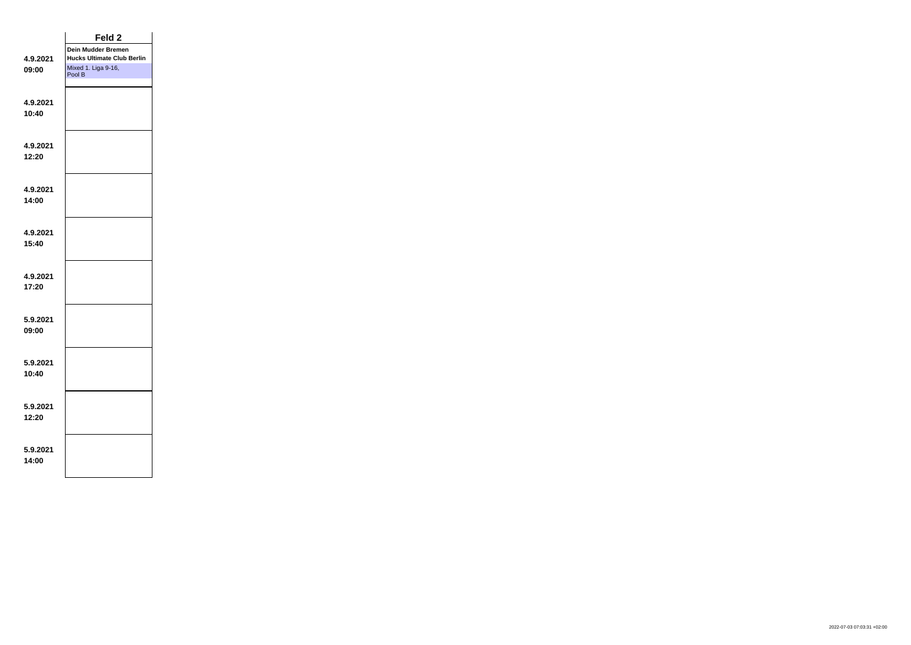|                   | Feld <sub>2</sub>                 |  |
|-------------------|-----------------------------------|--|
|                   | Dein Mudder Bremen                |  |
| 4.9.2021          | <b>Hucks Ultimate Club Berlin</b> |  |
| 09:00             | Mixed 1. Liga 9-16,<br>Pool B     |  |
| 4.9.2021          |                                   |  |
| 10:40             |                                   |  |
|                   |                                   |  |
| 4.9.2021          |                                   |  |
| 12:20             |                                   |  |
|                   |                                   |  |
| 4.9.2021<br>14:00 |                                   |  |
|                   |                                   |  |
| 4.9.2021          |                                   |  |
| 15:40             |                                   |  |
|                   |                                   |  |
| 4.9.2021          |                                   |  |
| 17:20             |                                   |  |
| 5.9.2021          |                                   |  |
| 09:00             |                                   |  |
|                   |                                   |  |
| 5.9.2021          |                                   |  |
| 10:40             |                                   |  |
|                   |                                   |  |
| 5.9.2021<br>12:20 |                                   |  |
|                   |                                   |  |
| 5.9.2021          |                                   |  |
| 14:00             |                                   |  |
|                   |                                   |  |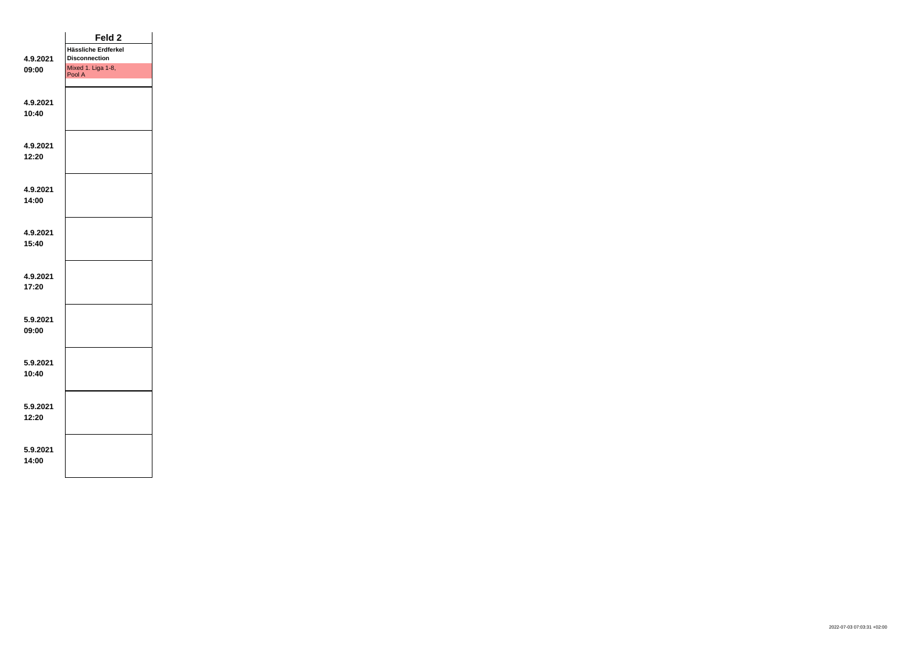|                   | Feld <sub>2</sub>            |  |
|-------------------|------------------------------|--|
|                   | Hässliche Erdferkel          |  |
| 4.9.2021          | <b>Disconnection</b>         |  |
| 09:00             | Mixed 1. Liga 1-8,<br>Pool A |  |
| 4.9.2021          |                              |  |
| 10:40             |                              |  |
| 4.9.2021<br>12:20 |                              |  |
|                   |                              |  |
| 4.9.2021<br>14:00 |                              |  |
|                   |                              |  |
| 4.9.2021<br>15:40 |                              |  |
|                   |                              |  |
| 4.9.2021<br>17:20 |                              |  |
| 5.9.2021          |                              |  |
| 09:00             |                              |  |
| 5.9.2021<br>10:40 |                              |  |
|                   |                              |  |
| 5.9.2021<br>12:20 |                              |  |
| 5.9.2021<br>14:00 |                              |  |
|                   |                              |  |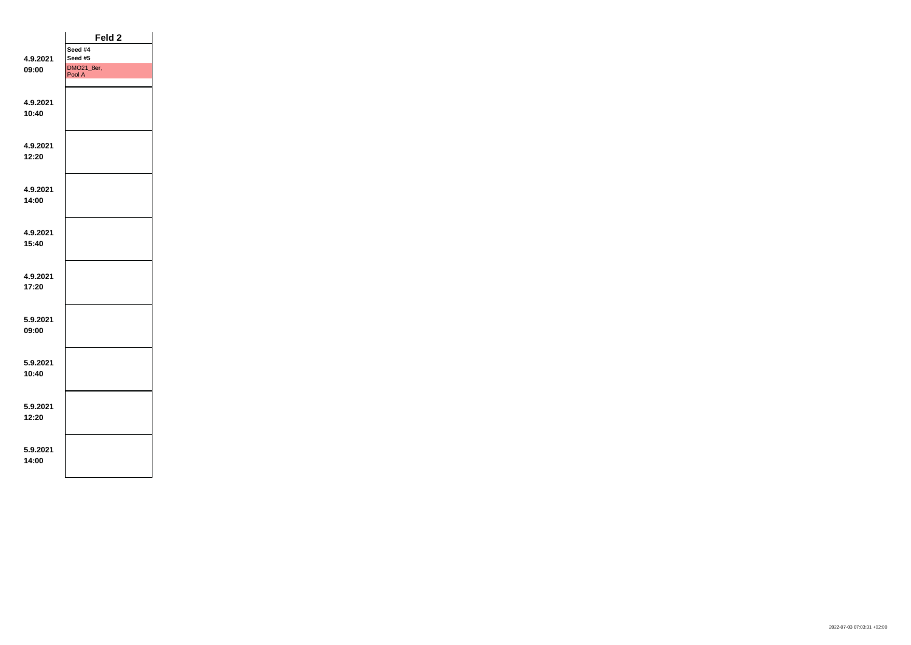|                   | Feld <sub>2</sub>    |  |
|-------------------|----------------------|--|
|                   | Seed #4              |  |
| 4.9.2021          | Seed #5              |  |
| 09:00             | DMO21_8er,<br>Pool A |  |
| 4.9.2021          |                      |  |
| 10:40             |                      |  |
|                   |                      |  |
| 4.9.2021          |                      |  |
| 12:20             |                      |  |
|                   |                      |  |
| 4.9.2021          |                      |  |
| 14:00             |                      |  |
|                   |                      |  |
| 4.9.2021          |                      |  |
| 15:40             |                      |  |
|                   |                      |  |
| 4.9.2021          |                      |  |
| 17:20             |                      |  |
|                   |                      |  |
| 5.9.2021          |                      |  |
| 09:00             |                      |  |
|                   |                      |  |
| 5.9.2021          |                      |  |
| 10:40             |                      |  |
|                   |                      |  |
| 5.9.2021          |                      |  |
| 12:20             |                      |  |
|                   |                      |  |
|                   |                      |  |
| 5.9.2021<br>14:00 |                      |  |
|                   |                      |  |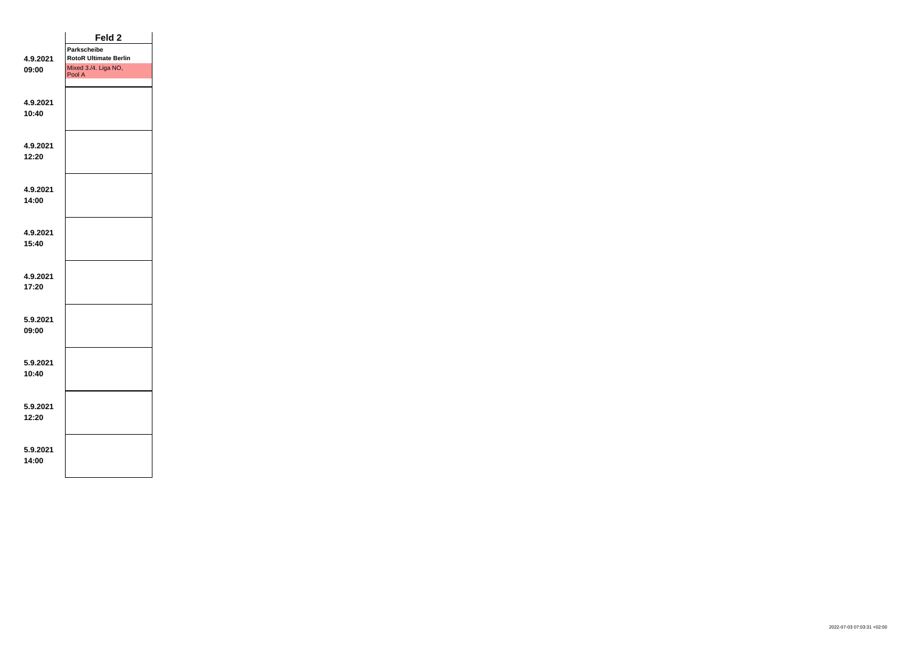|                   | Feld <sub>2</sub>              |  |
|-------------------|--------------------------------|--|
|                   | <b>Parkscheibe</b>             |  |
| 4.9.2021          | <b>RotoR Ultimate Berlin</b>   |  |
| 09:00             | Mixed 3./4. Liga NO,<br>Pool A |  |
| 4.9.2021          |                                |  |
| 10:40             |                                |  |
| 4.9.2021          |                                |  |
| 12:20             |                                |  |
| 4.9.2021          |                                |  |
| 14:00             |                                |  |
| 4.9.2021          |                                |  |
| 15:40             |                                |  |
| 4.9.2021<br>17:20 |                                |  |
|                   |                                |  |
| 5.9.2021          |                                |  |
| 09:00             |                                |  |
| 5.9.2021          |                                |  |
| 10:40             |                                |  |
| 5.9.2021          |                                |  |
| 12:20             |                                |  |
| 5.9.2021          |                                |  |
| 14:00             |                                |  |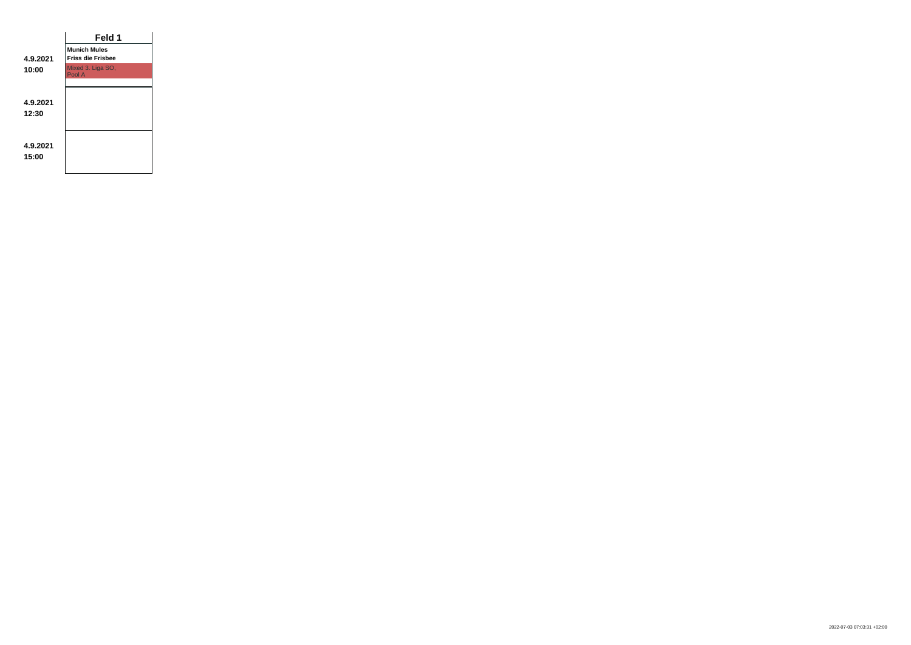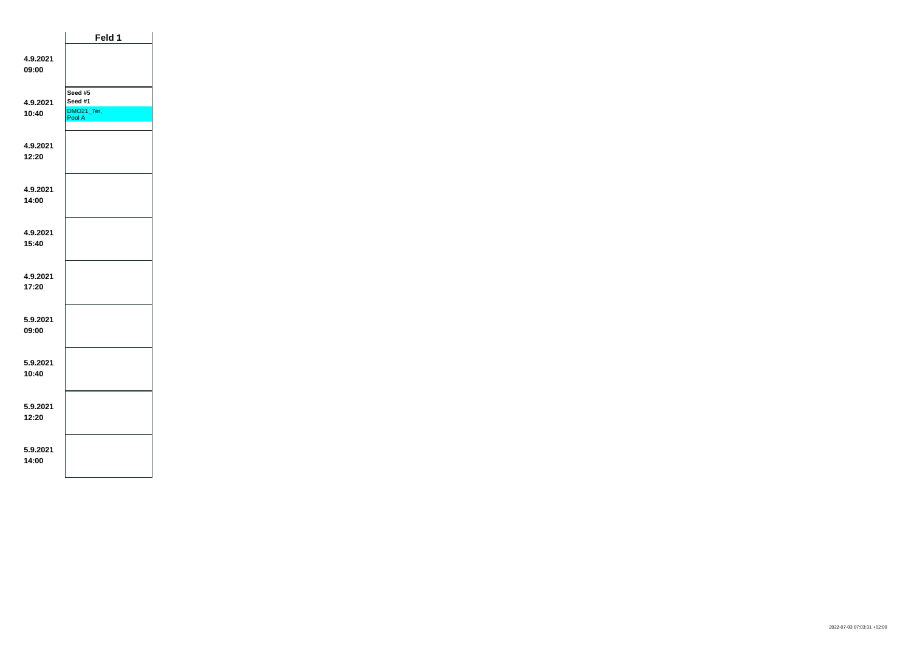|                   | Feld 1                                     |  |
|-------------------|--------------------------------------------|--|
| 4.9.2021<br>09:00 |                                            |  |
| 4.9.2021<br>10:40 | Seed #5<br>Seed #1<br>DMO21_7er,<br>Pool A |  |
| 4.9.2021<br>12:20 |                                            |  |
| 4.9.2021<br>14:00 |                                            |  |
| 4.9.2021<br>15:40 |                                            |  |
| 4.9.2021<br>17:20 |                                            |  |
| 5.9.2021<br>09:00 |                                            |  |
| 5.9.2021<br>10:40 |                                            |  |
| 5.9.2021<br>12:20 |                                            |  |
| 5.9.2021<br>14:00 |                                            |  |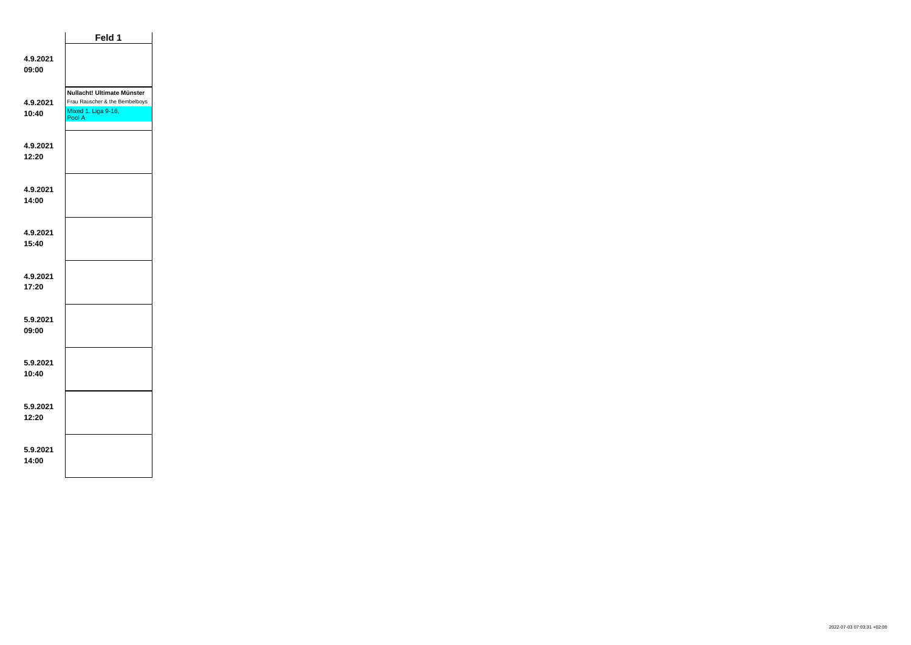|                   | Feld 1                                                                                        |  |
|-------------------|-----------------------------------------------------------------------------------------------|--|
| 4.9.2021<br>09:00 |                                                                                               |  |
| 4.9.2021<br>10:40 | Nullacht! Ultimate Münster<br>Frau Rauscher & the Bembelboys<br>Mixed 1. Liga 9-16,<br>Pool A |  |
| 4.9.2021<br>12:20 |                                                                                               |  |
| 4.9.2021<br>14:00 |                                                                                               |  |
| 4.9.2021<br>15:40 |                                                                                               |  |
| 4.9.2021<br>17:20 |                                                                                               |  |
| 5.9.2021<br>09:00 |                                                                                               |  |
| 5.9.2021<br>10.40 |                                                                                               |  |
| 5.9.2021<br>12:20 |                                                                                               |  |
| 5.9.2021<br>14:00 |                                                                                               |  |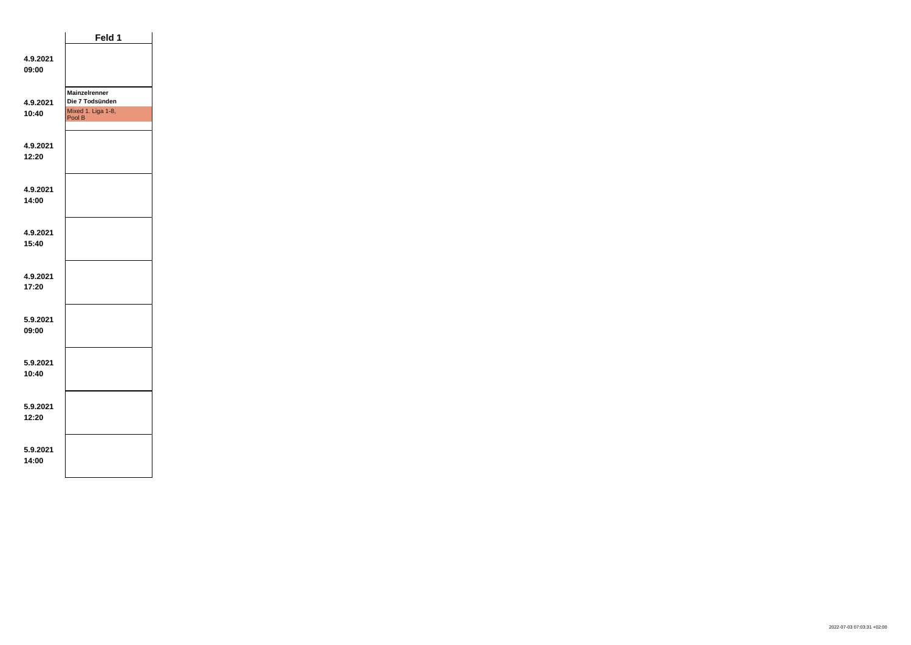|                   | Feld 1                                                                  |  |
|-------------------|-------------------------------------------------------------------------|--|
| 4.9.2021<br>09:00 |                                                                         |  |
| 4.9.2021<br>10:40 | <b>Mainzelrenner</b><br>Die 7 Todsünden<br>Mixed 1. Liga 1-8,<br>Pool B |  |
| 4.9.2021<br>12:20 |                                                                         |  |
| 4.9.2021<br>14:00 |                                                                         |  |
| 4.9.2021<br>15:40 |                                                                         |  |
| 4.9.2021<br>17:20 |                                                                         |  |
| 5.9.2021<br>09:00 |                                                                         |  |
| 5.9.2021<br>10:40 |                                                                         |  |
| 5.9.2021<br>12:20 |                                                                         |  |
| 5.9.2021<br>14:00 |                                                                         |  |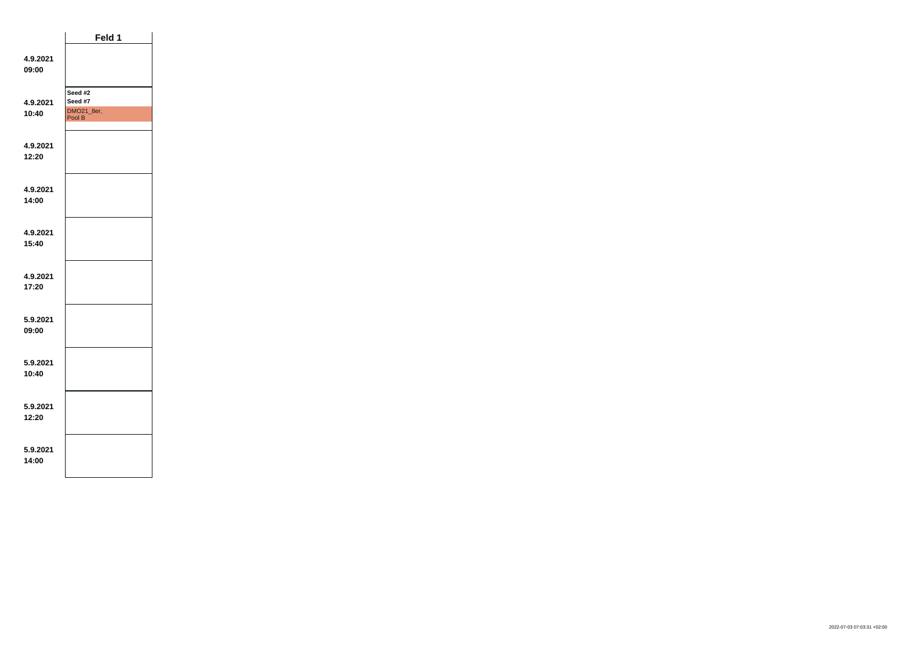|                   | Feld 1                                     |  |
|-------------------|--------------------------------------------|--|
| 4.9.2021<br>09:00 |                                            |  |
| 4.9.2021<br>10:40 | Seed #2<br>Seed #7<br>DMO21_8er,<br>Pool B |  |
| 4.9.2021<br>12:20 |                                            |  |
| 4.9.2021<br>14:00 |                                            |  |
| 4.9.2021<br>15:40 |                                            |  |
| 4.9.2021<br>17:20 |                                            |  |
| 5.9.2021<br>09:00 |                                            |  |
| 5.9.2021<br>10:40 |                                            |  |
| 5.9.2021<br>12:20 |                                            |  |
| 5.9.2021<br>14:00 |                                            |  |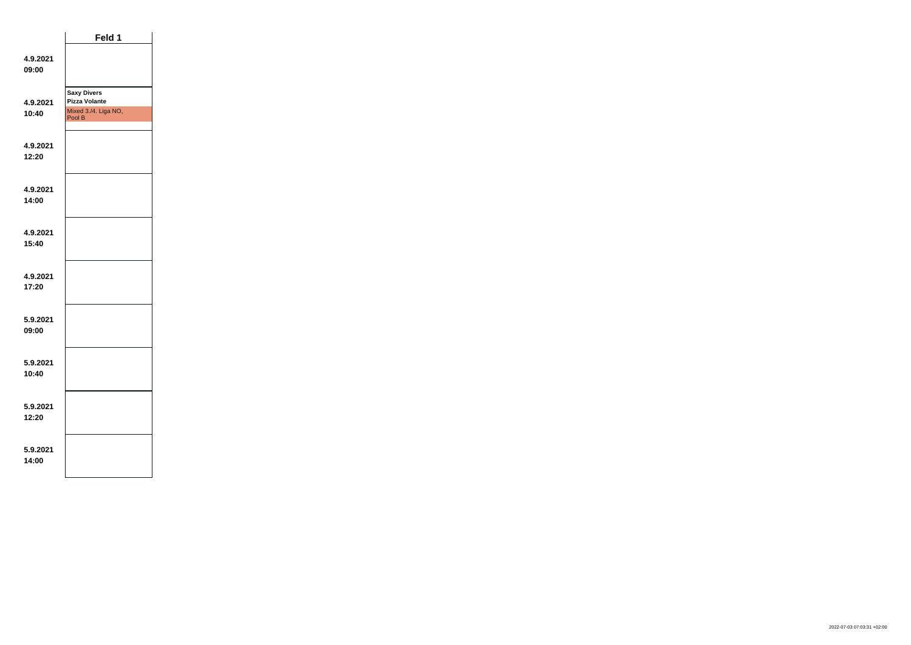|                   | Feld 1                                                                       |  |
|-------------------|------------------------------------------------------------------------------|--|
| 4.9.2021<br>09:00 |                                                                              |  |
| 4.9.2021<br>10:40 | <b>Saxy Divers</b><br><b>Pizza Volante</b><br>Mixed 3./4. Liga NO,<br>Pool B |  |
| 4.9.2021<br>12:20 |                                                                              |  |
| 4.9.2021<br>14:00 |                                                                              |  |
| 4.9.2021<br>15:40 |                                                                              |  |
| 4.9.2021<br>17:20 |                                                                              |  |
| 5.9.2021<br>09:00 |                                                                              |  |
| 5.9.2021<br>10:40 |                                                                              |  |
| 5.9.2021<br>12:20 |                                                                              |  |
| 5.9.2021<br>14:00 |                                                                              |  |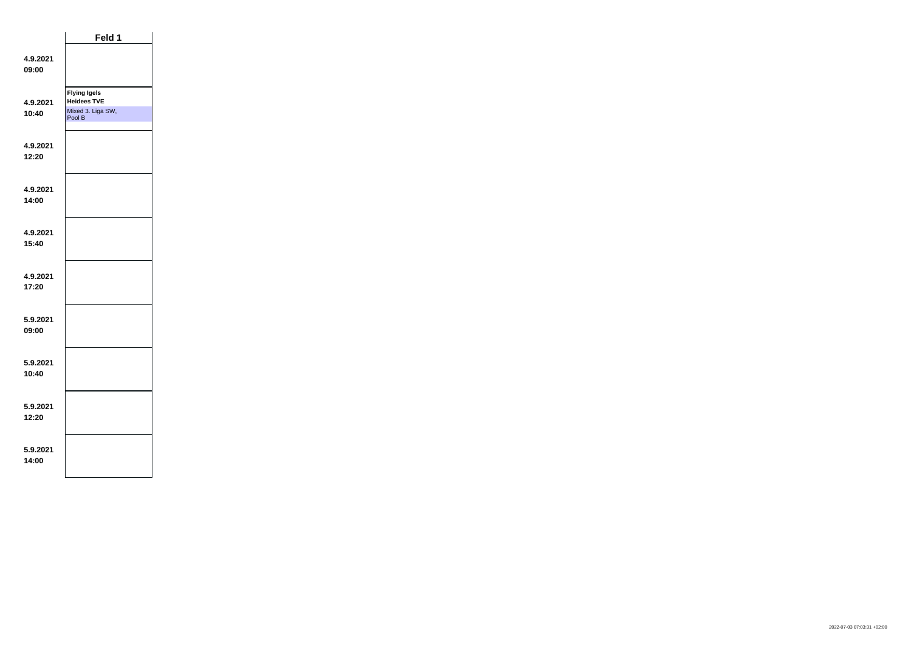|                   | Feld 1                                                                   |  |
|-------------------|--------------------------------------------------------------------------|--|
| 4.9.2021<br>09:00 |                                                                          |  |
| 4.9.2021<br>10:40 | <b>Flying Igels</b><br><b>Heidees TVE</b><br>Mixed 3. Liga SW,<br>Pool B |  |
| 4.9.2021<br>12:20 |                                                                          |  |
| 4.9.2021<br>14:00 |                                                                          |  |
| 4.9.2021<br>15:40 |                                                                          |  |
| 4.9.2021<br>17:20 |                                                                          |  |
| 5.9.2021<br>09:00 |                                                                          |  |
| 5.9.2021<br>10:40 |                                                                          |  |
| 5.9.2021<br>12:20 |                                                                          |  |
| 5.9.2021<br>14:00 |                                                                          |  |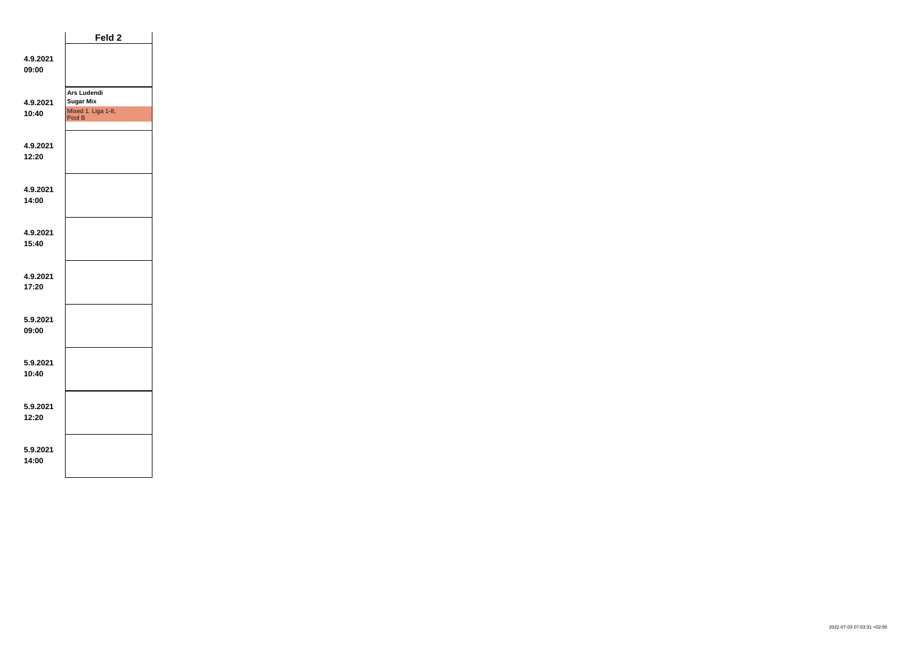|                   | Feld 2                                                                 |  |
|-------------------|------------------------------------------------------------------------|--|
| 4.9.2021<br>09:00 |                                                                        |  |
| 4.9.2021<br>10:40 | <b>Ars Ludendi</b><br><b>Sugar Mix</b><br>Mixed 1. Liga 1-8,<br>Pool B |  |
| 4.9.2021<br>12:20 |                                                                        |  |
| 4.9.2021<br>14:00 |                                                                        |  |
| 4.9.2021<br>15:40 |                                                                        |  |
| 4.9.2021<br>17:20 |                                                                        |  |
| 5.9.2021<br>09:00 |                                                                        |  |
| 5.9.2021<br>10:40 |                                                                        |  |
| 5.9.2021<br>12:20 |                                                                        |  |
| 5.9.2021<br>14:00 |                                                                        |  |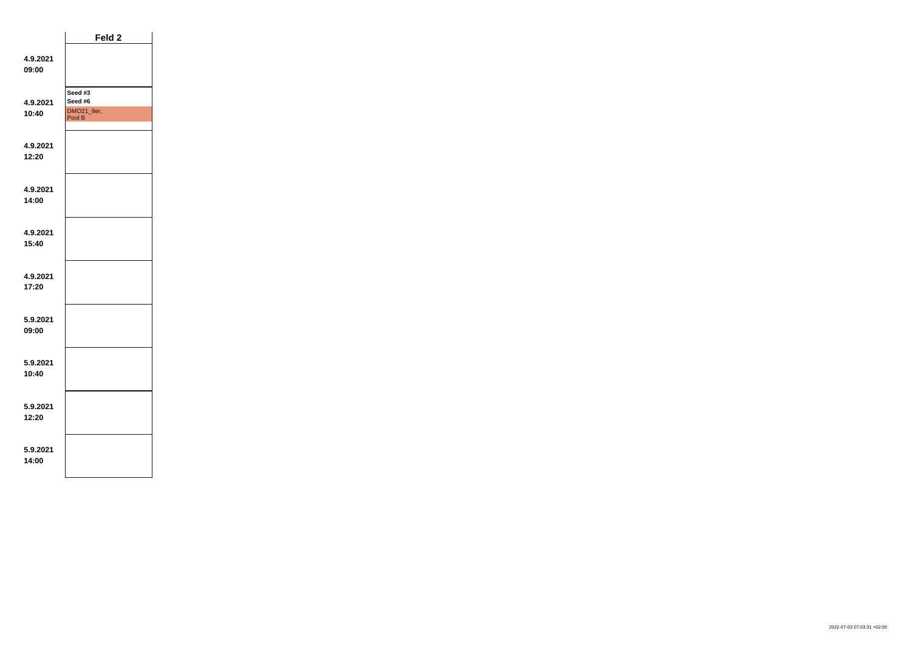|                   | Feld 2                                     |  |
|-------------------|--------------------------------------------|--|
| 4.9.2021<br>09:00 |                                            |  |
| 4.9.2021<br>10:40 | Seed #3<br>Seed #6<br>DMO21_8er,<br>Pool B |  |
| 4.9.2021<br>12:20 |                                            |  |
| 4.9.2021<br>14:00 |                                            |  |
| 4.9.2021<br>15:40 |                                            |  |
| 4.9.2021<br>17:20 |                                            |  |
| 5.9.2021<br>09:00 |                                            |  |
| 5.9.2021<br>10:40 |                                            |  |
| 5.9.2021<br>12:20 |                                            |  |
| 5.9.2021<br>14:00 |                                            |  |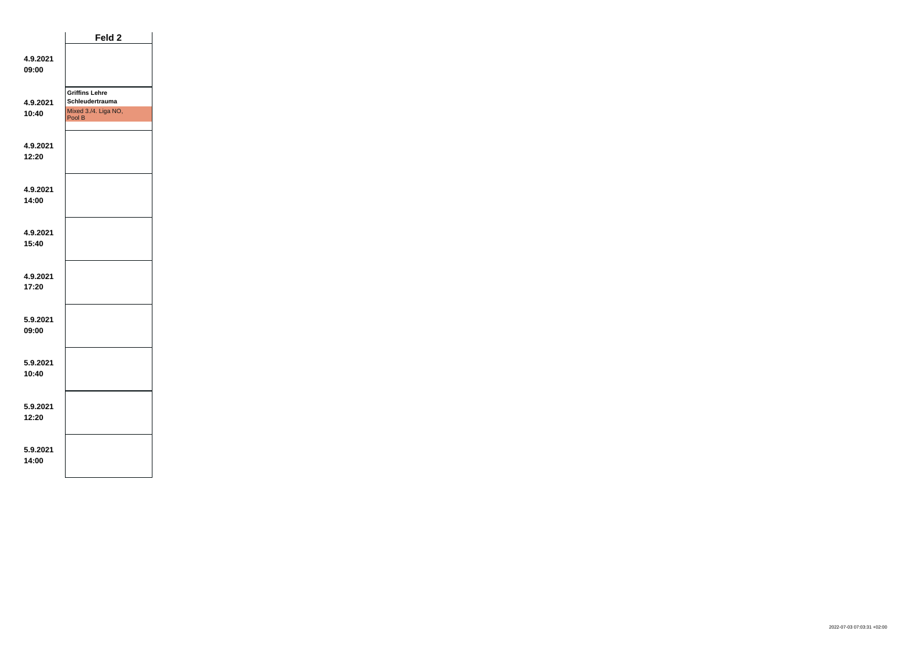|                   | Feld <sub>2</sub>                                                          |  |
|-------------------|----------------------------------------------------------------------------|--|
| 4.9.2021<br>09:00 |                                                                            |  |
| 4.9.2021<br>10:40 | <b>Griffins Lehre</b><br>Schleudertrauma<br>Mixed 3./4. Liga NO,<br>Pool B |  |
| 4.9.2021<br>12:20 |                                                                            |  |
| 4.9.2021<br>14:00 |                                                                            |  |
| 4.9.2021<br>15:40 |                                                                            |  |
| 4.9.2021<br>17:20 |                                                                            |  |
| 5.9.2021<br>09:00 |                                                                            |  |
| 5.9.2021<br>10:40 |                                                                            |  |
| 5.9.2021<br>12:20 |                                                                            |  |
| 5.9.2021<br>14:00 |                                                                            |  |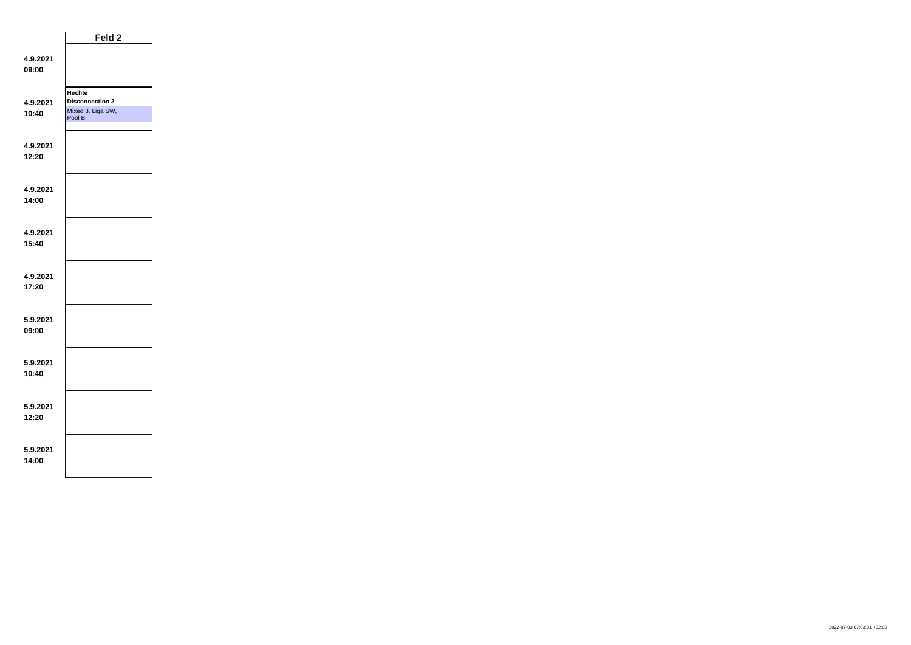|                   | Feld 2                                                          |  |
|-------------------|-----------------------------------------------------------------|--|
| 4.9.2021<br>09:00 |                                                                 |  |
| 4.9.2021<br>10:40 | Hechte<br><b>Disconnection 2</b><br>Mixed 3. Liga SW,<br>Pool B |  |
| 4.9.2021<br>12:20 |                                                                 |  |
| 4.9.2021<br>14:00 |                                                                 |  |
| 4.9.2021<br>15:40 |                                                                 |  |
| 4.9.2021<br>17:20 |                                                                 |  |
| 5.9.2021<br>09:00 |                                                                 |  |
| 5.9.2021<br>10:40 |                                                                 |  |
| 5.9.2021<br>12:20 |                                                                 |  |
| 5.9.2021<br>14:00 |                                                                 |  |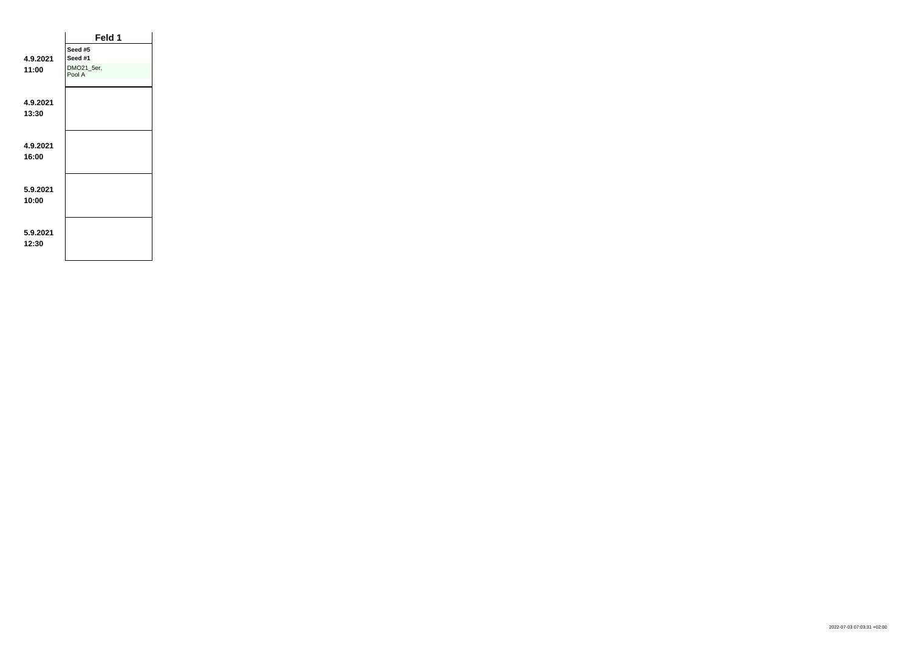|                   | Feld 1               |  |
|-------------------|----------------------|--|
|                   | Seed #5              |  |
| 4.9.2021          | Seed #1              |  |
| 11:00             | DMO21_5er,<br>Pool A |  |
| 4.9.2021<br>13:30 |                      |  |
| 4.9.2021<br>16:00 |                      |  |
| 5.9.2021<br>10:00 |                      |  |
| 5.9.2021<br>12:30 |                      |  |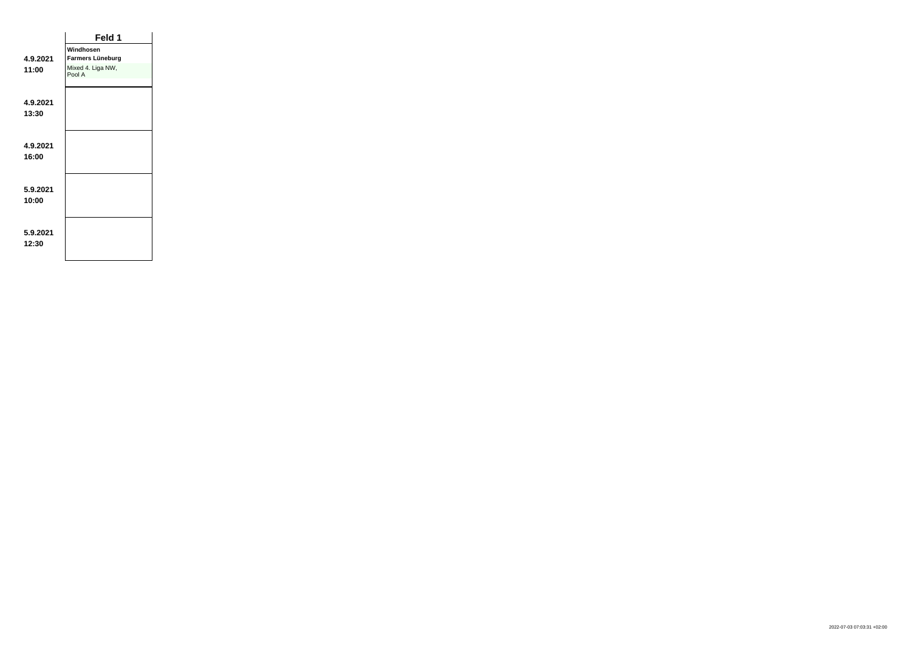|          | Feld 1                      |  |
|----------|-----------------------------|--|
|          | Windhosen                   |  |
| 4.9.2021 | Farmers Lüneburg            |  |
| 11:00    | Mixed 4. Liga NW,<br>Pool A |  |
|          |                             |  |
| 4.9.2021 |                             |  |
| 13:30    |                             |  |
|          |                             |  |
| 4.9.2021 |                             |  |
| 16:00    |                             |  |
|          |                             |  |
|          |                             |  |
| 5.9.2021 |                             |  |
| 10:00    |                             |  |
|          |                             |  |
|          |                             |  |
| 5.9.2021 |                             |  |
| 12:30    |                             |  |
|          |                             |  |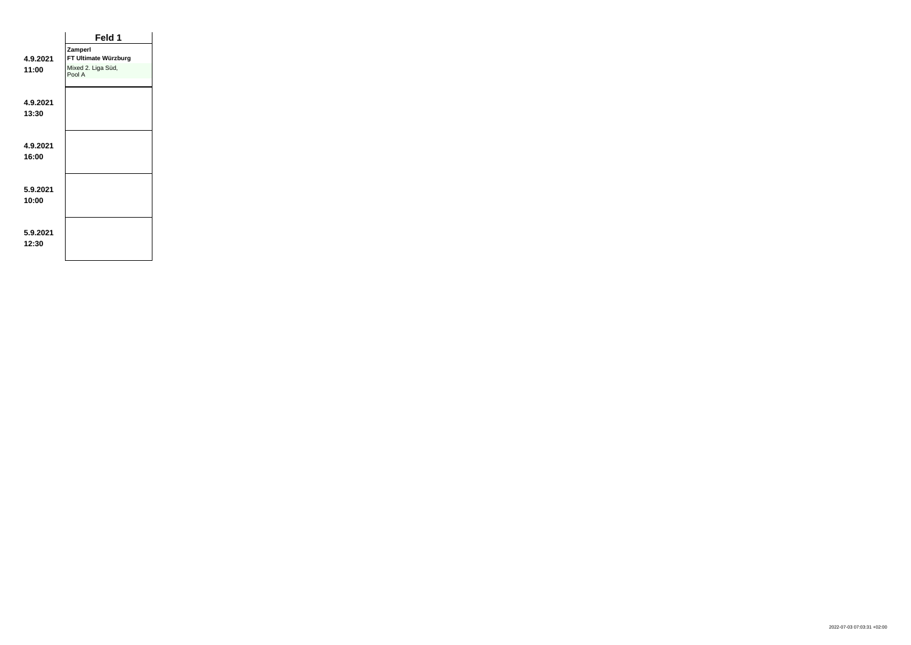|          | Feld 1                       |  |
|----------|------------------------------|--|
|          | Zamperl                      |  |
| 4.9.2021 | FT Ultimate Würzburg         |  |
| 11:00    | Mixed 2. Liga Süd,<br>Pool A |  |
|          |                              |  |
| 4.9.2021 |                              |  |
| 13:30    |                              |  |
|          |                              |  |
| 4.9.2021 |                              |  |
| 16:00    |                              |  |
|          |                              |  |
| 5.9.2021 |                              |  |
| 10:00    |                              |  |
|          |                              |  |
| 5.9.2021 |                              |  |
| 12:30    |                              |  |
|          |                              |  |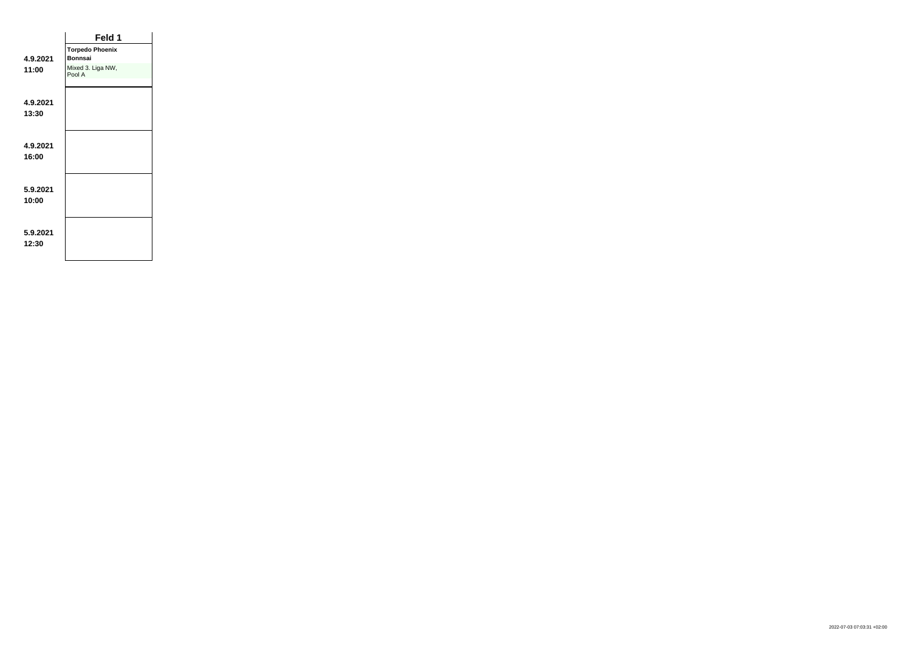|          | Feld 1                      |  |
|----------|-----------------------------|--|
|          | <b>Torpedo Phoenix</b>      |  |
| 4.9.2021 | <b>Bonnsai</b>              |  |
| 11:00    | Mixed 3. Liga NW,<br>Pool A |  |
| 4.9.2021 |                             |  |
|          |                             |  |
| 13:30    |                             |  |
|          |                             |  |
| 4.9.2021 |                             |  |
| 16:00    |                             |  |
|          |                             |  |
|          |                             |  |
| 5.9.2021 |                             |  |
| 10:00    |                             |  |
|          |                             |  |
|          |                             |  |
| 5.9.2021 |                             |  |
| 12:30    |                             |  |
|          |                             |  |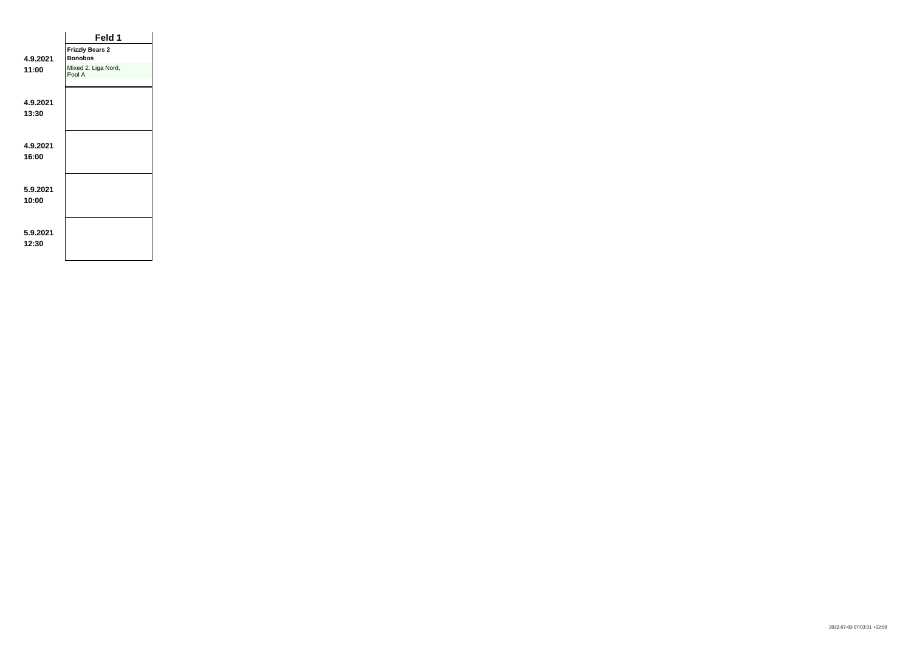|                   | Feld 1                                   |  |
|-------------------|------------------------------------------|--|
| 4.9.2021          | <b>Frizzly Bears 2</b><br><b>Bonobos</b> |  |
| 11:00             | Mixed 2. Liga Nord,<br>Pool A            |  |
| 4.9.2021<br>13:30 |                                          |  |
| 4.9.2021<br>16:00 |                                          |  |
| 5.9.2021<br>10:00 |                                          |  |
| 5.9.2021<br>12:30 |                                          |  |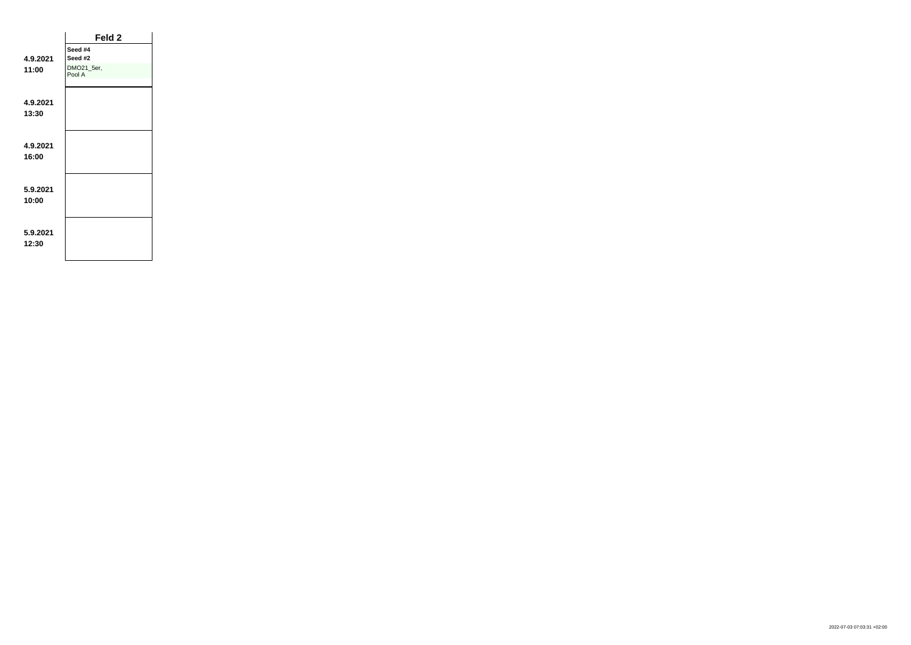|                   | Feld <sub>2</sub>    |  |
|-------------------|----------------------|--|
|                   | Seed #4              |  |
| 4.9.2021          | Seed #2              |  |
| 11:00             | DMO21_5er,<br>Pool A |  |
| 4.9.2021<br>13:30 |                      |  |
| 4.9.2021<br>16:00 |                      |  |
| 5.9.2021<br>10:00 |                      |  |
| 5.9.2021<br>12:30 |                      |  |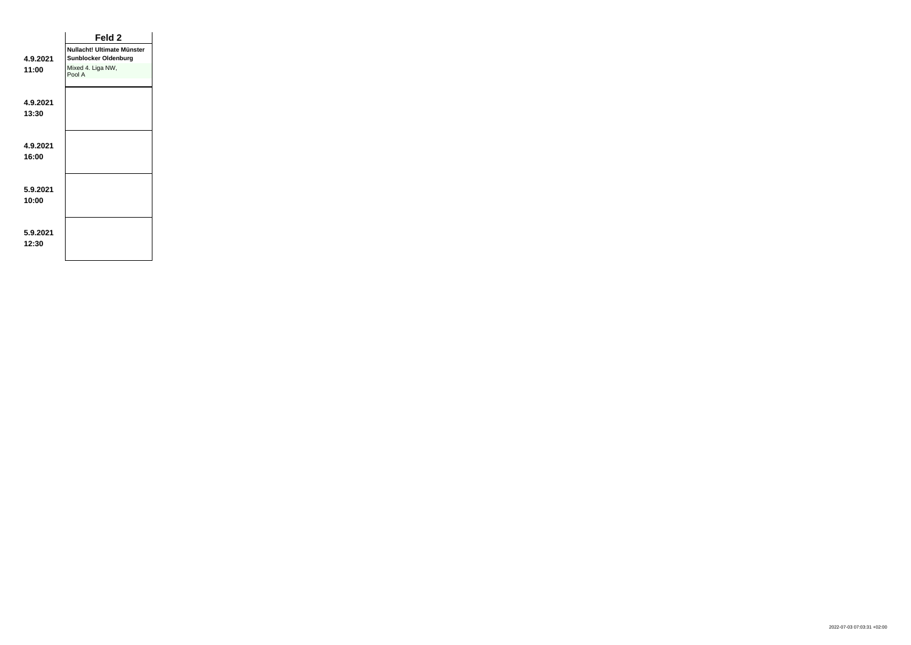|                   | Feld 2                                                    |
|-------------------|-----------------------------------------------------------|
| 4.9.2021          | Nullacht! Ultimate Münster<br><b>Sunblocker Oldenburg</b> |
| 11:00             | Mixed 4. Liga NW,<br>Pool A                               |
| 4.9.2021          |                                                           |
| 13:30             |                                                           |
|                   |                                                           |
| 4.9.2021<br>16:00 |                                                           |
|                   |                                                           |
| 5.9.2021<br>10:00 |                                                           |
|                   |                                                           |
| 5.9.2021          |                                                           |
| 12:30             |                                                           |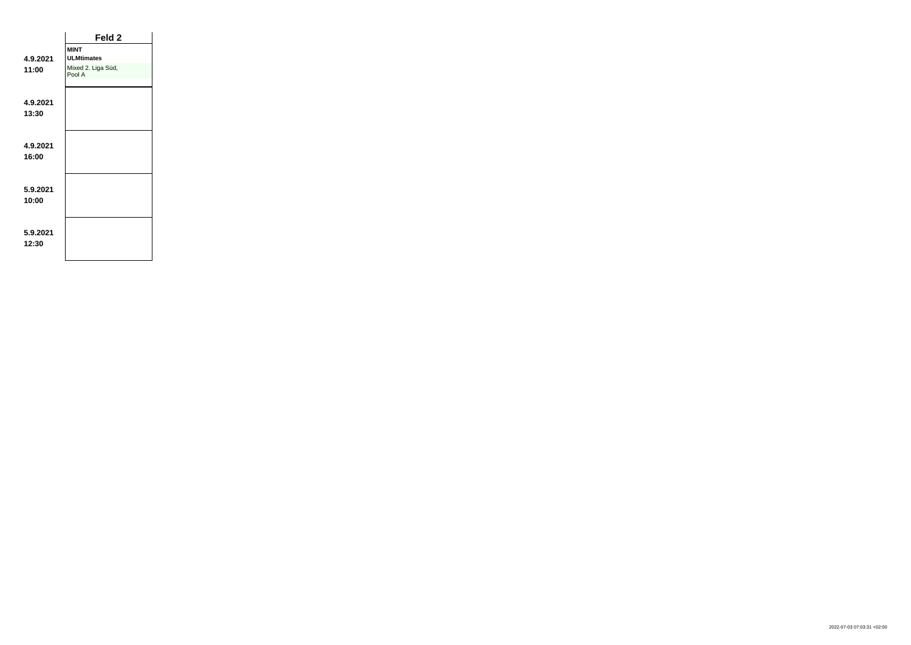|                   | Feld 2                       |  |
|-------------------|------------------------------|--|
|                   | <b>MINT</b>                  |  |
| 4.9.2021          | <b>ULMtimates</b>            |  |
| 11:00             | Mixed 2. Liga Süd,<br>Pool A |  |
| 4.9.2021          |                              |  |
| 13:30             |                              |  |
| 4.9.2021          |                              |  |
| 16:00             |                              |  |
|                   |                              |  |
| 5.9.2021<br>10:00 |                              |  |
|                   |                              |  |
| 5.9.2021<br>12:30 |                              |  |
|                   |                              |  |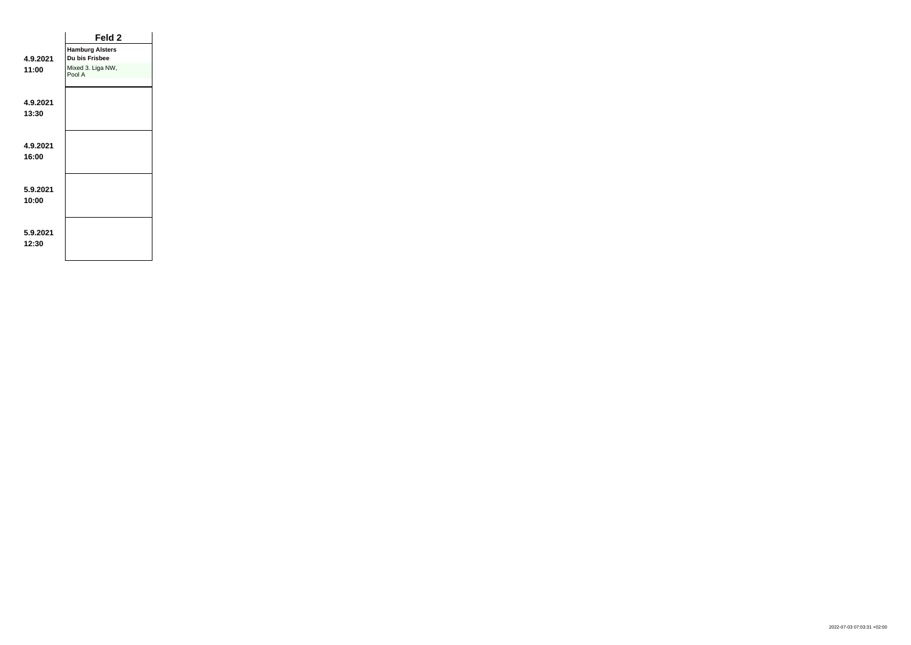|                   | Feld 2                                   |
|-------------------|------------------------------------------|
| 4.9.2021          | <b>Hamburg Alsters</b><br>Du bis Frisbee |
| 11:00             | Mixed 3. Liga NW,<br>Pool A              |
|                   |                                          |
| 4.9.2021<br>13:30 |                                          |
|                   |                                          |
| 4.9.2021          |                                          |
| 16:00             |                                          |
|                   |                                          |
| 5.9.2021<br>10:00 |                                          |
|                   |                                          |
| 5.9.2021          |                                          |
| 12:30             |                                          |
|                   |                                          |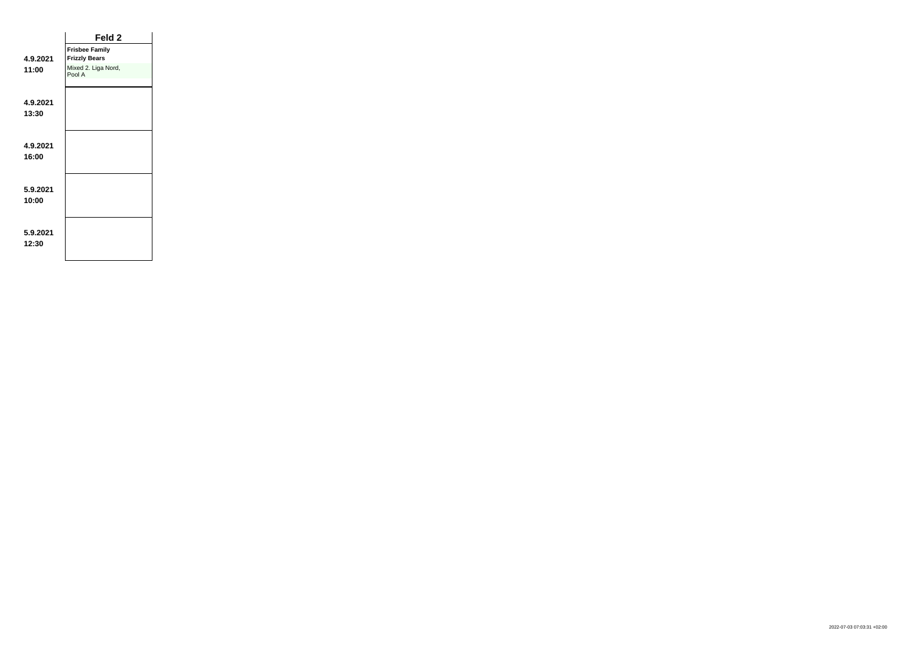|                   | Feld 2                        |  |
|-------------------|-------------------------------|--|
|                   | <b>Frisbee Family</b>         |  |
| 4.9.2021          | <b>Frizzly Bears</b>          |  |
| 11:00             | Mixed 2. Liga Nord,<br>Pool A |  |
| 4.9.2021<br>13:30 |                               |  |
| 4.9.2021<br>16:00 |                               |  |
| 5.9.2021<br>10:00 |                               |  |
| 5.9.2021<br>12:30 |                               |  |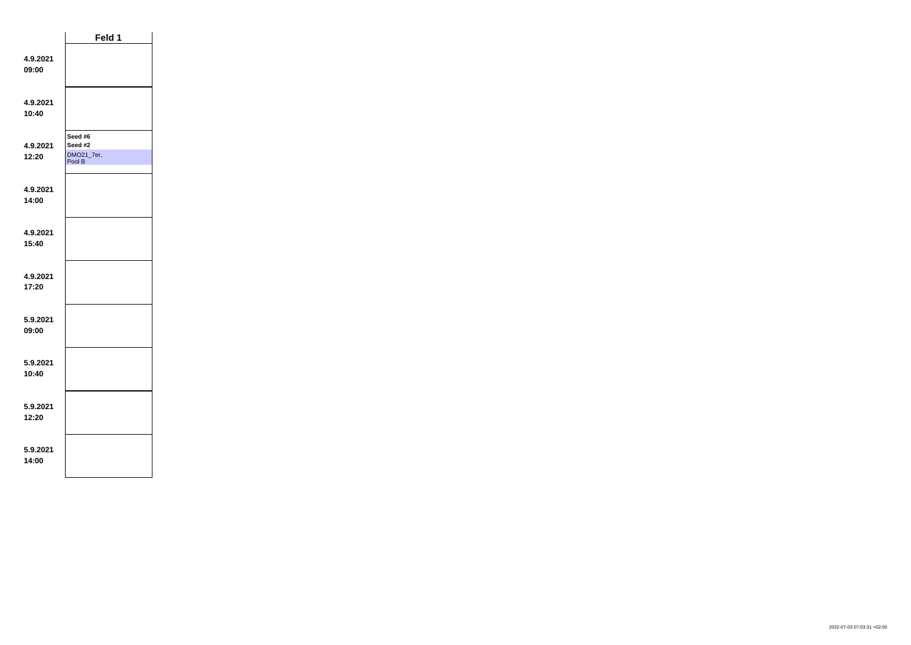|                   | Feld 1                                     |  |
|-------------------|--------------------------------------------|--|
| 4.9.2021<br>09:00 |                                            |  |
| 4.9.2021<br>10:40 |                                            |  |
| 4.9.2021<br>12:20 | Seed #6<br>Seed #2<br>DMO21_7er,<br>Pool B |  |
| 4.9.2021<br>14:00 |                                            |  |
| 4.9.2021<br>15:40 |                                            |  |
| 4.9.2021<br>17:20 |                                            |  |
| 5.9.2021<br>09:00 |                                            |  |
| 5.9.2021<br>10:40 |                                            |  |
| 5.9.2021<br>12:20 |                                            |  |
| 5.9.2021<br>14:00 |                                            |  |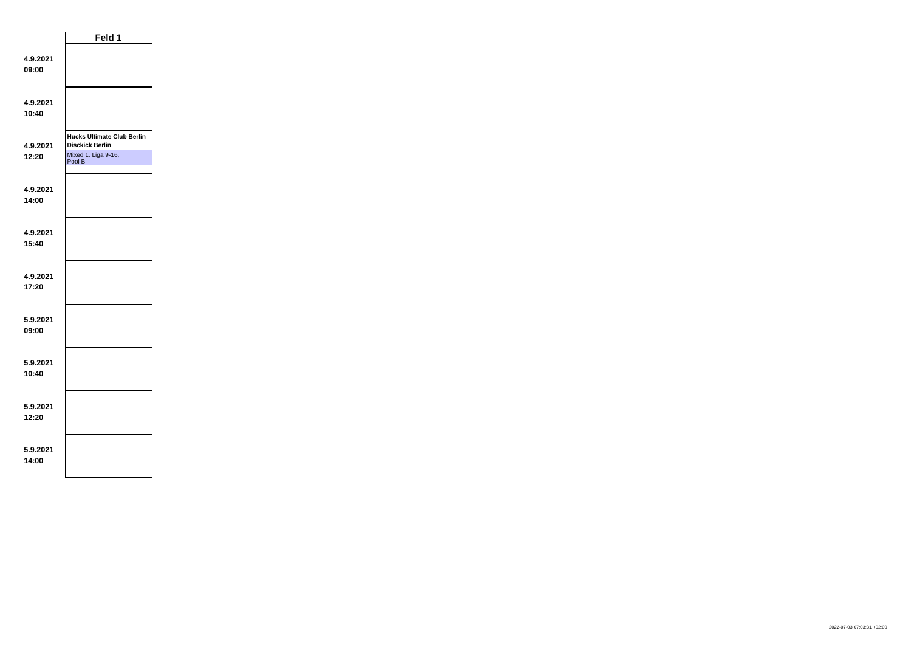|                   | Feld 1                                                                                       |  |
|-------------------|----------------------------------------------------------------------------------------------|--|
| 4.9.2021<br>09:00 |                                                                                              |  |
| 4.9.2021<br>10:40 |                                                                                              |  |
| 4.9.2021<br>12:20 | <b>Hucks Ultimate Club Berlin</b><br><b>Disckick Berlin</b><br>Mixed 1. Liga 9-16,<br>Pool B |  |
| 4.9.2021<br>14:00 |                                                                                              |  |
| 4.9.2021<br>15:40 |                                                                                              |  |
| 4.9.2021<br>17:20 |                                                                                              |  |
| 5.9.2021<br>09:00 |                                                                                              |  |
| 5.9.2021<br>10:40 |                                                                                              |  |
| 5.9.2021<br>12:20 |                                                                                              |  |
| 5.9.2021<br>14:00 |                                                                                              |  |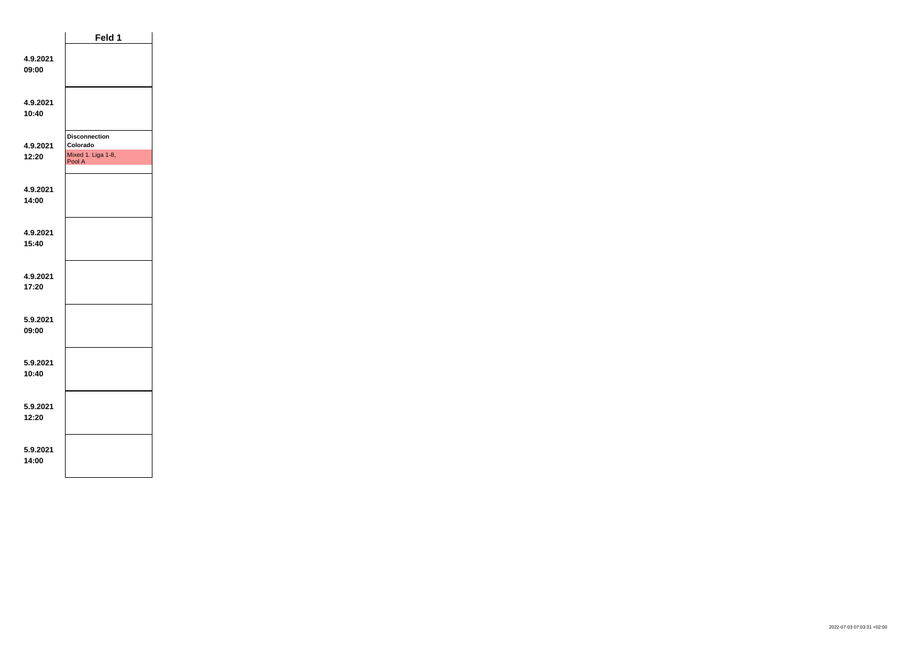|                   | Feld 1                                                           |  |
|-------------------|------------------------------------------------------------------|--|
| 4.9.2021<br>09:00 |                                                                  |  |
| 4.9.2021<br>10:40 |                                                                  |  |
| 4.9.2021<br>12:20 | <b>Disconnection</b><br>Colorado<br>Mixed 1. Liga 1-8,<br>Pool A |  |
| 4.9.2021<br>14:00 |                                                                  |  |
| 4.9.2021<br>15:40 |                                                                  |  |
| 4.9.2021<br>17:20 |                                                                  |  |
| 5.9.2021<br>09:00 |                                                                  |  |
| 5.9.2021<br>10:40 |                                                                  |  |
| 5.9.2021<br>12:20 |                                                                  |  |
| 5.9.2021<br>14:00 |                                                                  |  |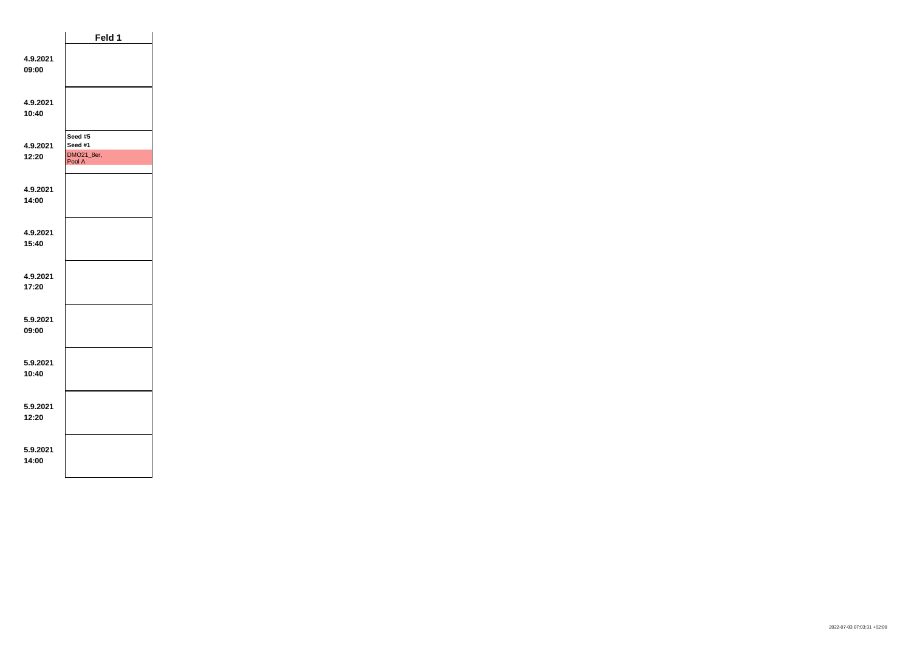|                   | Feld 1                                     |  |
|-------------------|--------------------------------------------|--|
| 4.9.2021<br>09:00 |                                            |  |
| 4.9.2021<br>10:40 |                                            |  |
| 4.9.2021<br>12:20 | Seed #5<br>Seed #1<br>DMO21_8er,<br>Pool A |  |
| 4.9.2021<br>14:00 |                                            |  |
| 4.9.2021<br>15:40 |                                            |  |
| 4.9.2021<br>17:20 |                                            |  |
| 5.9.2021<br>09:00 |                                            |  |
| 5.9.2021<br>10:40 |                                            |  |
| 5.9.2021<br>12:20 |                                            |  |
| 5.9.2021<br>14:00 |                                            |  |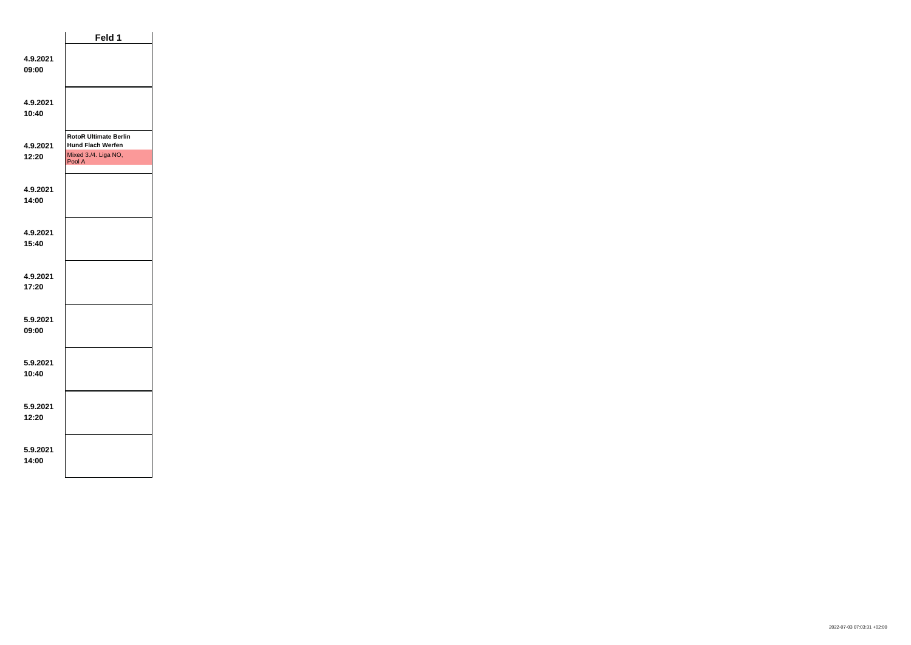|                   | Feld 1                                                                                     |  |
|-------------------|--------------------------------------------------------------------------------------------|--|
| 4.9.2021<br>09:00 |                                                                                            |  |
| 4.9.2021<br>10:40 |                                                                                            |  |
| 4.9.2021<br>12:20 | <b>RotoR Ultimate Berlin</b><br><b>Hund Flach Werfen</b><br>Mixed 3./4. Liga NO,<br>Pool A |  |
| 4.9.2021<br>14:00 |                                                                                            |  |
| 4.9.2021<br>15:40 |                                                                                            |  |
| 4.9.2021<br>17:20 |                                                                                            |  |
| 5.9.2021<br>09:00 |                                                                                            |  |
| 5.9.2021<br>10:40 |                                                                                            |  |
| 5.9.2021<br>12:20 |                                                                                            |  |
| 5.9.2021<br>14:00 |                                                                                            |  |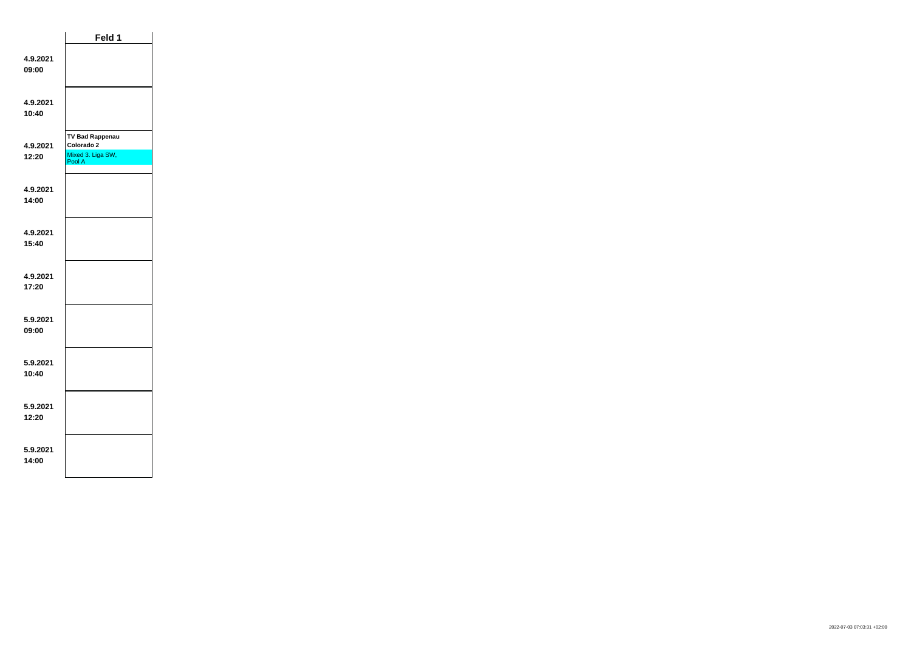|                   | Feld 1                                                              |  |
|-------------------|---------------------------------------------------------------------|--|
| 4.9.2021<br>09:00 |                                                                     |  |
| 4.9.2021<br>10:40 |                                                                     |  |
| 4.9.2021<br>12:20 | <b>TV Bad Rappenau</b><br>Colorado 2<br>Mixed 3. Liga SW,<br>Pool A |  |
| 4.9.2021<br>14:00 |                                                                     |  |
| 4.9.2021<br>15:40 |                                                                     |  |
| 4.9.2021<br>17:20 |                                                                     |  |
| 5.9.2021<br>09:00 |                                                                     |  |
| 5.9.2021<br>10:40 |                                                                     |  |
| 5.9.2021<br>12:20 |                                                                     |  |
| 5.9.2021<br>14:00 |                                                                     |  |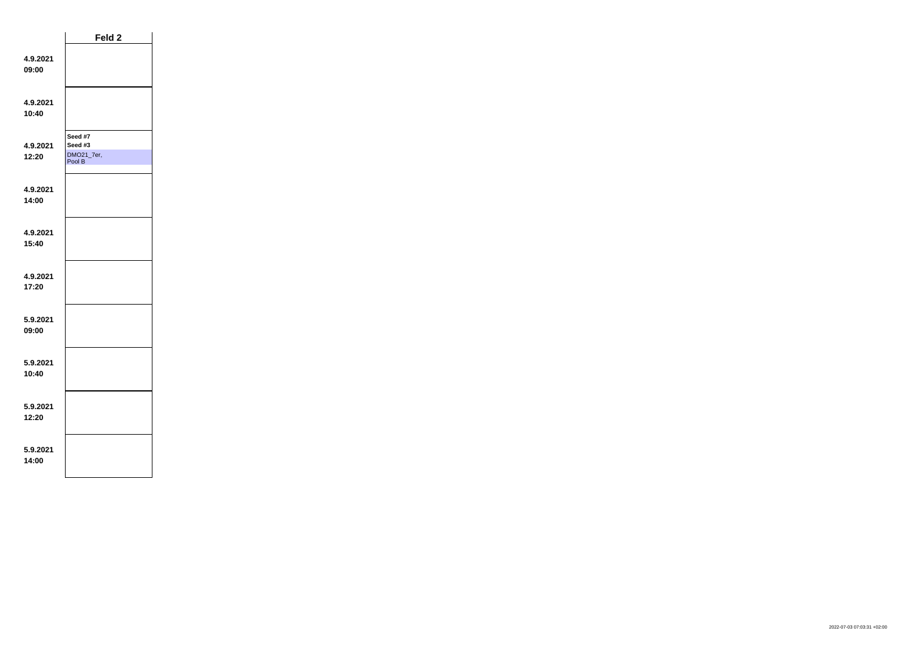|                   | Feld 2                                     |  |
|-------------------|--------------------------------------------|--|
| 4.9.2021<br>09:00 |                                            |  |
| 4.9.2021<br>10:40 |                                            |  |
| 4.9.2021<br>12:20 | Seed #7<br>Seed #3<br>DMO21_7er,<br>Pool B |  |
| 4.9.2021<br>14:00 |                                            |  |
| 4.9.2021<br>15:40 |                                            |  |
| 4.9.2021<br>17:20 |                                            |  |
| 5.9.2021<br>09:00 |                                            |  |
| 5.9.2021<br>10:40 |                                            |  |
| 5.9.2021<br>12:20 |                                            |  |
| 5.9.2021<br>14:00 |                                            |  |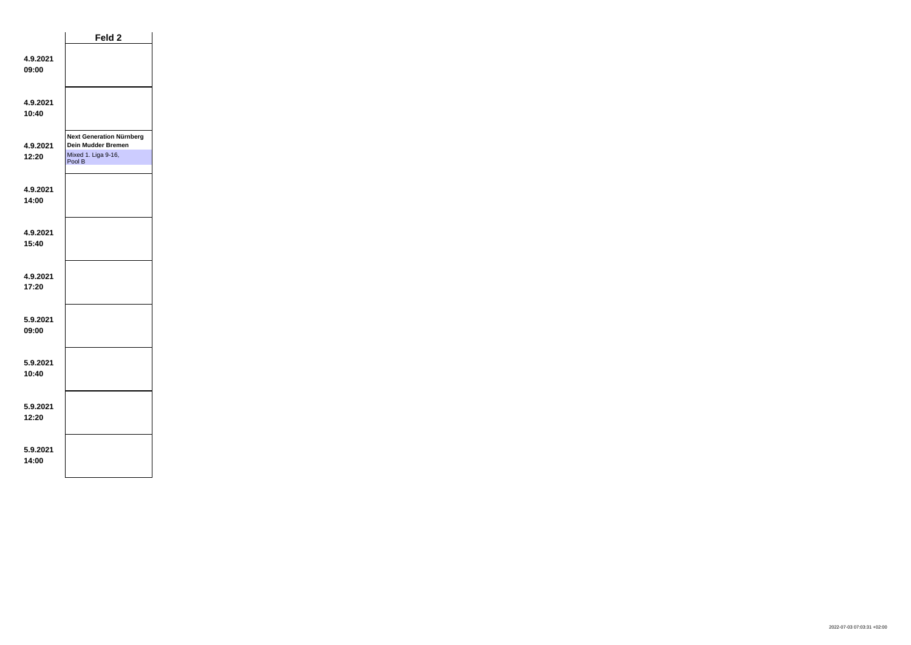|                   | Feld <sub>2</sub>                                                                      |  |
|-------------------|----------------------------------------------------------------------------------------|--|
| 4.9.2021<br>09:00 |                                                                                        |  |
| 4.9.2021<br>10:40 |                                                                                        |  |
| 4.9.2021<br>12:20 | <b>Next Generation Nürnberg</b><br>Dein Mudder Bremen<br>Mixed 1. Liga 9-16,<br>Pool B |  |
| 4.9.2021<br>14:00 |                                                                                        |  |
| 4.9.2021<br>15:40 |                                                                                        |  |
| 4.9.2021<br>17:20 |                                                                                        |  |
| 5.9.2021<br>09:00 |                                                                                        |  |
| 5.9.2021<br>10:40 |                                                                                        |  |
| 5.9.2021<br>12:20 |                                                                                        |  |
| 5.9.2021<br>14:00 |                                                                                        |  |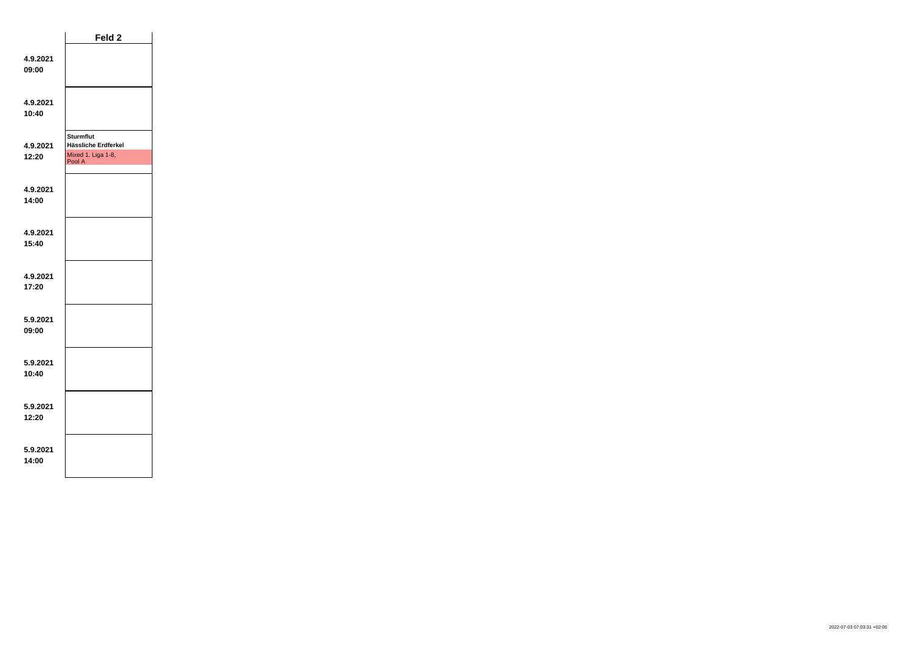|                   | Feld 2                                                                  |  |
|-------------------|-------------------------------------------------------------------------|--|
| 4.9.2021<br>09:00 |                                                                         |  |
| 4.9.2021<br>10:40 |                                                                         |  |
| 4.9.2021<br>12:20 | <b>Sturmflut</b><br>Hässliche Erdferkel<br>Mixed 1. Liga 1-8,<br>Pool A |  |
| 4.9.2021<br>14:00 |                                                                         |  |
| 4.9.2021<br>15:40 |                                                                         |  |
| 4.9.2021<br>17:20 |                                                                         |  |
| 5.9.2021<br>09:00 |                                                                         |  |
| 5.9.2021<br>10:40 |                                                                         |  |
| 5.9.2021<br>12:20 |                                                                         |  |
| 5.9.2021<br>14:00 |                                                                         |  |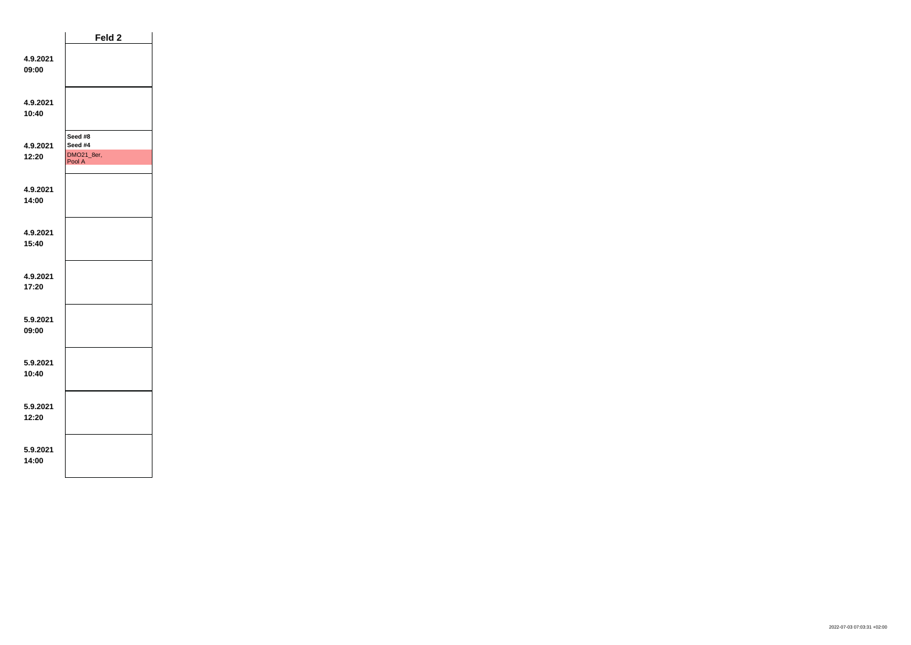|                   | Feld 2                                     |  |
|-------------------|--------------------------------------------|--|
| 4.9.2021<br>09:00 |                                            |  |
| 4.9.2021<br>10:40 |                                            |  |
| 4.9.2021<br>12:20 | Seed #8<br>Seed #4<br>DMO21_8er,<br>Pool A |  |
| 4.9.2021<br>14:00 |                                            |  |
| 4.9.2021<br>15:40 |                                            |  |
| 4.9.2021<br>17:20 |                                            |  |
| 5.9.2021<br>09:00 |                                            |  |
| 5.9.2021<br>10:40 |                                            |  |
| 5.9.2021<br>12:20 |                                            |  |
| 5.9.2021<br>14:00 |                                            |  |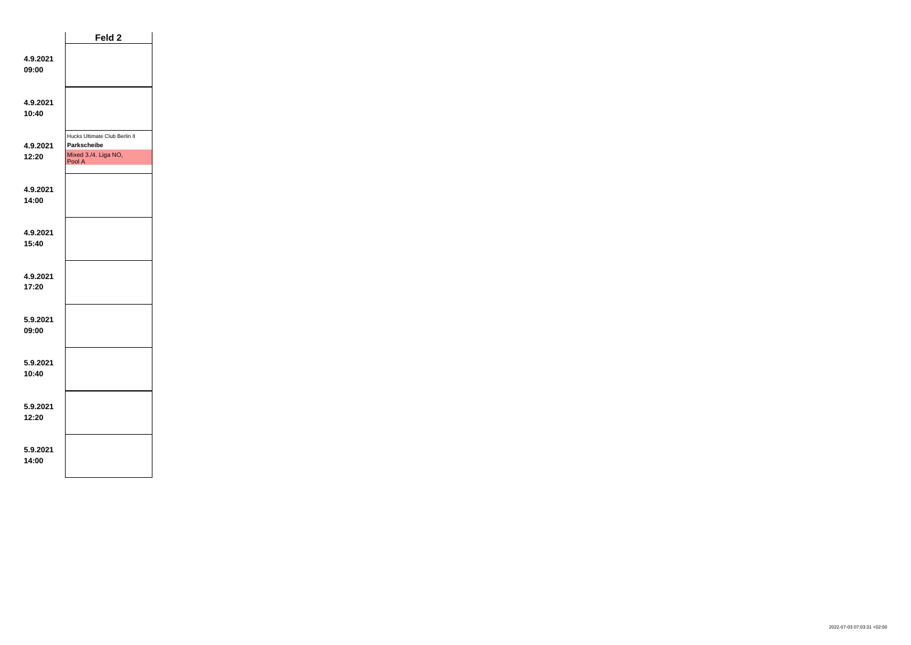|                   | Feld 2                                                                         |  |
|-------------------|--------------------------------------------------------------------------------|--|
| 4.9.2021<br>09:00 |                                                                                |  |
| 4.9.2021<br>10:40 |                                                                                |  |
| 4.9.2021<br>12:20 | Hucks Ultimate Club Berlin II<br>Parkscheibe<br>Mixed 3./4. Liga NO,<br>Pool A |  |
| 4.9.2021<br>14:00 |                                                                                |  |
| 4.9.2021<br>15:40 |                                                                                |  |
| 4.9.2021<br>17:20 |                                                                                |  |
| 5.9.2021<br>09:00 |                                                                                |  |
| 5.9.2021<br>10:40 |                                                                                |  |
| 5.9.2021<br>12:20 |                                                                                |  |
| 5.9.2021<br>14:00 |                                                                                |  |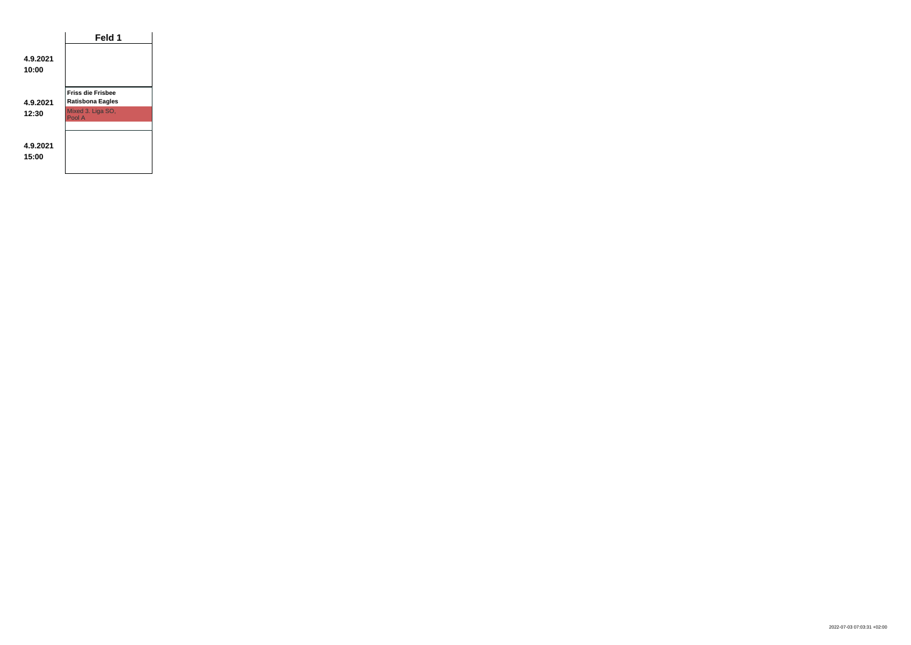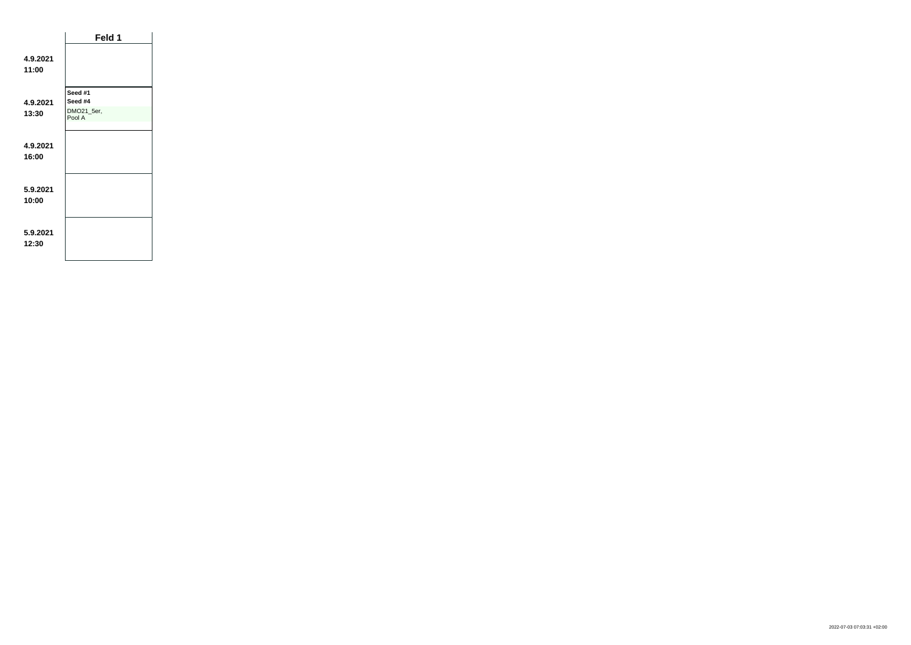|                   | Feld 1               |
|-------------------|----------------------|
| 4.9.2021<br>11:00 |                      |
| 4.9.2021          | Seed #1<br>Seed #4   |
| 13:30             | DMO21_5er,<br>Pool A |
| 4.9.2021<br>16:00 |                      |
| 5.9.2021<br>10:00 |                      |
| 5.9.2021<br>12:30 |                      |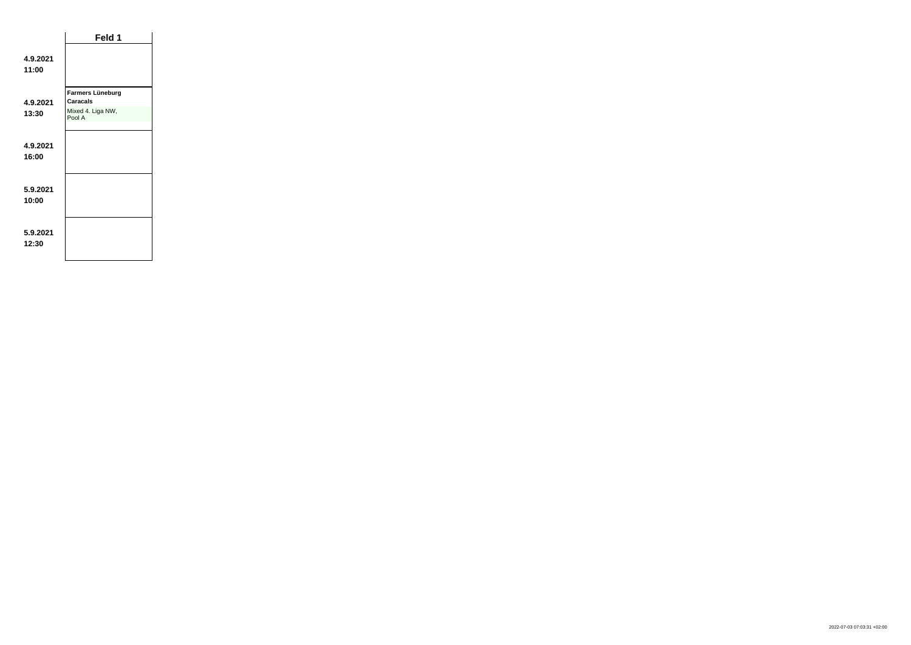|                   | Feld 1                       |  |
|-------------------|------------------------------|--|
| 4.9.2021<br>11:00 |                              |  |
| 4.9.2021          | Farmers Lüneburg<br>Caracals |  |
| 13:30             | Mixed 4. Liga NW,<br>Pool A  |  |
| 4.9.2021<br>16:00 |                              |  |
| 5.9.2021<br>10:00 |                              |  |
| 5.9.2021<br>12:30 |                              |  |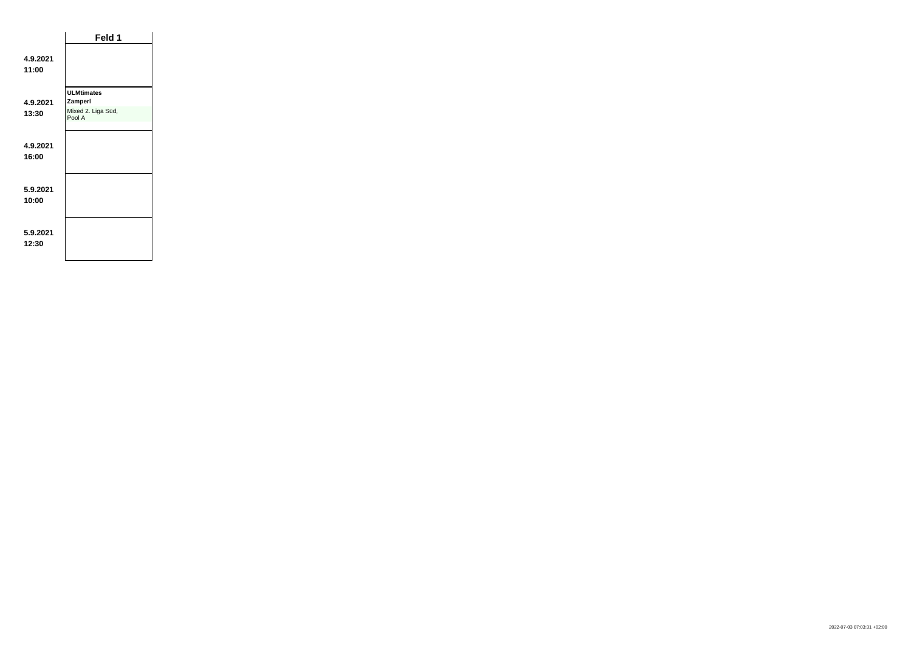|                   | Feld 1                       |  |
|-------------------|------------------------------|--|
| 4.9.2021<br>11:00 |                              |  |
| 4.9.2021          | <b>ULMtimates</b><br>Zamperl |  |
| 13:30             | Mixed 2. Liga Süd,<br>Pool A |  |
|                   |                              |  |
| 4.9.2021<br>16:00 |                              |  |
| 5.9.2021<br>10:00 |                              |  |
| 5.9.2021<br>12:30 |                              |  |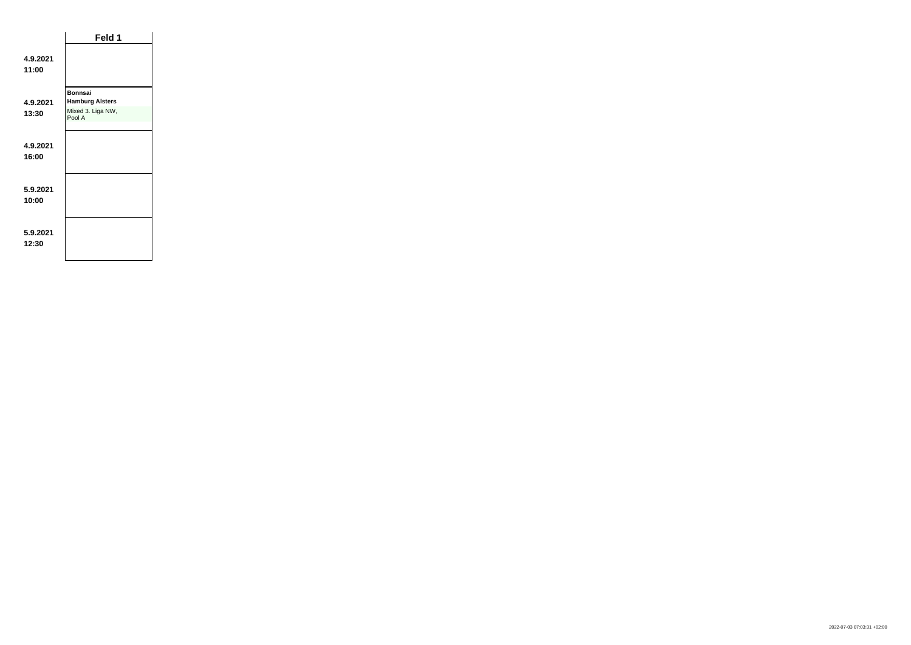|                   | Feld 1                                   |
|-------------------|------------------------------------------|
| 4.9.2021<br>11:00 |                                          |
| 4.9.2021          | <b>Bonnsai</b><br><b>Hamburg Alsters</b> |
| 13:30             | Mixed 3. Liga NW,<br>Pool A              |
|                   |                                          |
| 4.9.2021<br>16:00 |                                          |
|                   |                                          |
| 5.9.2021<br>10:00 |                                          |
|                   |                                          |
| 5.9.2021<br>12:30 |                                          |
|                   |                                          |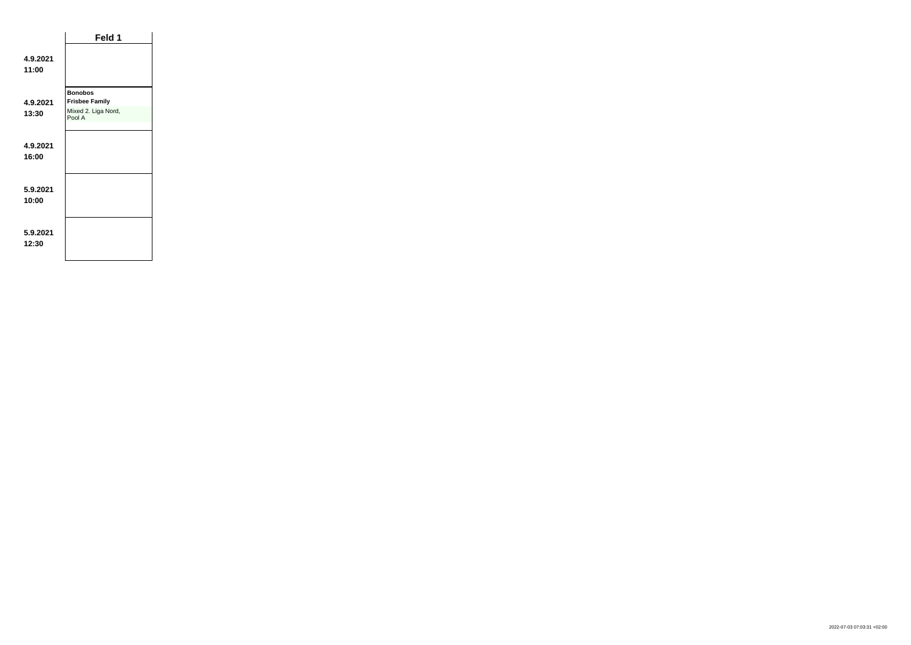|                   | Feld 1                                  |
|-------------------|-----------------------------------------|
| 4.9.2021<br>11:00 |                                         |
| 4.9.2021          | <b>Bonobos</b><br><b>Frisbee Family</b> |
| 13:30             | Mixed 2. Liga Nord,<br>Pool A           |
| 4.9.2021<br>16:00 |                                         |
| 5.9.2021<br>10:00 |                                         |
| 5.9.2021<br>12:30 |                                         |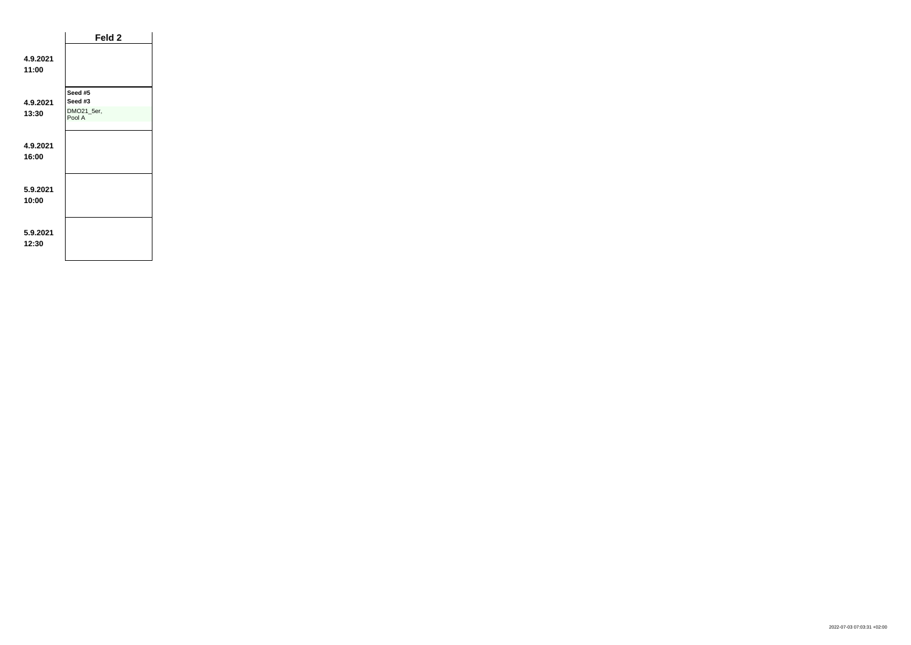|                   | Feld 2                                     |  |
|-------------------|--------------------------------------------|--|
| 4.9.2021<br>11:00 |                                            |  |
| 4.9.2021<br>13:30 | Seed #5<br>Seed #3<br>DMO21_5er,<br>Pool A |  |
| 4.9.2021<br>16:00 |                                            |  |
| 5.9.2021<br>10:00 |                                            |  |
| 5.9.2021<br>12:30 |                                            |  |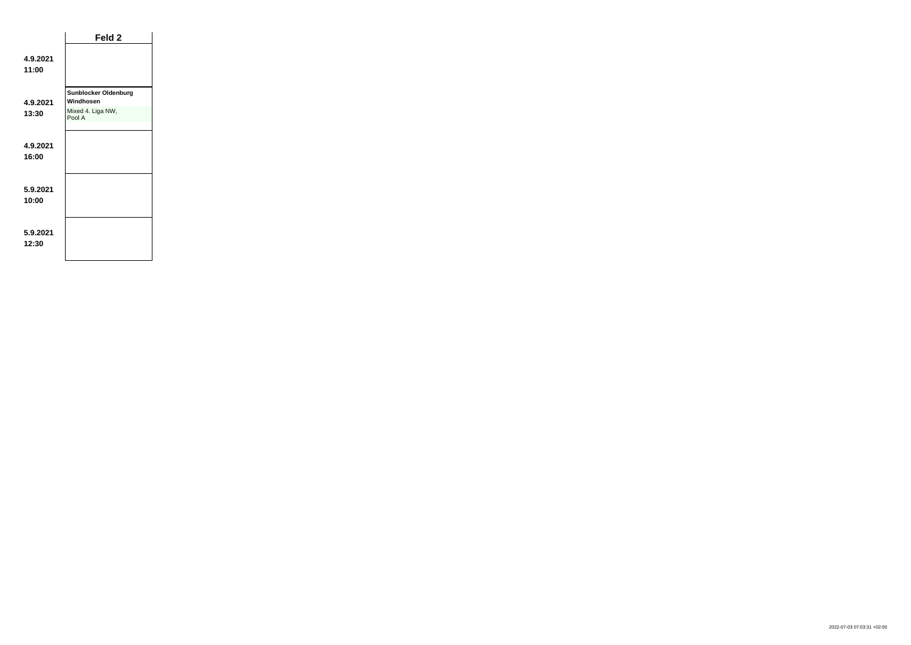|                   | Feld <sub>2</sub>                        |  |
|-------------------|------------------------------------------|--|
| 4.9.2021<br>11:00 |                                          |  |
| 4.9.2021          | <b>Sunblocker Oldenburg</b><br>Windhosen |  |
| 13:30             | Mixed 4. Liga NW,<br>Pool A              |  |
|                   |                                          |  |
| 4.9.2021<br>16:00 |                                          |  |
| 5.9.2021<br>10:00 |                                          |  |
| 5.9.2021<br>12:30 |                                          |  |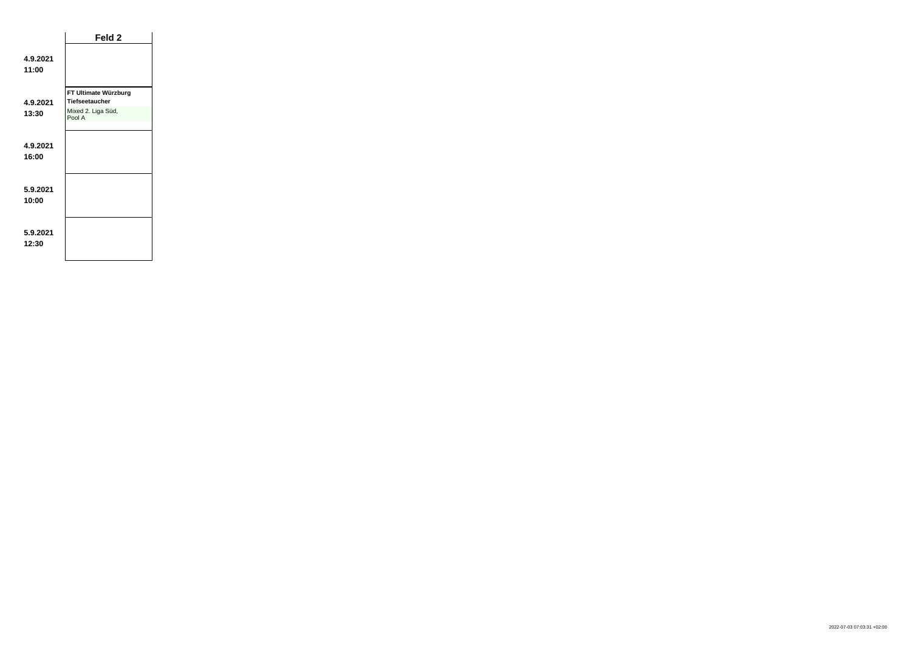|                   | Feld 2                       |  |
|-------------------|------------------------------|--|
| 4.9.2021<br>11:00 |                              |  |
|                   | FT Ultimate Würzburg         |  |
| 4.9.2021          | <b>Tiefseetaucher</b>        |  |
| 13:30             | Mixed 2. Liga Süd,<br>Pool A |  |
|                   |                              |  |
| 4.9.2021<br>16:00 |                              |  |
| 5.9.2021<br>10:00 |                              |  |
| 5.9.2021<br>12:30 |                              |  |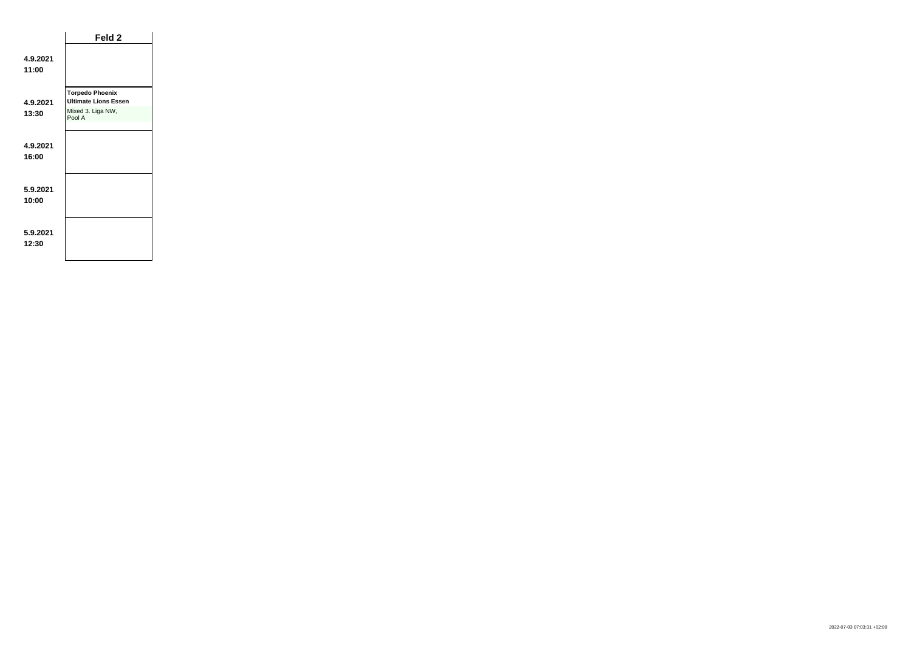|                   | Feld 2                                                |
|-------------------|-------------------------------------------------------|
| 4.9.2021<br>11:00 |                                                       |
| 4.9.2021          | <b>Torpedo Phoenix</b><br><b>Ultimate Lions Essen</b> |
| 13:30             | Mixed 3. Liga NW,<br>Pool A                           |
| 4.9.2021<br>16:00 |                                                       |
| 5.9.2021<br>10:00 |                                                       |
| 5.9.2021<br>12:30 |                                                       |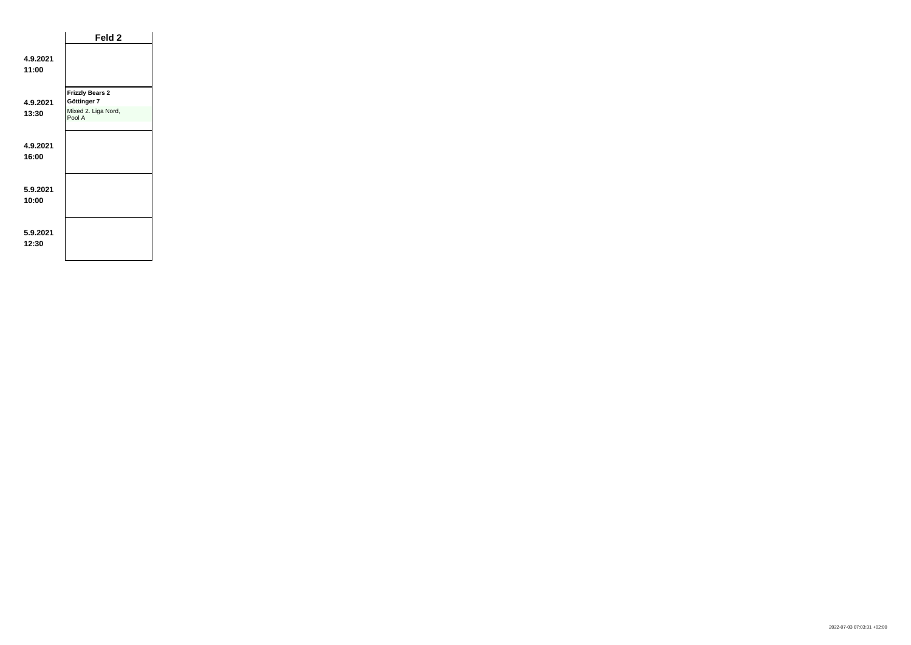|                   | Feld 2                                |  |
|-------------------|---------------------------------------|--|
| 4.9.2021<br>11:00 |                                       |  |
| 4.9.2021          | <b>Frizzly Bears 2</b><br>Göttinger 7 |  |
| 13:30             | Mixed 2. Liga Nord,<br>Pool A         |  |
|                   |                                       |  |
| 4.9.2021<br>16:00 |                                       |  |
| 5.9.2021<br>10:00 |                                       |  |
| 5.9.2021<br>12:30 |                                       |  |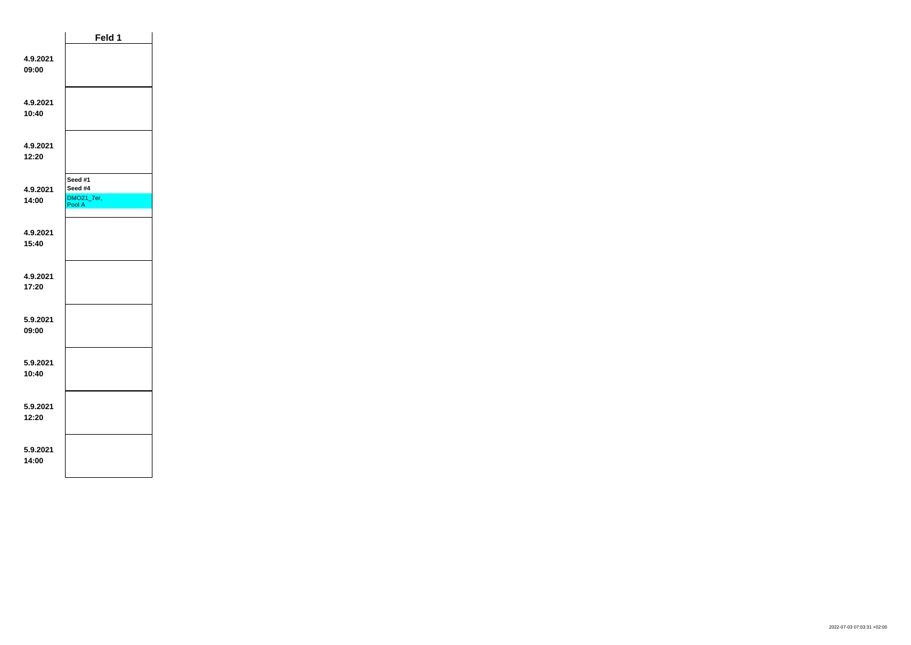|                   | Feld 1                                     |  |
|-------------------|--------------------------------------------|--|
| 4.9.2021<br>09:00 |                                            |  |
| 4.9.2021<br>10:40 |                                            |  |
| 4.9.2021<br>12:20 |                                            |  |
| 4.9.2021<br>14:00 | Seed #1<br>Seed #4<br>DMO21_7er,<br>Pool A |  |
| 4.9.2021<br>15:40 |                                            |  |
| 4.9.2021<br>17:20 |                                            |  |
| 5.9.2021<br>09:00 |                                            |  |
| 5.9.2021<br>10:40 |                                            |  |
| 5.9.2021<br>12:20 |                                            |  |
| 5.9.2021<br>14:00 |                                            |  |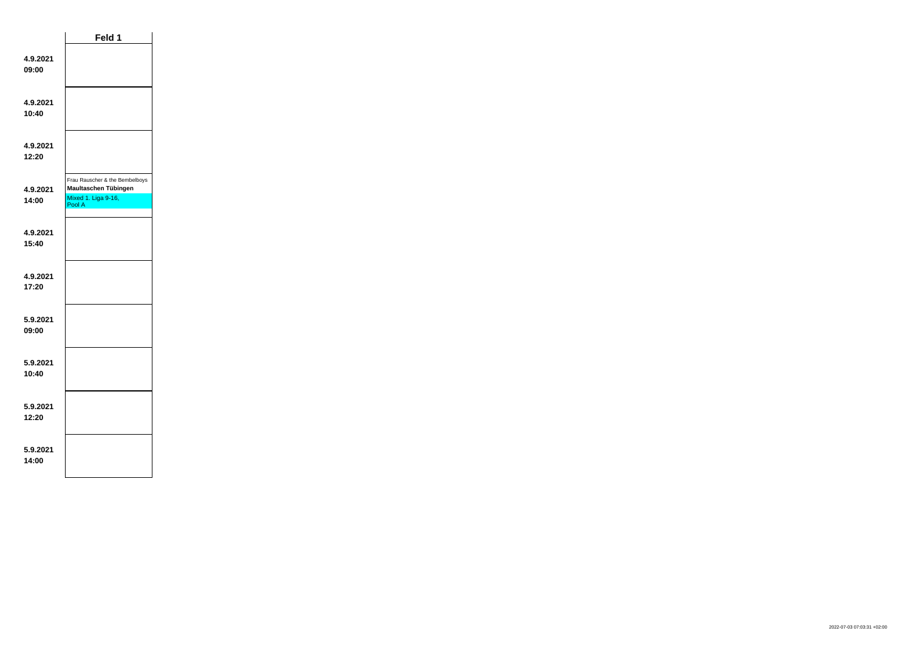|                   | Feld 1                                                                                  |  |
|-------------------|-----------------------------------------------------------------------------------------|--|
| 4.9.2021<br>09:00 |                                                                                         |  |
| 4.9.2021<br>10:40 |                                                                                         |  |
| 4.9.2021<br>12:20 |                                                                                         |  |
| 4.9.2021<br>14:00 | Frau Rauscher & the Bembelboys<br>Maultaschen Tübingen<br>Mixed 1. Liga 9-16,<br>Pool A |  |
| 4.9.2021<br>15:40 |                                                                                         |  |
| 4.9.2021<br>17:20 |                                                                                         |  |
| 5.9.2021<br>09:00 |                                                                                         |  |
| 5.9.2021<br>10:40 |                                                                                         |  |
| 5.9.2021<br>12:20 |                                                                                         |  |
| 5.9.2021<br>14:00 |                                                                                         |  |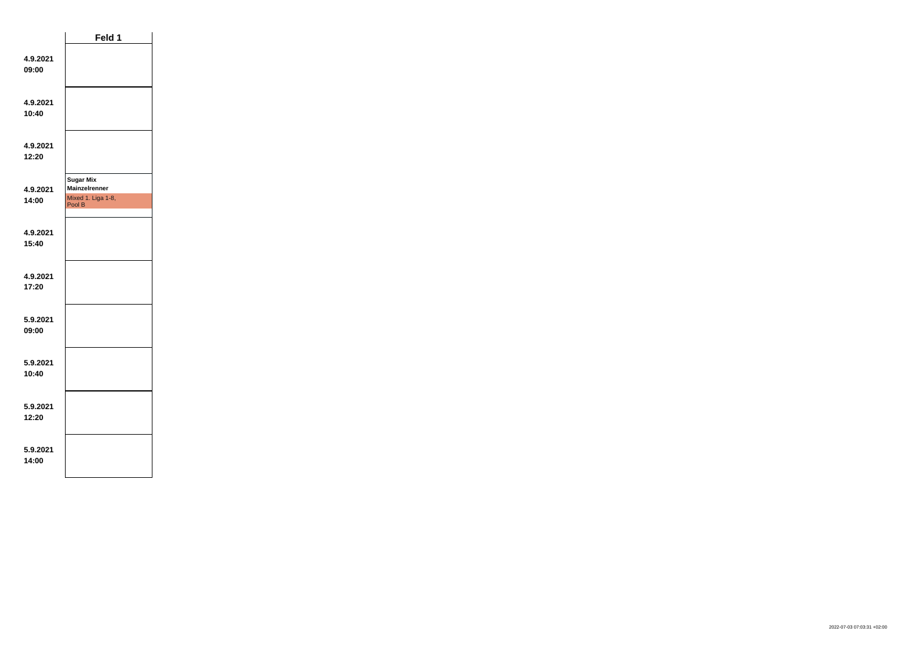|                   | Feld 1                                                                   |  |
|-------------------|--------------------------------------------------------------------------|--|
| 4.9.2021<br>09:00 |                                                                          |  |
| 4.9.2021<br>10:40 |                                                                          |  |
| 4.9.2021<br>12:20 |                                                                          |  |
| 4.9.2021<br>14:00 | <b>Sugar Mix</b><br><b>Mainzelrenner</b><br>Mixed 1. Liga 1-8,<br>Pool B |  |
| 4.9.2021<br>15:40 |                                                                          |  |
| 4.9.2021<br>17:20 |                                                                          |  |
| 5.9.2021<br>09:00 |                                                                          |  |
| 5.9.2021<br>10:40 |                                                                          |  |
| 5.9.2021<br>12:20 |                                                                          |  |
| 5.9.2021<br>14:00 |                                                                          |  |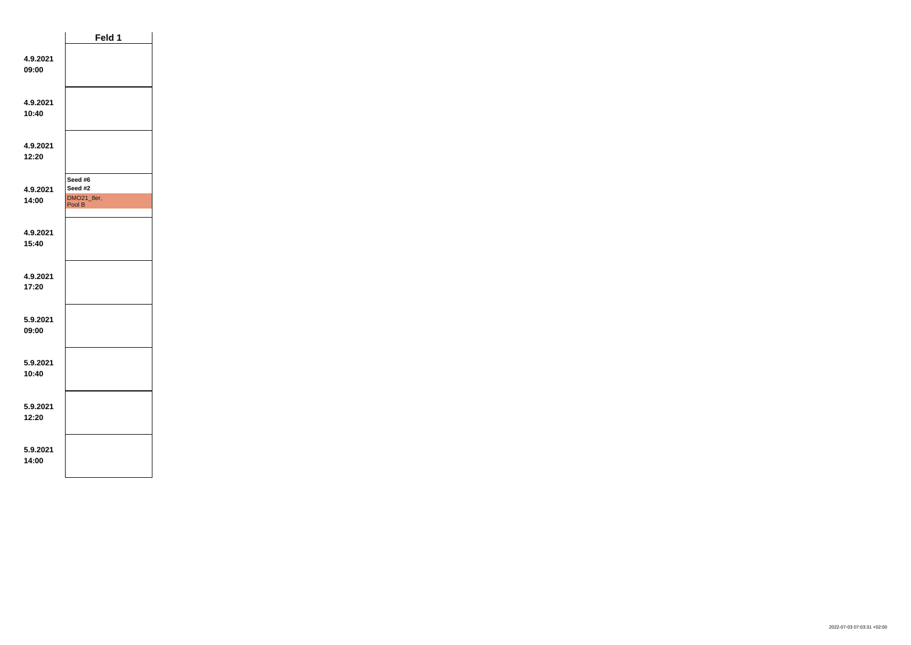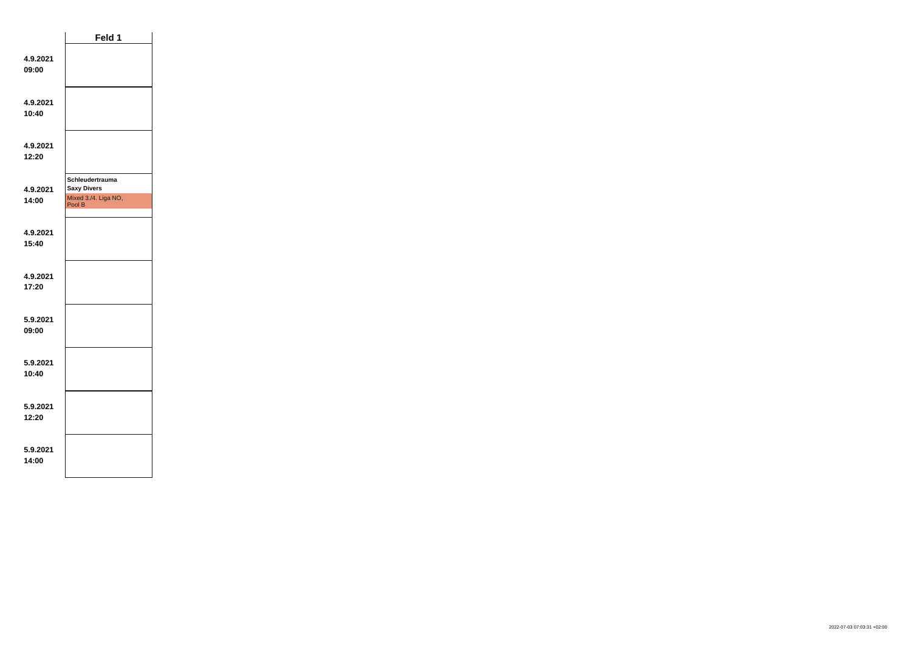|                   | Feld 1                                                                  |  |
|-------------------|-------------------------------------------------------------------------|--|
| 4.9.2021<br>09:00 |                                                                         |  |
| 4.9.2021<br>10:40 |                                                                         |  |
| 4.9.2021<br>12:20 |                                                                         |  |
| 4.9.2021<br>14:00 | Schleudertrauma<br><b>Saxy Divers</b><br>Mixed 3./4. Liga NO,<br>Pool B |  |
| 4.9.2021<br>15:40 |                                                                         |  |
| 4.9.2021<br>17:20 |                                                                         |  |
| 5.9.2021<br>09:00 |                                                                         |  |
| 5.9.2021<br>10:40 |                                                                         |  |
| 5.9.2021<br>12:20 |                                                                         |  |
| 5.9.2021<br>14:00 |                                                                         |  |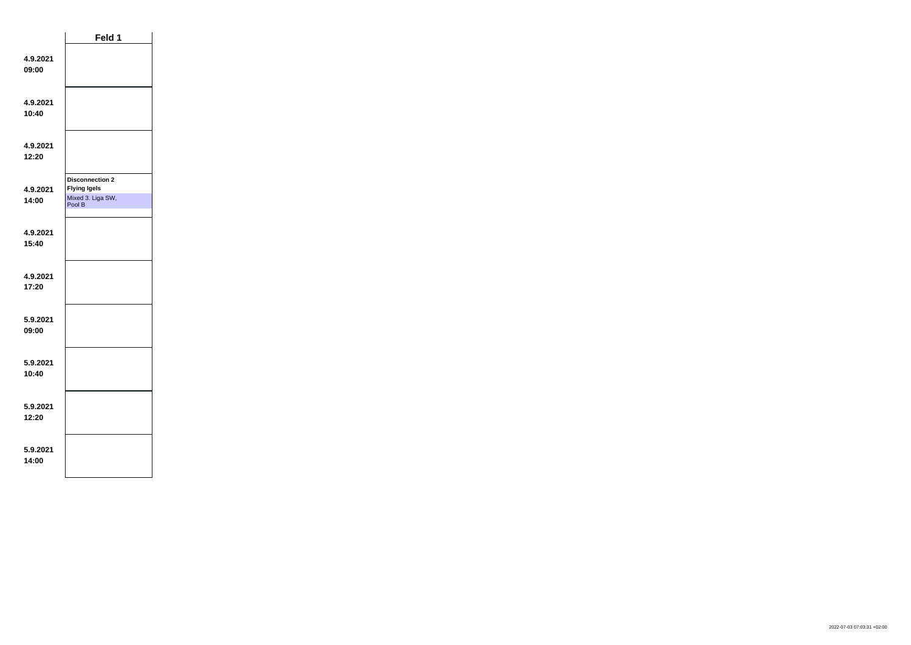|                   | Feld 1                                             |  |
|-------------------|----------------------------------------------------|--|
| 4.9.2021<br>09:00 |                                                    |  |
| 4.9.2021<br>10:40 |                                                    |  |
| 4.9.2021<br>12:20 |                                                    |  |
|                   | <b>Disconnection 2</b>                             |  |
| 4.9.2021<br>14:00 | <b>Flying Igels</b><br>Mixed 3. Liga SW,<br>Pool B |  |
| 4.9.2021<br>15:40 |                                                    |  |
| 4.9.2021<br>17:20 |                                                    |  |
| 5.9.2021<br>09:00 |                                                    |  |
| 5.9.2021<br>10:40 |                                                    |  |
| 5.9.2021<br>12:20 |                                                    |  |
| 5.9.2021<br>14:00 |                                                    |  |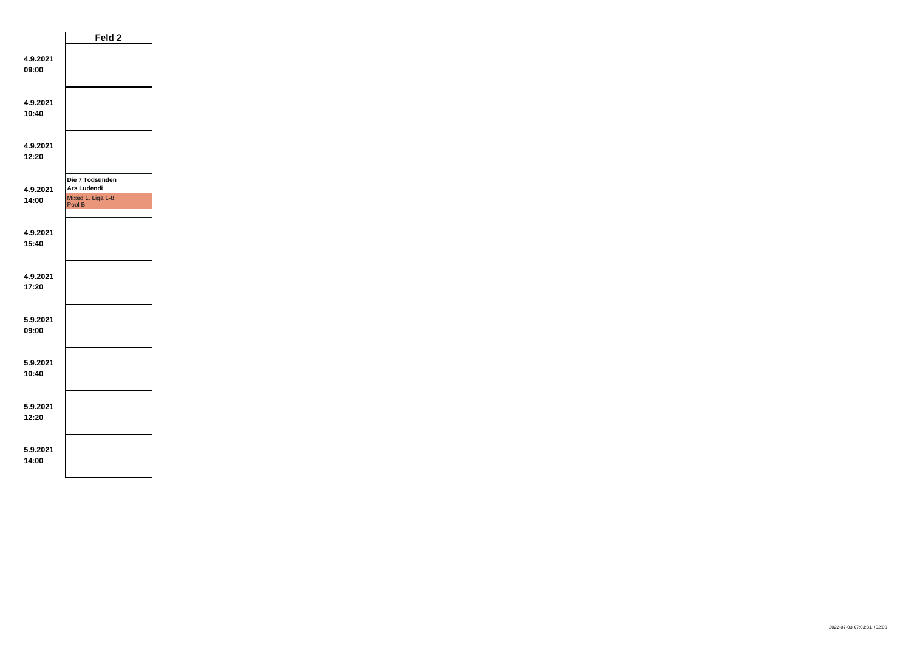|                   | Feld 2                                                         |  |
|-------------------|----------------------------------------------------------------|--|
| 4.9.2021<br>09:00 |                                                                |  |
| 4.9.2021<br>10:40 |                                                                |  |
| 4.9.2021<br>12:20 |                                                                |  |
| 4.9.2021<br>14:00 | Die 7 Todsünden<br>Ars Ludendi<br>Mixed 1. Liga 1-8,<br>Pool B |  |
| 4.9.2021<br>15:40 |                                                                |  |
| 4.9.2021<br>17:20 |                                                                |  |
| 5.9.2021<br>09:00 |                                                                |  |
| 5.9.2021<br>10:40 |                                                                |  |
| 5.9.2021<br>12:20 |                                                                |  |
| 5.9.2021<br>14:00 |                                                                |  |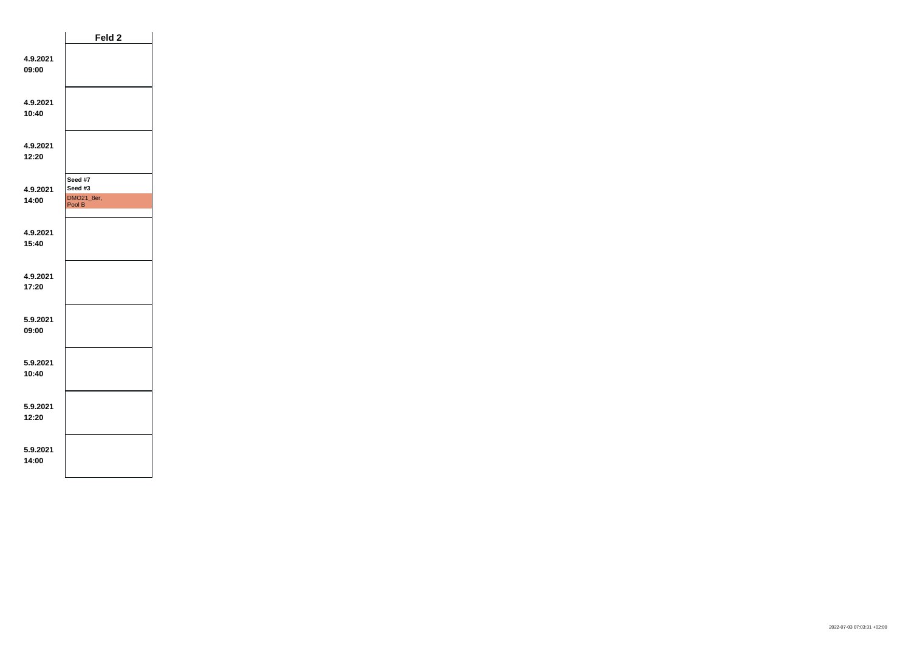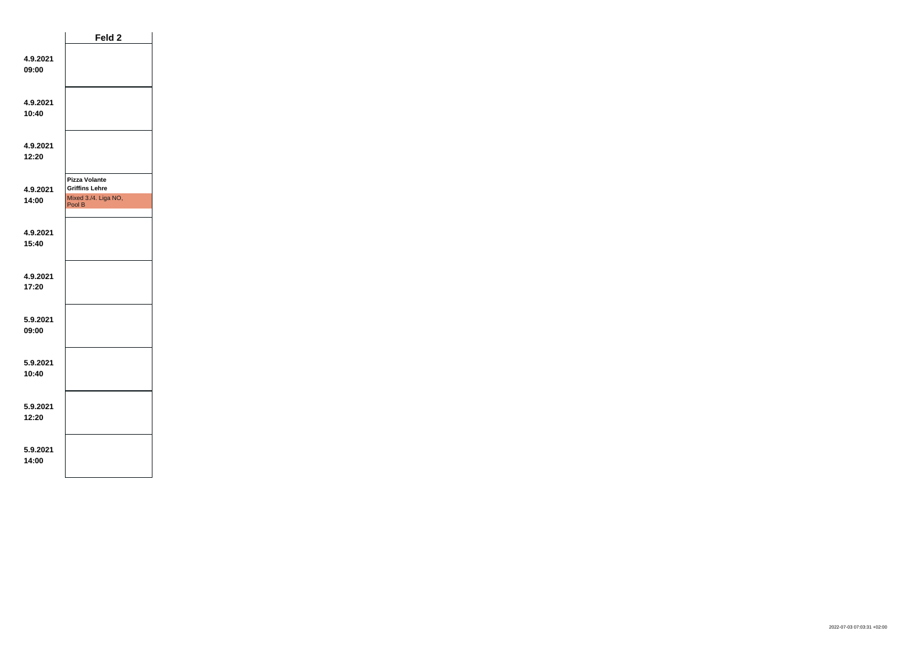|                   | Feld 2                                                                          |  |
|-------------------|---------------------------------------------------------------------------------|--|
| 4.9.2021<br>09:00 |                                                                                 |  |
| 4.9.2021<br>10:40 |                                                                                 |  |
| 4.9.2021<br>12:20 |                                                                                 |  |
| 4.9.2021<br>14:00 | <b>Pizza Volante</b><br><b>Griffins Lehre</b><br>Mixed 3./4. Liga NO,<br>Pool B |  |
| 4.9.2021<br>15:40 |                                                                                 |  |
| 4.9.2021<br>17:20 |                                                                                 |  |
| 5.9.2021<br>09:00 |                                                                                 |  |
| 5.9.2021<br>10:40 |                                                                                 |  |
| 5.9.2021<br>12:20 |                                                                                 |  |
| 5.9.2021<br>14:00 |                                                                                 |  |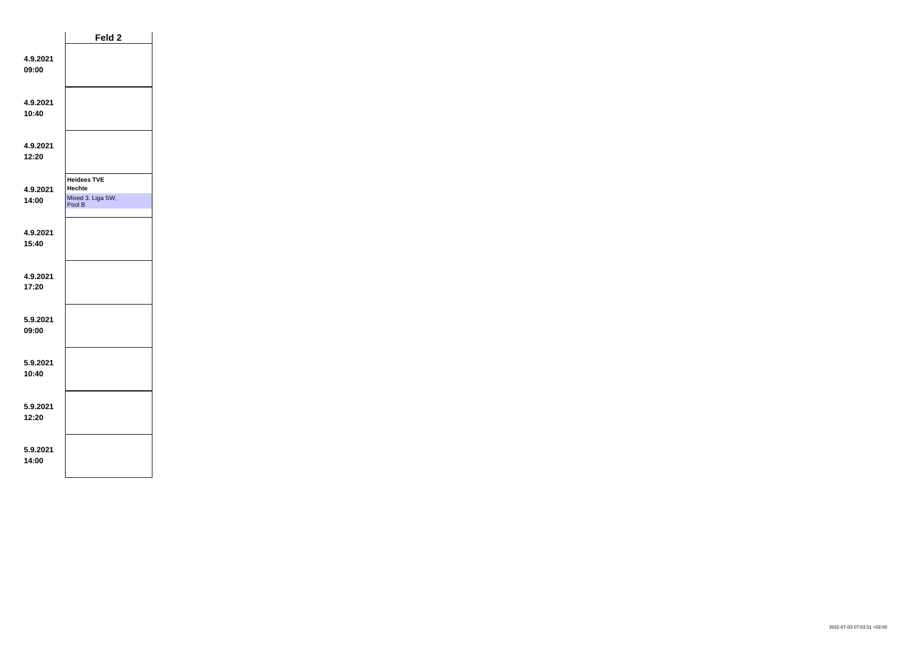|                   | Feld 2                                       |  |
|-------------------|----------------------------------------------|--|
| 4.9.2021<br>09:00 |                                              |  |
| 4.9.2021<br>10:40 |                                              |  |
| 4.9.2021<br>12:20 |                                              |  |
|                   | <b>Heidees TVE</b>                           |  |
| 4.9.2021<br>14:00 | <b>Hechte</b><br>Mixed 3. Liga SW,<br>Pool B |  |
| 4.9.2021<br>15:40 |                                              |  |
| 4.9.2021<br>17:20 |                                              |  |
| 5.9.2021<br>09:00 |                                              |  |
| 5.9.2021<br>10:40 |                                              |  |
| 5.9.2021<br>12:20 |                                              |  |
| 5.9.2021<br>14:00 |                                              |  |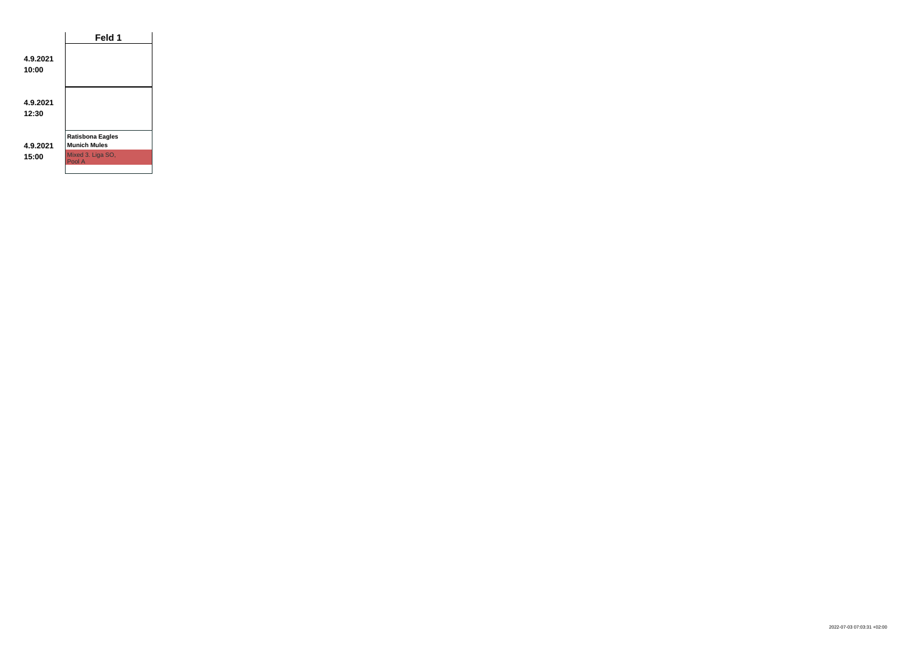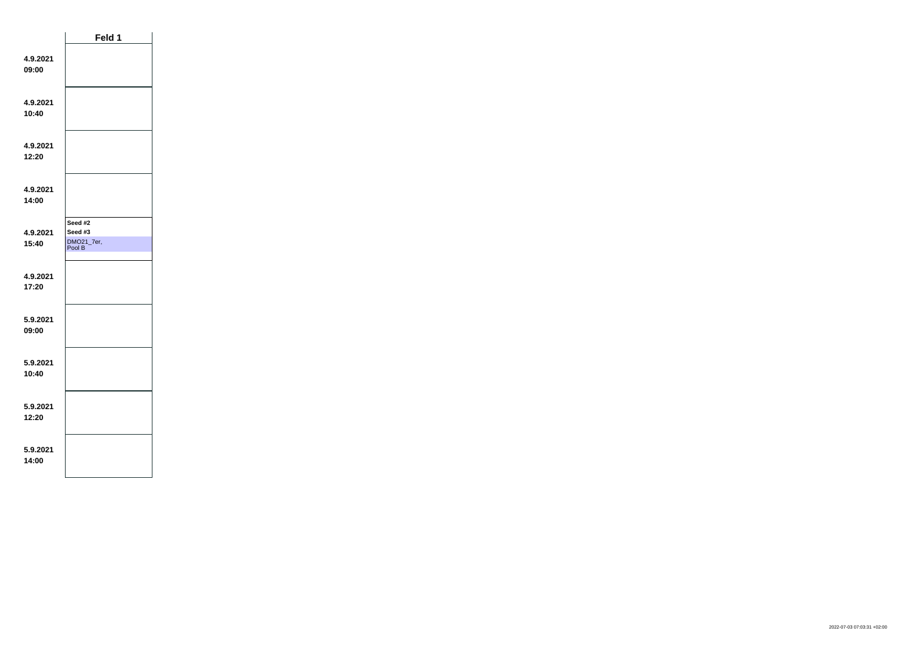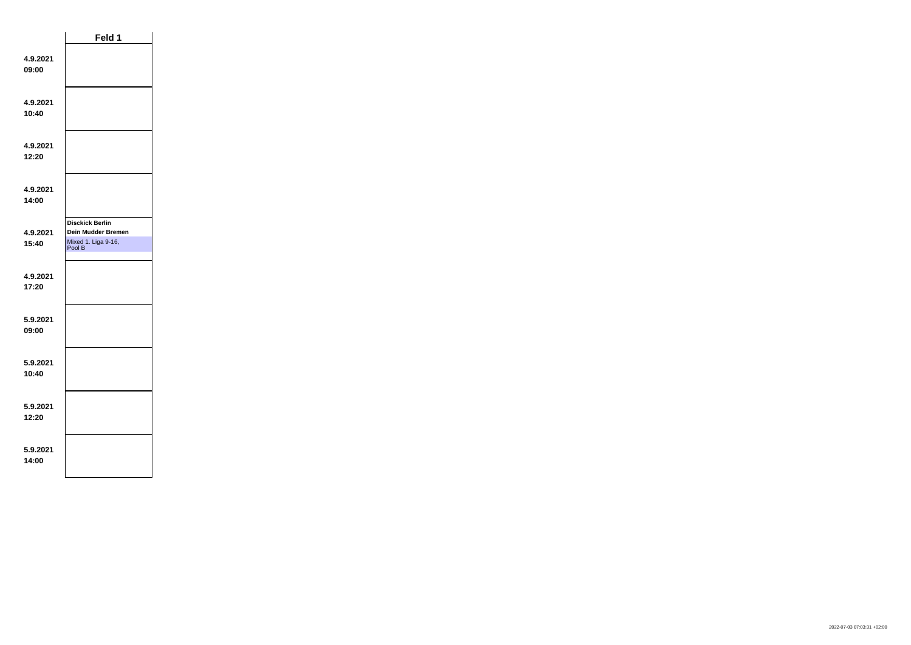|                   | Feld 1                                              |  |
|-------------------|-----------------------------------------------------|--|
| 4.9.2021<br>09:00 |                                                     |  |
| 4.9.2021<br>10:40 |                                                     |  |
| 4.9.2021<br>12:20 |                                                     |  |
| 4.9.2021<br>14:00 |                                                     |  |
|                   | <b>Disckick Berlin</b><br><b>Dein Mudder Bremen</b> |  |
| 4.9.2021          |                                                     |  |
| 15:40             | Mixed 1. Liga 9-16,<br>Pool B                       |  |
| 4.9.2021<br>17:20 |                                                     |  |
| 5.9.2021<br>09:00 |                                                     |  |
| 5.9.2021<br>10:40 |                                                     |  |
| 5.9.2021<br>12:20 |                                                     |  |
| 5.9.2021<br>14:00 |                                                     |  |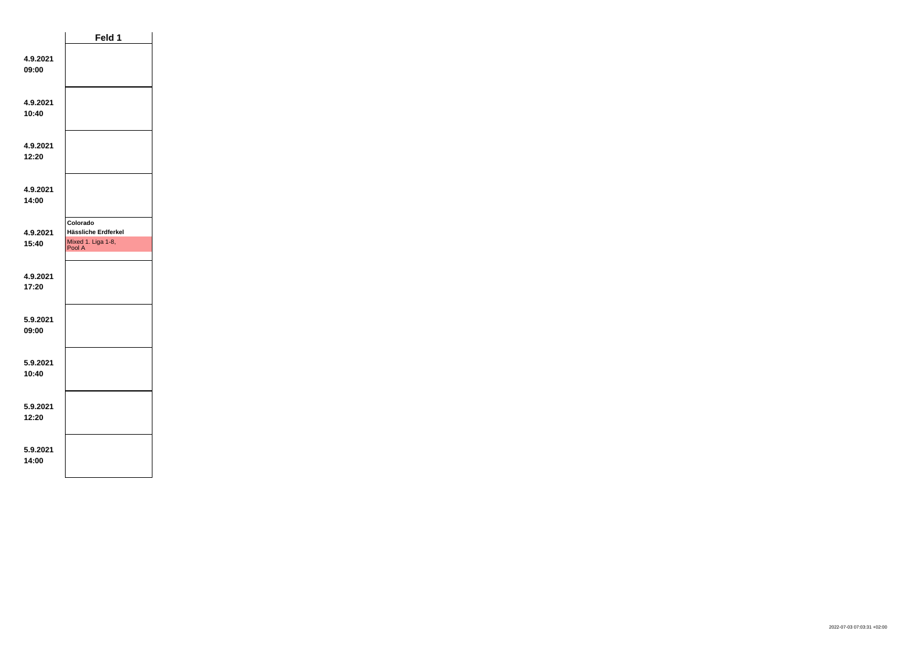|                   | Feld 1                                                          |  |
|-------------------|-----------------------------------------------------------------|--|
| 4.9.2021<br>09:00 |                                                                 |  |
| 4.9.2021<br>10:40 |                                                                 |  |
| 4.9.2021<br>12:20 |                                                                 |  |
| 4.9.2021<br>14:00 |                                                                 |  |
| 4.9.2021<br>15:40 | Colorado<br>Hässliche Erdferkel<br>Mixed 1. Liga 1-8,<br>Pool A |  |
| 4.9.2021<br>17:20 |                                                                 |  |
| 5.9.2021<br>09:00 |                                                                 |  |
| 5.9.2021<br>10:40 |                                                                 |  |
| 5.9.2021<br>12:20 |                                                                 |  |
| 5.9.2021<br>14:00 |                                                                 |  |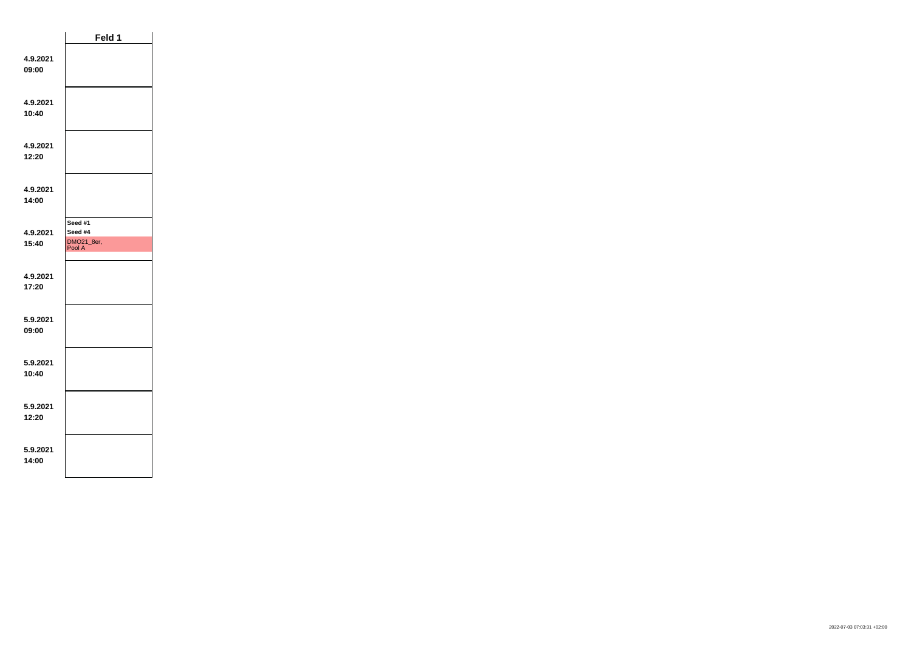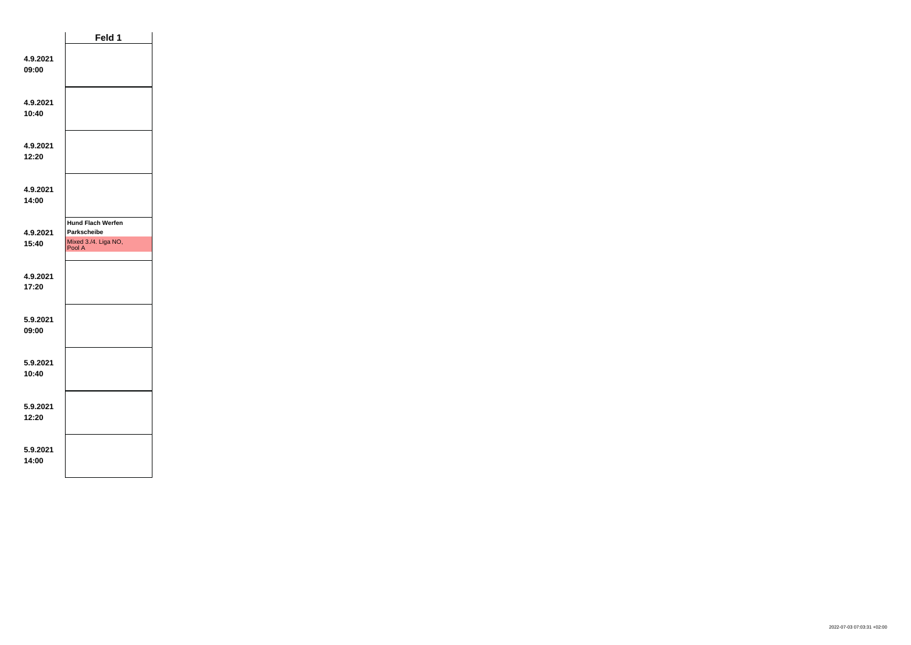|                   | Feld 1                                                                    |  |
|-------------------|---------------------------------------------------------------------------|--|
| 4.9.2021<br>09:00 |                                                                           |  |
| 4.9.2021<br>10:40 |                                                                           |  |
| 4.9.2021<br>12:20 |                                                                           |  |
| 4.9.2021<br>14:00 |                                                                           |  |
| 4.9.2021<br>15:40 | <b>Hund Flach Werfen</b><br>Parkscheibe<br>Mixed 3./4. Liga NO,<br>Pool A |  |
|                   |                                                                           |  |
| 4.9.2021<br>17:20 |                                                                           |  |
| 5.9.2021<br>09:00 |                                                                           |  |
| 5.9.2021<br>10:40 |                                                                           |  |
| 5.9.2021<br>12:20 |                                                                           |  |
| 5.9.2021<br>14:00 |                                                                           |  |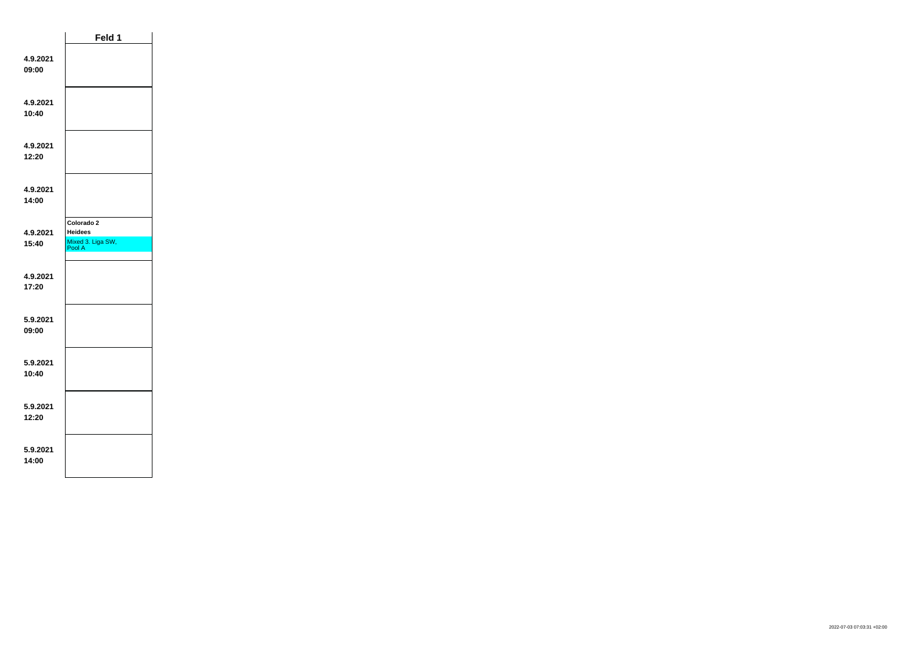|                   | Feld 1                                                      |  |
|-------------------|-------------------------------------------------------------|--|
| 4.9.2021<br>09:00 |                                                             |  |
| 4.9.2021<br>10:40 |                                                             |  |
| 4.9.2021<br>12:20 |                                                             |  |
| 4.9.2021<br>14:00 |                                                             |  |
| 4.9.2021<br>15:40 | Colorado 2<br><b>Heidees</b><br>Mixed 3. Liga SW,<br>Pool A |  |
| 4.9.2021<br>17:20 |                                                             |  |
| 5.9.2021<br>09:00 |                                                             |  |
| 5.9.2021<br>10:40 |                                                             |  |
| 5.9.2021<br>12:20 |                                                             |  |
| 5.9.2021<br>14:00 |                                                             |  |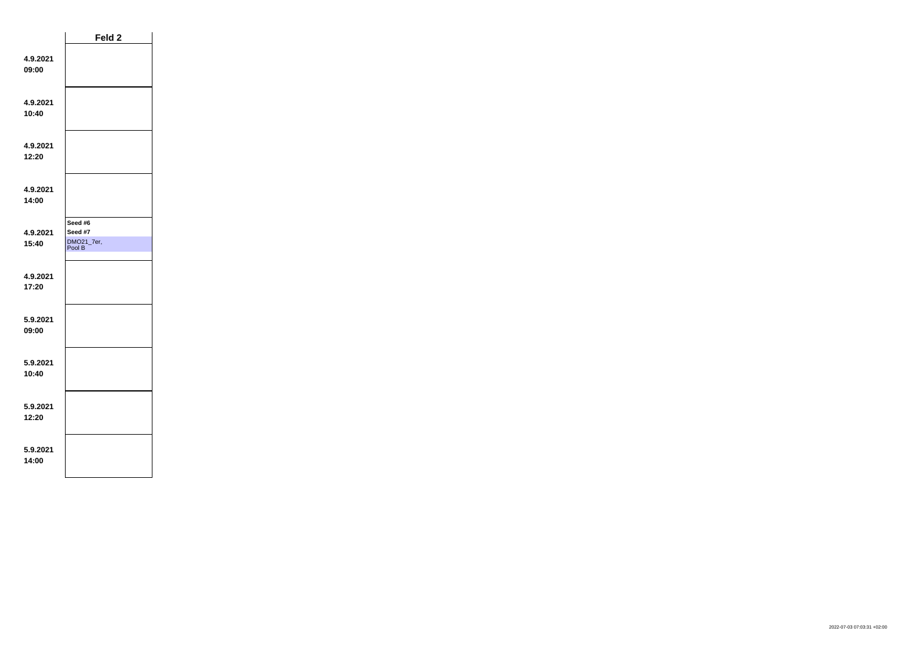|                   | Feld 2                                     |  |
|-------------------|--------------------------------------------|--|
| 4.9.2021<br>09:00 |                                            |  |
| 4.9.2021<br>10:40 |                                            |  |
| 4.9.2021<br>12:20 |                                            |  |
| 4.9.2021<br>14:00 |                                            |  |
| 4.9.2021<br>15:40 | Seed #6<br>Seed #7<br>DMO21_7er,<br>Pool B |  |
| 4.9.2021<br>17:20 |                                            |  |
| 5.9.2021<br>09:00 |                                            |  |
| 5.9.2021<br>10:40 |                                            |  |
| 5.9.2021<br>12:20 |                                            |  |
| 5.9.2021<br>14:00 |                                            |  |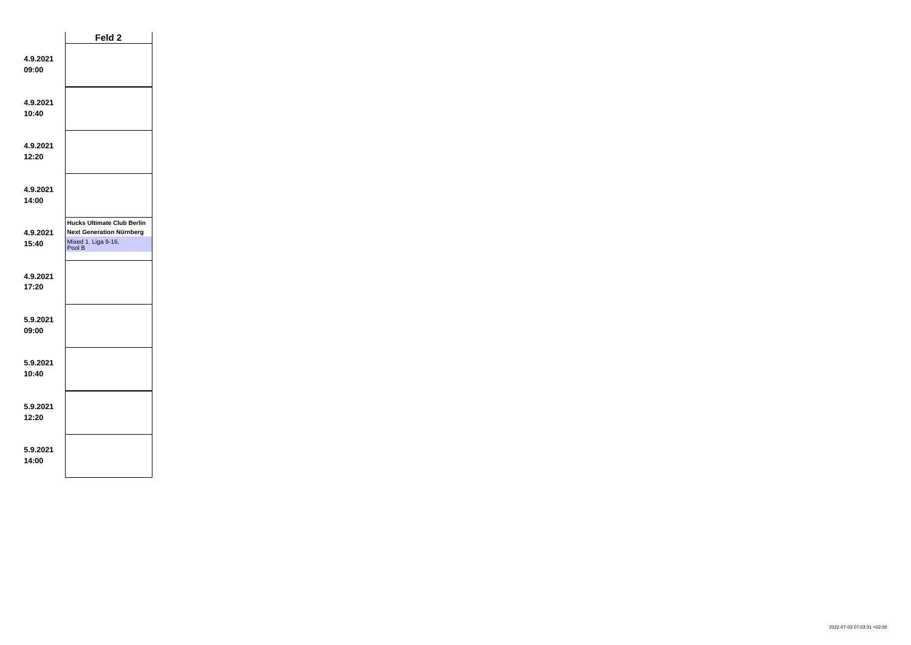|                   | Feld <sub>2</sub>                                                                                     |  |
|-------------------|-------------------------------------------------------------------------------------------------------|--|
| 4.9.2021<br>09:00 |                                                                                                       |  |
| 4.9.2021<br>10:40 |                                                                                                       |  |
| 4.9.2021<br>12:20 |                                                                                                       |  |
| 4.9.2021<br>14:00 |                                                                                                       |  |
| 4.9.2021<br>15:40 | <b>Hucks Ultimate Club Berlin</b><br><b>Next Generation Nürnberg</b><br>Mixed 1. Liga 9-16,<br>Pool B |  |
| 4.9.2021<br>17:20 |                                                                                                       |  |
| 5.9.2021<br>09:00 |                                                                                                       |  |
| 5.9.2021<br>10:40 |                                                                                                       |  |
| 5.9.2021<br>12:20 |                                                                                                       |  |
| 5.9.2021<br>14:00 |                                                                                                       |  |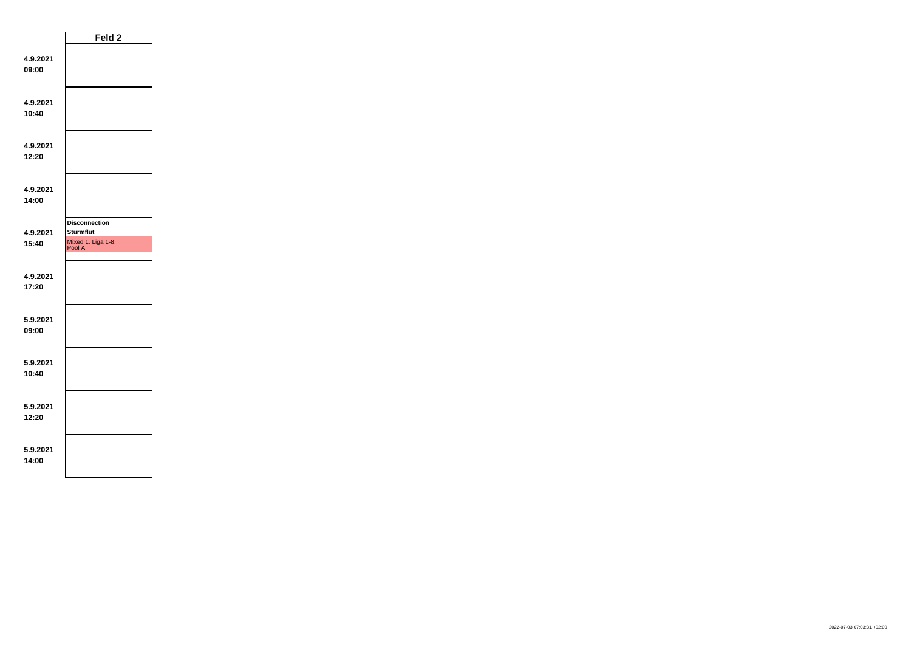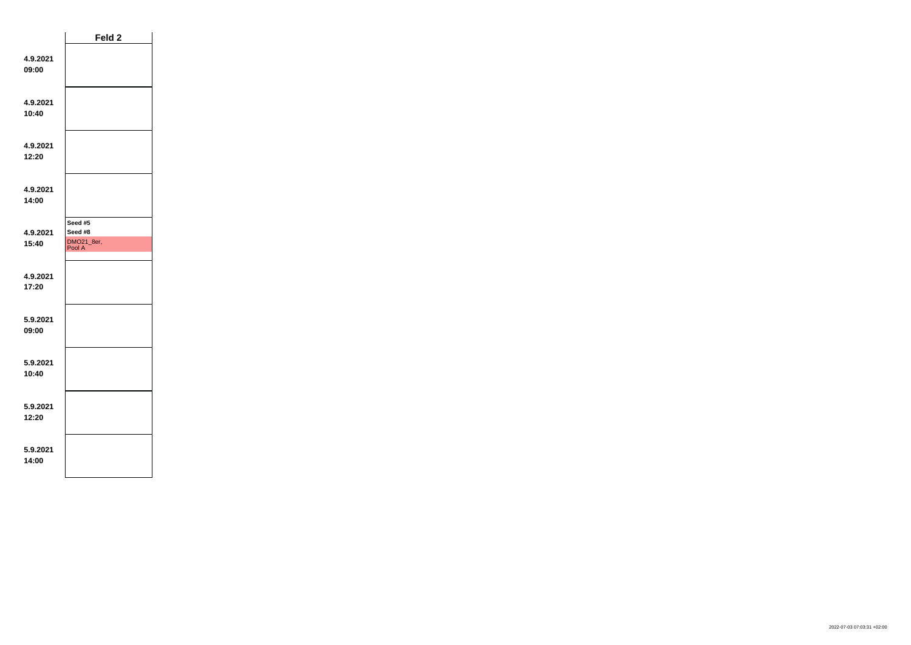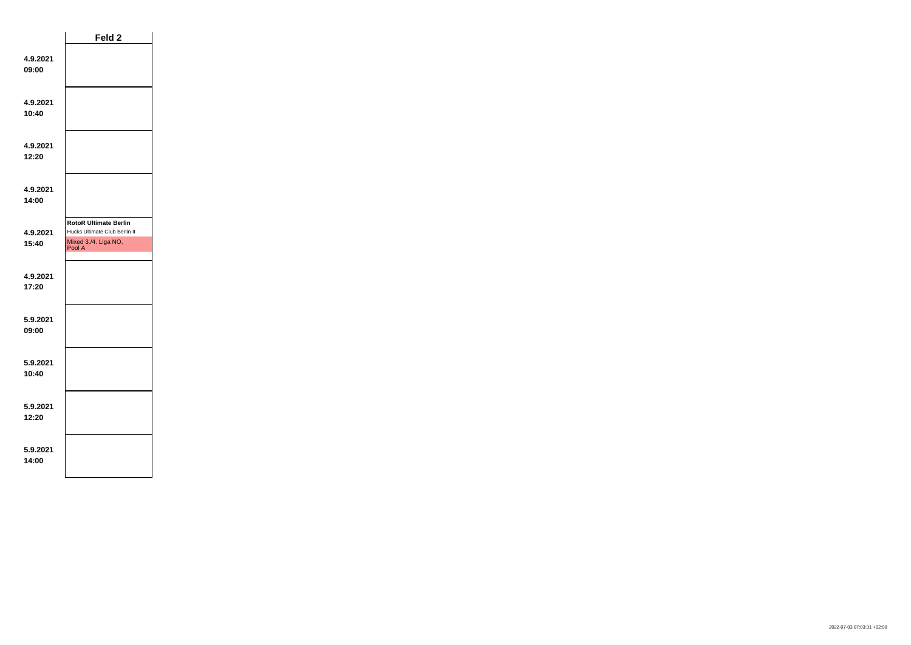|                   | Feld 2                                                        |  |
|-------------------|---------------------------------------------------------------|--|
| 4.9.2021<br>09:00 |                                                               |  |
| 4.9.2021<br>10:40 |                                                               |  |
| 4.9.2021<br>12:20 |                                                               |  |
| 4.9.2021<br>14:00 |                                                               |  |
|                   | <b>RotoR Ultimate Berlin</b><br>Hucks Ultimate Club Berlin II |  |
| 4.9.2021<br>15:40 | Mixed 3./4. Liga NO,                                          |  |
|                   | Pool A                                                        |  |
| 4.9.2021<br>17:20 |                                                               |  |
| 5.9.2021<br>09:00 |                                                               |  |
| 5.9.2021<br>10:40 |                                                               |  |
| 5.9.2021<br>12:20 |                                                               |  |
| 5.9.2021<br>14:00 |                                                               |  |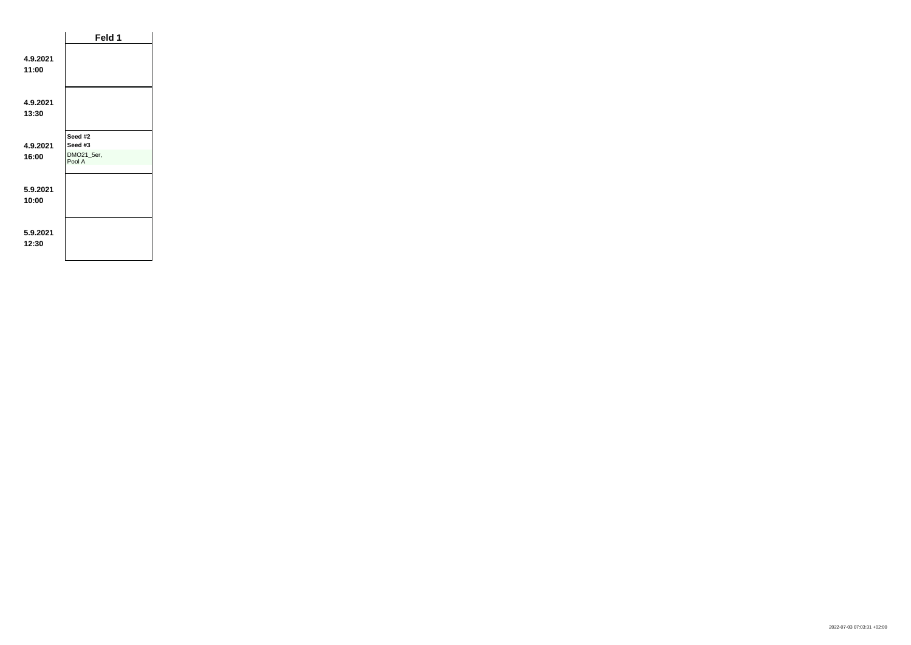|                   | Feld 1                                     |  |
|-------------------|--------------------------------------------|--|
| 4.9.2021<br>11:00 |                                            |  |
| 4.9.2021<br>13:30 |                                            |  |
| 4.9.2021<br>16:00 | Seed #2<br>Seed #3<br>DMO21_5er,<br>Pool A |  |
| 5.9.2021<br>10:00 |                                            |  |
| 5.9.2021<br>12:30 |                                            |  |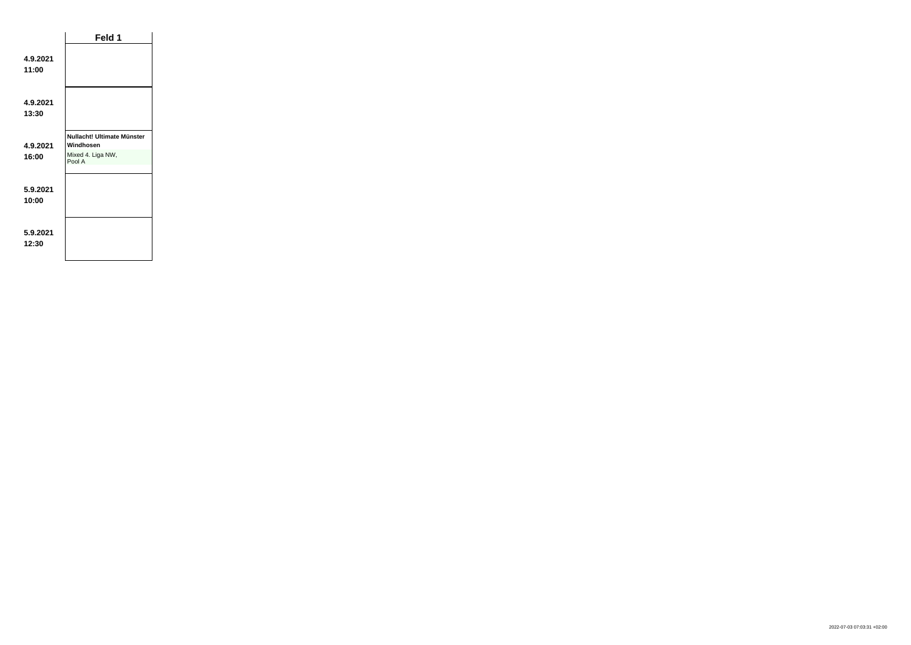|                   | Feld 1                                                                 |  |
|-------------------|------------------------------------------------------------------------|--|
| 4.9.2021<br>11:00 |                                                                        |  |
| 4.9.2021<br>13:30 |                                                                        |  |
| 4.9.2021<br>16:00 | Nullacht! Ultimate Münster<br>Windhosen<br>Mixed 4. Liga NW,<br>Pool A |  |
| 5.9.2021<br>10:00 |                                                                        |  |
| 5.9.2021<br>12:30 |                                                                        |  |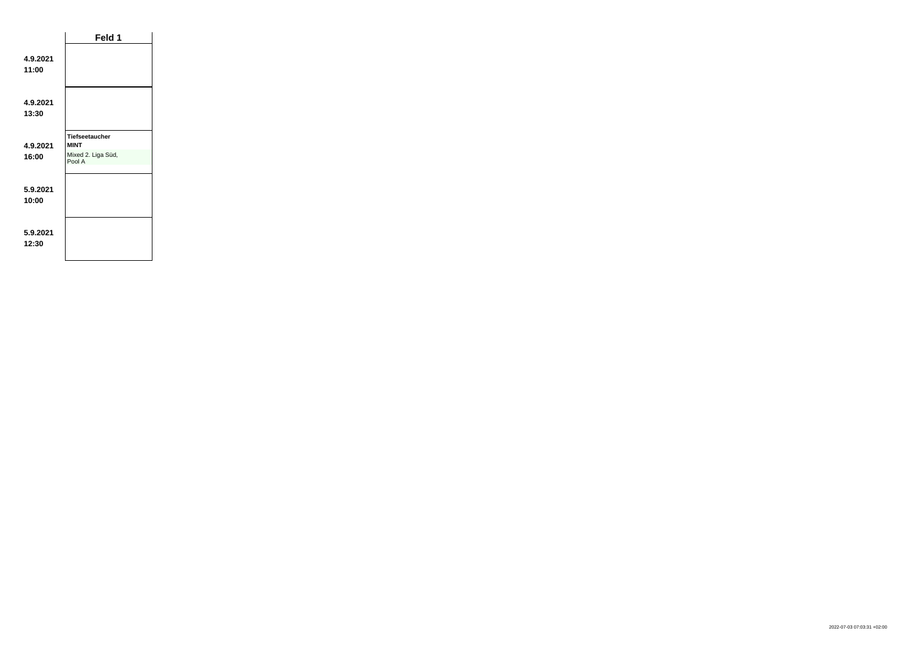|                   | Feld 1                                                               |  |
|-------------------|----------------------------------------------------------------------|--|
| 4.9.2021<br>11:00 |                                                                      |  |
| 4.9.2021<br>13:30 |                                                                      |  |
| 4.9.2021<br>16:00 | <b>Tiefseetaucher</b><br><b>MINT</b><br>Mixed 2. Liga Süd,<br>Pool A |  |
| 5.9.2021<br>10:00 |                                                                      |  |
| 5.9.2021<br>12:30 |                                                                      |  |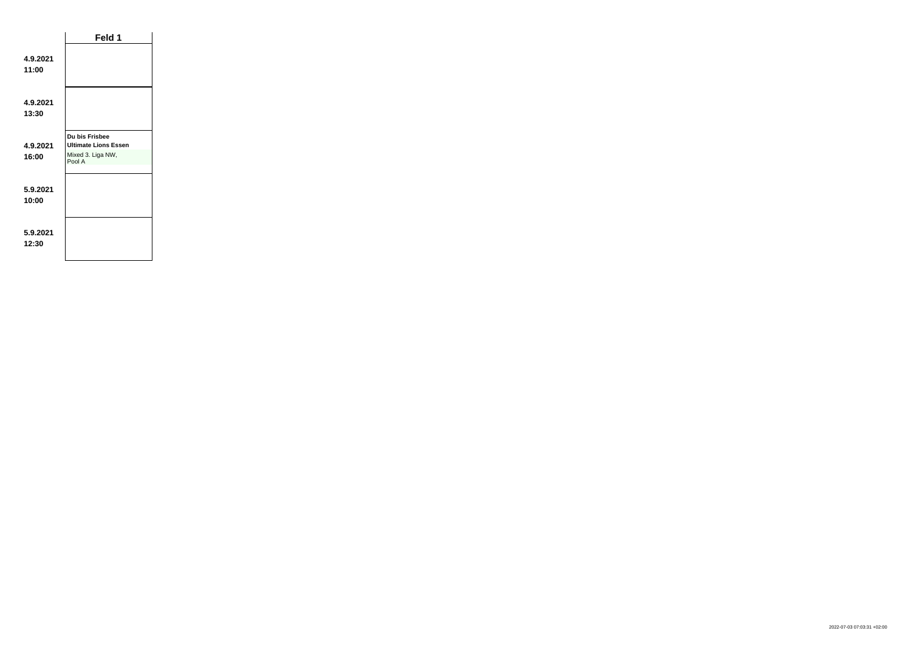|                   | Feld 1                                                                       |  |
|-------------------|------------------------------------------------------------------------------|--|
| 4.9.2021<br>11:00 |                                                                              |  |
| 4.9.2021<br>13:30 |                                                                              |  |
| 4.9.2021<br>16:00 | Du bis Frisbee<br><b>Ultimate Lions Essen</b><br>Mixed 3. Liga NW,<br>Pool A |  |
| 5.9.2021<br>10:00 |                                                                              |  |
| 5.9.2021<br>12:30 |                                                                              |  |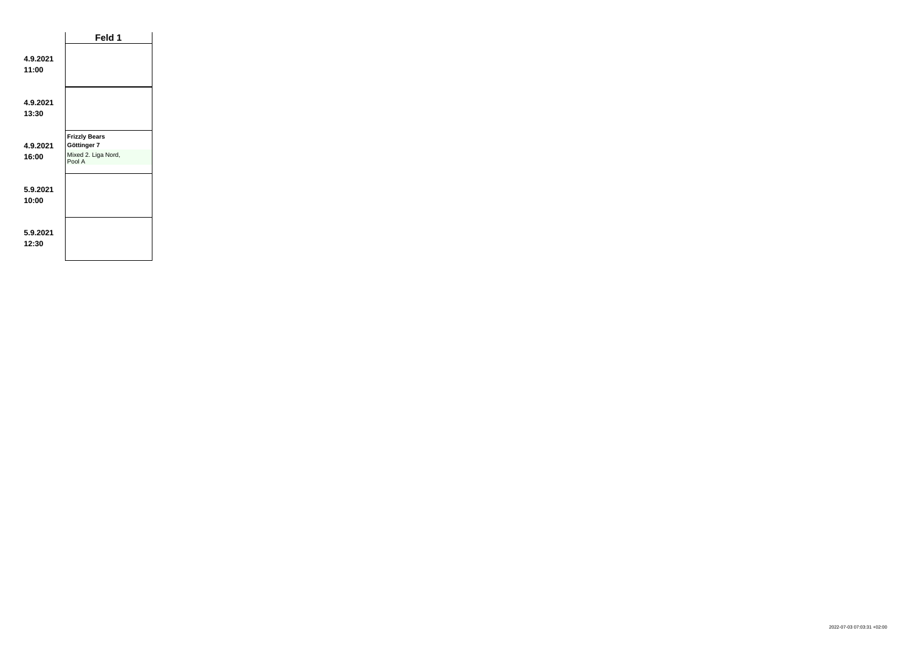|                   | Feld 1                                                               |  |
|-------------------|----------------------------------------------------------------------|--|
| 4.9.2021<br>11:00 |                                                                      |  |
| 4.9.2021<br>13:30 |                                                                      |  |
| 4.9.2021<br>16:00 | <b>Frizzly Bears</b><br>Göttinger 7<br>Mixed 2. Liga Nord,<br>Pool A |  |
| 5.9.2021<br>10:00 |                                                                      |  |
| 5.9.2021<br>12:30 |                                                                      |  |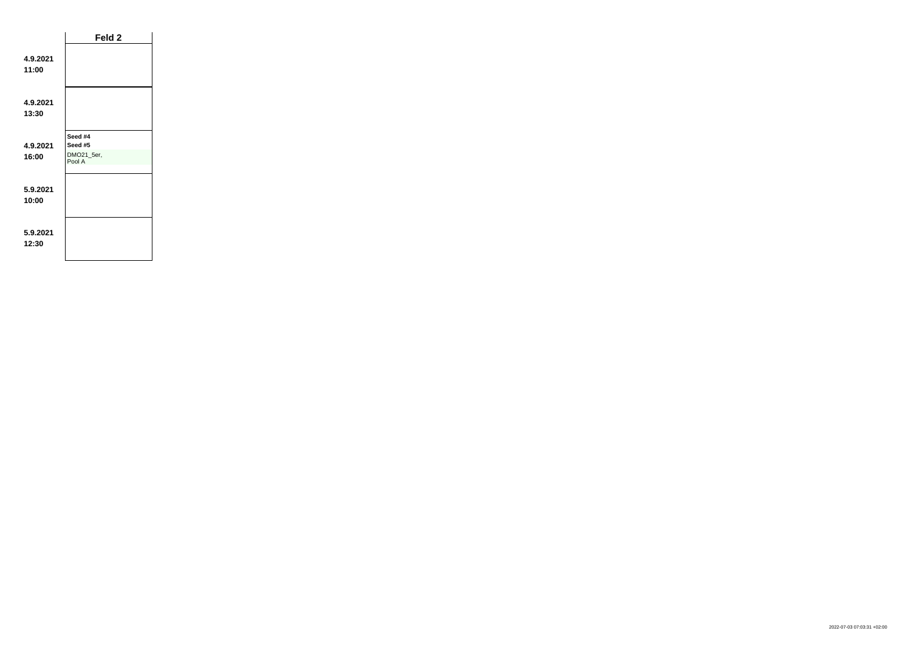|                   | Feld 2                                     |  |
|-------------------|--------------------------------------------|--|
| 4.9.2021<br>11:00 |                                            |  |
| 4.9.2021<br>13:30 |                                            |  |
| 4.9.2021<br>16:00 | Seed #4<br>Seed #5<br>DMO21_5er,<br>Pool A |  |
| 5.9.2021<br>10:00 |                                            |  |
| 5.9.2021<br>12:30 |                                            |  |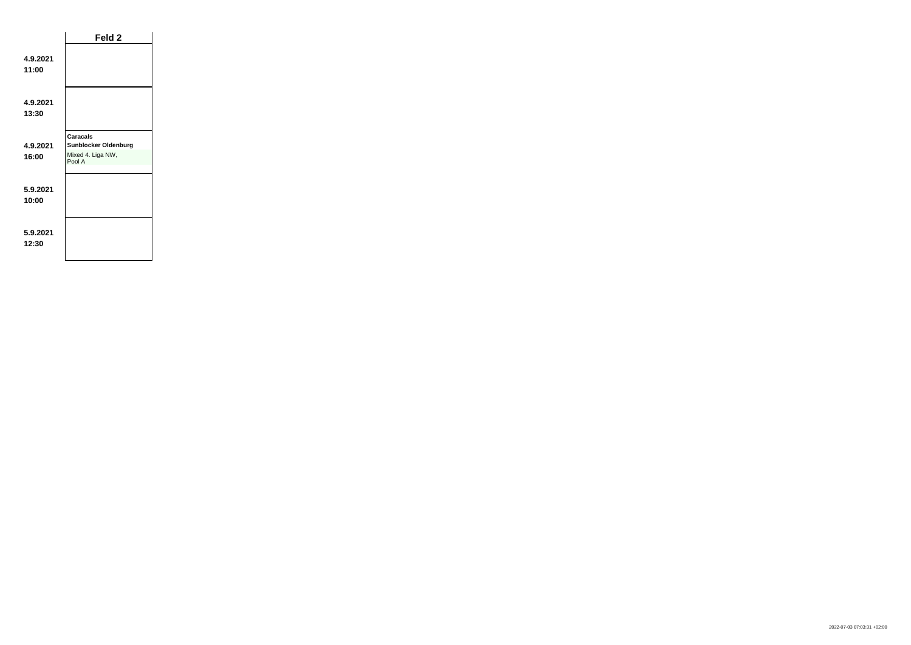|                   | Feld 2                                                                        |  |
|-------------------|-------------------------------------------------------------------------------|--|
| 4.9.2021<br>11:00 |                                                                               |  |
| 4.9.2021<br>13:30 |                                                                               |  |
| 4.9.2021<br>16:00 | <b>Caracals</b><br><b>Sunblocker Oldenburg</b><br>Mixed 4. Liga NW,<br>Pool A |  |
| 5.9.2021<br>10:00 |                                                                               |  |
| 5.9.2021<br>12:30 |                                                                               |  |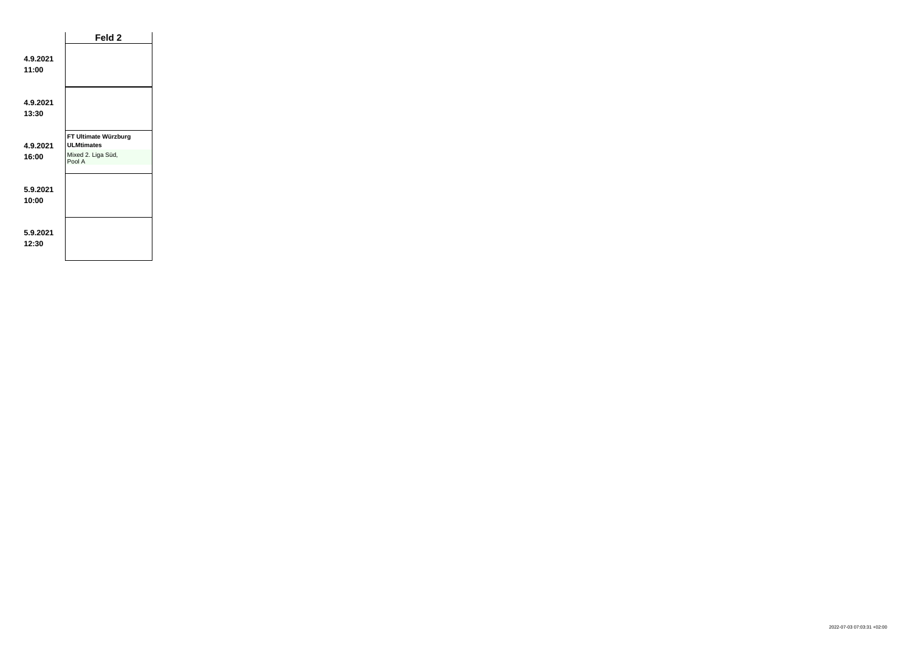|                   | Feld 2                                                                    |  |
|-------------------|---------------------------------------------------------------------------|--|
| 4.9.2021<br>11:00 |                                                                           |  |
| 4.9.2021<br>13:30 |                                                                           |  |
| 4.9.2021<br>16:00 | FT Ultimate Würzburg<br><b>ULMtimates</b><br>Mixed 2. Liga Süd,<br>Pool A |  |
| 5.9.2021<br>10:00 |                                                                           |  |
| 5.9.2021<br>12:30 |                                                                           |  |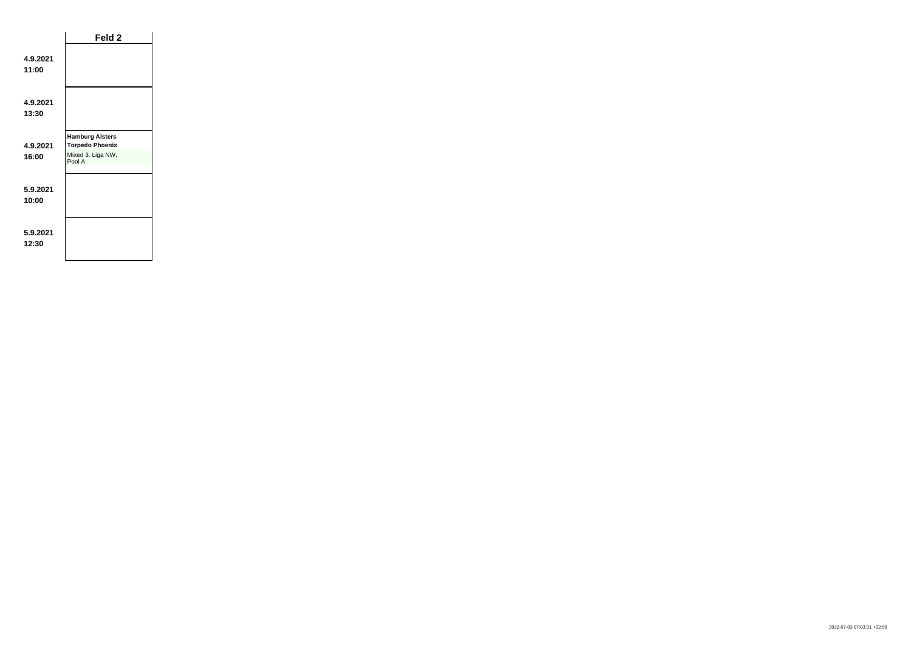|                   | Feld 2                                                                          |  |
|-------------------|---------------------------------------------------------------------------------|--|
| 4.9.2021<br>11:00 |                                                                                 |  |
| 4.9.2021<br>13:30 |                                                                                 |  |
| 4.9.2021<br>16:00 | <b>Hamburg Alsters</b><br><b>Torpedo Phoenix</b><br>Mixed 3. Liga NW,<br>Pool A |  |
| 5.9.2021<br>10:00 |                                                                                 |  |
| 5.9.2021<br>12:30 |                                                                                 |  |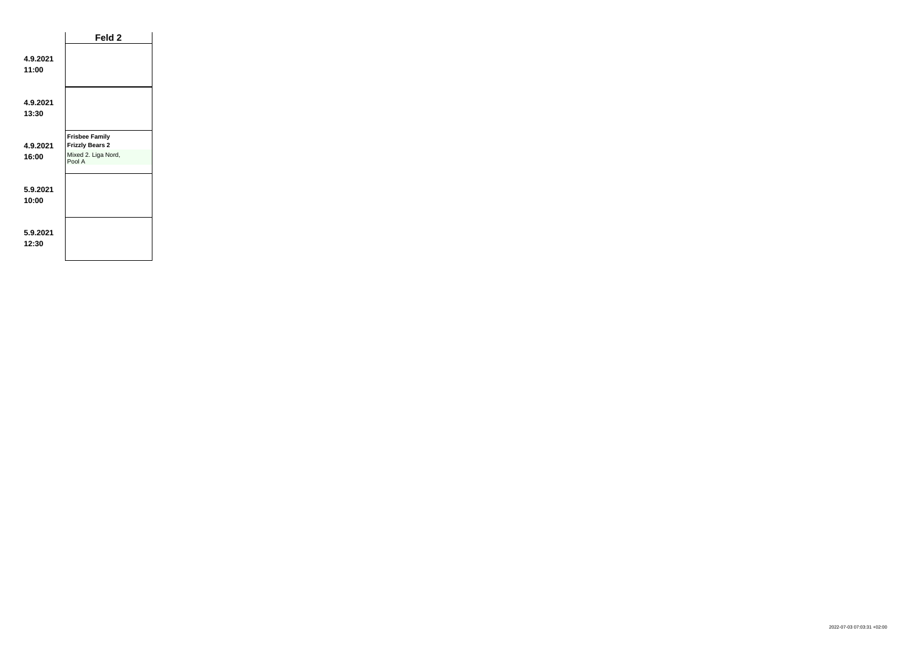|                   | Feld <sub>2</sub>                                                                |  |
|-------------------|----------------------------------------------------------------------------------|--|
| 4.9.2021<br>11:00 |                                                                                  |  |
| 4.9.2021<br>13:30 |                                                                                  |  |
| 4.9.2021<br>16:00 | <b>Frisbee Family</b><br><b>Frizzly Bears 2</b><br>Mixed 2. Liga Nord,<br>Pool A |  |
| 5.9.2021<br>10:00 |                                                                                  |  |
| 5.9.2021<br>12:30 |                                                                                  |  |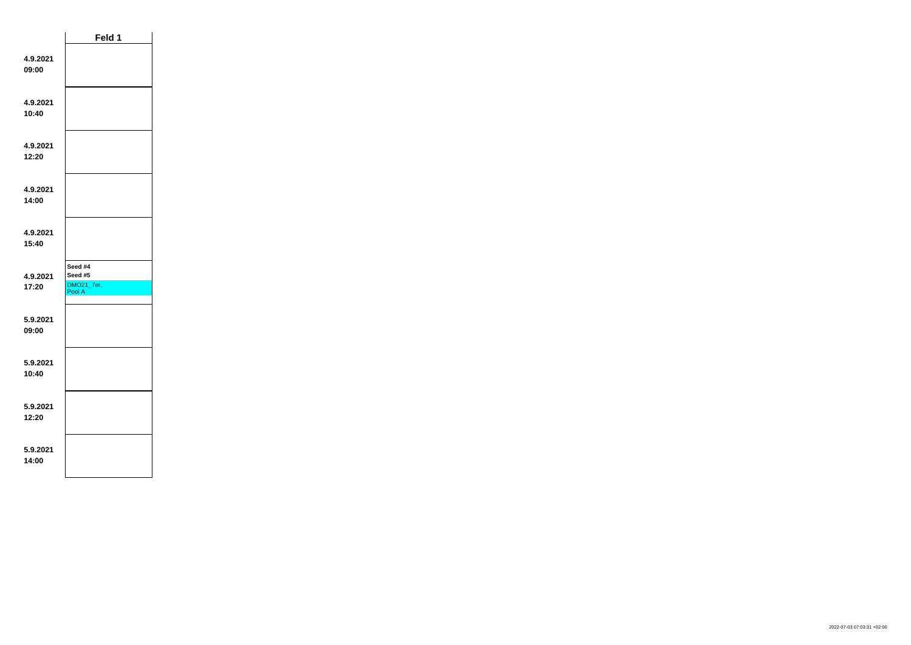|                   | Feld 1                                     |  |
|-------------------|--------------------------------------------|--|
| 4.9.2021<br>09:00 |                                            |  |
| 4.9.2021<br>10:40 |                                            |  |
| 4.9.2021<br>12:20 |                                            |  |
| 4.9.2021<br>14:00 |                                            |  |
| 4.9.2021<br>15:40 |                                            |  |
| 4.9.2021<br>17:20 | Seed #4<br>Seed #5<br>DMO21_7er,<br>Pool A |  |
| 5.9.2021<br>09:00 |                                            |  |
| 5.9.2021<br>10:40 |                                            |  |
| 5.9.2021<br>12:20 |                                            |  |
| 5.9.2021<br>14:00 |                                            |  |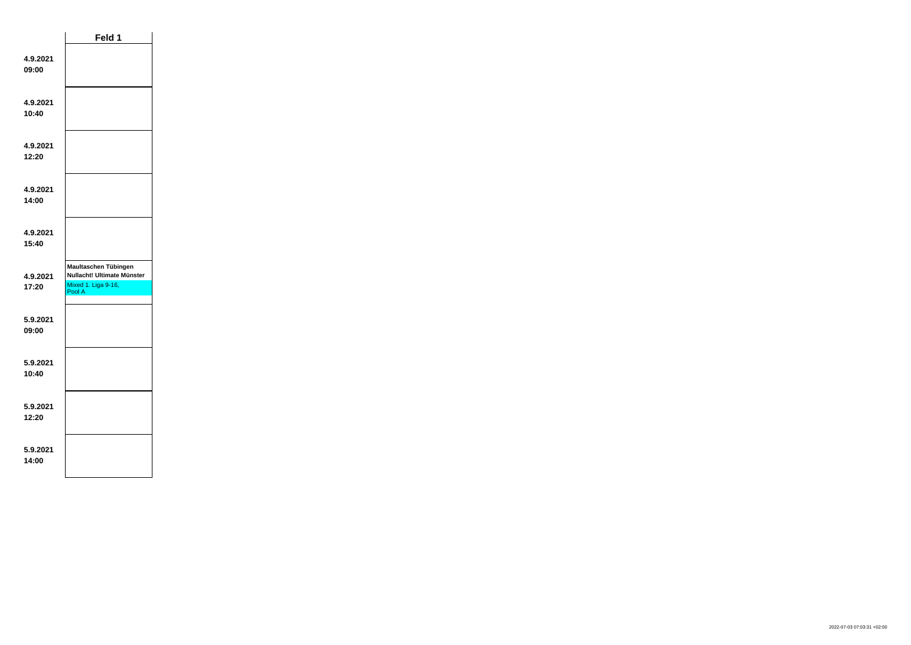|                   | Feld 1                                                                              |  |
|-------------------|-------------------------------------------------------------------------------------|--|
| 4.9.2021<br>09:00 |                                                                                     |  |
| 4.9.2021<br>10:40 |                                                                                     |  |
| 4.9.2021<br>12:20 |                                                                                     |  |
| 4.9.2021<br>14:00 |                                                                                     |  |
| 4.9.2021<br>15:40 |                                                                                     |  |
| 4.9.2021<br>17:20 | Maultaschen Tübingen<br>Nullacht! Ultimate Münster<br>Mixed 1. Liga 9-16,<br>Pool A |  |
| 5.9.2021<br>09:00 |                                                                                     |  |
| 5.9.2021<br>10:40 |                                                                                     |  |
| 5.9.2021<br>12:20 |                                                                                     |  |
| 5.9.2021<br>14:00 |                                                                                     |  |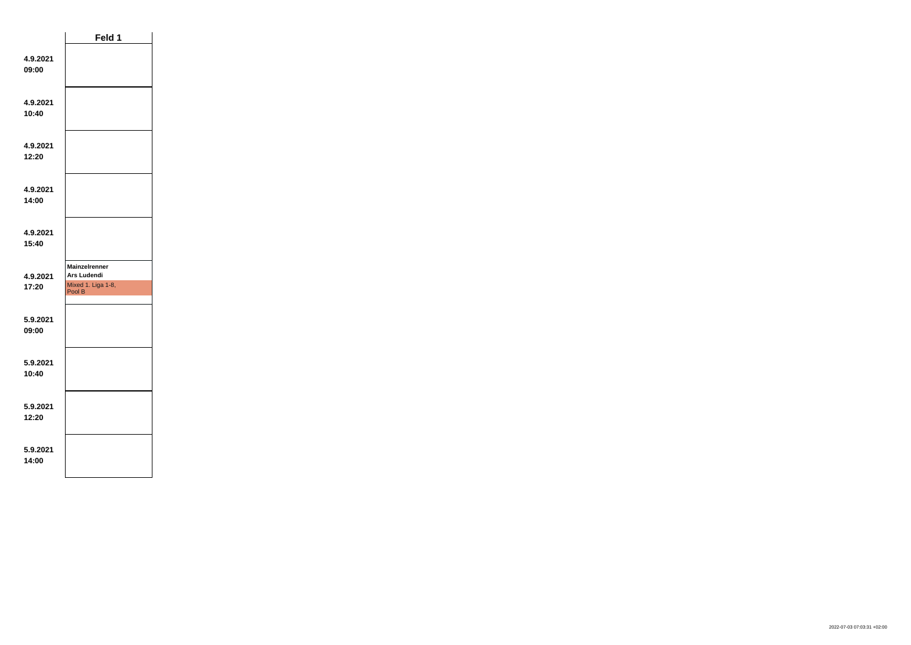|                   | Feld 1                              |  |
|-------------------|-------------------------------------|--|
| 4.9.2021<br>09:00 |                                     |  |
| 4.9.2021<br>10:40 |                                     |  |
| 4.9.2021<br>12:20 |                                     |  |
| 4.9.2021<br>14:00 |                                     |  |
| 4.9.2021<br>15:40 |                                     |  |
|                   | <b>Mainzelrenner</b><br>Ars Ludendi |  |
| 4.9.2021<br>17:20 | Mixed 1. Liga 1-8,<br>Pool B        |  |
| 5.9.2021<br>09:00 |                                     |  |
| 5.9.2021<br>10:40 |                                     |  |
| 5.9.2021<br>12:20 |                                     |  |
| 5.9.2021<br>14:00 |                                     |  |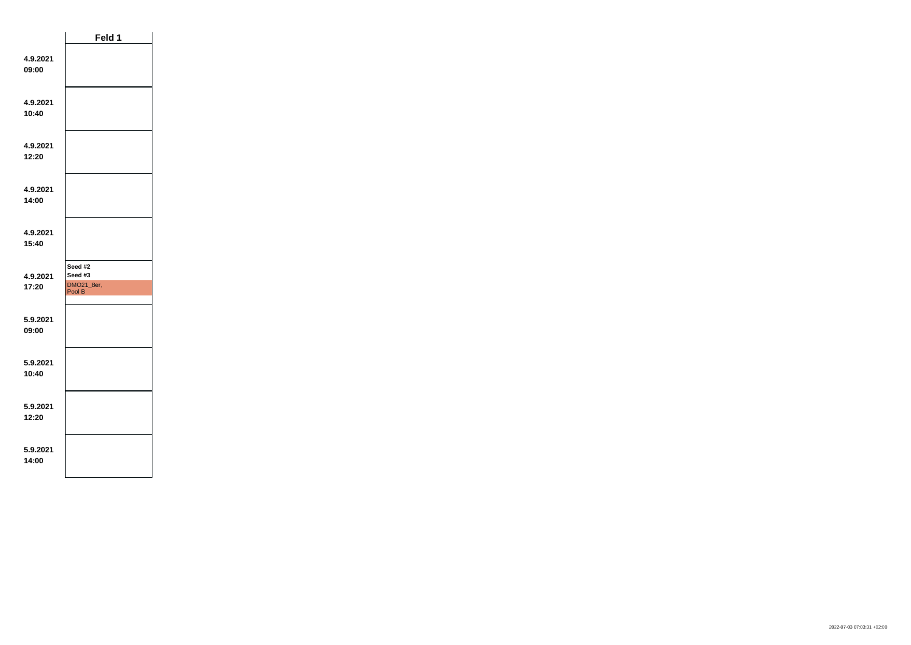|                   | Feld 1                                     |  |
|-------------------|--------------------------------------------|--|
| 4.9.2021<br>09:00 |                                            |  |
| 4.9.2021<br>10:40 |                                            |  |
| 4.9.2021<br>12:20 |                                            |  |
| 4.9.2021<br>14:00 |                                            |  |
| 4.9.2021<br>15:40 |                                            |  |
| 4.9.2021<br>17:20 | Seed #2<br>Seed #3<br>DMO21_8er,<br>Pool B |  |
| 5.9.2021<br>09:00 |                                            |  |
| 5.9.2021<br>10:40 |                                            |  |
| 5.9.2021<br>12:20 |                                            |  |
| 5.9.2021<br>14:00 |                                            |  |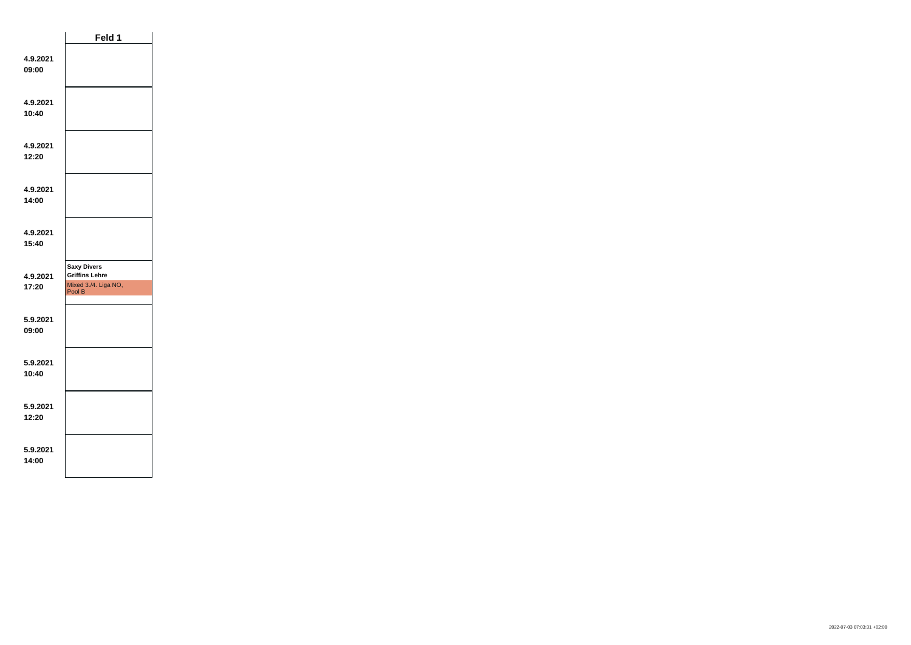|                   | Feld 1                                                                        |  |
|-------------------|-------------------------------------------------------------------------------|--|
| 4.9.2021<br>09:00 |                                                                               |  |
| 4.9.2021<br>10:40 |                                                                               |  |
| 4.9.2021<br>12:20 |                                                                               |  |
| 4.9.2021<br>14:00 |                                                                               |  |
| 4.9.2021<br>15:40 |                                                                               |  |
| 4.9.2021<br>17:20 | <b>Saxy Divers</b><br><b>Griffins Lehre</b><br>Mixed 3./4. Liga NO,<br>Pool B |  |
| 5.9.2021<br>09:00 |                                                                               |  |
| 5.9.2021<br>10:40 |                                                                               |  |
| 5.9.2021<br>12:20 |                                                                               |  |
| 5.9.2021<br>14:00 |                                                                               |  |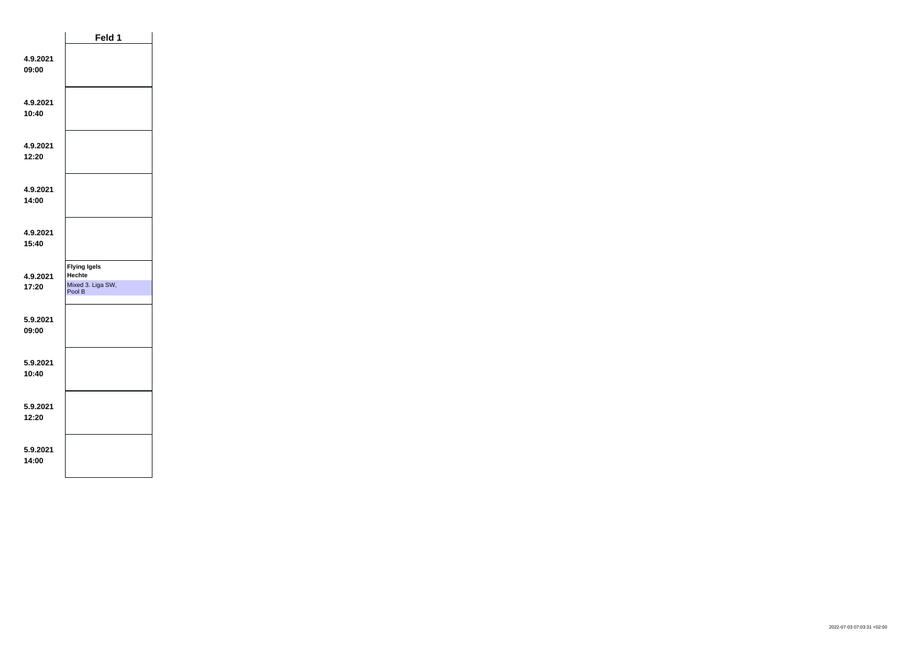|                   | Feld 1                                                              |  |
|-------------------|---------------------------------------------------------------------|--|
| 4.9.2021<br>09:00 |                                                                     |  |
| 4.9.2021<br>10:40 |                                                                     |  |
| 4.9.2021<br>12:20 |                                                                     |  |
| 4.9.2021<br>14:00 |                                                                     |  |
| 4.9.2021<br>15:40 |                                                                     |  |
| 4.9.2021<br>17:20 | <b>Flying Igels</b><br><b>Hechte</b><br>Mixed 3. Liga SW,<br>Pool B |  |
| 5.9.2021<br>09:00 |                                                                     |  |
| 5.9.2021<br>10:40 |                                                                     |  |
| 5.9.2021<br>12:20 |                                                                     |  |
| 5.9.2021<br>14:00 |                                                                     |  |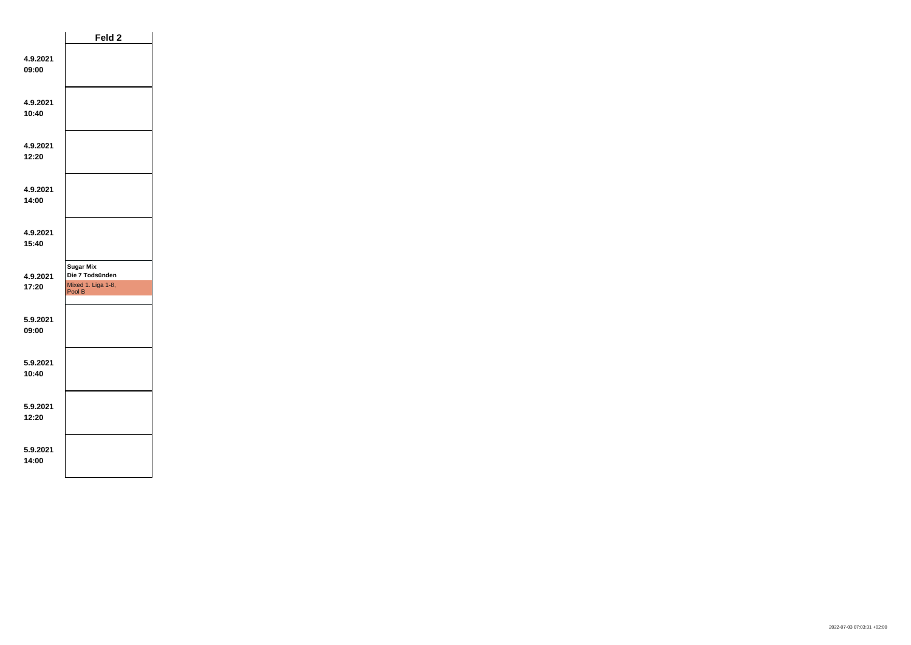|                   | Feld 2                                                              |  |
|-------------------|---------------------------------------------------------------------|--|
| 4.9.2021<br>09:00 |                                                                     |  |
| 4.9.2021<br>10:40 |                                                                     |  |
| 4.9.2021<br>12:20 |                                                                     |  |
| 4.9.2021<br>14:00 |                                                                     |  |
| 4.9.2021<br>15:40 |                                                                     |  |
| 4.9.2021<br>17:20 | <b>Sugar Mix</b><br>Die 7 Todsünden<br>Mixed 1. Liga 1-8,<br>Pool B |  |
| 5.9.2021<br>09:00 |                                                                     |  |
| 5.9.2021<br>10:40 |                                                                     |  |
| 5.9.2021<br>12:20 |                                                                     |  |
| 5.9.2021<br>14:00 |                                                                     |  |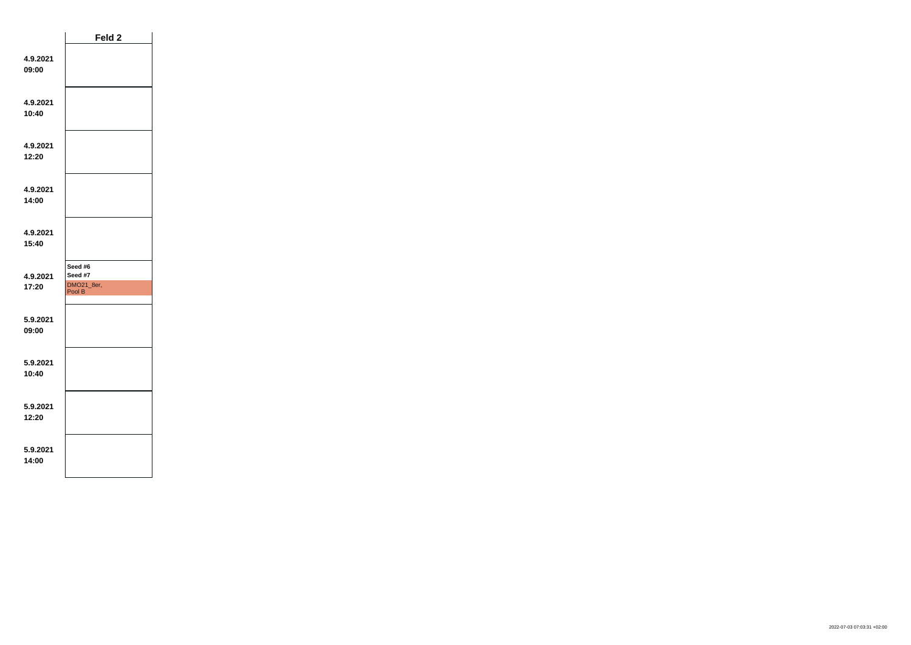|                   | Feld 2                                     |  |
|-------------------|--------------------------------------------|--|
| 4.9.2021<br>09:00 |                                            |  |
| 4.9.2021<br>10:40 |                                            |  |
| 4.9.2021<br>12:20 |                                            |  |
| 4.9.2021<br>14:00 |                                            |  |
| 4.9.2021<br>15:40 |                                            |  |
| 4.9.2021<br>17:20 | Seed #6<br>Seed #7<br>DMO21_8er,<br>Pool B |  |
| 5.9.2021<br>09:00 |                                            |  |
| 5.9.2021<br>10:40 |                                            |  |
| 5.9.2021<br>12:20 |                                            |  |
| 5.9.2021<br>14:00 |                                            |  |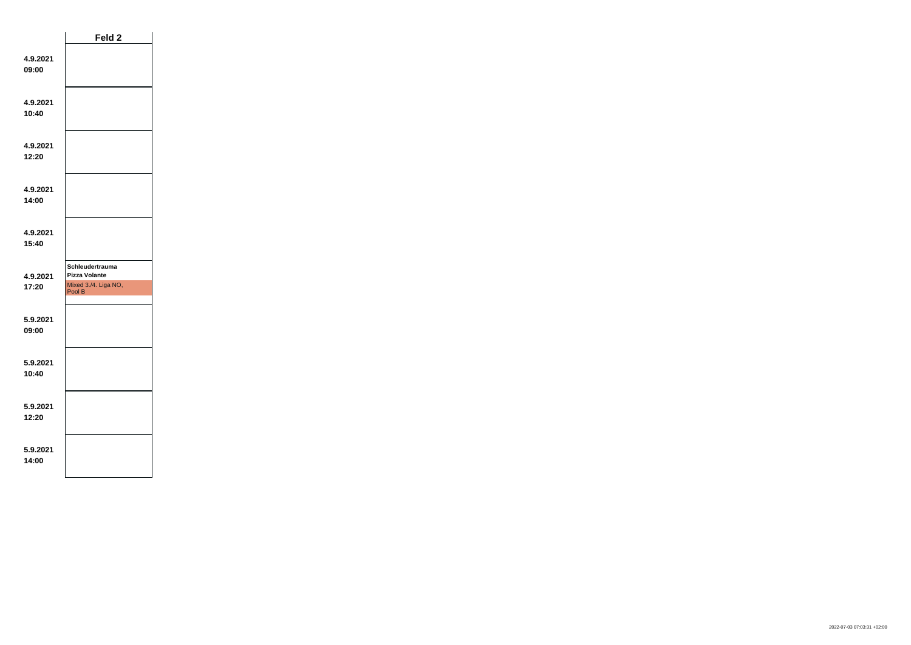|                   | Feld 2                                                                    |  |
|-------------------|---------------------------------------------------------------------------|--|
| 4.9.2021<br>09:00 |                                                                           |  |
| 4.9.2021<br>10:40 |                                                                           |  |
| 4.9.2021<br>12:20 |                                                                           |  |
| 4.9.2021<br>14:00 |                                                                           |  |
| 4.9.2021<br>15:40 |                                                                           |  |
| 4.9.2021<br>17:20 | Schleudertrauma<br><b>Pizza Volante</b><br>Mixed 3./4. Liga NO,<br>Pool B |  |
| 5.9.2021<br>09:00 |                                                                           |  |
| 5.9.2021<br>10:40 |                                                                           |  |
| 5.9.2021<br>12:20 |                                                                           |  |
| 5.9.2021<br>14:00 |                                                                           |  |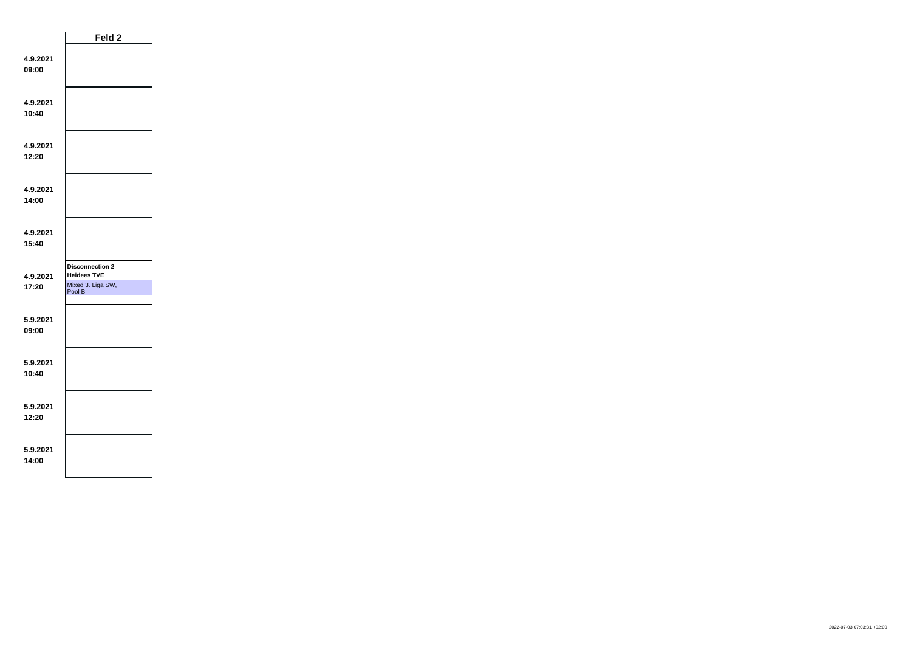|                   | Feld 2                                                                      |  |
|-------------------|-----------------------------------------------------------------------------|--|
| 4.9.2021<br>09:00 |                                                                             |  |
| 4.9.2021<br>10:40 |                                                                             |  |
| 4.9.2021<br>12:20 |                                                                             |  |
| 4.9.2021<br>14:00 |                                                                             |  |
| 4.9.2021<br>15:40 |                                                                             |  |
| 4.9.2021<br>17:20 | <b>Disconnection 2</b><br><b>Heidees TVE</b><br>Mixed 3. Liga SW,<br>Pool B |  |
| 5.9.2021<br>09:00 |                                                                             |  |
| 5.9.2021<br>10:40 |                                                                             |  |
| 5.9.2021<br>12:20 |                                                                             |  |
| 5.9.2021<br>14:00 |                                                                             |  |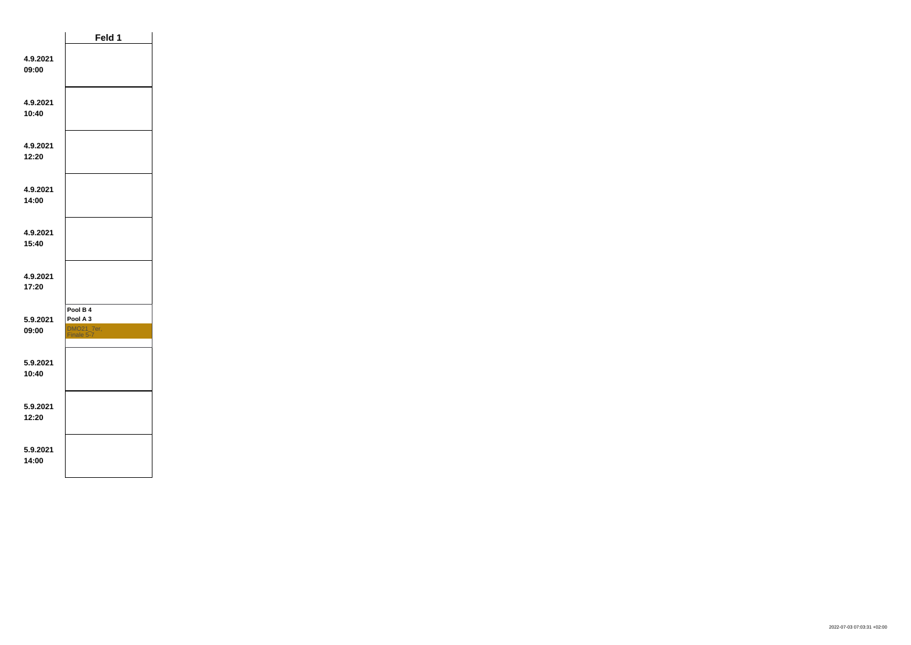|                   | Feld 1                                           |  |
|-------------------|--------------------------------------------------|--|
| 4.9.2021<br>09:00 |                                                  |  |
| 4.9.2021<br>10:40 |                                                  |  |
| 4.9.2021<br>12:20 |                                                  |  |
| 4.9.2021<br>14:00 |                                                  |  |
| 4.9.2021<br>15:40 |                                                  |  |
| 4.9.2021<br>17:20 |                                                  |  |
| 5.9.2021<br>09:00 | Pool B 4<br>Pool A 3<br>DMO21_7er,<br>Finale 5-7 |  |
| 5.9.2021<br>10:40 |                                                  |  |
| 5.9.2021<br>12:20 |                                                  |  |
| 5.9.2021<br>14:00 |                                                  |  |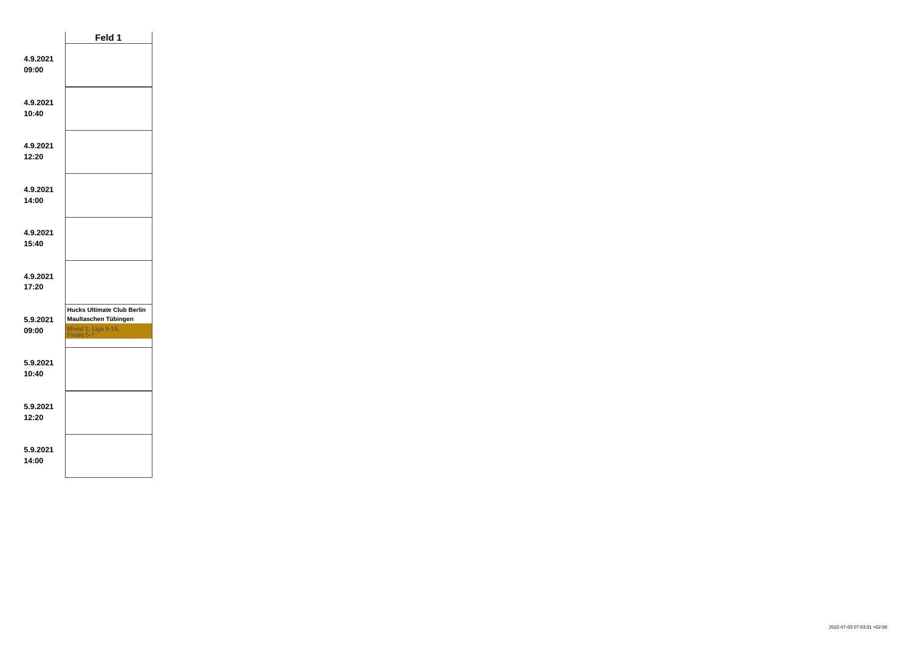|                   | Feld 1                                                                                         |  |
|-------------------|------------------------------------------------------------------------------------------------|--|
| 4.9.2021<br>09:00 |                                                                                                |  |
| 4.9.2021<br>10:40 |                                                                                                |  |
| 4.9.2021<br>12:20 |                                                                                                |  |
| 4.9.2021<br>14:00 |                                                                                                |  |
| 4.9.2021<br>15:40 |                                                                                                |  |
| 4.9.2021<br>17:20 |                                                                                                |  |
| 5.9.2021<br>09:00 | <b>Hucks Ultimate Club Berlin</b><br>Maultaschen Tübingen<br>Mixed 1. Liga 9-16,<br>Finale 5-7 |  |
| 5.9.2021<br>10:40 |                                                                                                |  |
| 5.9.2021<br>12:20 |                                                                                                |  |
| 5.9.2021<br>14:00 |                                                                                                |  |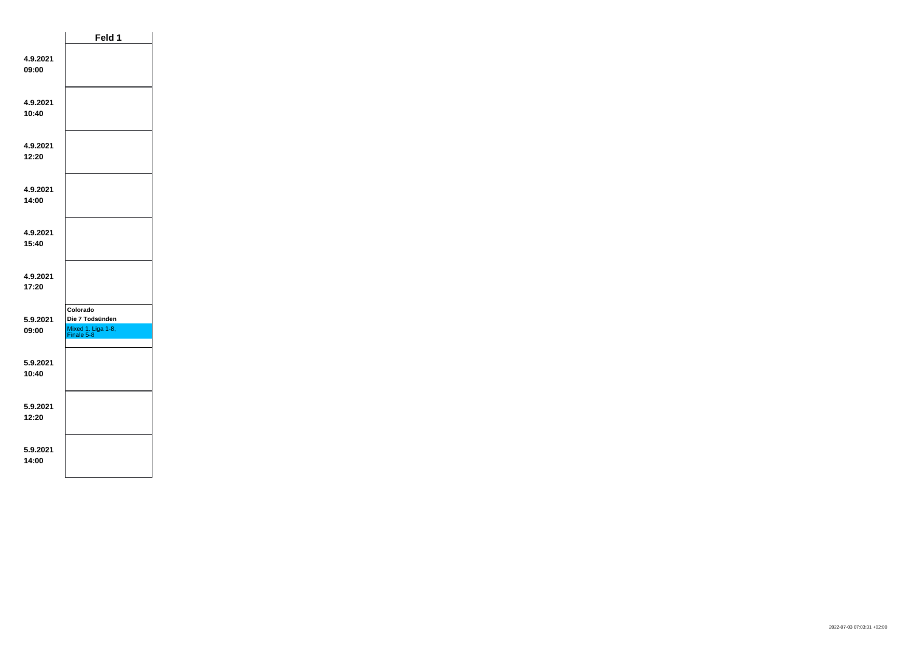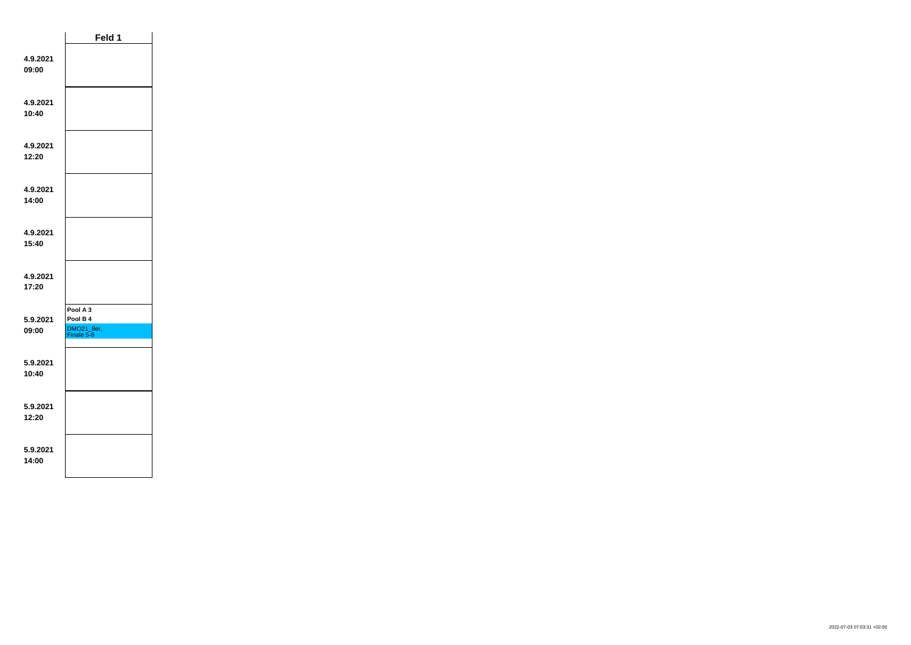|                   | Feld 1                                           |  |
|-------------------|--------------------------------------------------|--|
| 4.9.2021<br>09:00 |                                                  |  |
| 4.9.2021<br>10:40 |                                                  |  |
| 4.9.2021<br>12:20 |                                                  |  |
| 4.9.2021<br>14:00 |                                                  |  |
| 4.9.2021<br>15:40 |                                                  |  |
| 4.9.2021<br>17:20 |                                                  |  |
| 5.9.2021<br>09:00 | Pool A 3<br>Pool B 4<br>DMO21_8er,<br>Finale 5-8 |  |
| 5.9.2021<br>10:40 |                                                  |  |
| 5.9.2021<br>12:20 |                                                  |  |
| 5.9.2021<br>14:00 |                                                  |  |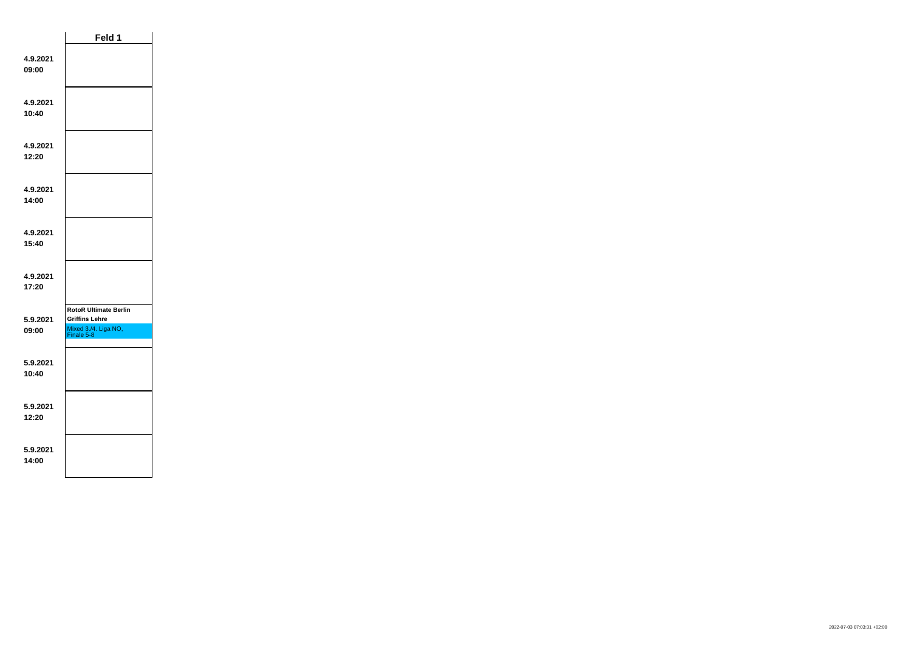|                   | Feld 1                                                                                      |  |
|-------------------|---------------------------------------------------------------------------------------------|--|
| 4.9.2021<br>09:00 |                                                                                             |  |
| 4.9.2021<br>10:40 |                                                                                             |  |
| 4.9.2021<br>12:20 |                                                                                             |  |
| 4.9.2021<br>14:00 |                                                                                             |  |
| 4.9.2021<br>15:40 |                                                                                             |  |
| 4.9.2021<br>17:20 |                                                                                             |  |
| 5.9.2021<br>09:00 | <b>RotoR Ultimate Berlin</b><br><b>Griffins Lehre</b><br>Mixed 3./4. Liga NO,<br>Finale 5-8 |  |
| 5.9.2021<br>10:40 |                                                                                             |  |
| 5.9.2021<br>12:20 |                                                                                             |  |
| 5.9.2021<br>14:00 |                                                                                             |  |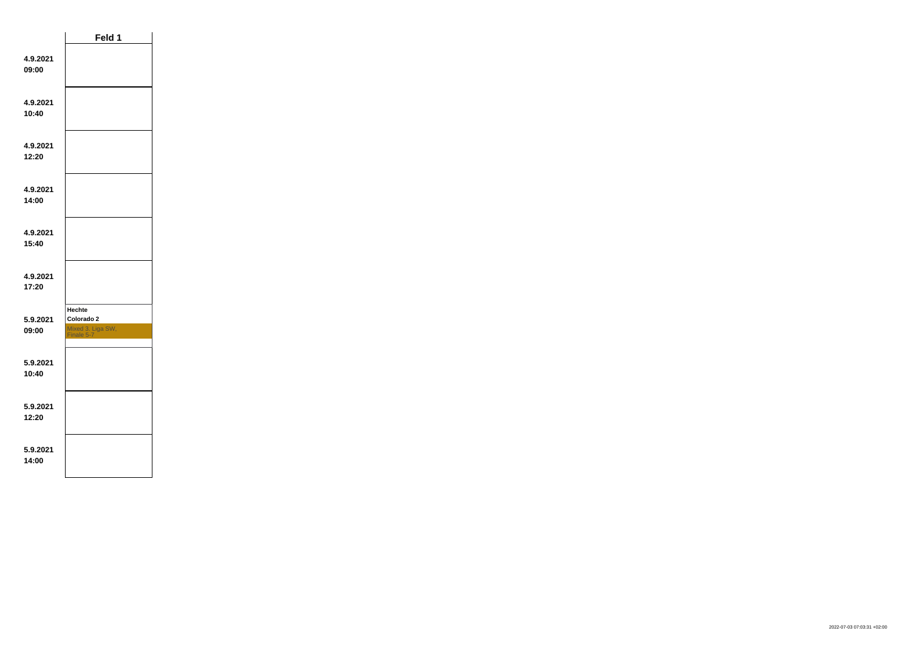|                   | Feld 1                                                         |  |
|-------------------|----------------------------------------------------------------|--|
| 4.9.2021<br>09:00 |                                                                |  |
| 4.9.2021<br>10:40 |                                                                |  |
| 4.9.2021<br>12:20 |                                                                |  |
| 4.9.2021<br>14:00 |                                                                |  |
| 4.9.2021<br>15:40 |                                                                |  |
| 4.9.2021<br>17:20 |                                                                |  |
| 5.9.2021<br>09:00 | <b>Hechte</b><br>Colorado 2<br>Mixed 3. Liga SW,<br>Finale 5-7 |  |
| 5.9.2021<br>10:40 |                                                                |  |
| 5.9.2021<br>12:20 |                                                                |  |
| 5.9.2021<br>14:00 |                                                                |  |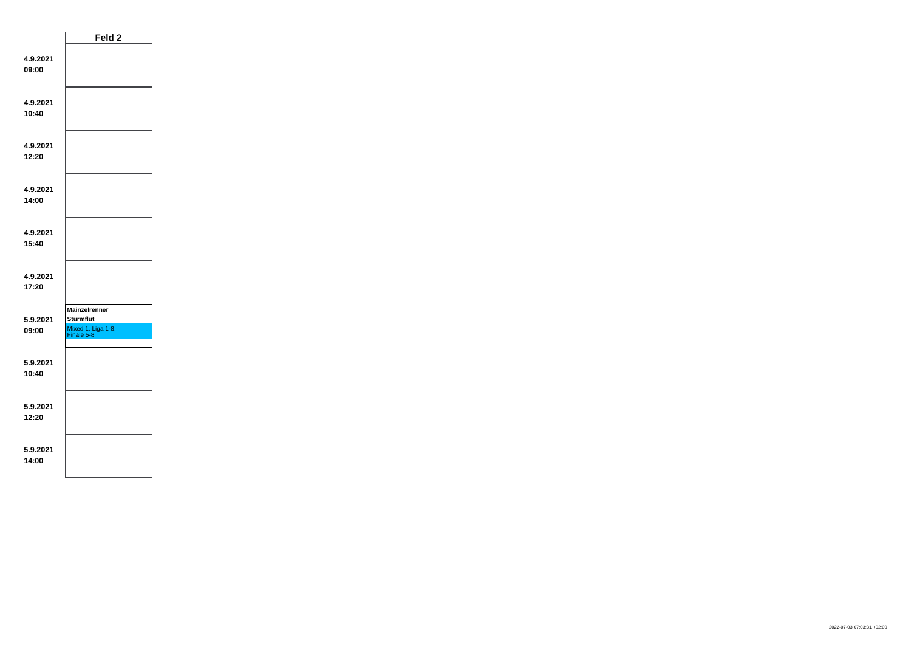|                   | Feld 2                                                                       |  |
|-------------------|------------------------------------------------------------------------------|--|
| 4.9.2021<br>09:00 |                                                                              |  |
| 4.9.2021<br>10:40 |                                                                              |  |
| 4.9.2021<br>12:20 |                                                                              |  |
| 4.9.2021<br>14:00 |                                                                              |  |
| 4.9.2021<br>15:40 |                                                                              |  |
| 4.9.2021<br>17:20 |                                                                              |  |
| 5.9.2021<br>09:00 | <b>Mainzelrenner</b><br><b>Sturmflut</b><br>Mixed 1. Liga 1-8,<br>Finale 5-8 |  |
| 5.9.2021<br>10:40 |                                                                              |  |
| 5.9.2021<br>12:20 |                                                                              |  |
| 5.9.2021<br>14:00 |                                                                              |  |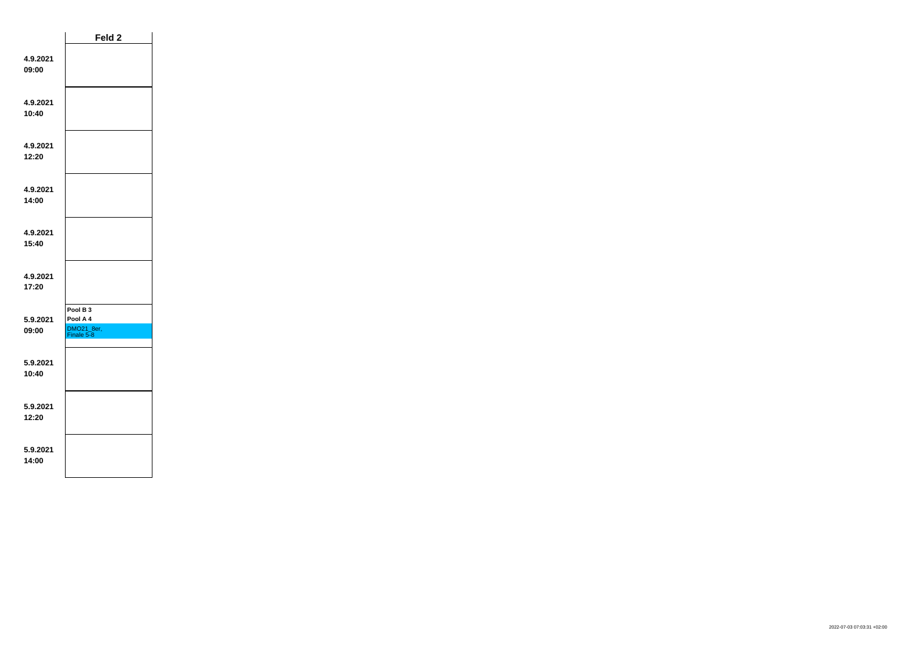|                   | Feld 2                                                      |  |
|-------------------|-------------------------------------------------------------|--|
| 4.9.2021<br>09:00 |                                                             |  |
| 4.9.2021<br>10:40 |                                                             |  |
| 4.9.2021<br>12:20 |                                                             |  |
| 4.9.2021<br>14:00 |                                                             |  |
| 4.9.2021<br>15:40 |                                                             |  |
| 4.9.2021<br>17:20 |                                                             |  |
| 5.9.2021<br>09:00 | Pool B <sub>3</sub><br>Pool A 4<br>DMO21_8er,<br>Finale 5-8 |  |
| 5.9.2021<br>10-40 |                                                             |  |
| 5.9.2021<br>12:20 |                                                             |  |
| 5.9.2021<br>14:00 |                                                             |  |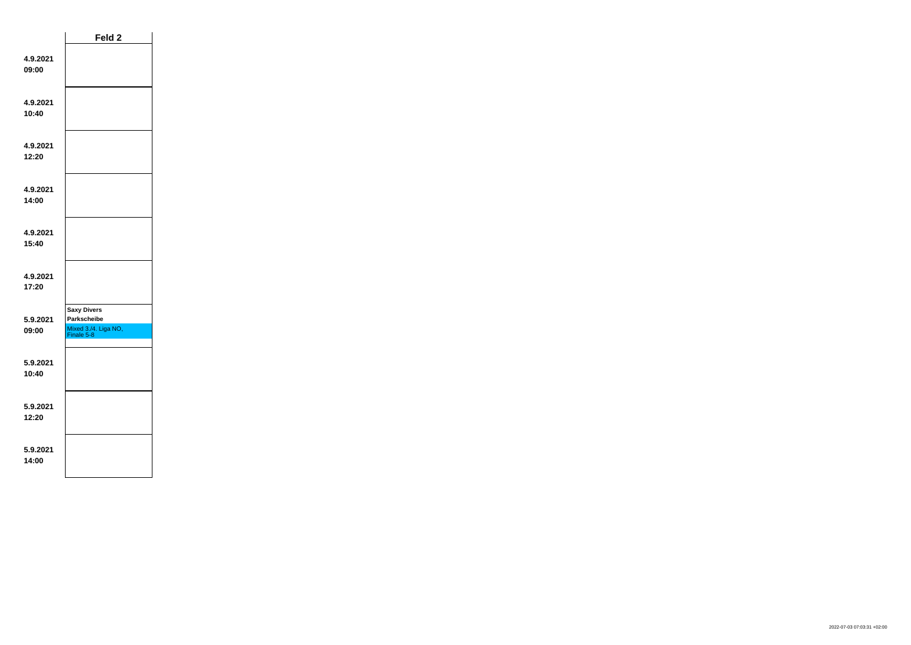|                   | Feld 2                                                                  |  |
|-------------------|-------------------------------------------------------------------------|--|
| 4.9.2021<br>09:00 |                                                                         |  |
| 4.9.2021<br>10:40 |                                                                         |  |
| 4.9.2021<br>12:20 |                                                                         |  |
| 4.9.2021<br>14:00 |                                                                         |  |
| 4.9.2021<br>15:40 |                                                                         |  |
| 4.9.2021<br>17:20 |                                                                         |  |
| 5.9.2021<br>09:00 | <b>Saxy Divers</b><br>Parkscheibe<br>Mixed 3./4. Liga NO,<br>Finale 5-8 |  |
| 5.9.2021<br>10:40 |                                                                         |  |
| 5.9.2021<br>12:20 |                                                                         |  |
| 5.9.2021<br>14:00 |                                                                         |  |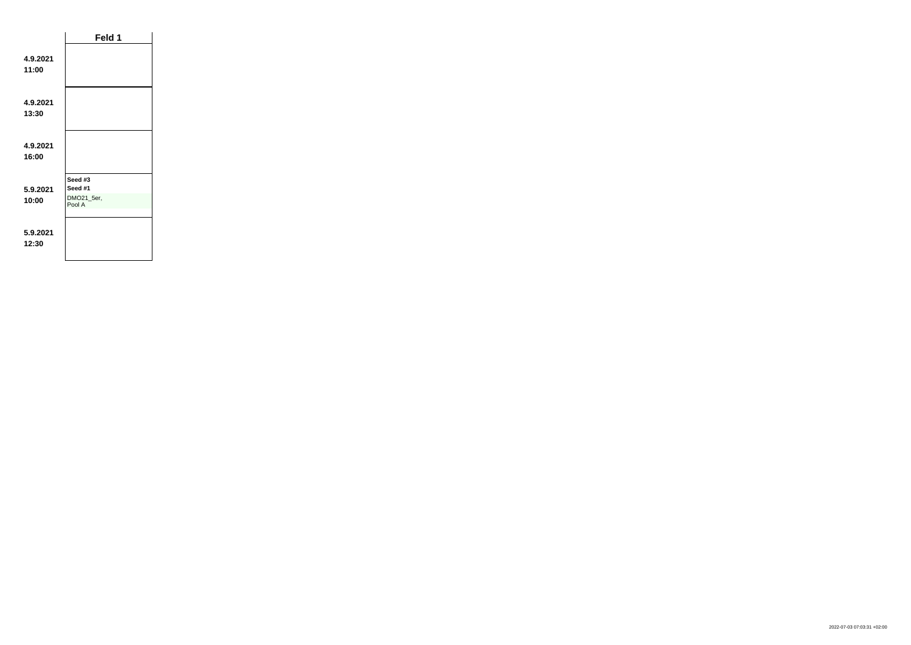|                   | Feld 1                                     |  |
|-------------------|--------------------------------------------|--|
| 4.9.2021<br>11:00 |                                            |  |
| 4.9.2021<br>13:30 |                                            |  |
| 4.9.2021<br>16:00 |                                            |  |
| 5.9.2021<br>10:00 | Seed #3<br>Seed #1<br>DMO21_5er,<br>Pool A |  |
| 5.9.2021<br>12:30 |                                            |  |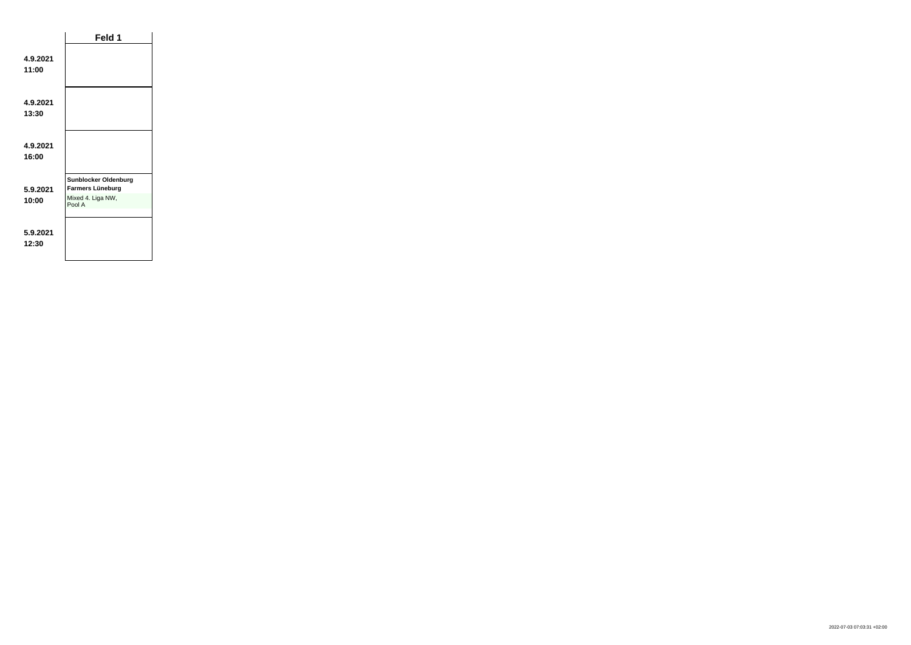|                   | Feld 1                                                                         |  |
|-------------------|--------------------------------------------------------------------------------|--|
| 4.9.2021<br>11:00 |                                                                                |  |
| 4.9.2021<br>13:30 |                                                                                |  |
| 4.9.2021<br>16:00 |                                                                                |  |
| 5.9.2021<br>10:00 | <b>Sunblocker Oldenburg</b><br>Farmers Lüneburg<br>Mixed 4. Liga NW,<br>Pool A |  |
| 5.9.2021<br>12:30 |                                                                                |  |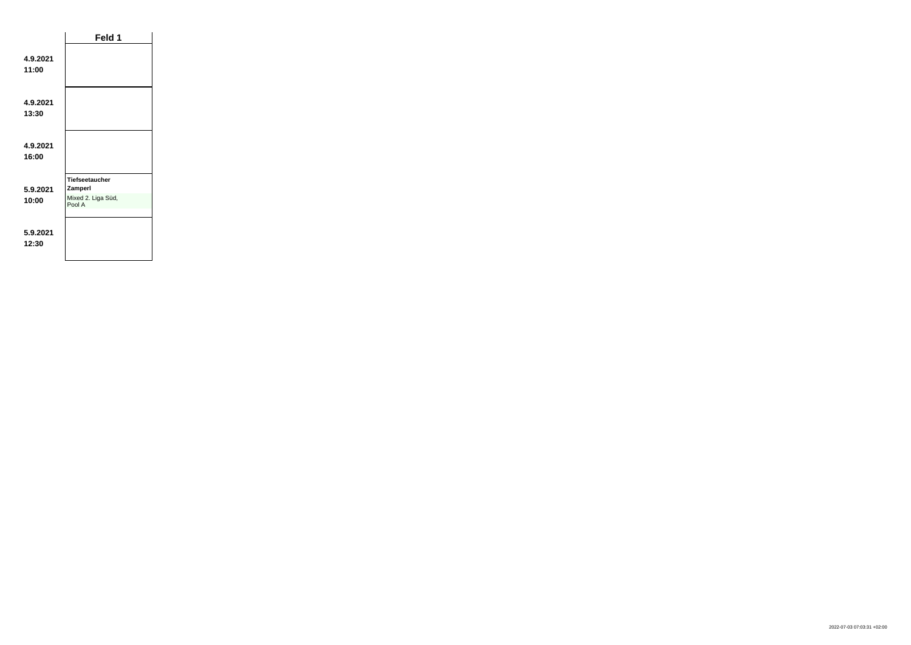|                   | Feld 1                                                           |  |
|-------------------|------------------------------------------------------------------|--|
| 4.9.2021<br>11:00 |                                                                  |  |
| 4.9.2021<br>13:30 |                                                                  |  |
| 4.9.2021<br>16:00 |                                                                  |  |
| 5.9.2021<br>10:00 | <b>Tiefseetaucher</b><br>Zamperl<br>Mixed 2. Liga Süd,<br>Pool A |  |
| 5.9.2021<br>12:30 |                                                                  |  |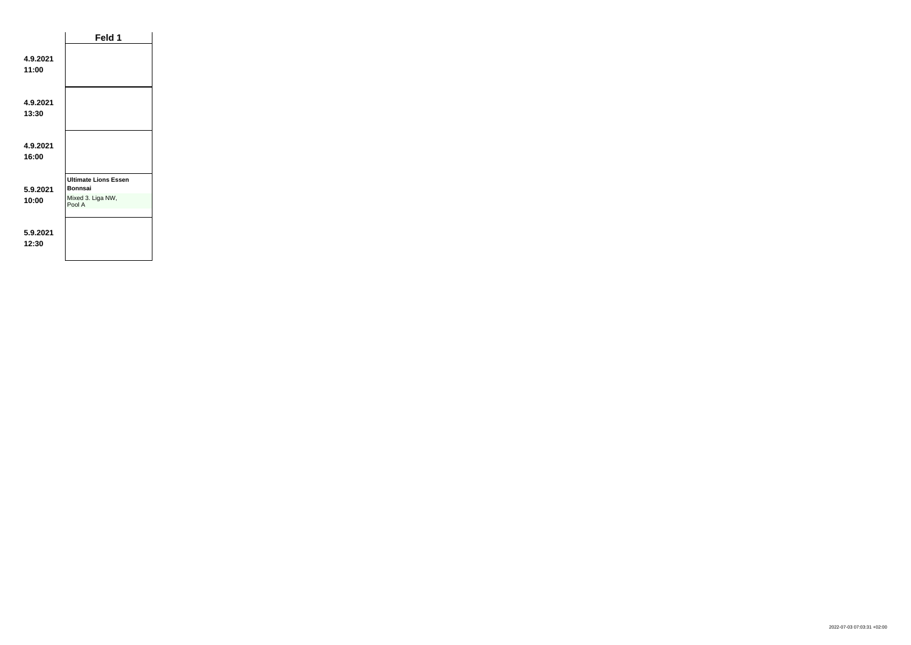|                   | Feld 1                                                                       |  |
|-------------------|------------------------------------------------------------------------------|--|
| 4.9.2021<br>11:00 |                                                                              |  |
| 4.9.2021<br>13:30 |                                                                              |  |
| 4.9.2021<br>16:00 |                                                                              |  |
| 5.9.2021<br>10:00 | <b>Ultimate Lions Essen</b><br><b>Bonnsai</b><br>Mixed 3. Liga NW,<br>Pool A |  |
| 5.9.2021<br>12:30 |                                                                              |  |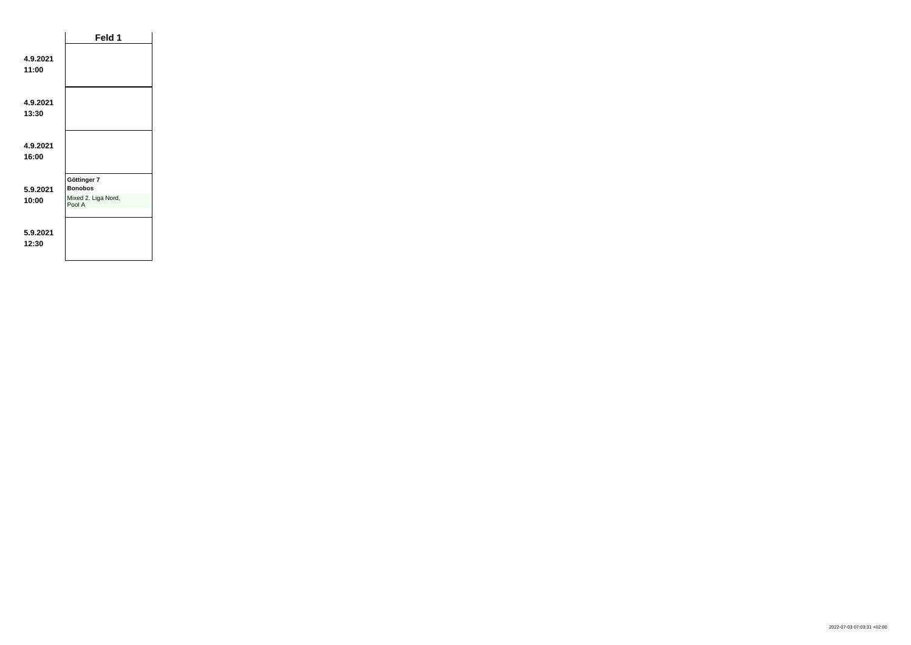|                   | Feld 1                                                         |  |
|-------------------|----------------------------------------------------------------|--|
| 4.9.2021<br>11:00 |                                                                |  |
| 4.9.2021<br>13:30 |                                                                |  |
| 4.9.2021<br>16:00 |                                                                |  |
| 5.9.2021<br>10:00 | Göttinger 7<br><b>Bonobos</b><br>Mixed 2. Liga Nord,<br>Pool A |  |
| 5.9.2021<br>12:30 |                                                                |  |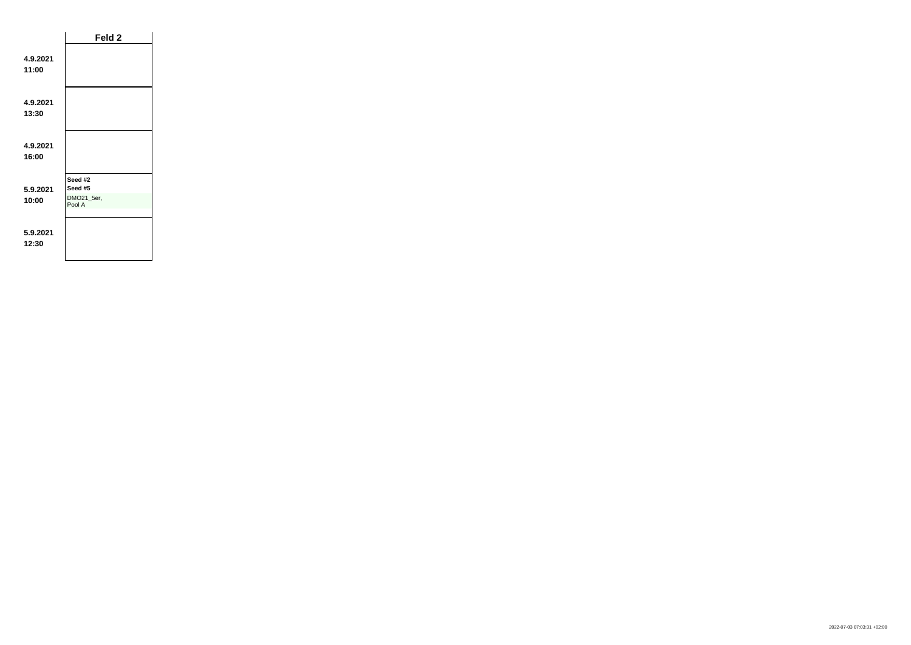|                   | Feld 2                                     |
|-------------------|--------------------------------------------|
| 4.9.2021<br>11:00 |                                            |
| 4.9.2021<br>13:30 |                                            |
| 4.9.2021<br>16:00 |                                            |
| 5.9.2021<br>10:00 | Seed #2<br>Seed #5<br>DMO21_5er,<br>Pool A |
| 5.9.2021<br>12:30 |                                            |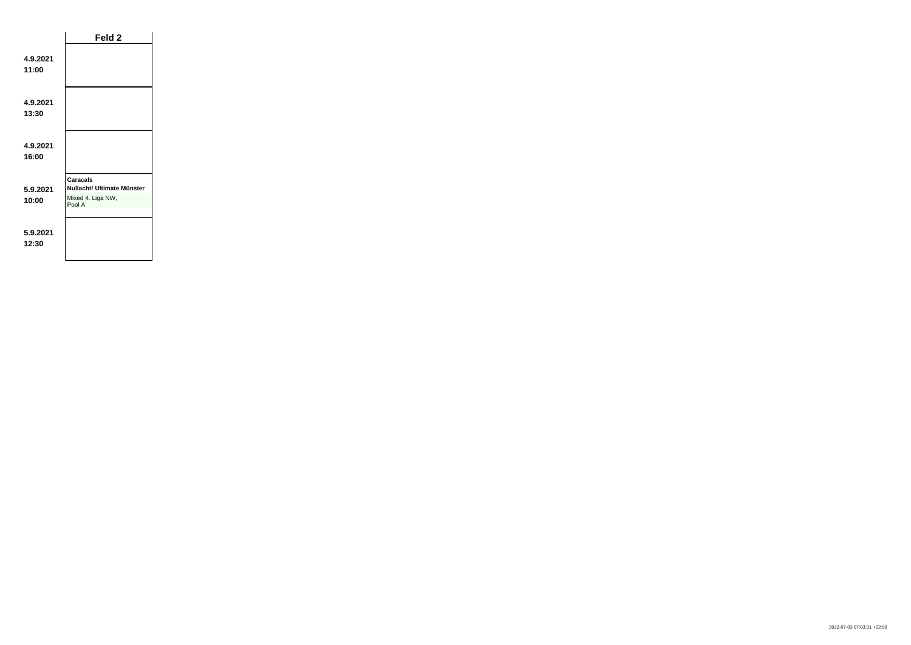|                   | Feld 2                                                                       |  |
|-------------------|------------------------------------------------------------------------------|--|
| 4.9.2021<br>11:00 |                                                                              |  |
| 4.9.2021<br>13:30 |                                                                              |  |
| 4.9.2021<br>16:00 |                                                                              |  |
| 5.9.2021<br>10:00 | <b>Caracals</b><br>Nullacht! Ultimate Münster<br>Mixed 4. Liga NW,<br>Pool A |  |
| 5.9.2021<br>12:30 |                                                                              |  |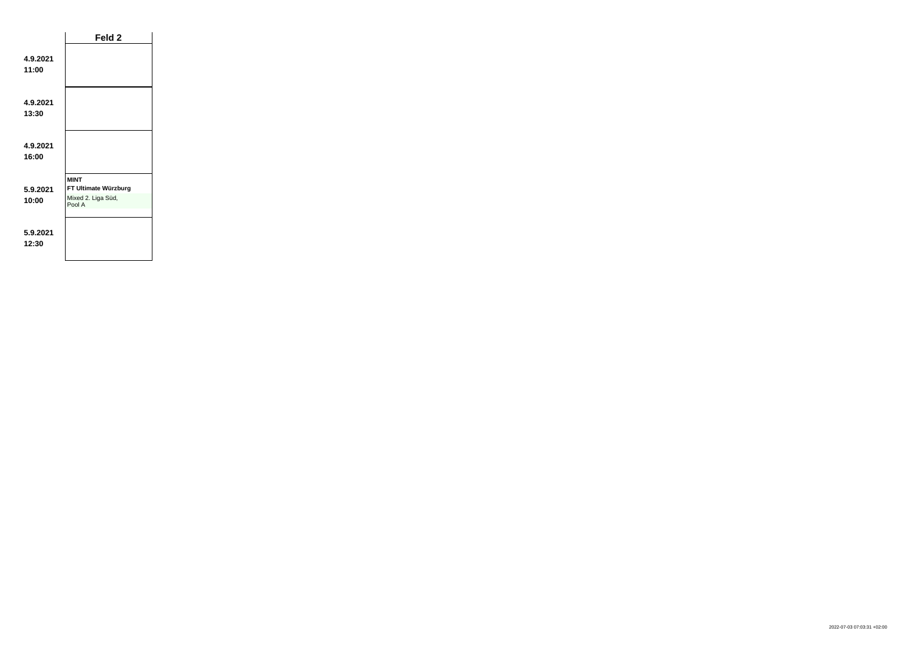|                   | Feld <sub>2</sub>                                                   |  |
|-------------------|---------------------------------------------------------------------|--|
| 4.9.2021<br>11:00 |                                                                     |  |
| 4.9.2021<br>13:30 |                                                                     |  |
| 4.9.2021<br>16:00 |                                                                     |  |
| 5.9.2021<br>10:00 | <b>MINT</b><br>FT Ultimate Würzburg<br>Mixed 2. Liga Süd,<br>Pool A |  |
| 5.9.2021<br>12:30 |                                                                     |  |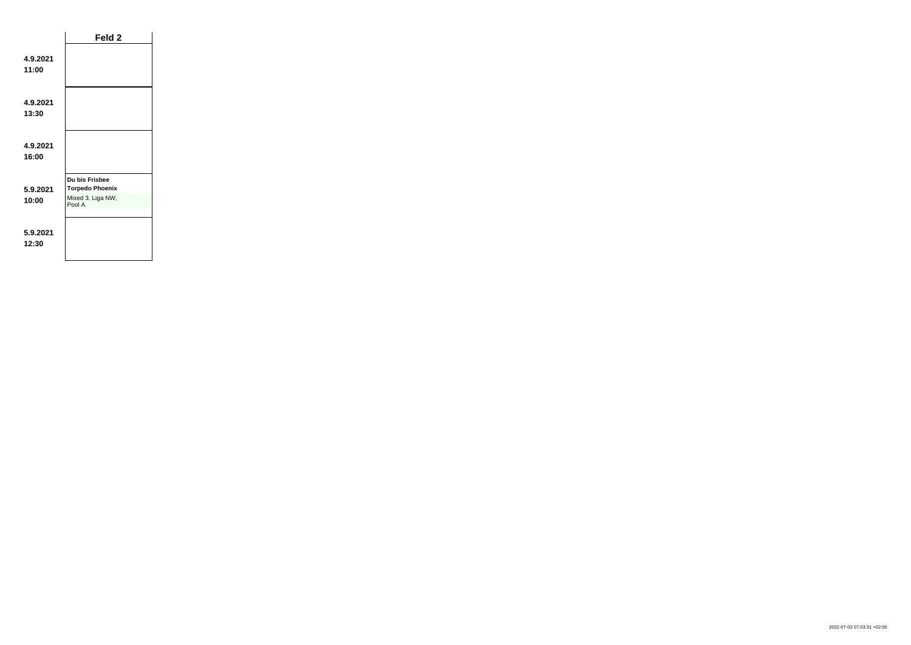|                   | Feld 2                                                                  |  |
|-------------------|-------------------------------------------------------------------------|--|
| 4.9.2021<br>11:00 |                                                                         |  |
| 4.9.2021<br>13:30 |                                                                         |  |
| 4.9.2021<br>16:00 |                                                                         |  |
| 5.9.2021<br>10:00 | Du bis Frisbee<br><b>Torpedo Phoenix</b><br>Mixed 3. Liga NW,<br>Pool A |  |
| 5.9.2021<br>12:30 |                                                                         |  |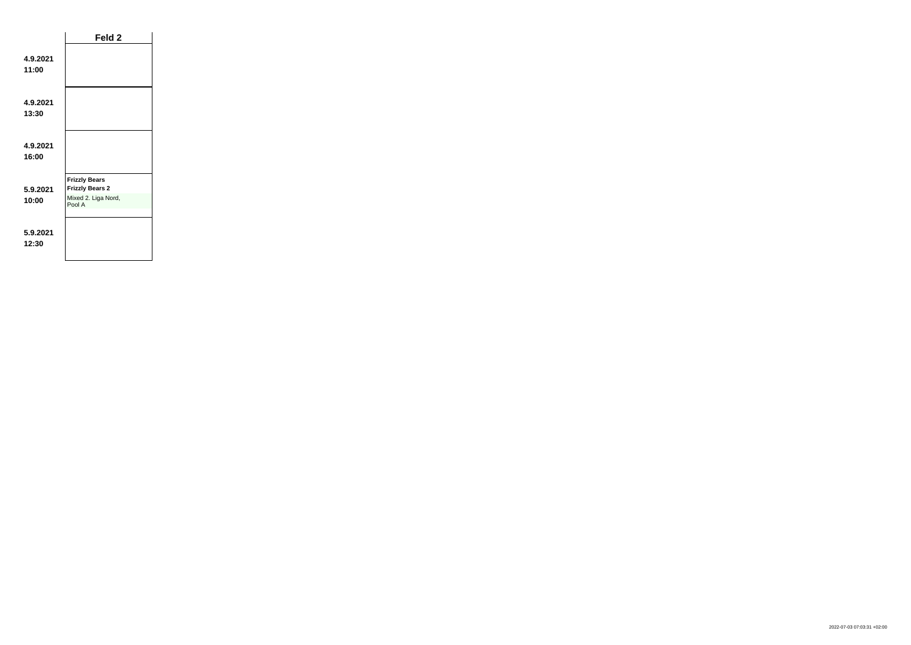|                   | Feld 2                                                                          |  |
|-------------------|---------------------------------------------------------------------------------|--|
| 4.9.2021<br>11:00 |                                                                                 |  |
| 4.9.2021<br>13:30 |                                                                                 |  |
| 4.9.2021<br>16:00 |                                                                                 |  |
| 5.9.2021<br>10:00 | <b>Frizzly Bears</b><br><b>Frizzly Bears 2</b><br>Mixed 2. Liga Nord,<br>Pool A |  |
| 5.9.2021<br>12:30 |                                                                                 |  |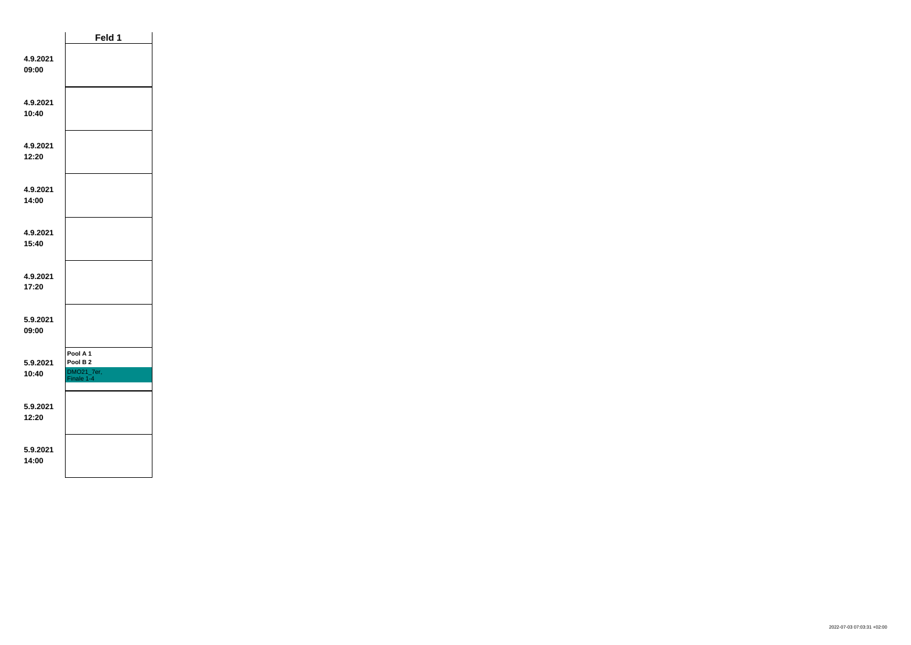|                   | Feld 1                                                      |  |
|-------------------|-------------------------------------------------------------|--|
| 4.9.2021<br>09:00 |                                                             |  |
| 4.9.2021<br>10:40 |                                                             |  |
| 4.9.2021<br>12:20 |                                                             |  |
| 4.9.2021<br>14:00 |                                                             |  |
| 4.9.2021<br>15:40 |                                                             |  |
| 4.9.2021<br>17:20 |                                                             |  |
| 5.9.2021<br>09:00 |                                                             |  |
| 5.9.2021<br>10:40 | Pool A 1<br>Pool B <sub>2</sub><br>DMO21_7er,<br>Finale 1-4 |  |
| 5.9.2021<br>12:20 |                                                             |  |
| 5.9.2021<br>14:00 |                                                             |  |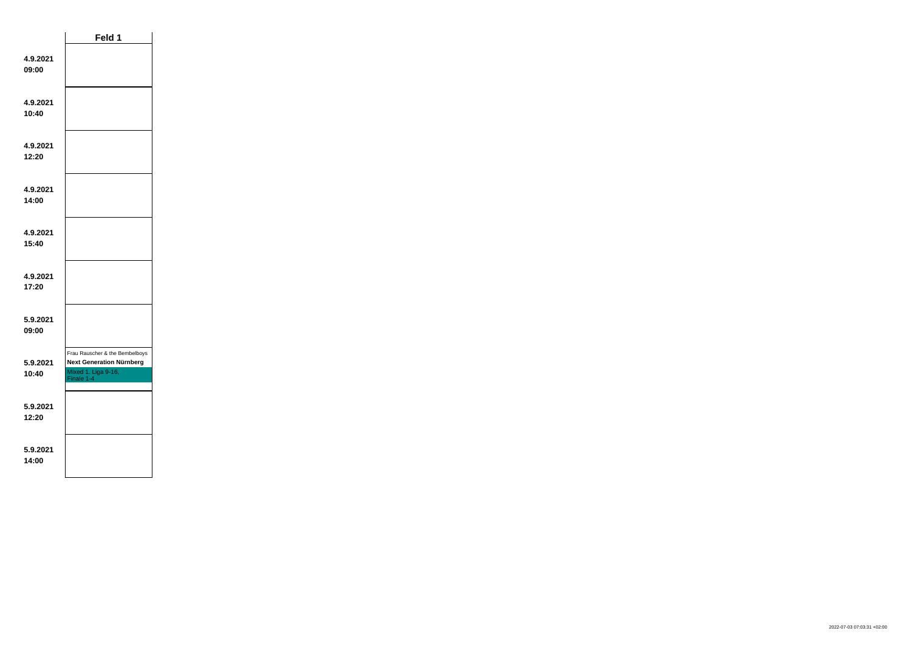|                   | Feld 1                                                                                                 |
|-------------------|--------------------------------------------------------------------------------------------------------|
| 4.9.2021<br>09:00 |                                                                                                        |
| 4.9.2021<br>10:40 |                                                                                                        |
| 4.9.2021<br>12:20 |                                                                                                        |
| 4.9.2021<br>14:00 |                                                                                                        |
| 4.9.2021<br>15:40 |                                                                                                        |
| 4.9.2021<br>17:20 |                                                                                                        |
| 5.9.2021<br>09:00 |                                                                                                        |
| 5.9.2021<br>10:40 | Frau Rauscher & the Bembelboys<br><b>Next Generation Nürnberg</b><br>Mixed 1. Liga 9-16,<br>Finale 1-4 |
| 5.9.2021<br>12:20 |                                                                                                        |
| 5.9.2021<br>14:00 |                                                                                                        |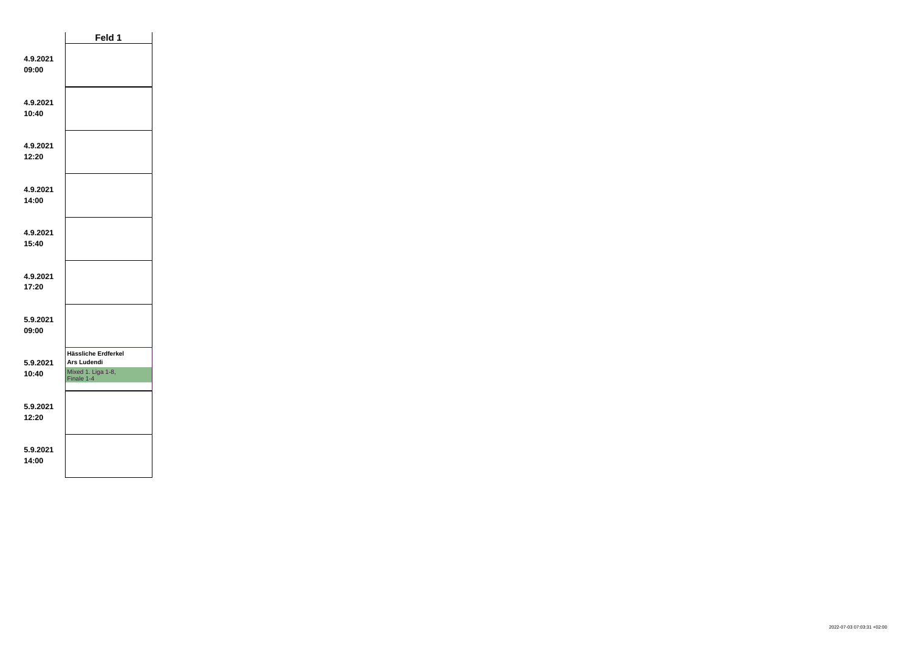|                   | Feld 1                                                                 |  |
|-------------------|------------------------------------------------------------------------|--|
| 4.9.2021<br>09:00 |                                                                        |  |
| 4.9.2021<br>10:40 |                                                                        |  |
| 4.9.2021<br>12:20 |                                                                        |  |
| 4.9.2021<br>14:00 |                                                                        |  |
| 4.9.2021<br>15:40 |                                                                        |  |
| 4.9.2021<br>17:20 |                                                                        |  |
| 5.9.2021<br>09:00 |                                                                        |  |
| 5.9.2021<br>10:40 | Hässliche Erdferkel<br>Ars Ludendi<br>Mixed 1. Liga 1-8,<br>Finale 1-4 |  |
| 5.9.2021<br>12:20 |                                                                        |  |
| 5.9.2021<br>14:00 |                                                                        |  |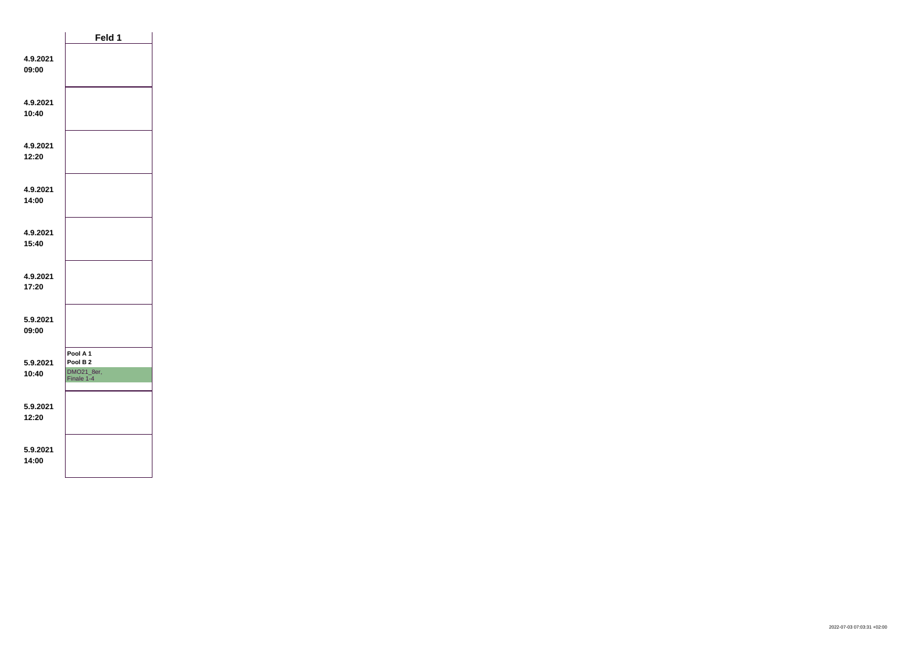|                   | Feld 1                                                        |  |
|-------------------|---------------------------------------------------------------|--|
| 4.9.2021<br>09:00 |                                                               |  |
| 4.9.2021<br>10:40 |                                                               |  |
| 4.9.2021<br>12:20 |                                                               |  |
| 4.9.2021<br>14:00 |                                                               |  |
| 4.9.2021<br>15:40 |                                                               |  |
| 4.9.2021<br>17:20 |                                                               |  |
| 5.9.2021<br>09:00 |                                                               |  |
| 5.9.2021<br>10:40 | Pool A 1<br>Pool B <sub>2</sub><br>DMO21_8er,<br>Finale $1-4$ |  |
| 5.9.2021<br>12:20 |                                                               |  |
| 5.9.2021<br>14:00 |                                                               |  |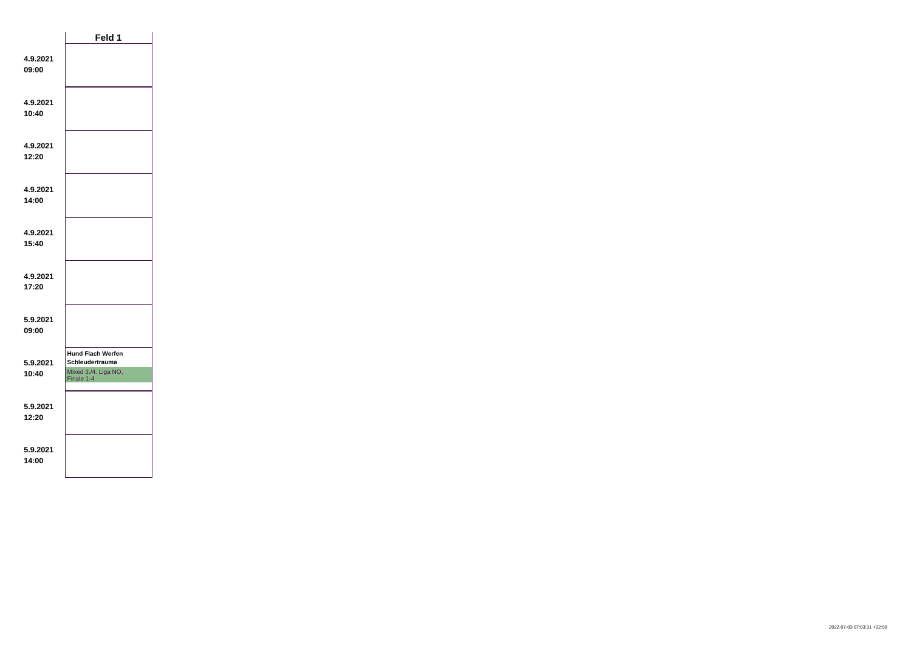|                   | Feld 1                                                                                   |
|-------------------|------------------------------------------------------------------------------------------|
| 4.9.2021<br>09:00 |                                                                                          |
| 4.9.2021<br>10:40 |                                                                                          |
| 4.9.2021<br>12:20 |                                                                                          |
| 4.9.2021<br>14:00 |                                                                                          |
| 4.9.2021<br>15:40 |                                                                                          |
| 4.9.2021<br>17:20 |                                                                                          |
| 5.9.2021<br>09:00 |                                                                                          |
| 5.9.2021<br>10:40 | <b>Hund Flach Werfen</b><br><b>Schleudertrauma</b><br>Mixed 3./4. Liga NO,<br>Finale 1-4 |
| 5.9.2021<br>12:20 |                                                                                          |
| 5.9.2021<br>14:00 |                                                                                          |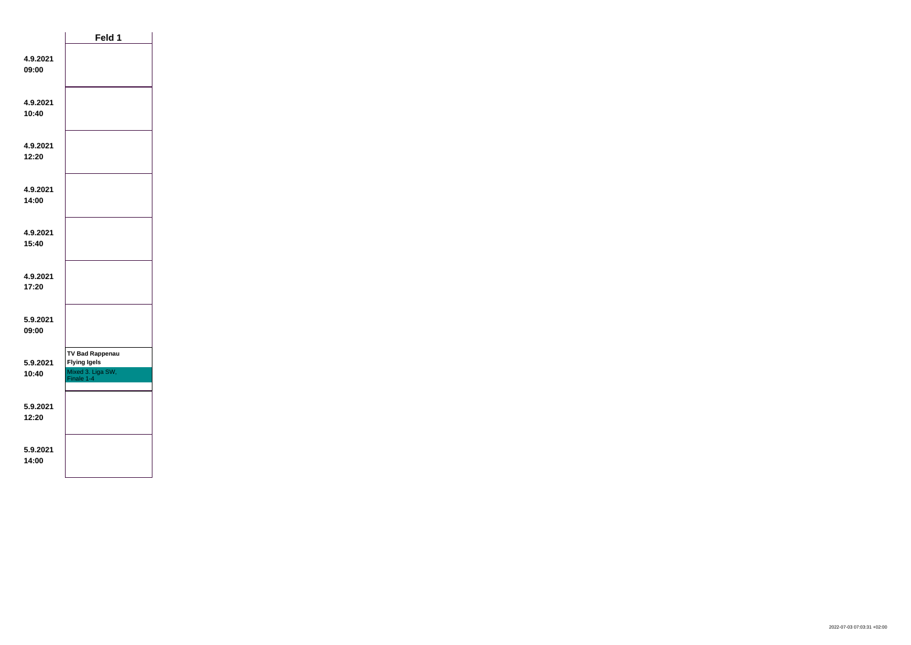|                   | Feld 1                                                                           |  |
|-------------------|----------------------------------------------------------------------------------|--|
| 4.9.2021<br>09:00 |                                                                                  |  |
| 4.9.2021<br>10:40 |                                                                                  |  |
| 4.9.2021<br>12:20 |                                                                                  |  |
| 4.9.2021<br>14:00 |                                                                                  |  |
| 4.9.2021<br>15:40 |                                                                                  |  |
| 4.9.2021<br>17:20 |                                                                                  |  |
| 5.9.2021<br>09:00 |                                                                                  |  |
| 5.9.2021<br>10:40 | <b>TV Bad Rappenau</b><br><b>Flying Igels</b><br>Mixed 3. Liga SW,<br>Finale 1-4 |  |
| 5.9.2021<br>12:20 |                                                                                  |  |
| 5.9.2021<br>14:00 |                                                                                  |  |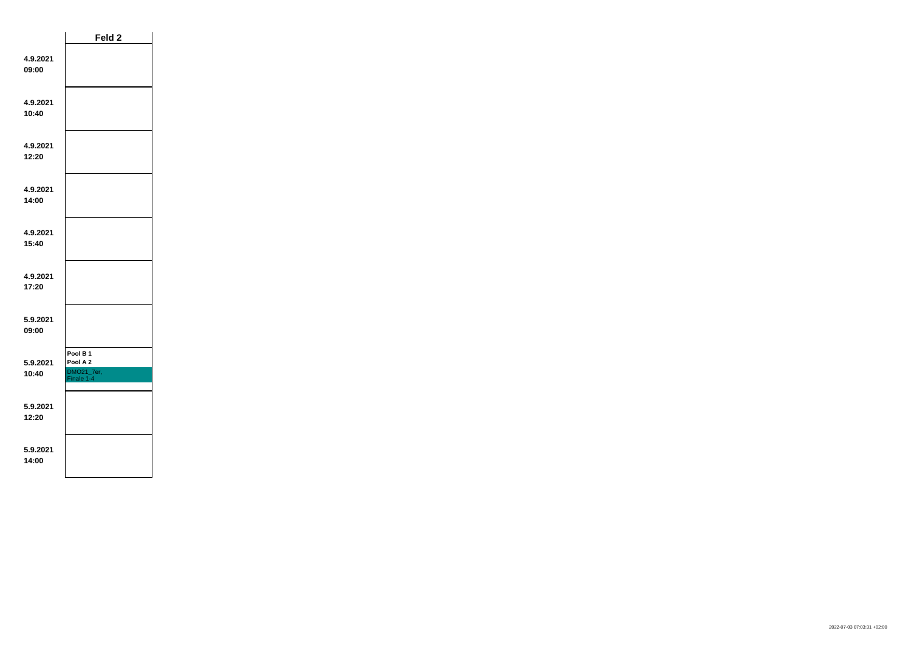|                   | Feld 2                                                      |  |
|-------------------|-------------------------------------------------------------|--|
| 4.9.2021<br>09:00 |                                                             |  |
| 4.9.2021<br>10:40 |                                                             |  |
| 4.9.2021<br>12:20 |                                                             |  |
| 4.9.2021<br>14:00 |                                                             |  |
| 4.9.2021<br>15:40 |                                                             |  |
| 4.9.2021<br>17:20 |                                                             |  |
| 5.9.2021<br>09:00 |                                                             |  |
| 5.9.2021<br>10:40 | Pool B <sub>1</sub><br>Pool A 2<br>DMO21_7er,<br>Finale 1-4 |  |
| 5.9.2021<br>12:20 |                                                             |  |
| 5.9.2021<br>14:00 |                                                             |  |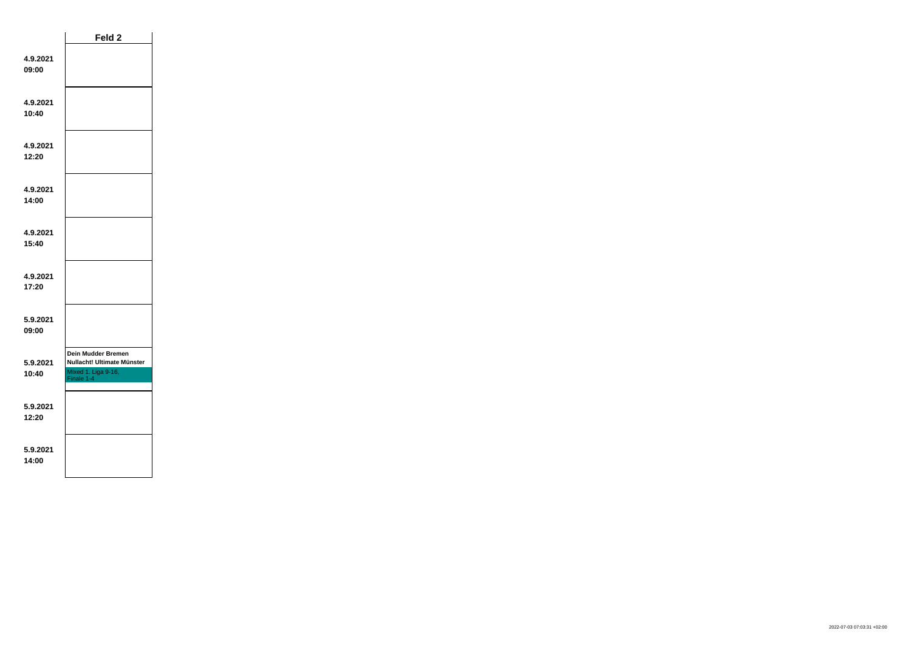|                   | Feld 2                                                                                       |  |
|-------------------|----------------------------------------------------------------------------------------------|--|
| 4.9.2021<br>09:00 |                                                                                              |  |
| 4.9.2021<br>10:40 |                                                                                              |  |
| 4.9.2021<br>12:20 |                                                                                              |  |
| 4.9.2021<br>14:00 |                                                                                              |  |
| 4.9.2021<br>15:40 |                                                                                              |  |
| 4.9.2021<br>17:20 |                                                                                              |  |
| 5.9.2021<br>09:00 |                                                                                              |  |
| 5.9.2021<br>10:40 | <b>Dein Mudder Bremen</b><br>Nullacht! Ultimate Münster<br>Mixed 1. Liga 9-16,<br>Finale 1-4 |  |
| 5.9.2021<br>12:20 |                                                                                              |  |
| 5.9.2021<br>14:00 |                                                                                              |  |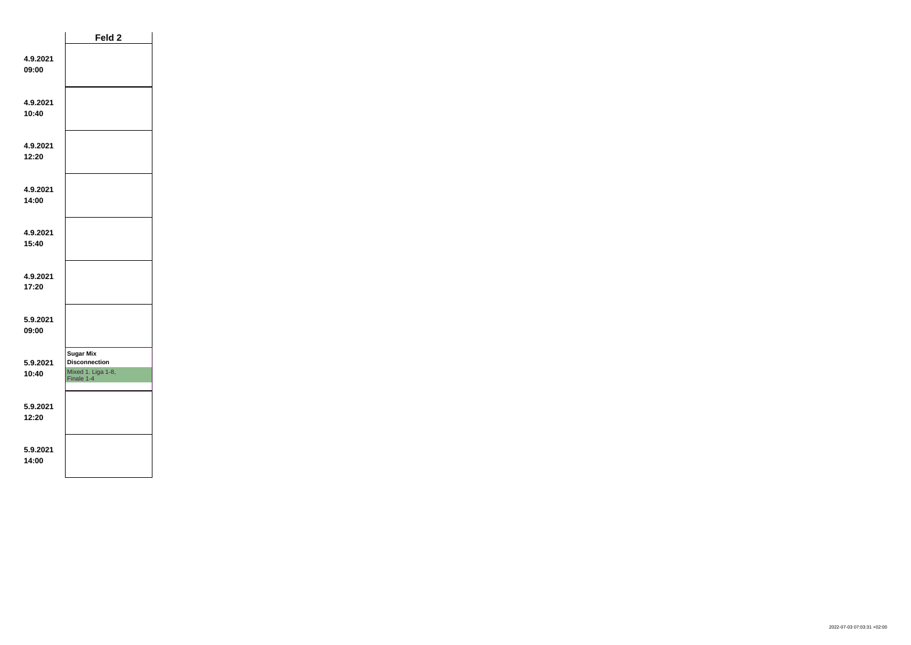|                   | Feld 2                                                                       |  |
|-------------------|------------------------------------------------------------------------------|--|
| 4.9.2021<br>09:00 |                                                                              |  |
| 4.9.2021<br>10:40 |                                                                              |  |
| 4.9.2021<br>12:20 |                                                                              |  |
| 4.9.2021<br>14:00 |                                                                              |  |
| 4.9.2021<br>15:40 |                                                                              |  |
| 4.9.2021<br>17:20 |                                                                              |  |
| 5.9.2021<br>09:00 |                                                                              |  |
| 5.9.2021<br>10:40 | <b>Sugar Mix</b><br><b>Disconnection</b><br>Mixed 1. Liga 1-8,<br>Finale 1-4 |  |
| 5.9.2021<br>12:20 |                                                                              |  |
| 5.9.2021<br>14:00 |                                                                              |  |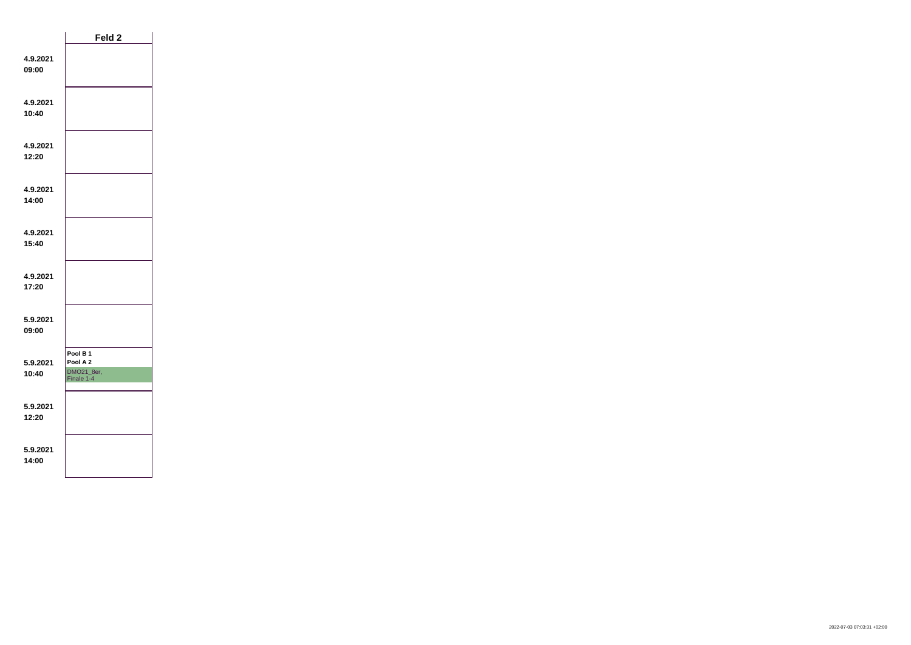|                   | Feld 2                                                      |  |
|-------------------|-------------------------------------------------------------|--|
| 4.9.2021<br>09:00 |                                                             |  |
| 4.9.2021<br>10:40 |                                                             |  |
| 4.9.2021<br>12:20 |                                                             |  |
| 4.9.2021<br>14:00 |                                                             |  |
| 4.9.2021<br>15:40 |                                                             |  |
| 4.9.2021<br>17:20 |                                                             |  |
| 5.9.2021<br>09:00 |                                                             |  |
| 5.9.2021<br>10:40 | Pool B <sub>1</sub><br>Pool A 2<br>DMO21_8er,<br>Finale 1-4 |  |
| 5.9.2021<br>12:20 |                                                             |  |
| 5.9.2021<br>14:00 |                                                             |  |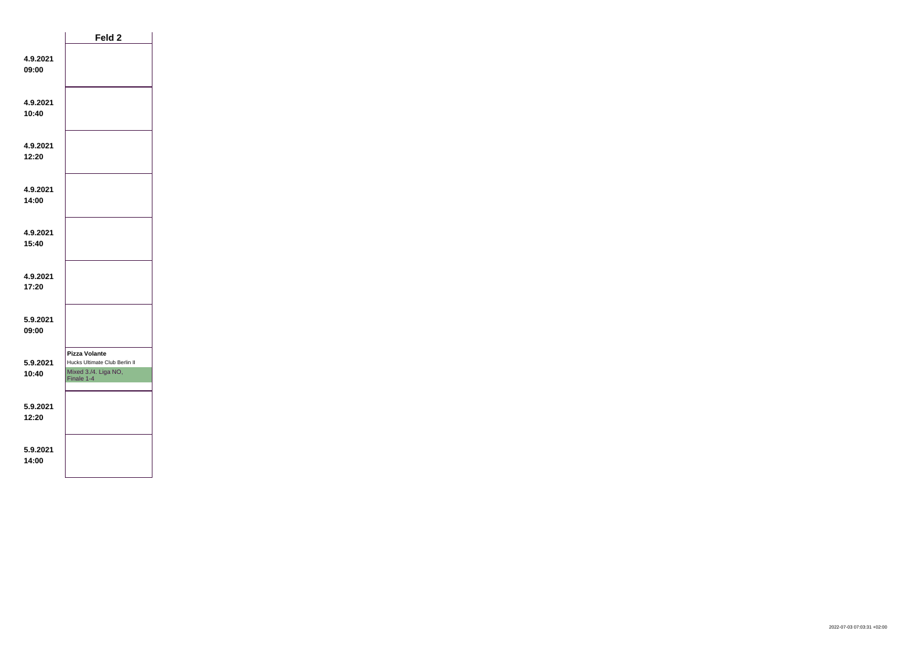|                   | Feld 2                                                                                      |  |
|-------------------|---------------------------------------------------------------------------------------------|--|
| 4.9.2021<br>09:00 |                                                                                             |  |
| 4.9.2021<br>10:40 |                                                                                             |  |
| 4.9.2021<br>12:20 |                                                                                             |  |
| 4.9.2021<br>14:00 |                                                                                             |  |
| 4.9.2021<br>15:40 |                                                                                             |  |
| 4.9.2021<br>17:20 |                                                                                             |  |
| 5.9.2021<br>09:00 |                                                                                             |  |
| 5.9.2021<br>10:40 | <b>Pizza Volante</b><br>Hucks Ultimate Club Berlin II<br>Mixed 3./4. Liga NO,<br>Finale 1-4 |  |
| 5.9.2021<br>12:20 |                                                                                             |  |
| 5.9.2021<br>14:00 |                                                                                             |  |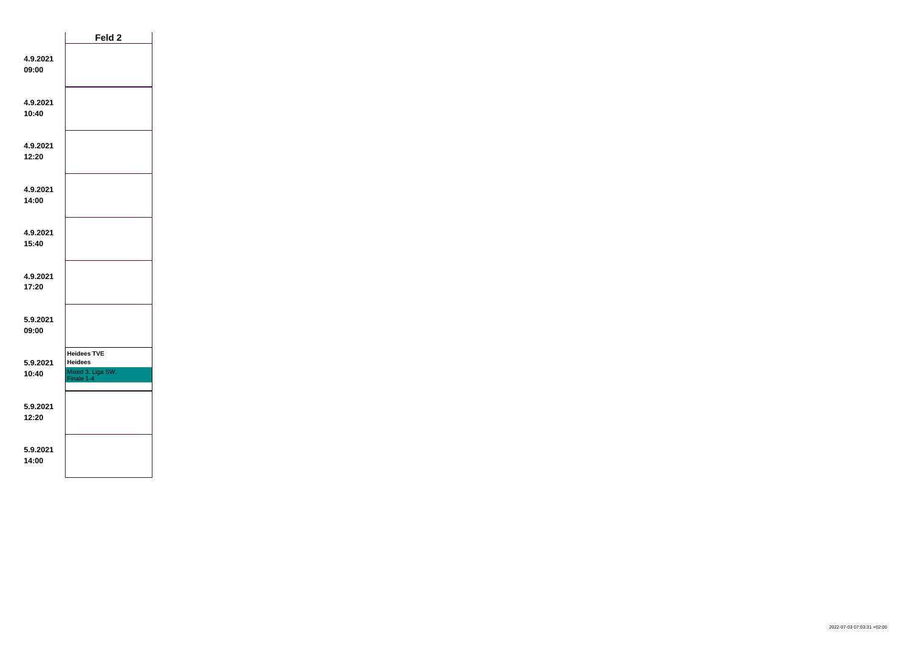|                   | Feld 2                                                                  |  |
|-------------------|-------------------------------------------------------------------------|--|
| 4.9.2021<br>09:00 |                                                                         |  |
| 4.9.2021<br>10:40 |                                                                         |  |
| 4.9.2021<br>12:20 |                                                                         |  |
| 4.9.2021<br>14:00 |                                                                         |  |
| 4.9.2021<br>15:40 |                                                                         |  |
| 4.9.2021<br>17:20 |                                                                         |  |
| 5.9.2021<br>09:00 |                                                                         |  |
| 5.9.2021<br>10:40 | <b>Heidees TVE</b><br><b>Heidees</b><br>Mixed 3. Liga SW,<br>Finale 1-4 |  |
| 5.9.2021<br>12:20 |                                                                         |  |
| 5.9.2021<br>14:00 |                                                                         |  |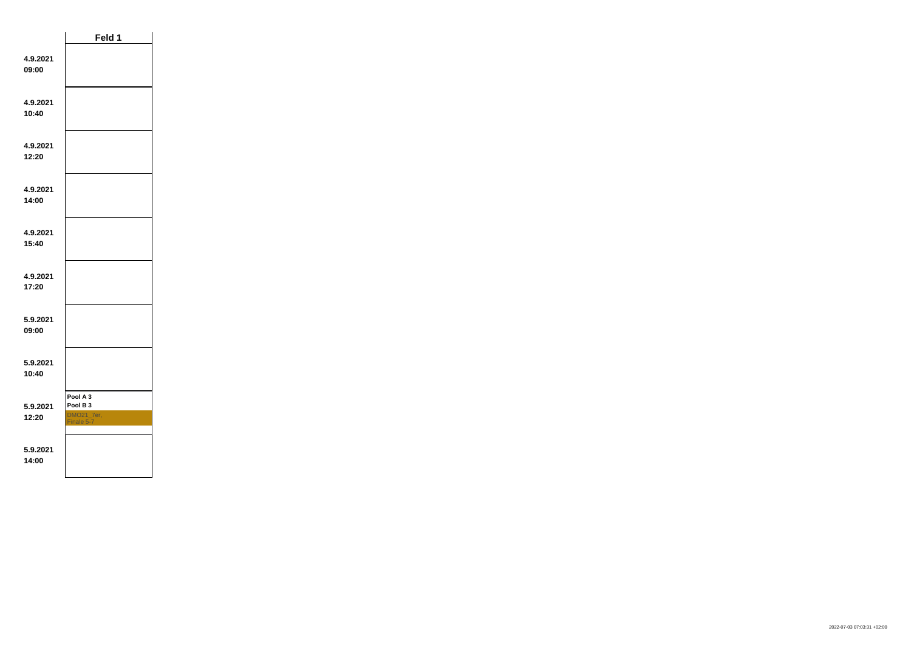|                   | Feld 1                                                      |  |
|-------------------|-------------------------------------------------------------|--|
| 4.9.2021<br>09:00 |                                                             |  |
| 4.9.2021<br>10:40 |                                                             |  |
| 4.9.2021<br>12:20 |                                                             |  |
| 4.9.2021<br>14:00 |                                                             |  |
| 4.9.2021<br>15:40 |                                                             |  |
| 4.9.2021<br>17:20 |                                                             |  |
| 5.9.2021<br>09:00 |                                                             |  |
| 5.9.2021<br>10:40 |                                                             |  |
| 5.9.2021<br>12:20 | Pool A 3<br>Pool B <sub>3</sub><br>DMO21_7er,<br>Finale 5-7 |  |
| 5.9.2021<br>14:00 |                                                             |  |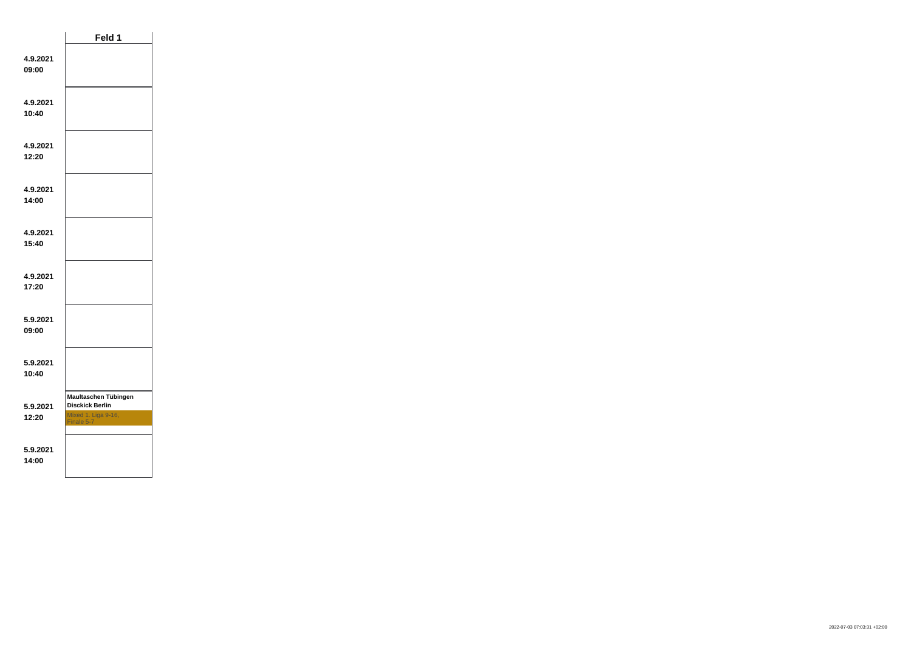|                   | Feld 1                                                                              |  |
|-------------------|-------------------------------------------------------------------------------------|--|
| 4.9.2021<br>09:00 |                                                                                     |  |
| 4.9.2021<br>10:40 |                                                                                     |  |
| 4.9.2021<br>12:20 |                                                                                     |  |
| 4.9.2021<br>14:00 |                                                                                     |  |
| 4.9.2021<br>15:40 |                                                                                     |  |
| 4.9.2021<br>17:20 |                                                                                     |  |
| 5.9.2021<br>09:00 |                                                                                     |  |
| 5.9.2021<br>10:40 |                                                                                     |  |
| 5.9.2021<br>12:20 | Maultaschen Tübingen<br><b>Disckick Berlin</b><br>Mixed 1. Liga 9-16,<br>Finale 5-7 |  |
| 5.9.2021<br>14:00 |                                                                                     |  |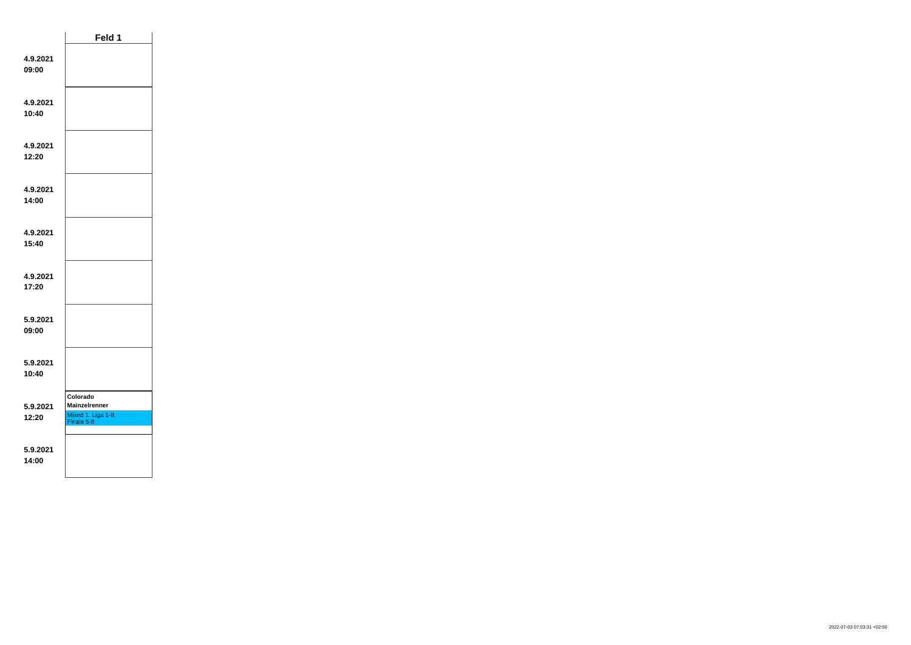|                   | Feld 1                                                               |  |
|-------------------|----------------------------------------------------------------------|--|
| 4.9.2021<br>09:00 |                                                                      |  |
| 4.9.2021<br>10:40 |                                                                      |  |
| 4.9.2021<br>12:20 |                                                                      |  |
| 4.9.2021<br>14:00 |                                                                      |  |
| 4.9.2021<br>15:40 |                                                                      |  |
| 4.9.2021<br>17:20 |                                                                      |  |
| 5.9.2021<br>09:00 |                                                                      |  |
| 5.9.2021<br>10:40 |                                                                      |  |
| 5.9.2021<br>12:20 | Colorado<br><b>Mainzelrenner</b><br>Mixed 1. Liga 1-8,<br>Finale 5-8 |  |
| 5.9.2021<br>14:00 |                                                                      |  |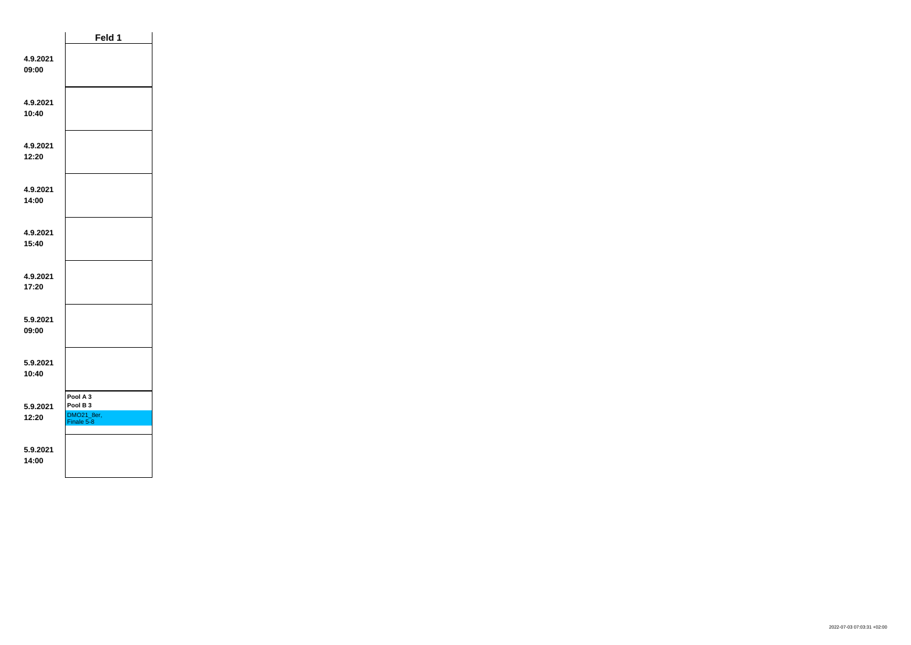|                   | Feld 1                                                      |  |
|-------------------|-------------------------------------------------------------|--|
| 4.9.2021<br>09:00 |                                                             |  |
| 4.9.2021<br>10:40 |                                                             |  |
| 4.9.2021<br>12:20 |                                                             |  |
| 4.9.2021<br>14:00 |                                                             |  |
| 4.9.2021<br>15:40 |                                                             |  |
| 4.9.2021<br>17:20 |                                                             |  |
| 5.9.2021<br>09:00 |                                                             |  |
| 5.9.2021<br>10:40 |                                                             |  |
| 5.9.2021<br>12:20 | Pool A 3<br>Pool B <sub>3</sub><br>DMO21_8er,<br>Finale 5-8 |  |
| 5.9.2021<br>14:00 |                                                             |  |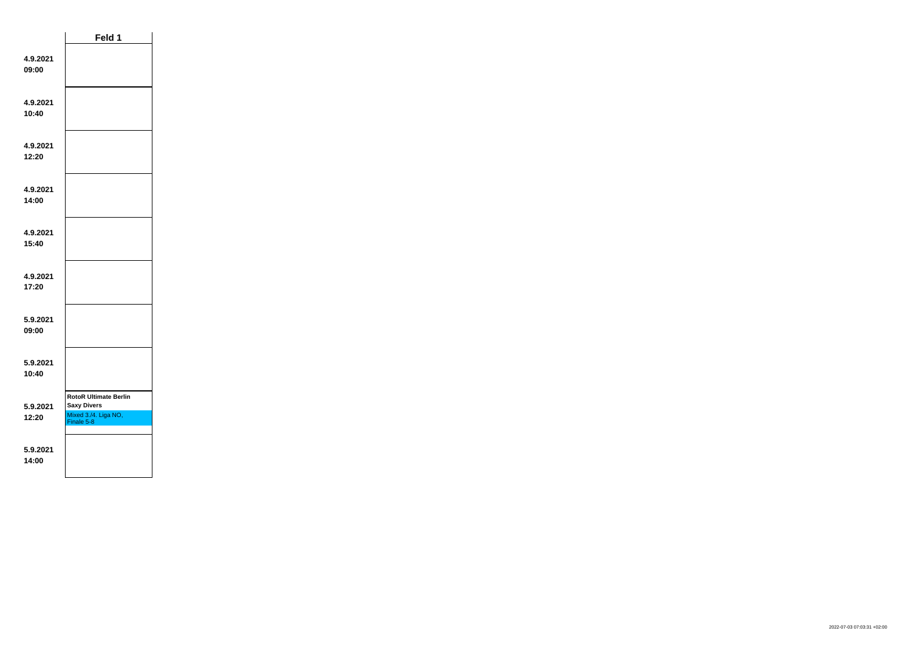|                   | Feld 1                                                                                   |
|-------------------|------------------------------------------------------------------------------------------|
| 4.9.2021<br>09:00 |                                                                                          |
| 4.9.2021<br>10:40 |                                                                                          |
| 4.9.2021<br>12:20 |                                                                                          |
| 4.9.2021<br>14:00 |                                                                                          |
| 4.9.2021<br>15:40 |                                                                                          |
| 4.9.2021<br>17:20 |                                                                                          |
| 5.9.2021<br>09:00 |                                                                                          |
| 5.9.2021<br>10:40 |                                                                                          |
| 5.9.2021<br>12:20 | <b>RotoR Ultimate Berlin</b><br><b>Saxy Divers</b><br>Mixed 3./4. Liga NO,<br>Finale 5-8 |
| 5.9.2021<br>14:00 |                                                                                          |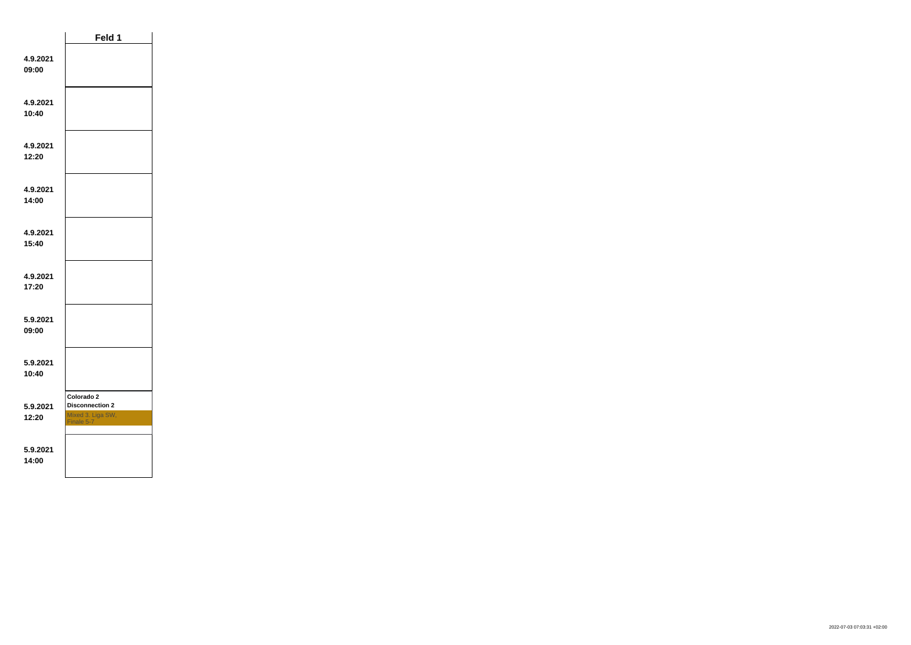|                   | Feld 1                                                                  |  |
|-------------------|-------------------------------------------------------------------------|--|
| 4.9.2021<br>09:00 |                                                                         |  |
| 4.9.2021<br>10:40 |                                                                         |  |
| 4.9.2021<br>12:20 |                                                                         |  |
| 4.9.2021<br>14:00 |                                                                         |  |
| 4.9.2021<br>15:40 |                                                                         |  |
| 4.9.2021<br>17:20 |                                                                         |  |
| 5.9.2021<br>09:00 |                                                                         |  |
| 5.9.2021<br>10:40 |                                                                         |  |
| 5.9.2021<br>12:20 | Colorado 2<br><b>Disconnection 2</b><br>Mixed 3. Liga SW,<br>Finale 5-7 |  |
| 5.9.2021<br>14:00 |                                                                         |  |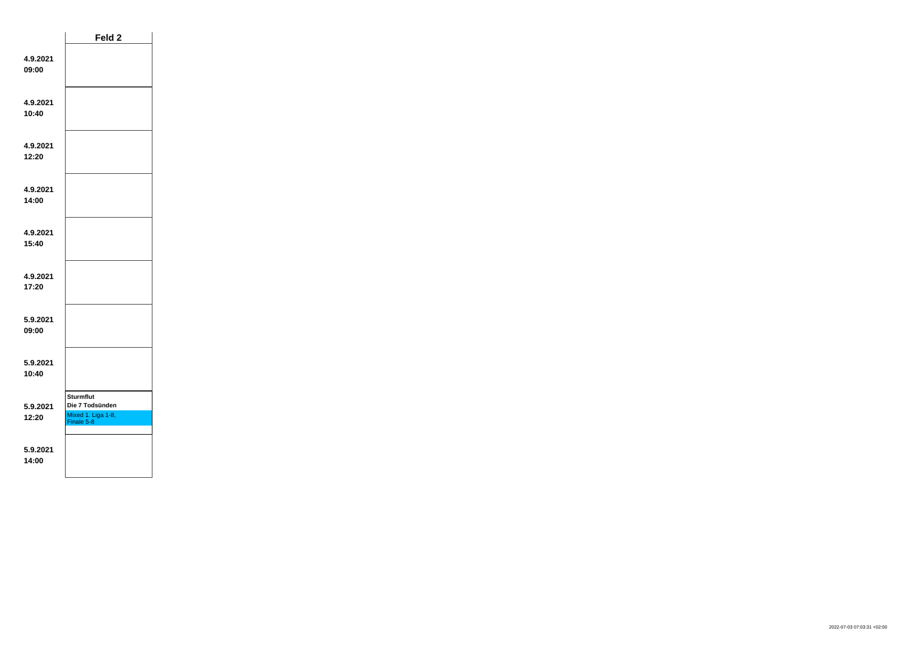|                   | Feld <sub>2</sub>                                                       |  |
|-------------------|-------------------------------------------------------------------------|--|
| 4.9.2021<br>09:00 |                                                                         |  |
| 4.9.2021<br>10:40 |                                                                         |  |
| 4.9.2021<br>12:20 |                                                                         |  |
| 4.9.2021<br>14:00 |                                                                         |  |
| 4.9.2021<br>15:40 |                                                                         |  |
| 4.9.2021<br>17:20 |                                                                         |  |
| 5.9.2021<br>09:00 |                                                                         |  |
| 5.9.2021<br>10:40 |                                                                         |  |
| 5.9.2021<br>12:20 | <b>Sturmflut</b><br>Die 7 Todsünden<br>Mixed 1. Liga 1-8,<br>Finale 5-8 |  |
| 5.9.2021<br>14:00 |                                                                         |  |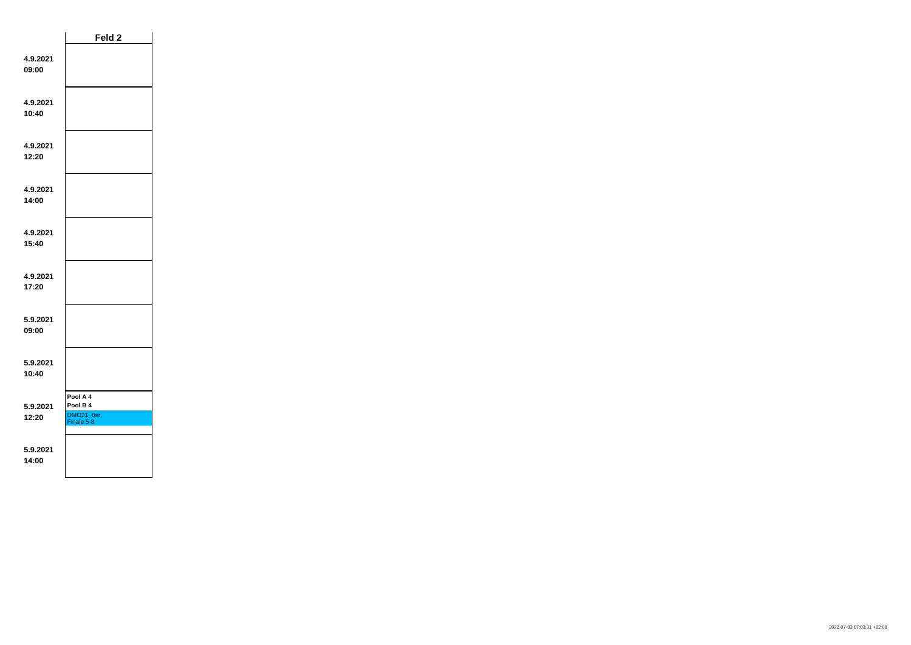|                   | Feld <sub>2</sub>                                |  |
|-------------------|--------------------------------------------------|--|
| 4.9.2021<br>09:00 |                                                  |  |
| 4.9.2021<br>10:40 |                                                  |  |
| 4.9.2021<br>12:20 |                                                  |  |
| 4.9.2021<br>14:00 |                                                  |  |
| 4.9.2021<br>15:40 |                                                  |  |
| 4.9.2021<br>17:20 |                                                  |  |
| 5.9.2021<br>09:00 |                                                  |  |
| 5.9.2021<br>10:40 |                                                  |  |
| 5.9.2021<br>12:20 | Pool A 4<br>Pool B 4<br>DMO21_8er,<br>Finale 5-8 |  |
| 5.9.2021<br>14:00 |                                                  |  |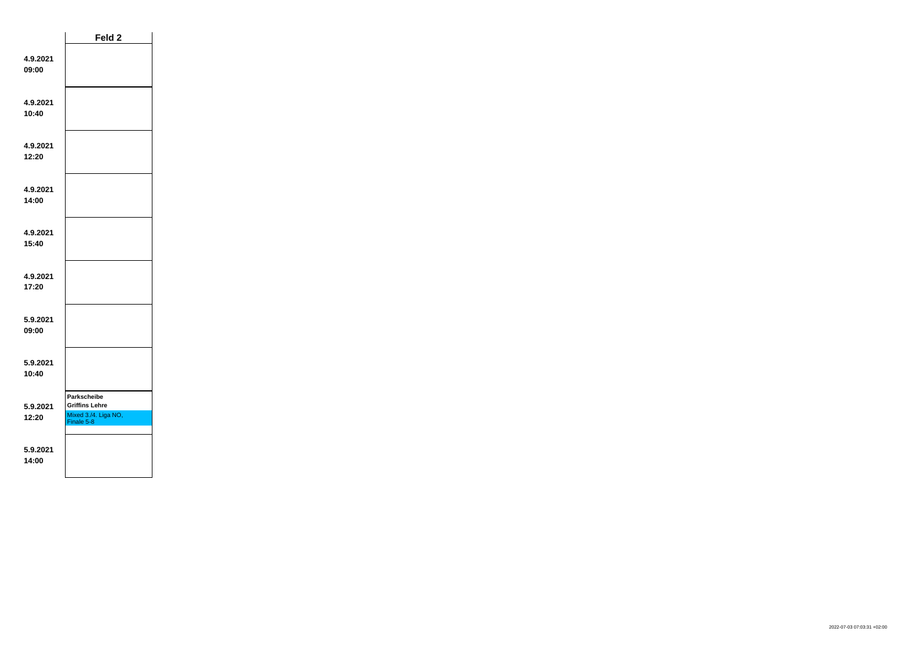|                   | Feld 2                                                                            |  |
|-------------------|-----------------------------------------------------------------------------------|--|
| 4.9.2021<br>09:00 |                                                                                   |  |
| 4.9.2021<br>10:40 |                                                                                   |  |
| 4.9.2021<br>12:20 |                                                                                   |  |
| 4.9.2021<br>14:00 |                                                                                   |  |
| 4.9.2021<br>15:40 |                                                                                   |  |
| 4.9.2021<br>17:20 |                                                                                   |  |
| 5.9.2021<br>09:00 |                                                                                   |  |
| 5.9.2021<br>10:40 |                                                                                   |  |
| 5.9.2021<br>12:20 | <b>Parkscheibe</b><br><b>Griffins Lehre</b><br>Mixed 3./4. Liga NO,<br>Finale 5-8 |  |
| 5.9.2021<br>14:00 |                                                                                   |  |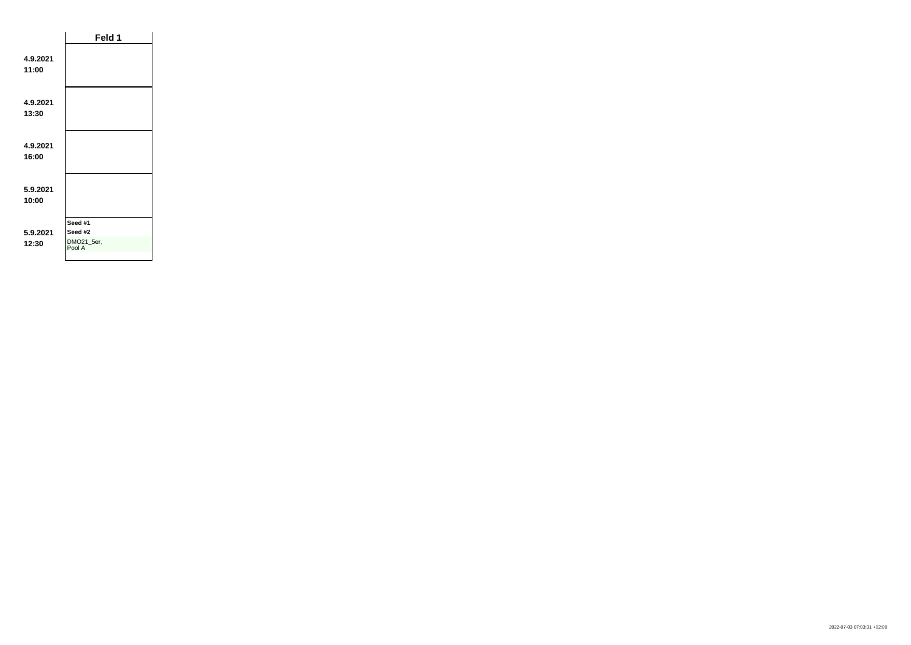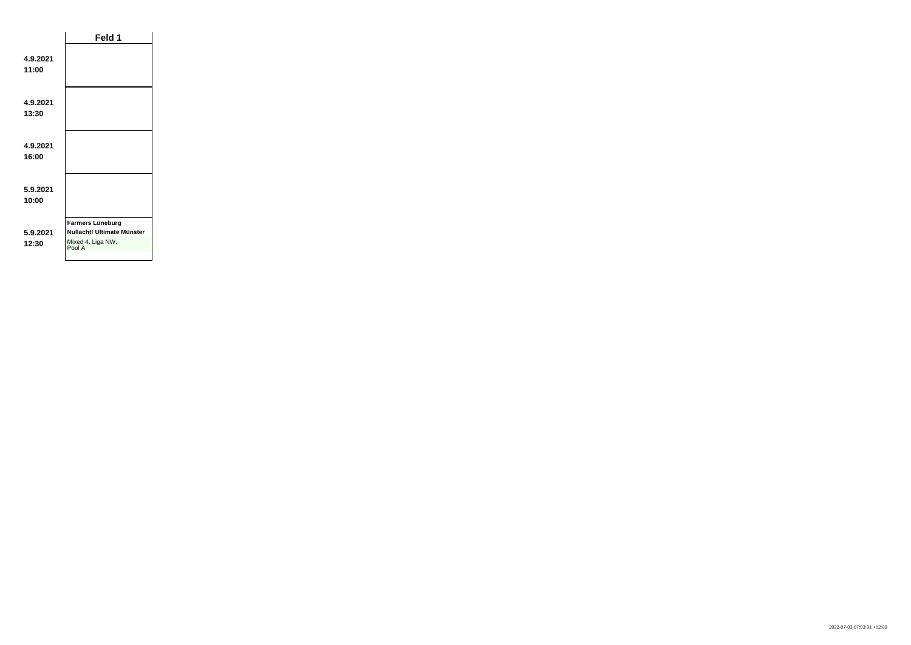|                   | Feld 1                                                                        |  |
|-------------------|-------------------------------------------------------------------------------|--|
| 4.9.2021<br>11:00 |                                                                               |  |
| 4.9.2021<br>13:30 |                                                                               |  |
| 4.9.2021<br>16:00 |                                                                               |  |
| 5.9.2021<br>10:00 |                                                                               |  |
| 5.9.2021<br>12:30 | Farmers Lüneburg<br>Nullacht! Ultimate Münster<br>Mixed 4. Liga NW,<br>Pool A |  |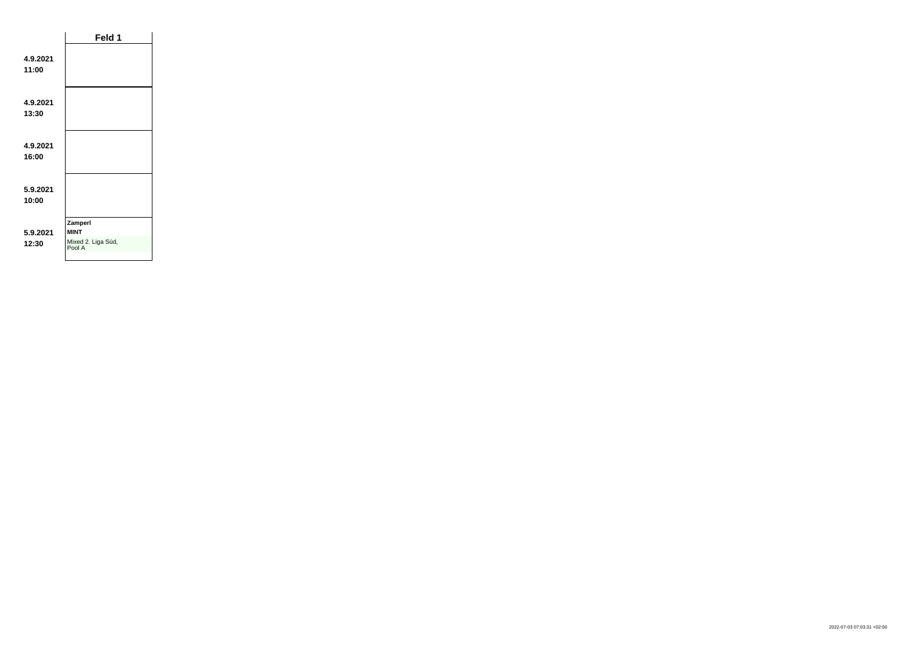|                   | Feld 1                                                 |  |
|-------------------|--------------------------------------------------------|--|
| 4.9.2021<br>11:00 |                                                        |  |
| 4.9.2021<br>13:30 |                                                        |  |
| 4.9.2021<br>16:00 |                                                        |  |
| 5.9.2021<br>10:00 |                                                        |  |
| 5.9.2021<br>12:30 | Zamperl<br><b>MINT</b><br>Mixed 2. Liga Süd,<br>Pool A |  |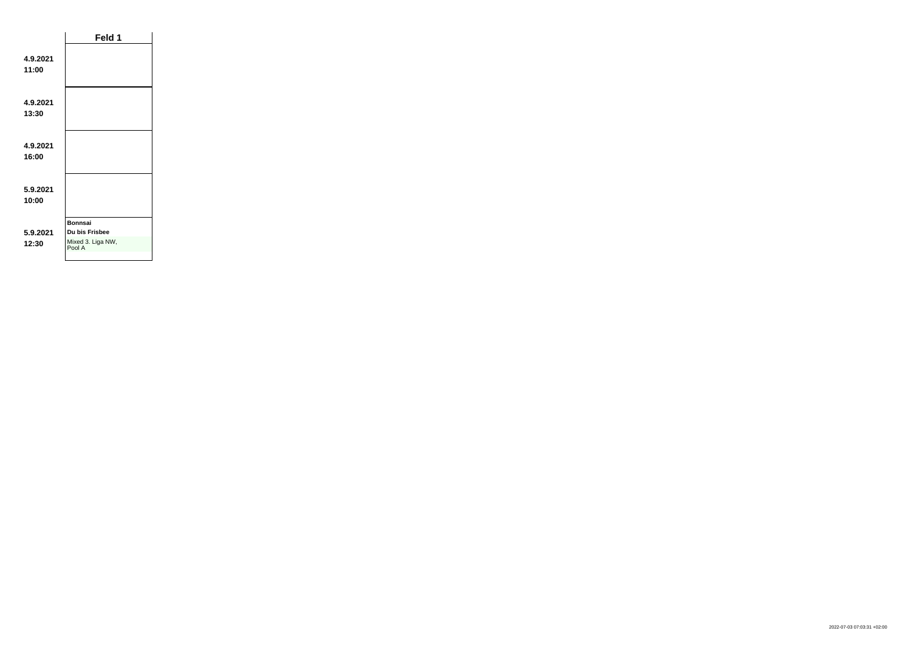|                   | Feld 1                                                          |  |
|-------------------|-----------------------------------------------------------------|--|
| 4.9.2021<br>11:00 |                                                                 |  |
| 4.9.2021<br>13:30 |                                                                 |  |
| 4.9.2021<br>16:00 |                                                                 |  |
| 5.9.2021<br>10:00 |                                                                 |  |
| 5.9.2021<br>12:30 | <b>Bonnsai</b><br>Du bis Frisbee<br>Mixed 3. Liga NW,<br>Pool A |  |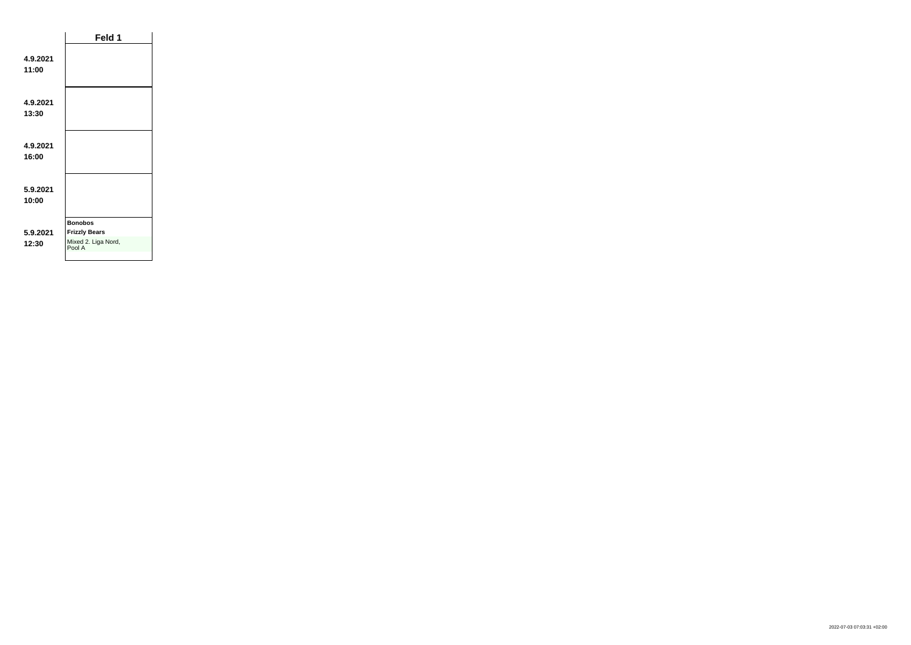|                   | Feld 1                                                                  |  |
|-------------------|-------------------------------------------------------------------------|--|
| 4.9.2021<br>11:00 |                                                                         |  |
| 4.9.2021<br>13:30 |                                                                         |  |
| 4.9.2021<br>16:00 |                                                                         |  |
| 5.9.2021<br>10:00 |                                                                         |  |
| 5.9.2021<br>12:30 | <b>Bonobos</b><br><b>Frizzly Bears</b><br>Mixed 2. Liga Nord,<br>Pool A |  |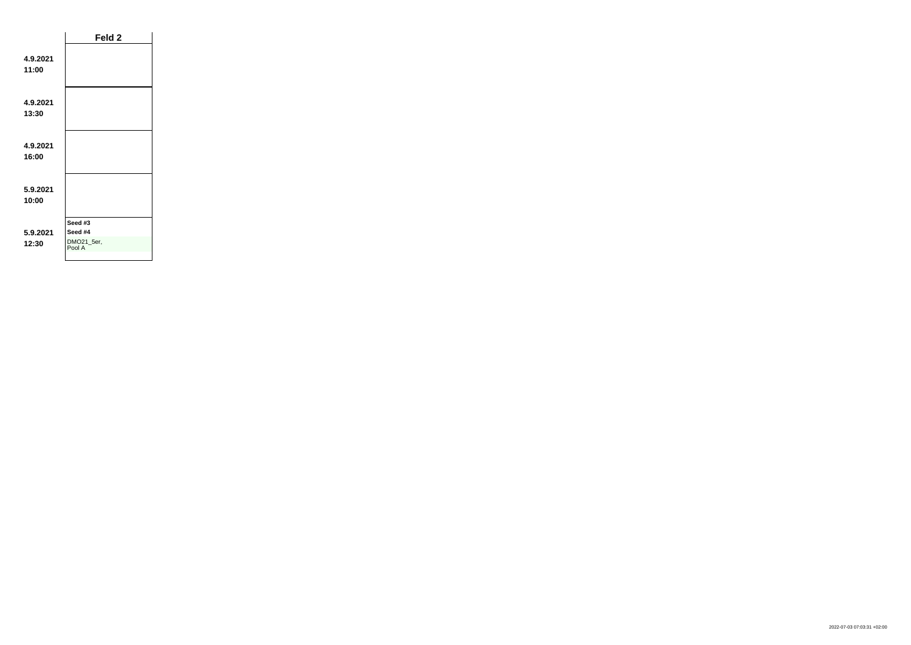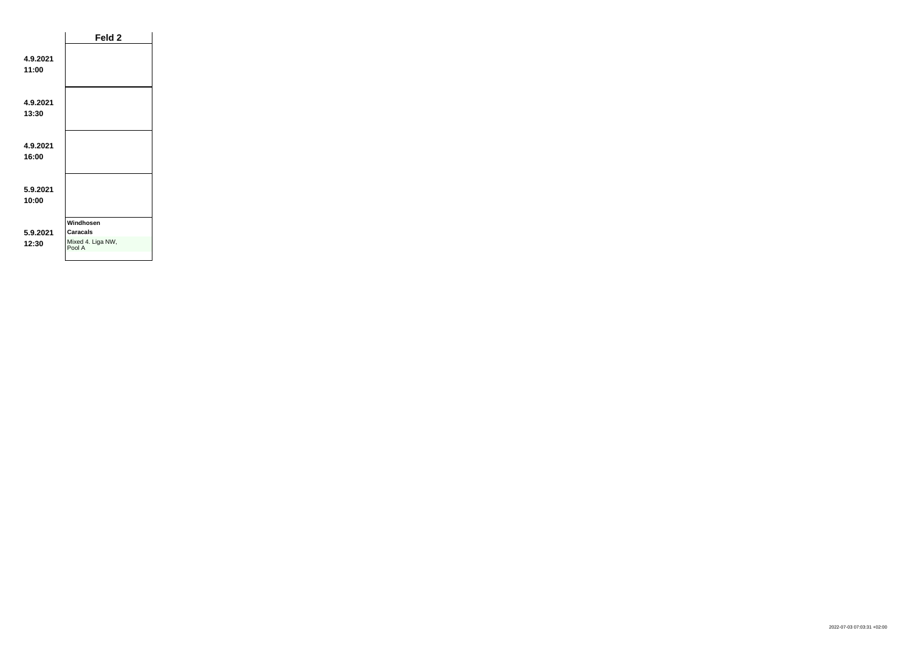|                   | Feld 2                                               |  |
|-------------------|------------------------------------------------------|--|
| 4.9.2021<br>11:00 |                                                      |  |
| 4.9.2021<br>13:30 |                                                      |  |
| 4.9.2021<br>16:00 |                                                      |  |
| 5.9.2021<br>10:00 |                                                      |  |
| 5.9.2021<br>12:30 | Windhosen<br>Caracals<br>Mixed 4. Liga NW,<br>Pool A |  |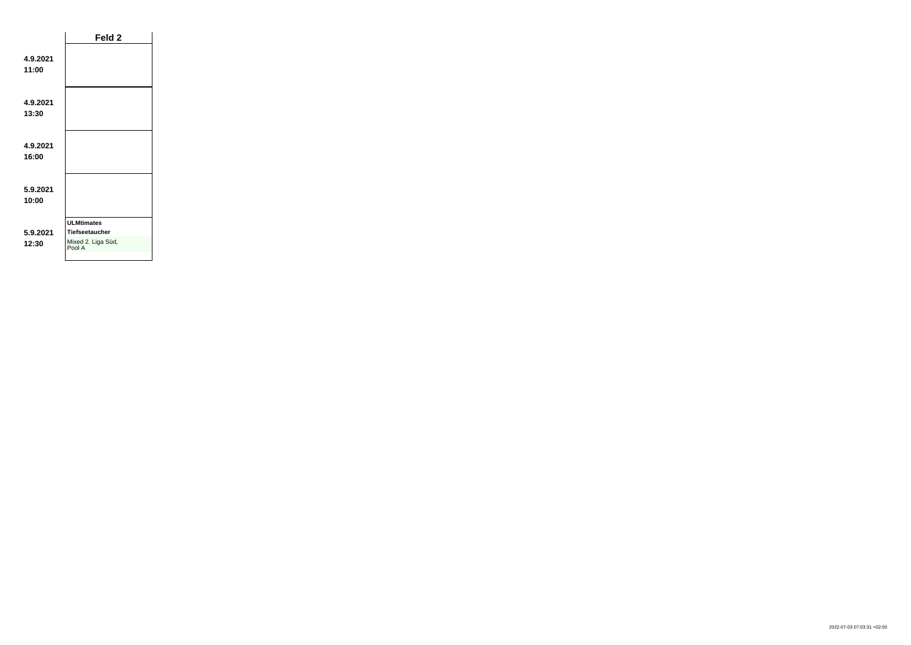|                   | Feld 2                                                                     |  |
|-------------------|----------------------------------------------------------------------------|--|
| 4.9.2021<br>11:00 |                                                                            |  |
| 4.9.2021<br>13:30 |                                                                            |  |
| 4.9.2021<br>16:00 |                                                                            |  |
| 5.9.2021<br>10:00 |                                                                            |  |
| 5.9.2021<br>12:30 | <b>ULMtimates</b><br><b>Tiefseetaucher</b><br>Mixed 2. Liga Süd,<br>Pool A |  |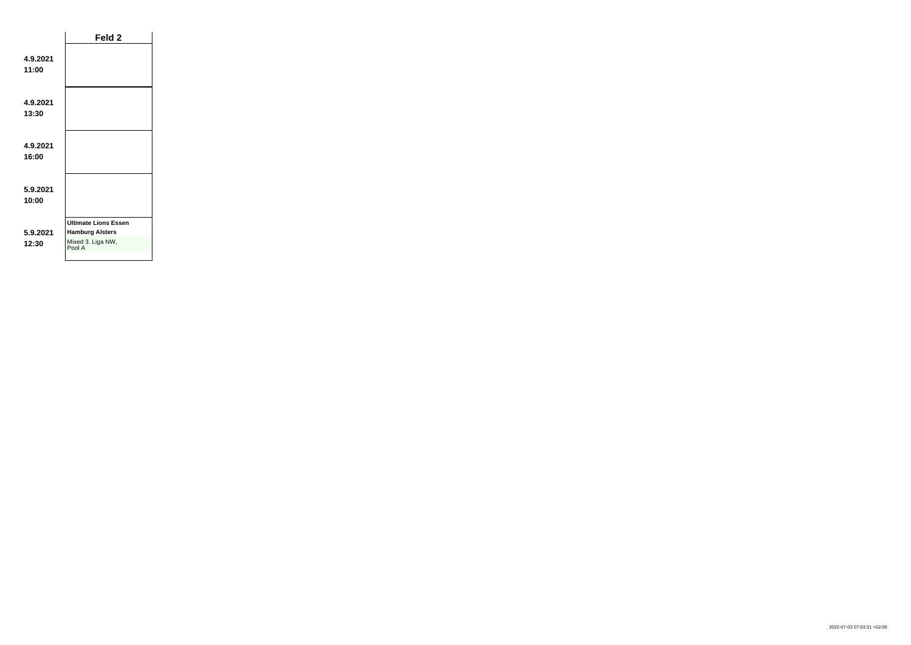|                   | Feld <sub>2</sub>                                                                    |  |
|-------------------|--------------------------------------------------------------------------------------|--|
| 4.9.2021<br>11:00 |                                                                                      |  |
| 4.9.2021<br>13:30 |                                                                                      |  |
| 4.9.2021<br>16:00 |                                                                                      |  |
| 5.9.2021<br>10:00 |                                                                                      |  |
| 5.9.2021<br>12:30 | <b>Ultimate Lions Essen</b><br><b>Hamburg Alsters</b><br>Mixed 3. Liga NW,<br>Pool A |  |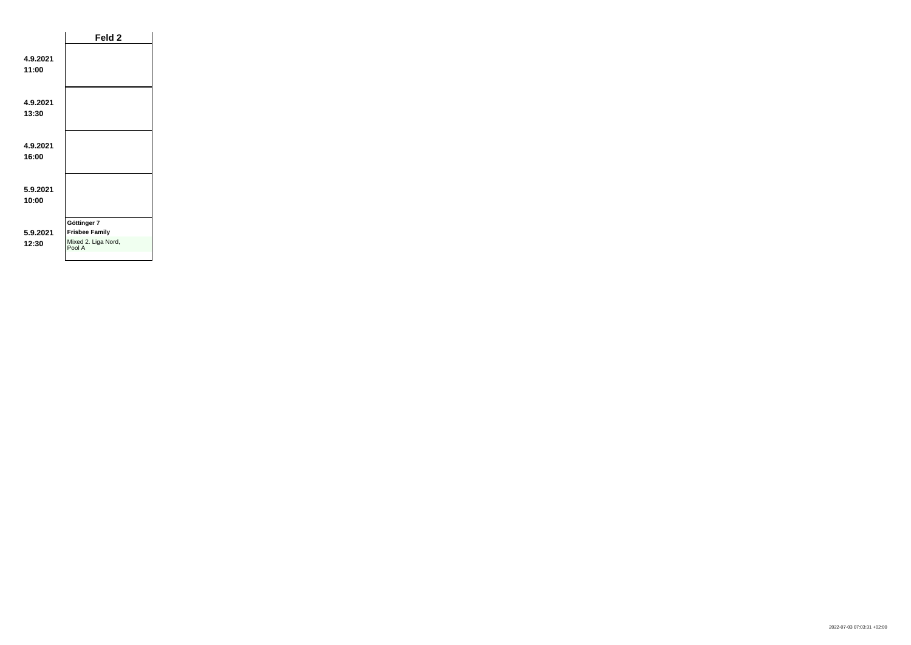|                   | Feld <sub>2</sub>                                                     |  |
|-------------------|-----------------------------------------------------------------------|--|
| 4.9.2021<br>11:00 |                                                                       |  |
| 4.9.2021<br>13:30 |                                                                       |  |
| 4.9.2021<br>16:00 |                                                                       |  |
| 5.9.2021<br>10:00 |                                                                       |  |
| 5.9.2021<br>12:30 | Göttinger 7<br><b>Frisbee Family</b><br>Mixed 2. Liga Nord,<br>Pool A |  |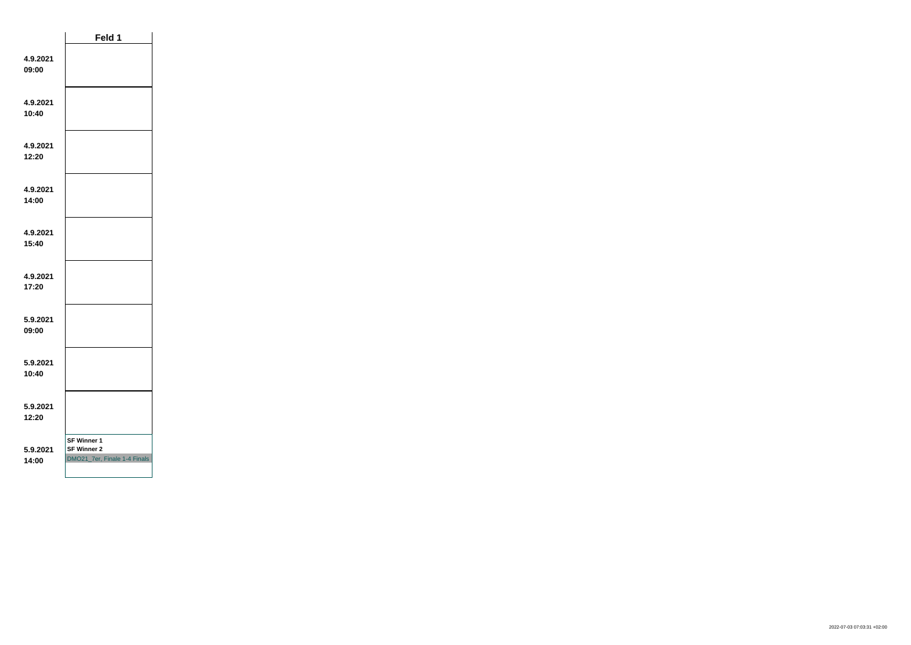|                   | Feld 1                                                                   |  |
|-------------------|--------------------------------------------------------------------------|--|
| 4.9.2021<br>09:00 |                                                                          |  |
| 4.9.2021<br>10:40 |                                                                          |  |
| 4.9.2021<br>12:20 |                                                                          |  |
| 4.9.2021<br>14:00 |                                                                          |  |
| 4.9.2021<br>15:40 |                                                                          |  |
| 4.9.2021<br>17:20 |                                                                          |  |
| 5.9.2021<br>09:00 |                                                                          |  |
| 5.9.2021<br>10:40 |                                                                          |  |
| 5.9.2021<br>12:20 |                                                                          |  |
| 5.9.2021<br>14:00 | <b>SF Winner 1</b><br><b>SF Winner 2</b><br>DMO21_7er, Finale 1-4 Finals |  |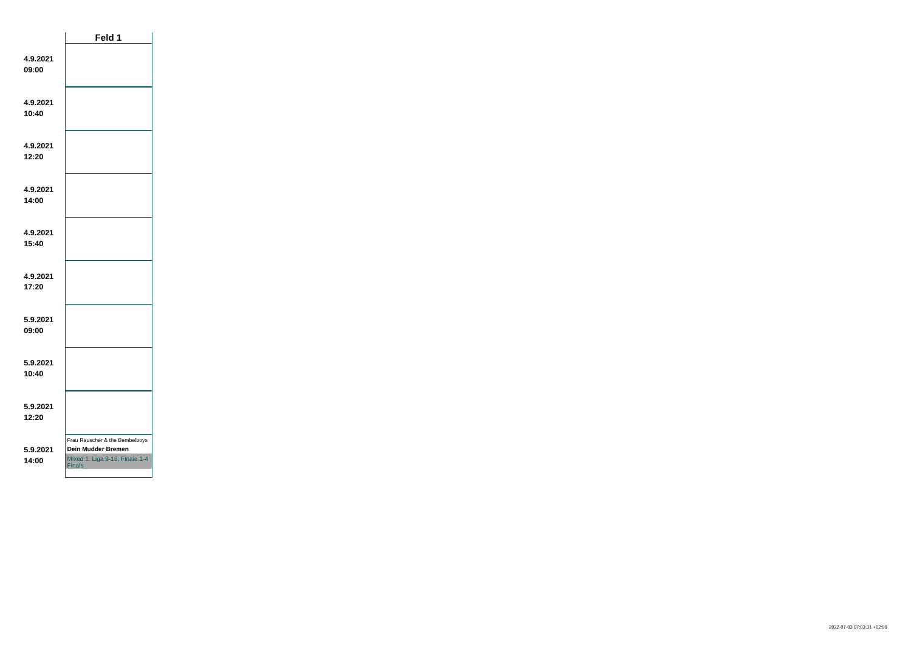|                   | Feld 1                                                                                                  |  |
|-------------------|---------------------------------------------------------------------------------------------------------|--|
| 4.9.2021<br>09:00 |                                                                                                         |  |
| 4.9.2021<br>10:40 |                                                                                                         |  |
| 4.9.2021<br>12:20 |                                                                                                         |  |
| 4.9.2021<br>14:00 |                                                                                                         |  |
| 4.9.2021<br>15:40 |                                                                                                         |  |
| 4.9.2021<br>17:20 |                                                                                                         |  |
| 5.9.2021<br>09:00 |                                                                                                         |  |
| 5.9.2021<br>10:40 |                                                                                                         |  |
| 5.9.2021<br>12:20 |                                                                                                         |  |
| 5.9.2021<br>14:00 | Frau Rauscher & the Bembelboys<br>Dein Mudder Bremen<br>Mixed 1. Liga 9-16, Finale 1-4<br><b>Finals</b> |  |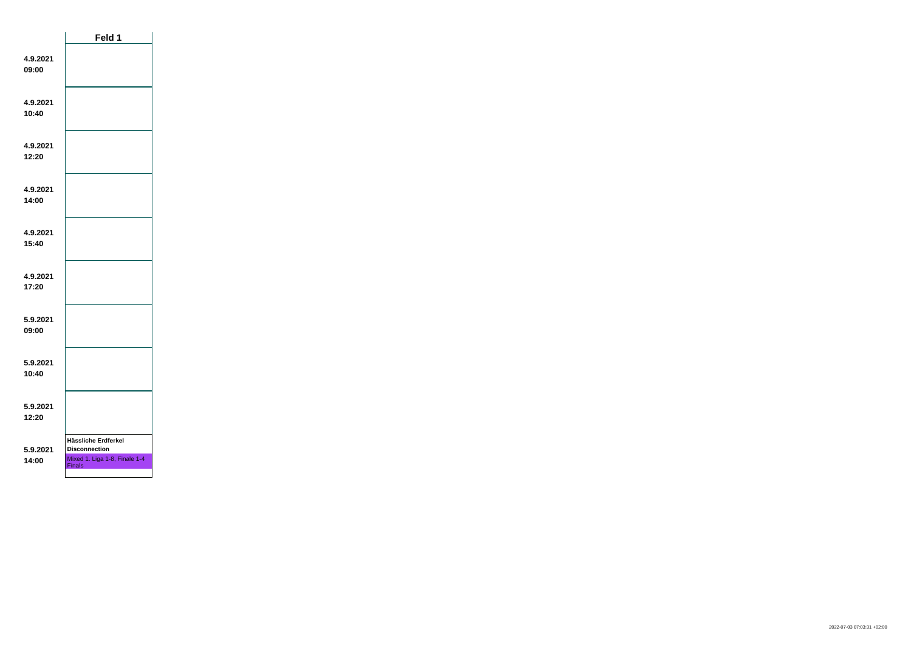|                   | Feld 1                                                                                        |  |
|-------------------|-----------------------------------------------------------------------------------------------|--|
| 4.9.2021<br>09:00 |                                                                                               |  |
| 4.9.2021<br>10:40 |                                                                                               |  |
| 4.9.2021<br>12:20 |                                                                                               |  |
| 4.9.2021<br>14:00 |                                                                                               |  |
| 4.9.2021<br>15:40 |                                                                                               |  |
| 4.9.2021<br>17:20 |                                                                                               |  |
| 5.9.2021<br>09:00 |                                                                                               |  |
| 5.9.2021<br>10:40 |                                                                                               |  |
| 5.9.2021<br>12:20 |                                                                                               |  |
| 5.9.2021<br>14:00 | Hässliche Erdferkel<br><b>Disconnection</b><br>Mixed 1. Liga 1-8, Finale 1-4<br><b>Finals</b> |  |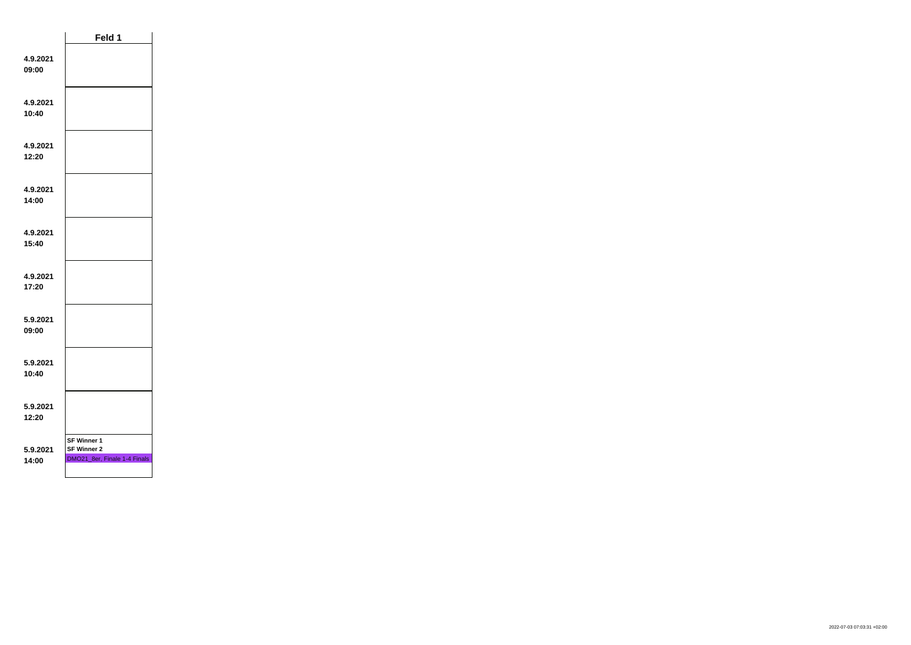|                   | Feld 1                                                                   |  |
|-------------------|--------------------------------------------------------------------------|--|
| 4.9.2021<br>09:00 |                                                                          |  |
| 4.9.2021<br>10:40 |                                                                          |  |
| 4.9.2021<br>12:20 |                                                                          |  |
| 4.9.2021<br>14:00 |                                                                          |  |
| 4.9.2021<br>15:40 |                                                                          |  |
| 4.9.2021<br>17:20 |                                                                          |  |
| 5.9.2021<br>09:00 |                                                                          |  |
| 5.9.2021<br>10:40 |                                                                          |  |
| 5.9.2021<br>12:20 |                                                                          |  |
| 5.9.2021<br>14:00 | <b>SF Winner 1</b><br><b>SF Winner 2</b><br>DMO21_8er, Finale 1-4 Finals |  |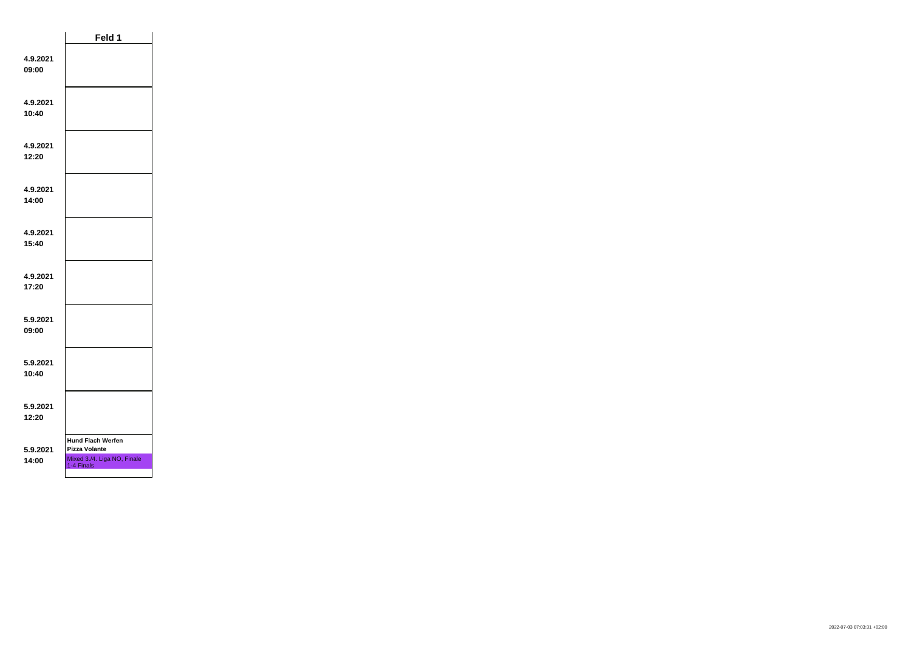|                   | Feld 1                                                                                        |  |
|-------------------|-----------------------------------------------------------------------------------------------|--|
| 4.9.2021<br>09:00 |                                                                                               |  |
| 4.9.2021<br>10:40 |                                                                                               |  |
| 4.9.2021<br>12:20 |                                                                                               |  |
| 4.9.2021<br>14:00 |                                                                                               |  |
| 4.9.2021<br>15:40 |                                                                                               |  |
| 4.9.2021<br>17:20 |                                                                                               |  |
| 5.9.2021<br>09:00 |                                                                                               |  |
| 5.9.2021<br>10:40 |                                                                                               |  |
| 5.9.2021<br>12:20 |                                                                                               |  |
| 5.9.2021<br>14:00 | <b>Hund Flach Werfen</b><br><b>Pizza Volante</b><br>Mixed 3./4. Liga NO, Finale<br>1-4 Finals |  |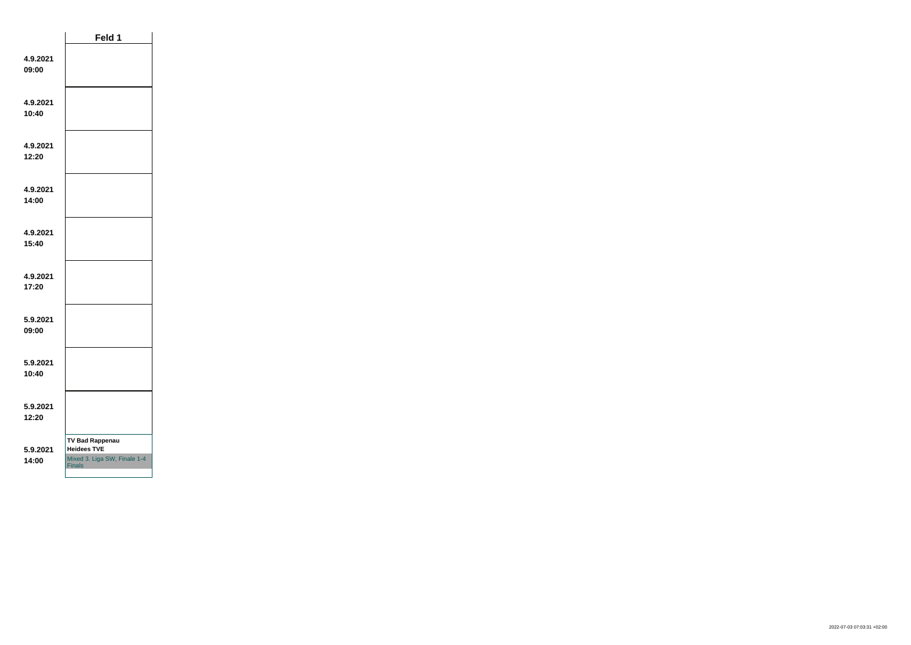|                   | Feld 1                                                                                        |  |
|-------------------|-----------------------------------------------------------------------------------------------|--|
| 4.9.2021<br>09:00 |                                                                                               |  |
| 4.9.2021<br>10:40 |                                                                                               |  |
| 4.9.2021<br>12:20 |                                                                                               |  |
| 4.9.2021<br>14:00 |                                                                                               |  |
| 4.9.2021<br>15:40 |                                                                                               |  |
| 4.9.2021<br>17:20 |                                                                                               |  |
| 5.9.2021<br>09:00 |                                                                                               |  |
| 5.9.2021<br>10:40 |                                                                                               |  |
| 5.9.2021<br>12:20 |                                                                                               |  |
| 5.9.2021<br>14:00 | <b>TV Bad Rappenau</b><br><b>Heidees TVE</b><br>Mixed 3. Liga SW, Finale 1-4<br><b>Finals</b> |  |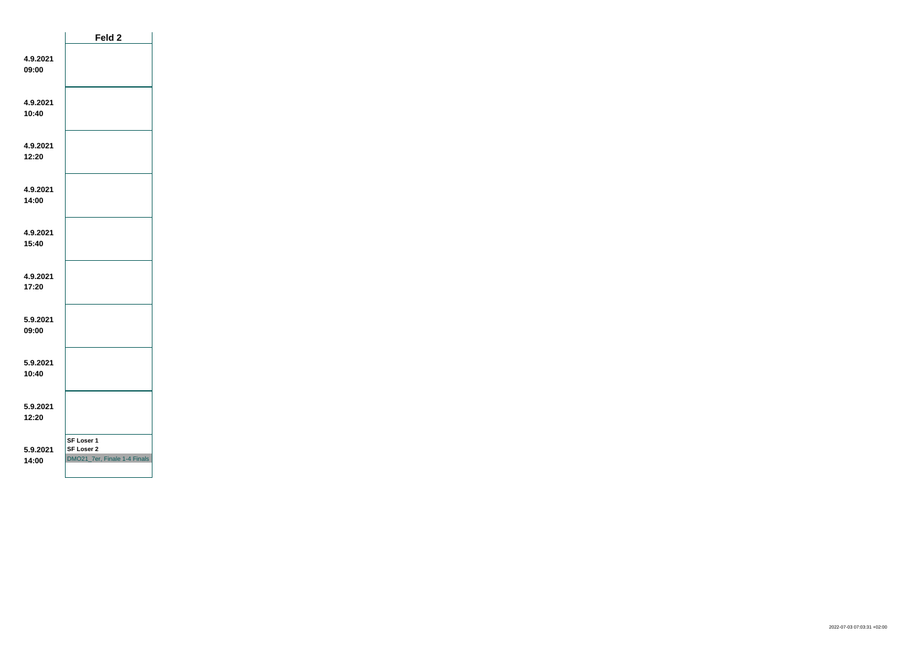|                   | Feld 2                                                   |  |
|-------------------|----------------------------------------------------------|--|
| 4.9.2021<br>09:00 |                                                          |  |
| 4.9.2021<br>10:40 |                                                          |  |
| 4.9.2021<br>12:20 |                                                          |  |
| 4.9.2021<br>14:00 |                                                          |  |
| 4.9.2021<br>15:40 |                                                          |  |
| 4.9.2021<br>17:20 |                                                          |  |
| 5.9.2021<br>09:00 |                                                          |  |
| 5.9.2021<br>10:40 |                                                          |  |
| 5.9.2021<br>12:20 |                                                          |  |
| 5.9.2021<br>14:00 | SF Loser 1<br>SF Loser 2<br>DMO21_7er, Finale 1-4 Finals |  |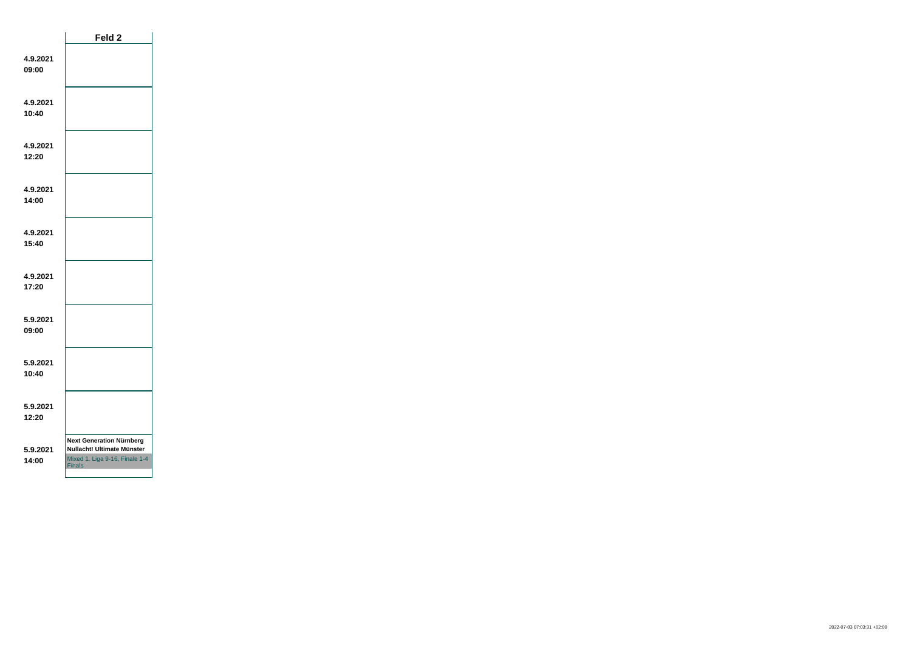|                   | Feld 2                                                                                                           |  |
|-------------------|------------------------------------------------------------------------------------------------------------------|--|
| 4.9.2021<br>09:00 |                                                                                                                  |  |
| 4.9.2021<br>10:40 |                                                                                                                  |  |
| 4.9.2021<br>12:20 |                                                                                                                  |  |
| 4.9.2021<br>14:00 |                                                                                                                  |  |
| 4.9.2021<br>15:40 |                                                                                                                  |  |
| 4.9.2021<br>17:20 |                                                                                                                  |  |
| 5.9.2021<br>09:00 |                                                                                                                  |  |
| 5.9.2021<br>10:40 |                                                                                                                  |  |
| 5.9.2021<br>12:20 |                                                                                                                  |  |
| 5.9.2021<br>14:00 | <b>Next Generation Nürnberg</b><br>Nullacht! Ultimate Münster<br>Mixed 1. Liga 9-16, Finale 1-4<br><b>Finals</b> |  |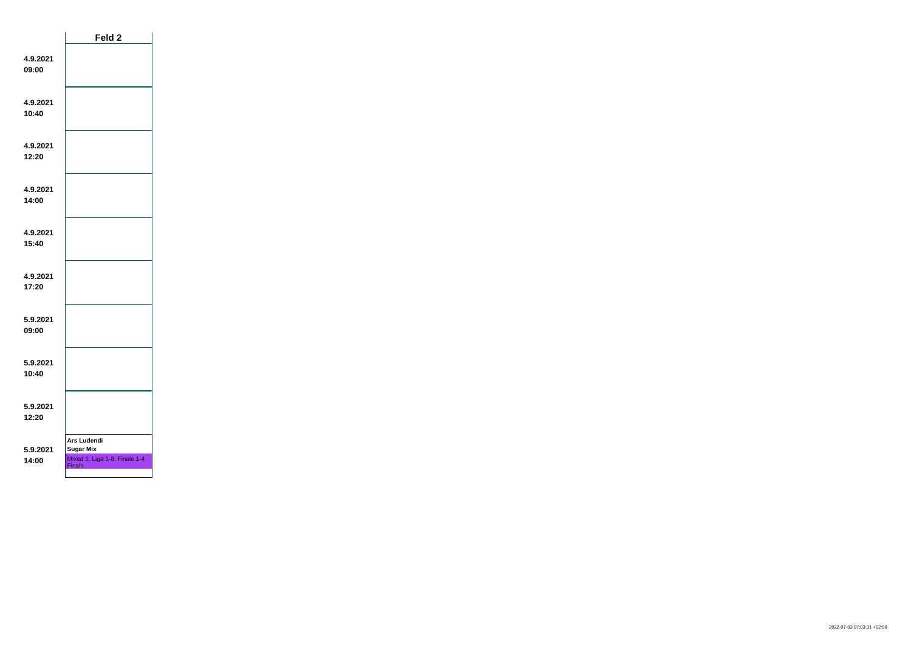|                   | Feld <sub>2</sub>                                                                        |  |
|-------------------|------------------------------------------------------------------------------------------|--|
| 4.9.2021<br>09:00 |                                                                                          |  |
| 4.9.2021<br>10:40 |                                                                                          |  |
| 4.9.2021<br>12:20 |                                                                                          |  |
| 4.9.2021<br>14:00 |                                                                                          |  |
| 4.9.2021<br>15:40 |                                                                                          |  |
| 4.9.2021<br>17:20 |                                                                                          |  |
| 5.9.2021<br>09:00 |                                                                                          |  |
| 5.9.2021<br>10:40 |                                                                                          |  |
| 5.9.2021<br>12:20 |                                                                                          |  |
| 5.9.2021<br>14:00 | <b>Ars Ludendi</b><br><b>Sugar Mix</b><br>Mixed 1. Liga 1-8, Finale 1-4<br><b>Finals</b> |  |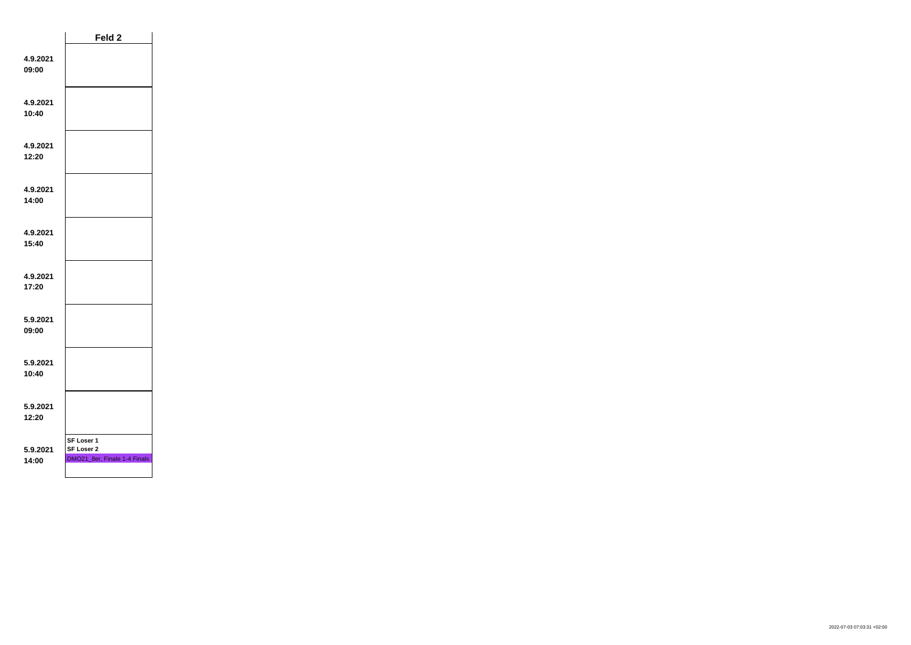|                   | Feld <sub>2</sub>                                        |  |
|-------------------|----------------------------------------------------------|--|
| 4.9.2021<br>09:00 |                                                          |  |
| 4.9.2021<br>10:40 |                                                          |  |
| 4.9.2021<br>12:20 |                                                          |  |
| 4.9.2021<br>14:00 |                                                          |  |
| 4.9.2021<br>15:40 |                                                          |  |
| 4.9.2021<br>17:20 |                                                          |  |
| 5.9.2021<br>09:00 |                                                          |  |
| 5.9.2021<br>10:40 |                                                          |  |
| 5.9.2021<br>12:20 |                                                          |  |
| 5.9.2021<br>14:00 | SF Loser 1<br>SF Loser 2<br>DMO21_8er, Finale 1-4 Finals |  |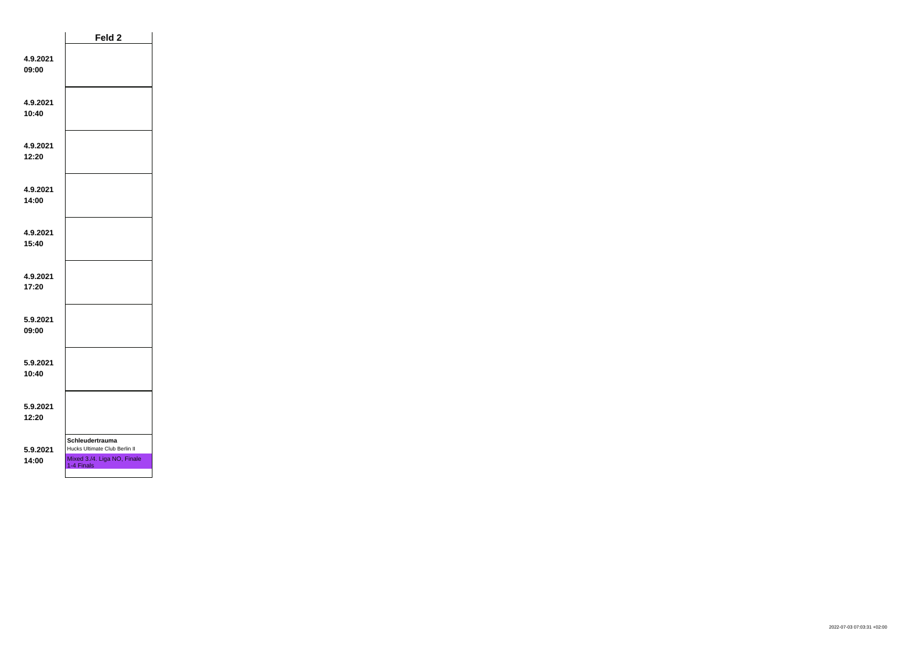|                   | Feld 2                                                                                        |  |
|-------------------|-----------------------------------------------------------------------------------------------|--|
| 4.9.2021<br>09:00 |                                                                                               |  |
| 4.9.2021<br>10:40 |                                                                                               |  |
| 4.9.2021<br>12:20 |                                                                                               |  |
| 4.9.2021<br>14:00 |                                                                                               |  |
| 4.9.2021<br>15:40 |                                                                                               |  |
| 4.9.2021<br>17:20 |                                                                                               |  |
| 5.9.2021<br>09:00 |                                                                                               |  |
| 5.9.2021<br>10:40 |                                                                                               |  |
| 5.9.2021<br>12:20 |                                                                                               |  |
| 5.9.2021<br>14:00 | Schleudertrauma<br>Hucks Ultimate Club Berlin II<br>Mixed 3./4. Liga NO, Finale<br>1-4 Finals |  |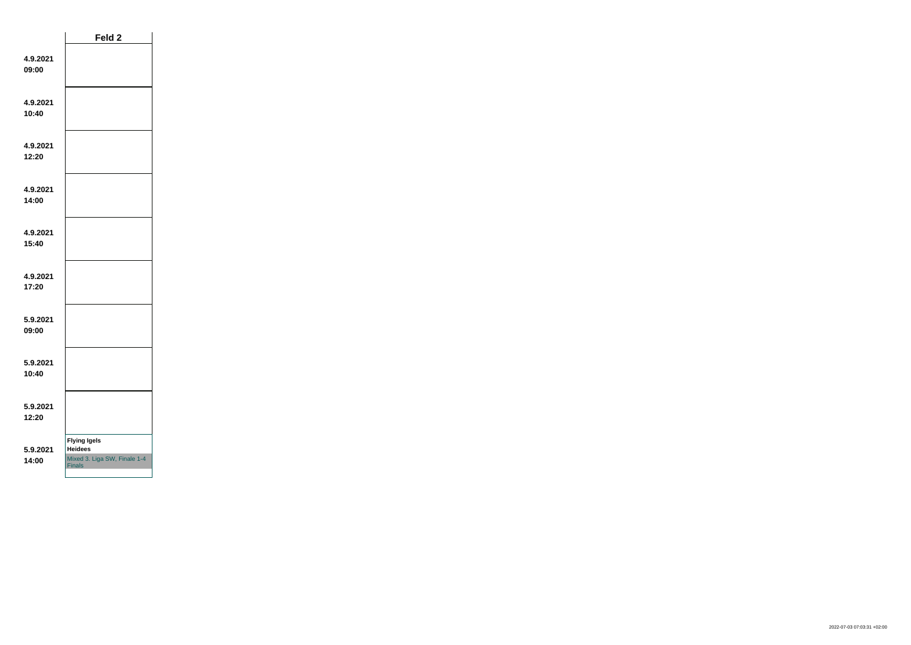|                   | Feld 2                                                                                 |  |
|-------------------|----------------------------------------------------------------------------------------|--|
| 4.9.2021<br>09:00 |                                                                                        |  |
| 4.9.2021<br>10:40 |                                                                                        |  |
| 4.9.2021<br>12:20 |                                                                                        |  |
| 4.9.2021<br>14:00 |                                                                                        |  |
| 4.9.2021<br>15:40 |                                                                                        |  |
| 4.9.2021<br>17:20 |                                                                                        |  |
| 5.9.2021<br>09:00 |                                                                                        |  |
| 5.9.2021<br>10:40 |                                                                                        |  |
| 5.9.2021<br>12:20 |                                                                                        |  |
| 5.9.2021<br>14:00 | <b>Flying Igels</b><br><b>Heidees</b><br>Mixed 3. Liga SW, Finale 1-4<br><b>Finals</b> |  |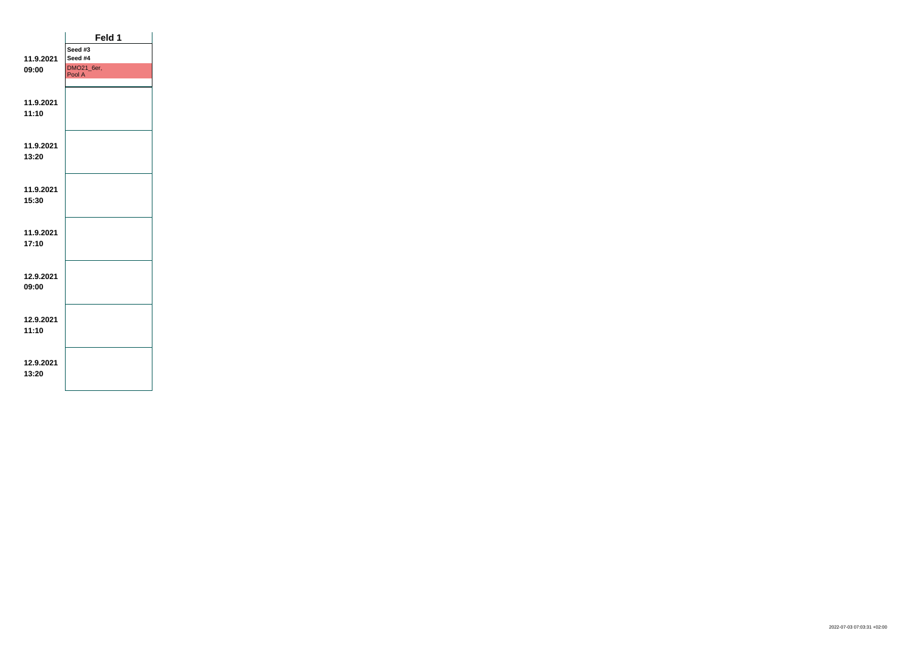|           | Feld 1     |  |
|-----------|------------|--|
|           | Seed #3    |  |
| 11.9.2021 | Seed #4    |  |
| 09:00     | DMO21_6er, |  |
|           | Pool A     |  |
|           |            |  |
| 11.9.2021 |            |  |
| 11:10     |            |  |
|           |            |  |
|           |            |  |
| 11.9.2021 |            |  |
|           |            |  |
| 13:20     |            |  |
|           |            |  |
|           |            |  |
| 11.9.2021 |            |  |
| 15:30     |            |  |
|           |            |  |
|           |            |  |
| 11.9.2021 |            |  |
| 17:10     |            |  |
|           |            |  |
|           |            |  |
| 12.9.2021 |            |  |
| 09:00     |            |  |
|           |            |  |
|           |            |  |
| 12.9.2021 |            |  |
| 11:10     |            |  |
|           |            |  |
|           |            |  |
| 12.9.2021 |            |  |
| 13:20     |            |  |
|           |            |  |
|           |            |  |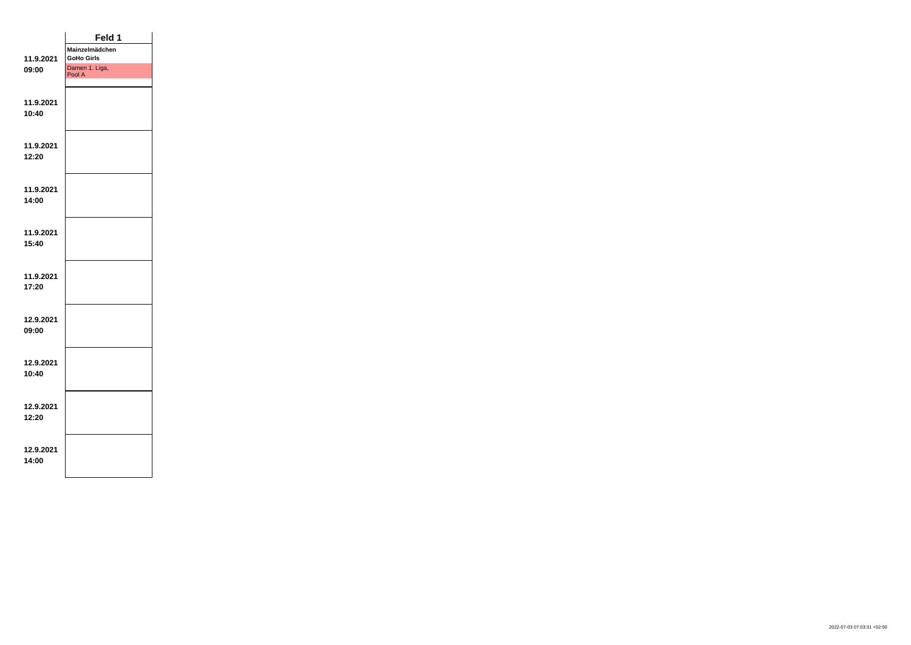|           | Feld 1                   |  |
|-----------|--------------------------|--|
|           | Mainzelmädchen           |  |
| 11.9.2021 | <b>GoHo Girls</b>        |  |
| 09:00     | Damen 1. Liga,<br>Pool A |  |
|           |                          |  |
|           |                          |  |
| 11.9.2021 |                          |  |
| 10:40     |                          |  |
|           |                          |  |
|           |                          |  |
| 11.9.2021 |                          |  |
| 12:20     |                          |  |
|           |                          |  |
|           |                          |  |
| 11.9.2021 |                          |  |
| 14:00     |                          |  |
|           |                          |  |
| 11.9.2021 |                          |  |
| 15:40     |                          |  |
|           |                          |  |
|           |                          |  |
| 11.9.2021 |                          |  |
| 17:20     |                          |  |
|           |                          |  |
|           |                          |  |
| 12.9.2021 |                          |  |
| 09:00     |                          |  |
|           |                          |  |
|           |                          |  |
| 12.9.2021 |                          |  |
| 10:40     |                          |  |
|           |                          |  |
|           |                          |  |
| 12.9.2021 |                          |  |
| 12:20     |                          |  |
|           |                          |  |
|           |                          |  |
| 12.9.2021 |                          |  |
| 14:00     |                          |  |
|           |                          |  |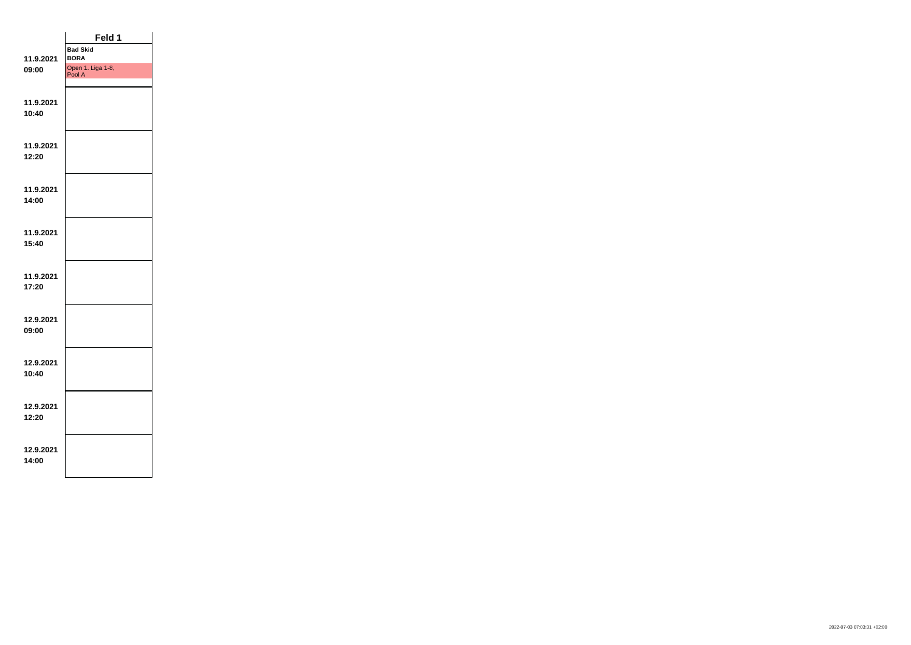|                    | Feld 1                         |  |
|--------------------|--------------------------------|--|
| 11.9.2021          | <b>Bad Skid</b><br><b>BORA</b> |  |
| 09:00              | Open 1. Liga 1-8,<br>Pool A    |  |
| 11.9.2021<br>10:40 |                                |  |
| 11.9.2021<br>12:20 |                                |  |
| 11.9.2021<br>14:00 |                                |  |
| 11.9.2021<br>15:40 |                                |  |
| 11.9.2021<br>17:20 |                                |  |
| 12.9.2021<br>09:00 |                                |  |
| 12.9.2021<br>10:40 |                                |  |
| 12.9.2021<br>12:20 |                                |  |
| 12.9.2021<br>14:00 |                                |  |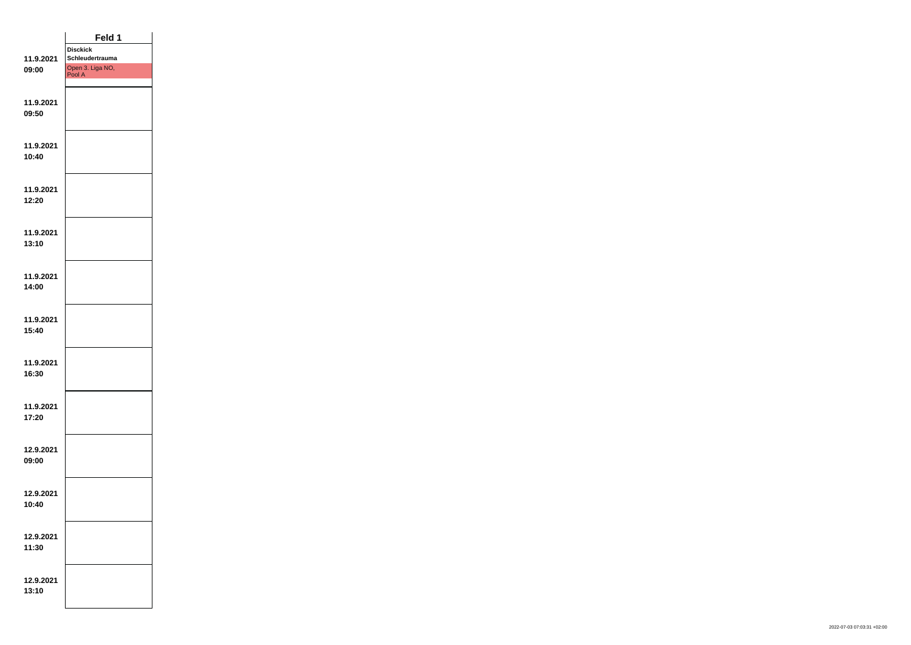|                    | Feld 1                             |  |
|--------------------|------------------------------------|--|
| 11.9.2021          | <b>Disckick</b><br>Schleudertrauma |  |
| 09:00              | Open 3. Liga NO,<br>Pool A         |  |
|                    |                                    |  |
|                    |                                    |  |
| 11.9.2021<br>09:50 |                                    |  |
|                    |                                    |  |
|                    |                                    |  |
| 11.9.2021          |                                    |  |
| 10:40              |                                    |  |
|                    |                                    |  |
| 11.9.2021          |                                    |  |
| 12:20              |                                    |  |
|                    |                                    |  |
| 11.9.2021          |                                    |  |
| 13:10              |                                    |  |
|                    |                                    |  |
| 11.9.2021          |                                    |  |
| 14:00              |                                    |  |
|                    |                                    |  |
| 11.9.2021          |                                    |  |
| 15:40              |                                    |  |
|                    |                                    |  |
| 11.9.2021          |                                    |  |
| 16:30              |                                    |  |
|                    |                                    |  |
| 11.9.2021          |                                    |  |
| 17:20              |                                    |  |
|                    |                                    |  |
| 12.9.2021          |                                    |  |
| 09:00              |                                    |  |
|                    |                                    |  |
| 12.9.2021          |                                    |  |
| 10:40              |                                    |  |
|                    |                                    |  |
|                    |                                    |  |
| 12.9.2021<br>11:30 |                                    |  |
|                    |                                    |  |
|                    |                                    |  |
| 12.9.2021<br>13:10 |                                    |  |
|                    |                                    |  |
|                    |                                    |  |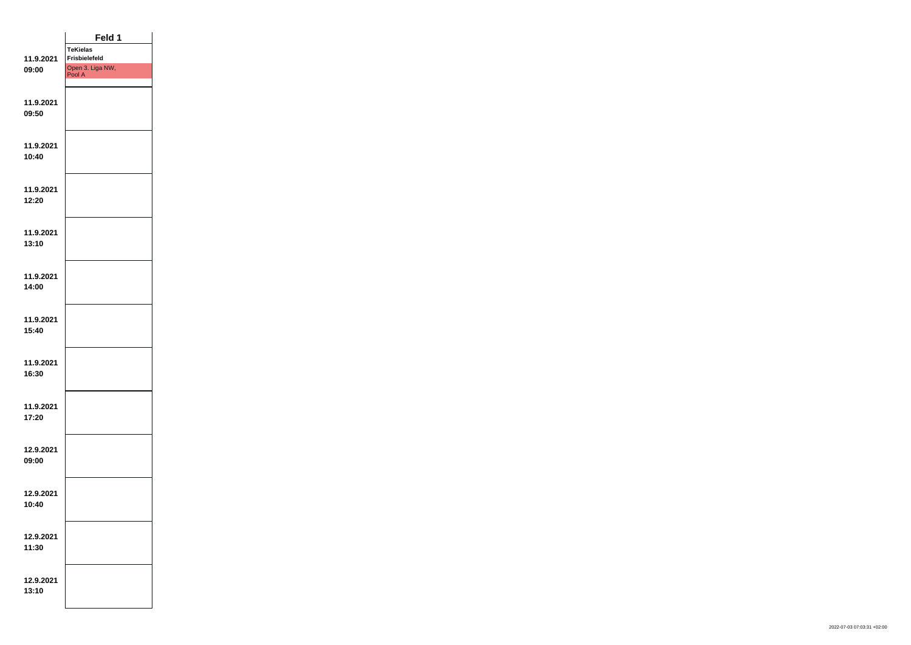|                    | Feld 1                                  |  |
|--------------------|-----------------------------------------|--|
|                    | <b>TeKielas</b><br><b>Frisbielefeld</b> |  |
| 11.9.2021<br>09:00 | Open 3. Liga NW,                        |  |
|                    | Pool A                                  |  |
|                    |                                         |  |
| 11.9.2021<br>09:50 |                                         |  |
|                    |                                         |  |
|                    |                                         |  |
| 11.9.2021          |                                         |  |
| 10:40              |                                         |  |
|                    |                                         |  |
| 11.9.2021          |                                         |  |
| 12:20              |                                         |  |
|                    |                                         |  |
| 11.9.2021          |                                         |  |
| 13:10              |                                         |  |
|                    |                                         |  |
| 11.9.2021          |                                         |  |
| 14:00              |                                         |  |
|                    |                                         |  |
| 11.9.2021          |                                         |  |
| 15:40              |                                         |  |
|                    |                                         |  |
| 11.9.2021          |                                         |  |
| 16:30              |                                         |  |
|                    |                                         |  |
| 11.9.2021          |                                         |  |
| 17:20              |                                         |  |
|                    |                                         |  |
| 12.9.2021          |                                         |  |
| 09:00              |                                         |  |
|                    |                                         |  |
| 12.9.2021          |                                         |  |
| 10:40              |                                         |  |
|                    |                                         |  |
| 12.9.2021          |                                         |  |
| 11:30              |                                         |  |
|                    |                                         |  |
| 12.9.2021          |                                         |  |
| 13:10              |                                         |  |
|                    |                                         |  |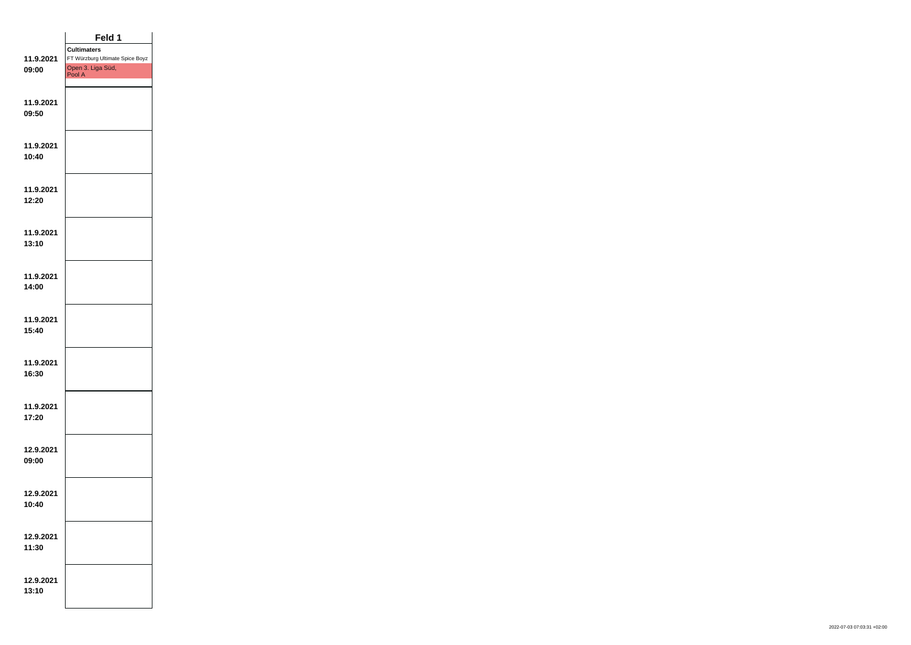|                    | Feld 1                                                                               |  |
|--------------------|--------------------------------------------------------------------------------------|--|
| 11.9.2021<br>09:00 | <b>Cultimaters</b><br>FT Würzburg Ultimate Spice Boyz<br>Open 3. Liga Süd,<br>Pool A |  |
| 11.9.2021<br>09:50 |                                                                                      |  |
| 11.9.2021<br>10:40 |                                                                                      |  |
| 11.9.2021<br>12:20 |                                                                                      |  |
| 11.9.2021<br>13:10 |                                                                                      |  |
| 11.9.2021<br>14:00 |                                                                                      |  |
| 11.9.2021<br>15:40 |                                                                                      |  |
| 11.9.2021<br>16:30 |                                                                                      |  |
| 11.9.2021<br>17:20 |                                                                                      |  |
| 12.9.2021<br>09:00 |                                                                                      |  |
| 12.9.2021<br>10:40 |                                                                                      |  |
| 12.9.2021<br>11:30 |                                                                                      |  |
| 12.9.2021<br>13:10 |                                                                                      |  |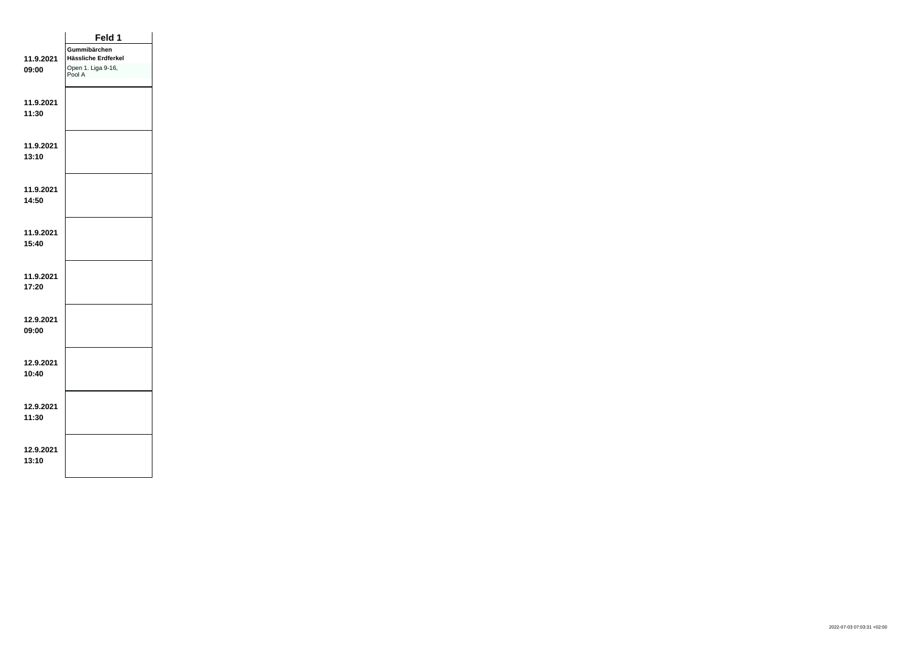|                    | Feld 1                       |  |
|--------------------|------------------------------|--|
|                    | Gummibärchen                 |  |
| 11.9.2021          | Hässliche Erdferkel          |  |
| 09:00              | Open 1. Liga 9-16,<br>Pool A |  |
|                    |                              |  |
| 11.9.2021          |                              |  |
| 11:30              |                              |  |
|                    |                              |  |
|                    |                              |  |
| 11.9.2021<br>13:10 |                              |  |
|                    |                              |  |
|                    |                              |  |
| 11.9.2021          |                              |  |
| 14:50              |                              |  |
|                    |                              |  |
| 11.9.2021          |                              |  |
| 15:40              |                              |  |
|                    |                              |  |
| 11.9.2021          |                              |  |
| 17:20              |                              |  |
|                    |                              |  |
|                    |                              |  |
| 12.9.2021<br>09:00 |                              |  |
|                    |                              |  |
|                    |                              |  |
| 12.9.2021          |                              |  |
| 10:40              |                              |  |
|                    |                              |  |
| 12.9.2021          |                              |  |
| 11:30              |                              |  |
|                    |                              |  |
| 12.9.2021          |                              |  |
| 13:10              |                              |  |
|                    |                              |  |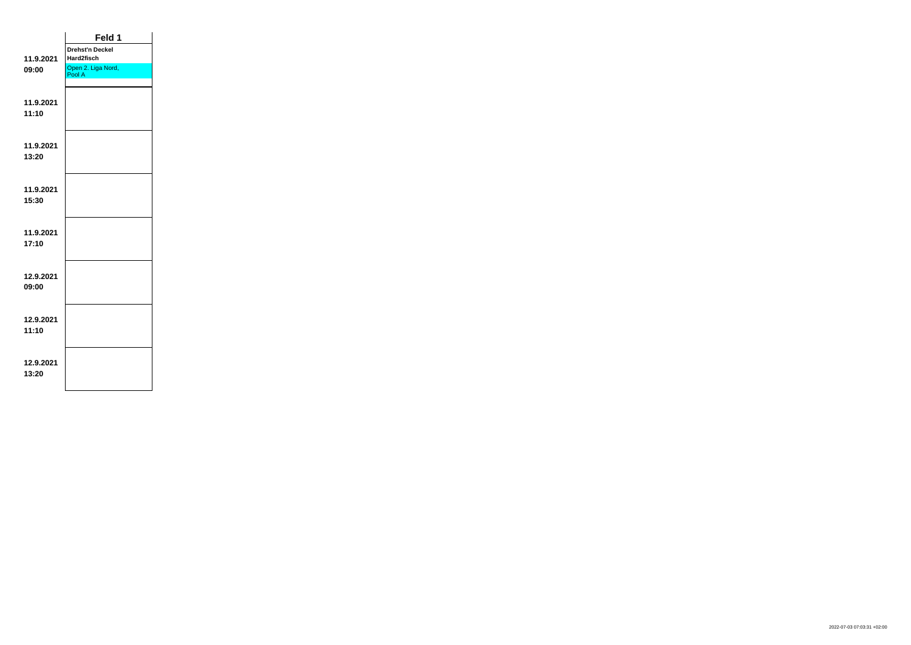|           | Feld 1                       |  |
|-----------|------------------------------|--|
|           | <b>Drehst'n Deckel</b>       |  |
| 11.9.2021 | Hard2fisch                   |  |
| 09:00     | Open 2. Liga Nord,<br>Pool A |  |
|           |                              |  |
|           |                              |  |
| 11.9.2021 |                              |  |
| 11:10     |                              |  |
|           |                              |  |
|           |                              |  |
| 11.9.2021 |                              |  |
| 13:20     |                              |  |
|           |                              |  |
| 11.9.2021 |                              |  |
| 15:30     |                              |  |
|           |                              |  |
|           |                              |  |
| 11.9.2021 |                              |  |
| 17:10     |                              |  |
|           |                              |  |
|           |                              |  |
| 12.9.2021 |                              |  |
| 09:00     |                              |  |
|           |                              |  |
|           |                              |  |
| 12.9.2021 |                              |  |
| 11:10     |                              |  |
|           |                              |  |
| 12.9.2021 |                              |  |
| 13:20     |                              |  |
|           |                              |  |
|           |                              |  |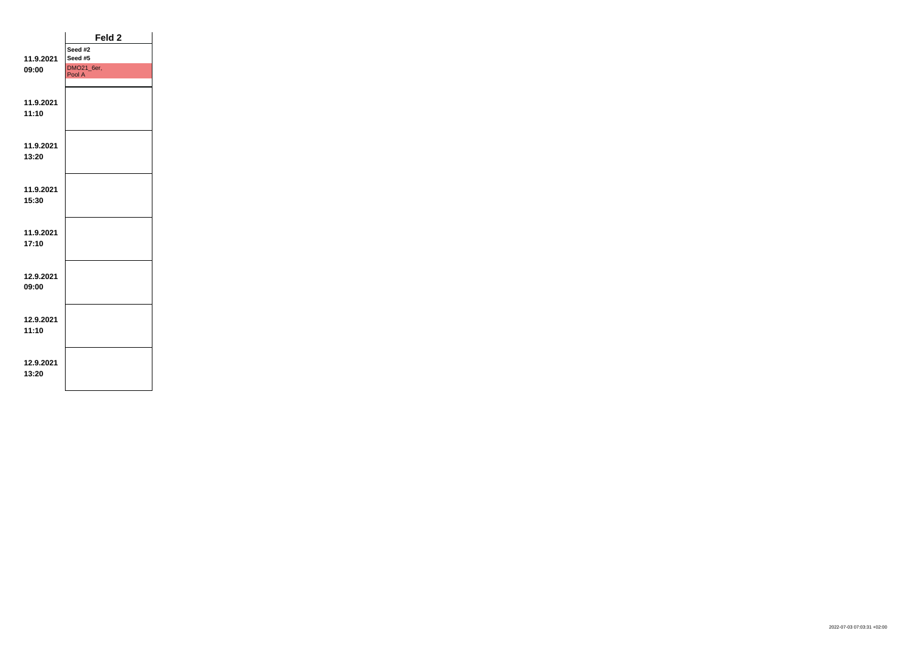|           | Feld <sub>2</sub>    |  |
|-----------|----------------------|--|
|           | Seed #2              |  |
| 11.9.2021 | Seed #5              |  |
| 09:00     | DMO21_6er,<br>Pool A |  |
|           |                      |  |
|           |                      |  |
| 11.9.2021 |                      |  |
| 11:10     |                      |  |
|           |                      |  |
|           |                      |  |
| 11.9.2021 |                      |  |
| 13:20     |                      |  |
|           |                      |  |
|           |                      |  |
| 11.9.2021 |                      |  |
| 15:30     |                      |  |
|           |                      |  |
|           |                      |  |
| 11.9.2021 |                      |  |
| 17:10     |                      |  |
|           |                      |  |
|           |                      |  |
| 12.9.2021 |                      |  |
| 09:00     |                      |  |
|           |                      |  |
|           |                      |  |
| 12.9.2021 |                      |  |
| 11:10     |                      |  |
|           |                      |  |
|           |                      |  |
| 12.9.2021 |                      |  |
|           |                      |  |
| 13:20     |                      |  |
|           |                      |  |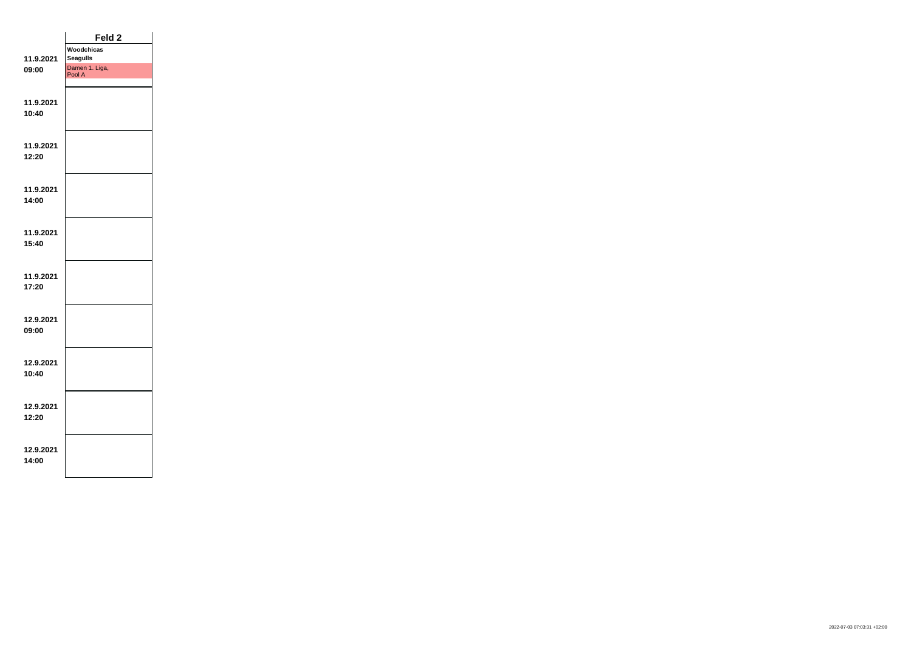|           | Feld <sub>2</sub>        |  |
|-----------|--------------------------|--|
|           | Woodchicas               |  |
| 11.9.2021 | <b>Seagulls</b>          |  |
| 09:00     | Damen 1. Liga,<br>Pool A |  |
|           |                          |  |
|           |                          |  |
| 11.9.2021 |                          |  |
| 10:40     |                          |  |
|           |                          |  |
|           |                          |  |
| 11.9.2021 |                          |  |
| 12:20     |                          |  |
|           |                          |  |
|           |                          |  |
| 11.9.2021 |                          |  |
| 14:00     |                          |  |
|           |                          |  |
|           |                          |  |
| 11.9.2021 |                          |  |
| 15:40     |                          |  |
|           |                          |  |
|           |                          |  |
| 11.9.2021 |                          |  |
| 17:20     |                          |  |
|           |                          |  |
| 12.9.2021 |                          |  |
| 09:00     |                          |  |
|           |                          |  |
|           |                          |  |
| 12.9.2021 |                          |  |
| 10:40     |                          |  |
|           |                          |  |
|           |                          |  |
| 12.9.2021 |                          |  |
| 12:20     |                          |  |
|           |                          |  |
|           |                          |  |
| 12.9.2021 |                          |  |
| 14:00     |                          |  |
|           |                          |  |
|           |                          |  |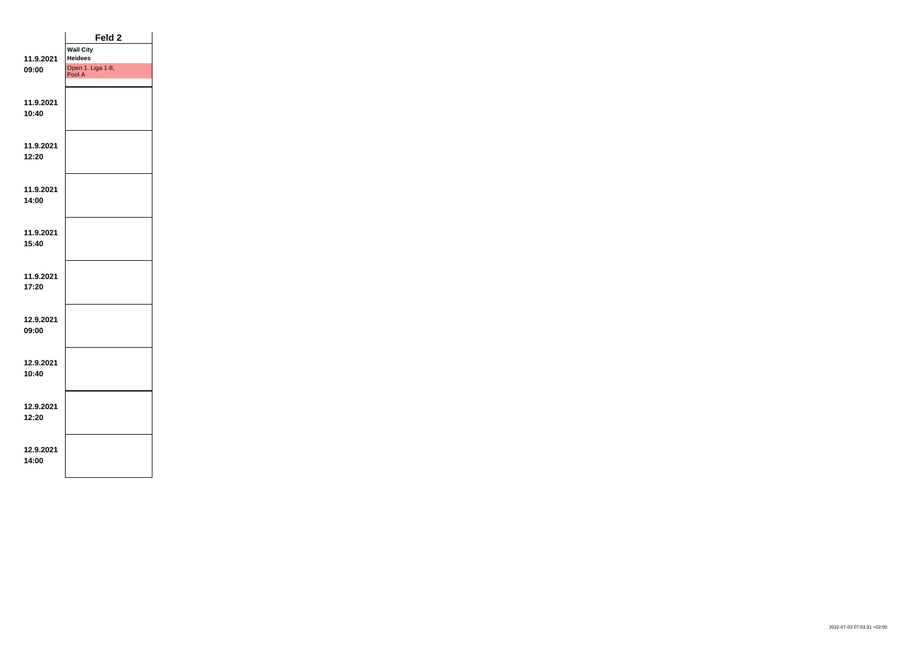|                    | Feld <sub>2</sub>           |  |
|--------------------|-----------------------------|--|
|                    | <b>Wall City</b>            |  |
| 11.9.2021          | <b>Heidees</b>              |  |
| 09:00              | Open 1. Liga 1-8,<br>Pool A |  |
|                    |                             |  |
|                    |                             |  |
| 11.9.2021          |                             |  |
| 10:40              |                             |  |
|                    |                             |  |
|                    |                             |  |
| 11.9.2021          |                             |  |
| 12:20              |                             |  |
|                    |                             |  |
| 11.9.2021          |                             |  |
| 14:00              |                             |  |
|                    |                             |  |
|                    |                             |  |
| 11.9.2021          |                             |  |
| 15:40              |                             |  |
|                    |                             |  |
|                    |                             |  |
| 11.9.2021          |                             |  |
| 17:20              |                             |  |
|                    |                             |  |
|                    |                             |  |
| 12.9.2021          |                             |  |
| 09:00              |                             |  |
|                    |                             |  |
|                    |                             |  |
| 12.9.2021<br>10:40 |                             |  |
|                    |                             |  |
|                    |                             |  |
| 12.9.2021          |                             |  |
| 12:20              |                             |  |
|                    |                             |  |
|                    |                             |  |
| 12.9.2021          |                             |  |
| 14:00              |                             |  |
|                    |                             |  |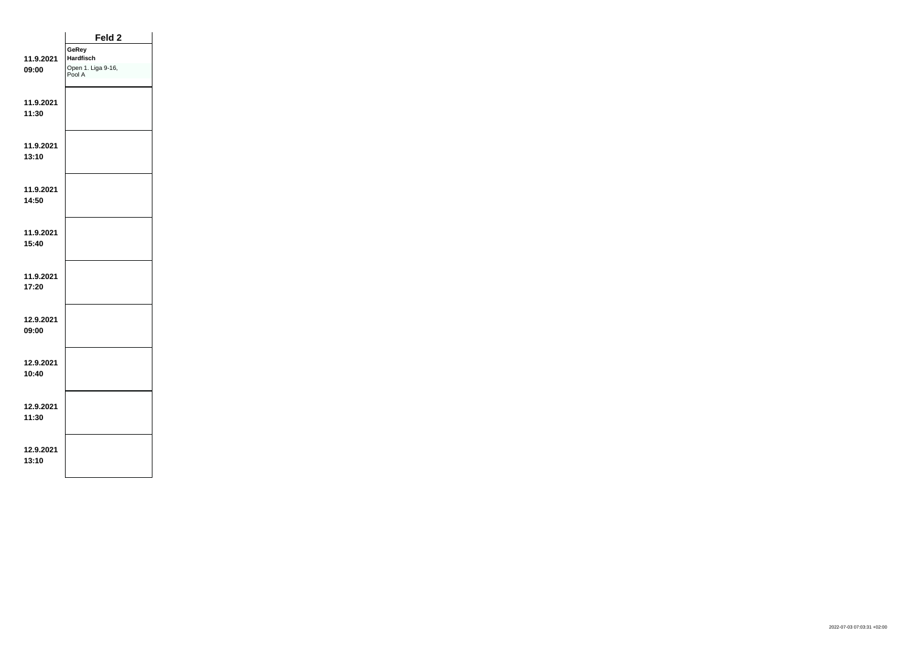|                    | Feld 2                                                    |  |
|--------------------|-----------------------------------------------------------|--|
| 11.9.2021<br>09:00 | GeRey<br><b>Hardfisch</b><br>Open 1. Liga 9-16,<br>Pool A |  |
| 11.9.2021<br>11:30 |                                                           |  |
| 11.9.2021<br>13:10 |                                                           |  |
| 11.9.2021<br>14:50 |                                                           |  |
| 11.9.2021<br>15:40 |                                                           |  |
| 11.9.2021<br>17:20 |                                                           |  |
| 12.9.2021<br>09:00 |                                                           |  |
| 12.9.2021<br>10:40 |                                                           |  |
| 12.9.2021<br>11:30 |                                                           |  |
| 12.9.2021<br>13:10 |                                                           |  |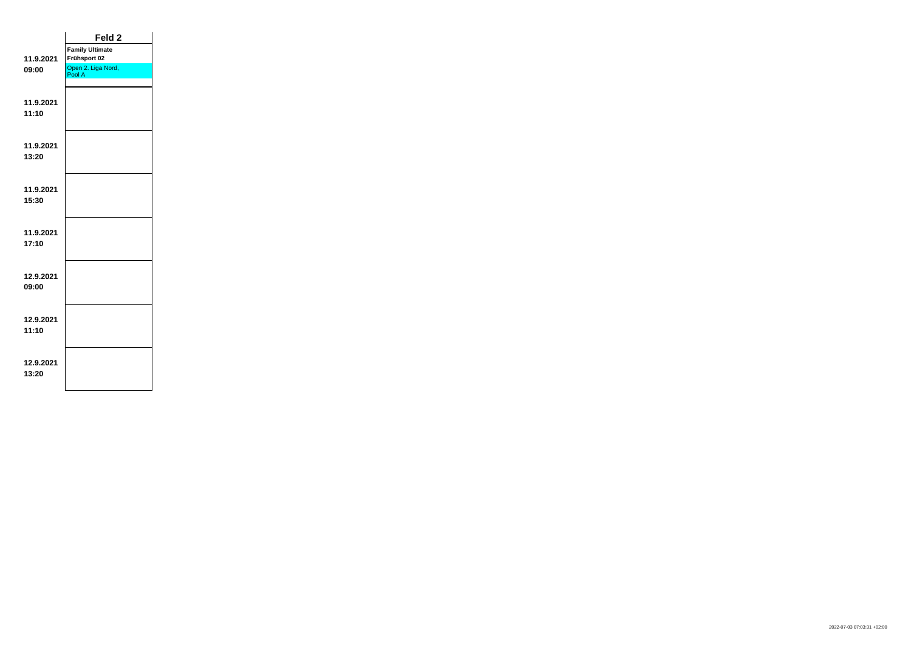|           | Feld <sub>2</sub>            |  |
|-----------|------------------------------|--|
|           | <b>Family Ultimate</b>       |  |
| 11.9.2021 | Frühsport 02                 |  |
| 09:00     | Open 2. Liga Nord,<br>Pool A |  |
|           |                              |  |
|           |                              |  |
| 11.9.2021 |                              |  |
| 11:10     |                              |  |
|           |                              |  |
|           |                              |  |
| 11.9.2021 |                              |  |
| 13:20     |                              |  |
|           |                              |  |
| 11.9.2021 |                              |  |
| 15:30     |                              |  |
|           |                              |  |
|           |                              |  |
| 11.9.2021 |                              |  |
| 17:10     |                              |  |
|           |                              |  |
|           |                              |  |
| 12.9.2021 |                              |  |
| 09:00     |                              |  |
|           |                              |  |
|           |                              |  |
| 12.9.2021 |                              |  |
| 11:10     |                              |  |
|           |                              |  |
| 12.9.2021 |                              |  |
| 13:20     |                              |  |
|           |                              |  |
|           |                              |  |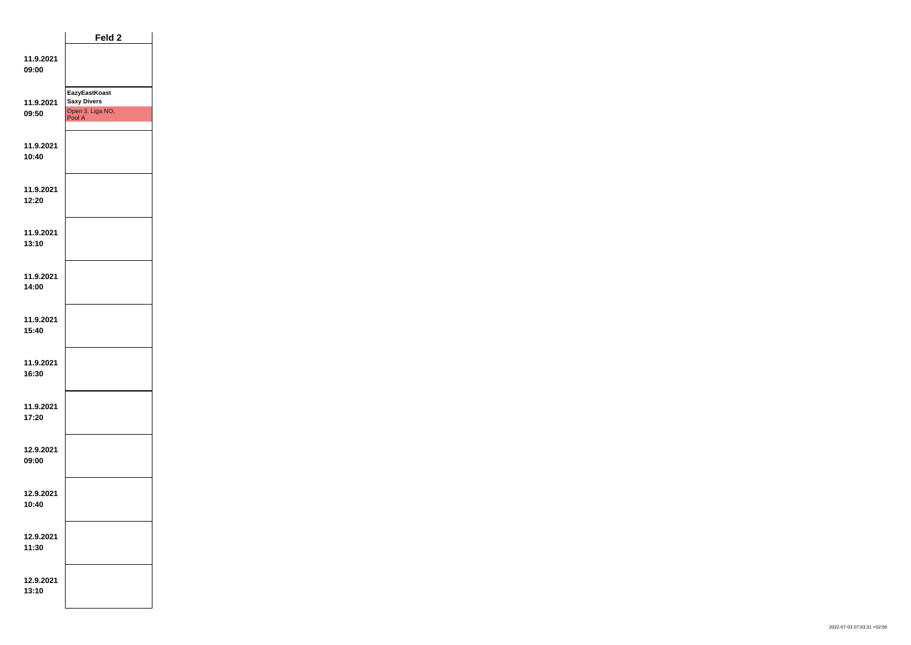|                    | Feld <sub>2</sub>                                                        |  |
|--------------------|--------------------------------------------------------------------------|--|
| 11.9.2021<br>09:00 |                                                                          |  |
| 11.9.2021<br>09:50 | <b>EazyEastKoast</b><br><b>Saxy Divers</b><br>Open 3. Liga NO,<br>Pool A |  |
| 11.9.2021<br>10:40 |                                                                          |  |
| 11.9.2021<br>12:20 |                                                                          |  |
| 11.9.2021<br>13:10 |                                                                          |  |
| 11.9.2021<br>14:00 |                                                                          |  |
| 11.9.2021<br>15:40 |                                                                          |  |
| 11.9.2021<br>16:30 |                                                                          |  |
| 11.9.2021<br>17:20 |                                                                          |  |
| 12.9.2021<br>09:00 |                                                                          |  |
| 12.9.2021<br>10:40 |                                                                          |  |
| 12.9.2021<br>11:30 |                                                                          |  |
| 12.9.2021<br>13:10 |                                                                          |  |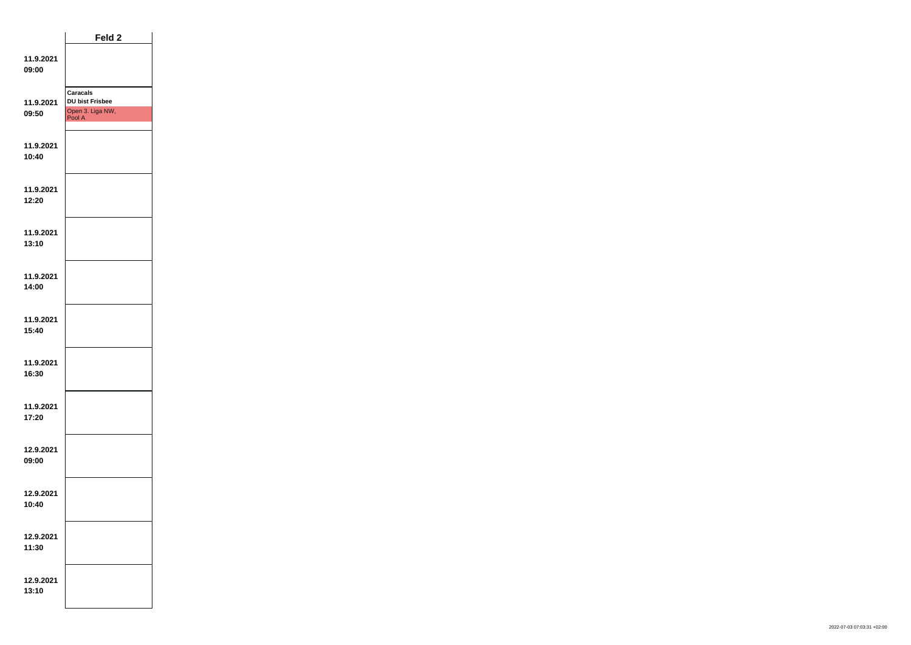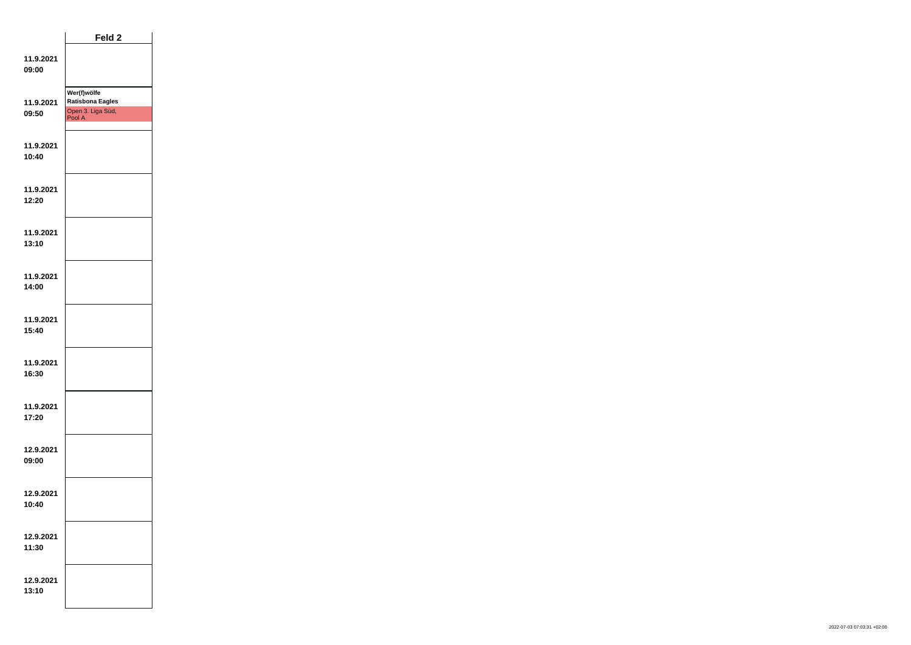|                    | Feld 2                                                                |  |
|--------------------|-----------------------------------------------------------------------|--|
| 11.9.2021<br>09:00 |                                                                       |  |
| 11.9.2021<br>09:50 | Wer(f)wölfe<br><b>Ratisbona Eagles</b><br>Open 3. Liga Süd,<br>Pool A |  |
| 11.9.2021<br>10:40 |                                                                       |  |
| 11.9.2021<br>12:20 |                                                                       |  |
| 11.9.2021<br>13:10 |                                                                       |  |
| 11.9.2021<br>14:00 |                                                                       |  |
| 11.9.2021<br>15:40 |                                                                       |  |
| 11.9.2021<br>16:30 |                                                                       |  |
| 11.9.2021<br>17:20 |                                                                       |  |
| 12.9.2021<br>09:00 |                                                                       |  |
| 12.9.2021<br>10:40 |                                                                       |  |
| 12.9.2021<br>11:30 |                                                                       |  |
| 12.9.2021<br>13:10 |                                                                       |  |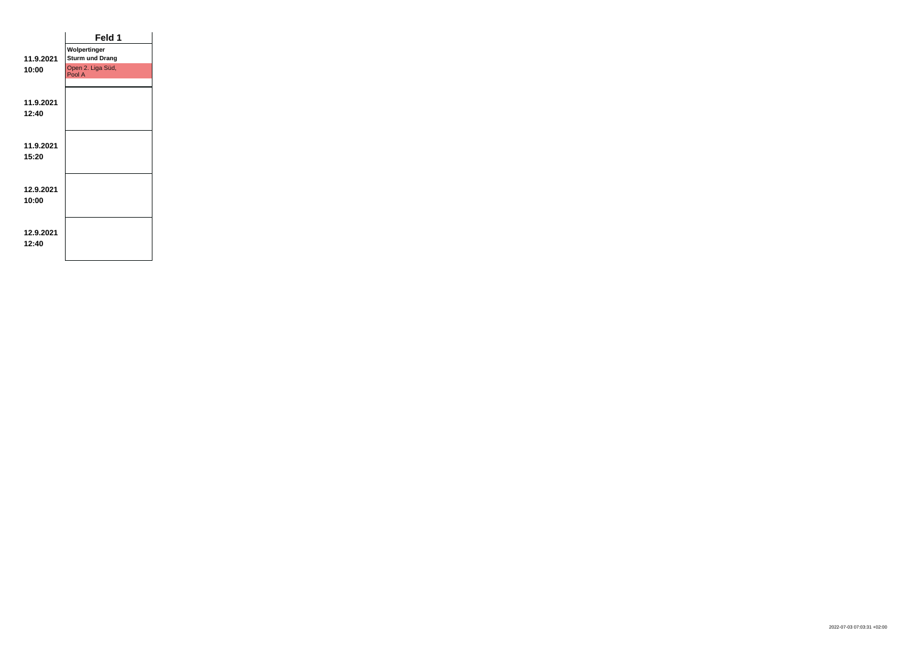|           | Feld 1                      |  |
|-----------|-----------------------------|--|
|           | Wolpertinger                |  |
| 11.9.2021 | <b>Sturm und Drang</b>      |  |
| 10:00     | Open 2. Liga Süd,<br>Pool A |  |
|           |                             |  |
| 11.9.2021 |                             |  |
| 12:40     |                             |  |
|           |                             |  |
|           |                             |  |
| 11.9.2021 |                             |  |
| 15:20     |                             |  |
|           |                             |  |
| 12.9.2021 |                             |  |
| 10:00     |                             |  |
|           |                             |  |
|           |                             |  |
| 12.9.2021 |                             |  |
| 12:40     |                             |  |
|           |                             |  |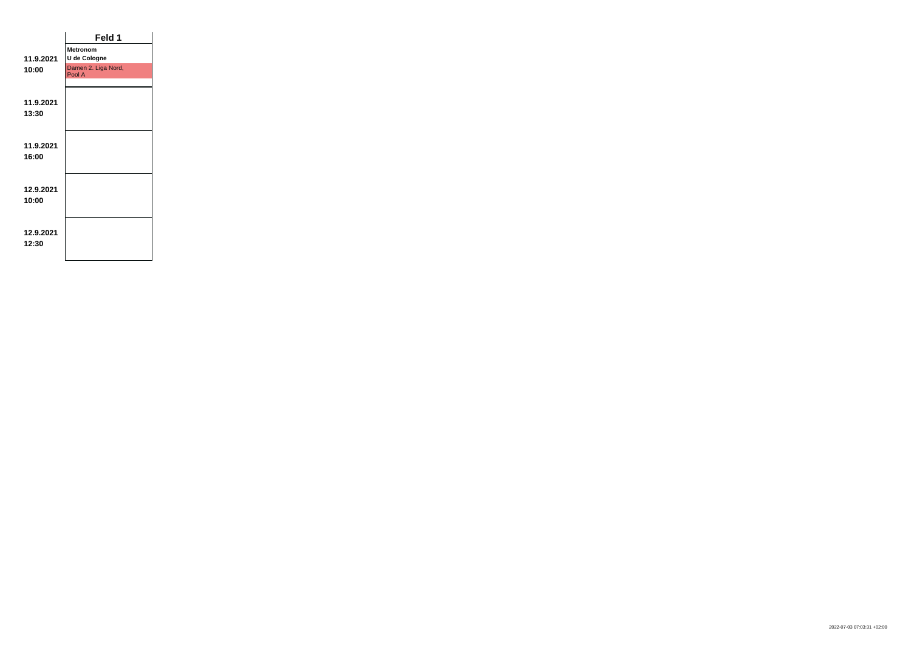|           | Feld 1                        |  |
|-----------|-------------------------------|--|
|           | <b>Metronom</b>               |  |
| 11.9.2021 | U de Cologne                  |  |
| 10:00     | Damen 2. Liga Nord,<br>Pool A |  |
|           |                               |  |
| 11.9.2021 |                               |  |
| 13:30     |                               |  |
|           |                               |  |
|           |                               |  |
| 11.9.2021 |                               |  |
| 16:00     |                               |  |
|           |                               |  |
|           |                               |  |
| 12.9.2021 |                               |  |
| 10:00     |                               |  |
|           |                               |  |
| 12.9.2021 |                               |  |
| 12:30     |                               |  |
|           |                               |  |
|           |                               |  |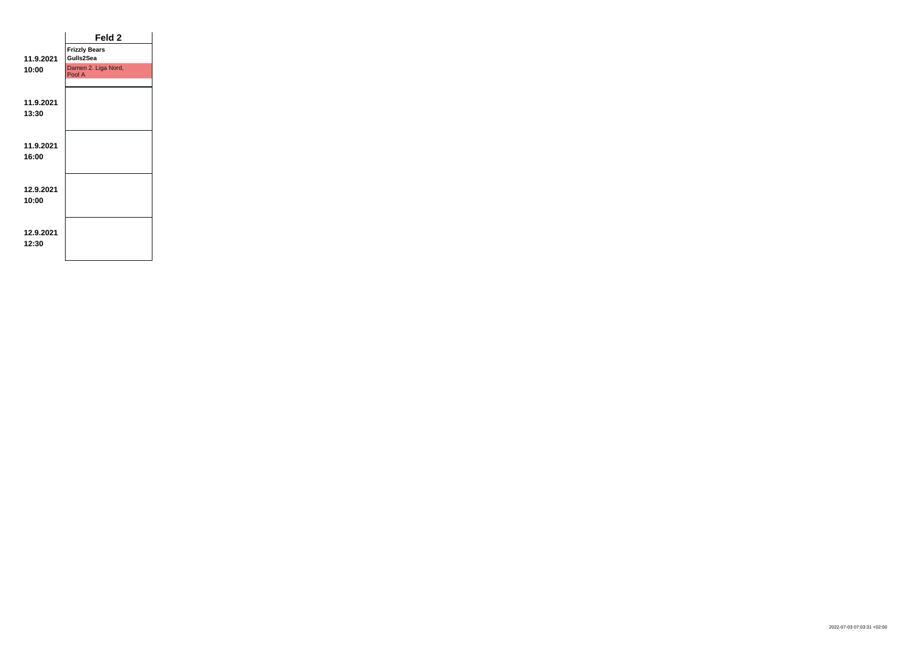|                    | Feld <sub>2</sub>                 |  |
|--------------------|-----------------------------------|--|
| 11.9.2021          | <b>Frizzly Bears</b><br>Gulls2Sea |  |
| 10:00              | Damen 2. Liga Nord,<br>Pool A     |  |
| 11.9.2021          |                                   |  |
| 13:30              |                                   |  |
| 11.9.2021<br>16:00 |                                   |  |
| 12.9.2021<br>10:00 |                                   |  |
| 12.9.2021<br>12:30 |                                   |  |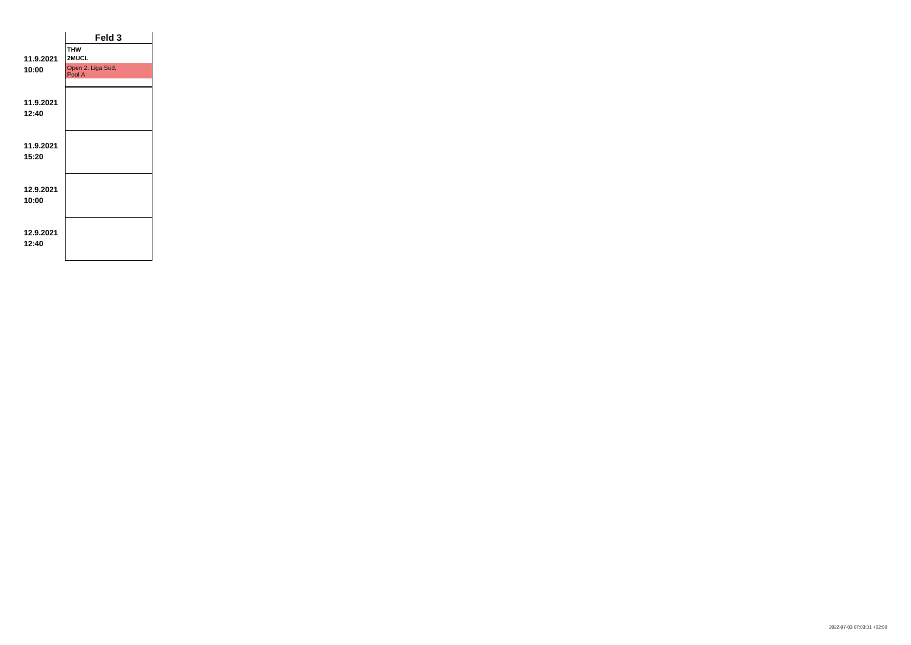| Feld 3                      |  |
|-----------------------------|--|
| <b>THW</b><br>2MUCL         |  |
| Open 2. Liga Süd,<br>Pool A |  |
|                             |  |
|                             |  |
|                             |  |
|                             |  |
|                             |  |
|                             |  |
|                             |  |
|                             |  |
|                             |  |
|                             |  |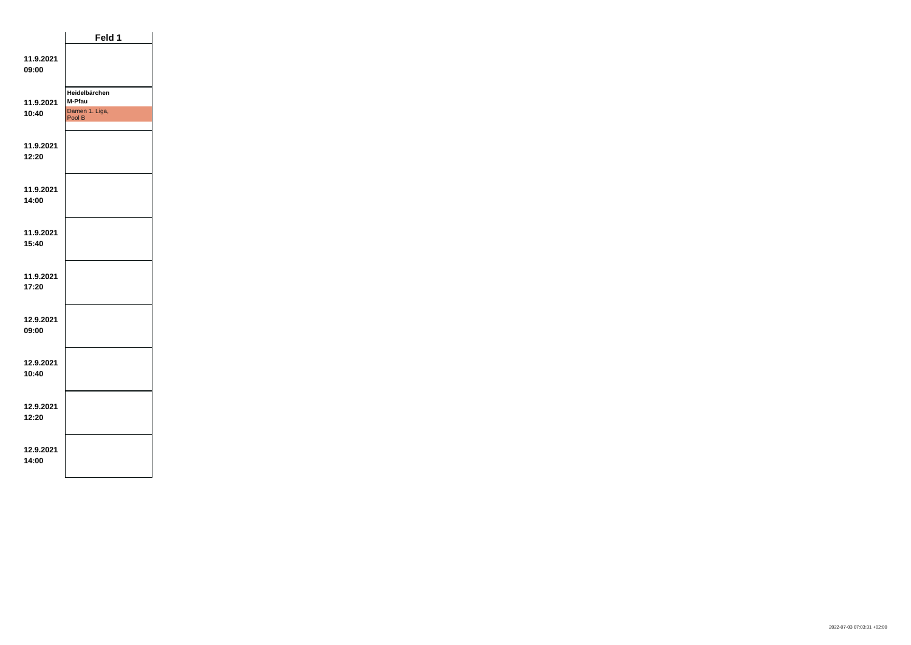|                    | Feld 1                                              |  |
|--------------------|-----------------------------------------------------|--|
| 11.9.2021<br>09:00 |                                                     |  |
| 11.9.2021<br>10:40 | Heidelbärchen<br>M-Pfau<br>Damen 1. Liga,<br>Pool B |  |
| 11.9.2021<br>12:20 |                                                     |  |
| 11.9.2021<br>14:00 |                                                     |  |
| 11.9.2021<br>15:40 |                                                     |  |
| 11.9.2021<br>17:20 |                                                     |  |
| 12.9.2021<br>09:00 |                                                     |  |
| 12.9.2021<br>10:40 |                                                     |  |
| 12.9.2021<br>12:20 |                                                     |  |
| 12.9.2021<br>14:00 |                                                     |  |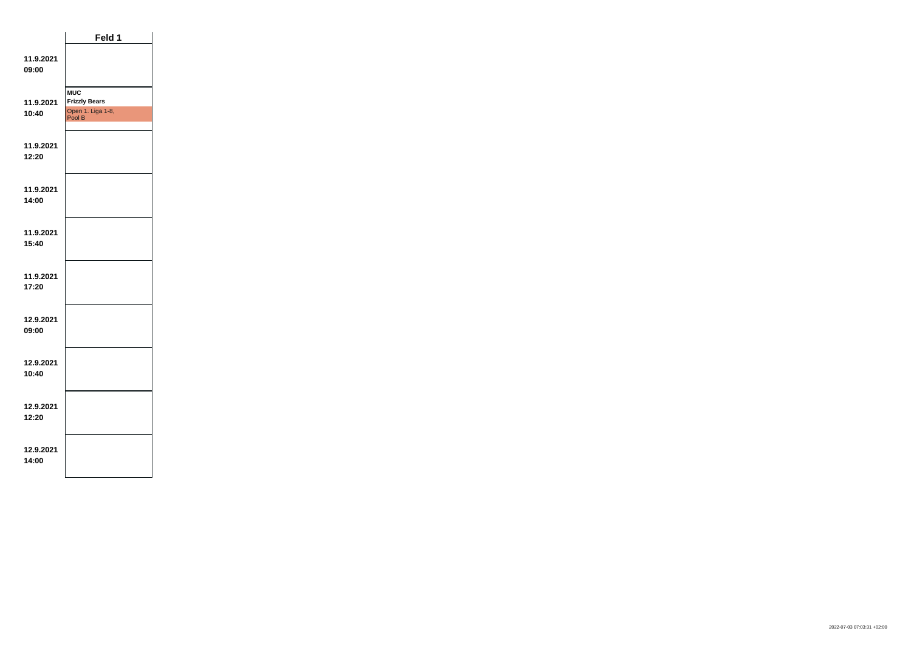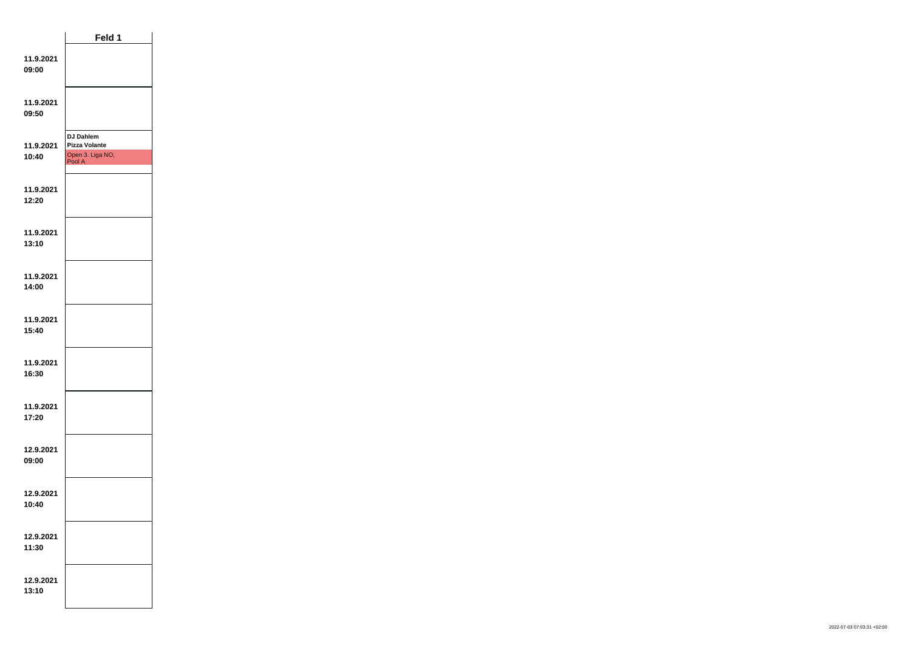|                    | Feld 1                                                                 |  |
|--------------------|------------------------------------------------------------------------|--|
| 11.9.2021<br>09:00 |                                                                        |  |
| 11.9.2021<br>09:50 |                                                                        |  |
| 11.9.2021<br>10:40 | <b>DJ Dahlem</b><br><b>Pizza Volante</b><br>Open 3. Liga NO,<br>Pool A |  |
| 11.9.2021<br>12:20 |                                                                        |  |
| 11.9.2021<br>13:10 |                                                                        |  |
| 11.9.2021<br>14:00 |                                                                        |  |
| 11.9.2021<br>15:40 |                                                                        |  |
| 11.9.2021<br>16:30 |                                                                        |  |
| 11.9.2021<br>17:20 |                                                                        |  |
| 12.9.2021<br>09:00 |                                                                        |  |
| 12.9.2021<br>10:40 |                                                                        |  |
| 12.9.2021<br>11:30 |                                                                        |  |
| 12.9.2021<br>13:10 |                                                                        |  |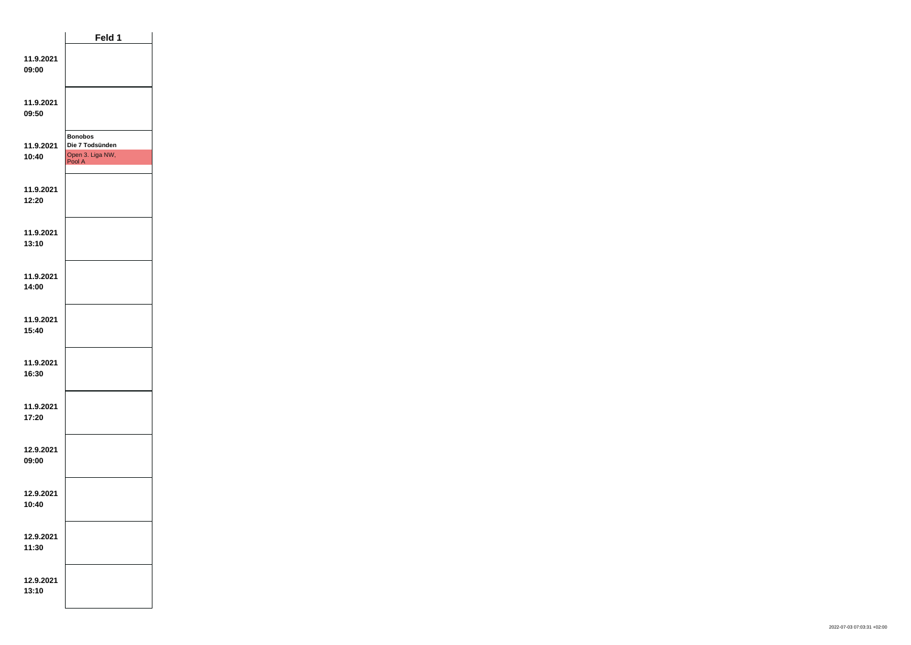|                    | Feld 1                                                          |  |
|--------------------|-----------------------------------------------------------------|--|
| 11.9.2021<br>09:00 |                                                                 |  |
| 11.9.2021<br>09:50 |                                                                 |  |
| 11.9.2021<br>10:40 | <b>Bonobos</b><br>Die 7 Todsünden<br>Open 3. Liga NW,<br>Pool A |  |
| 11.9.2021<br>12:20 |                                                                 |  |
| 11.9.2021<br>13:10 |                                                                 |  |
| 11.9.2021<br>14:00 |                                                                 |  |
| 11.9.2021<br>15:40 |                                                                 |  |
| 11.9.2021<br>16:30 |                                                                 |  |
| 11.9.2021<br>17:20 |                                                                 |  |
| 12.9.2021<br>09:00 |                                                                 |  |
| 12.9.2021<br>10:40 |                                                                 |  |
| 12.9.2021<br>11:30 |                                                                 |  |
| 12.9.2021<br>13:10 |                                                                 |  |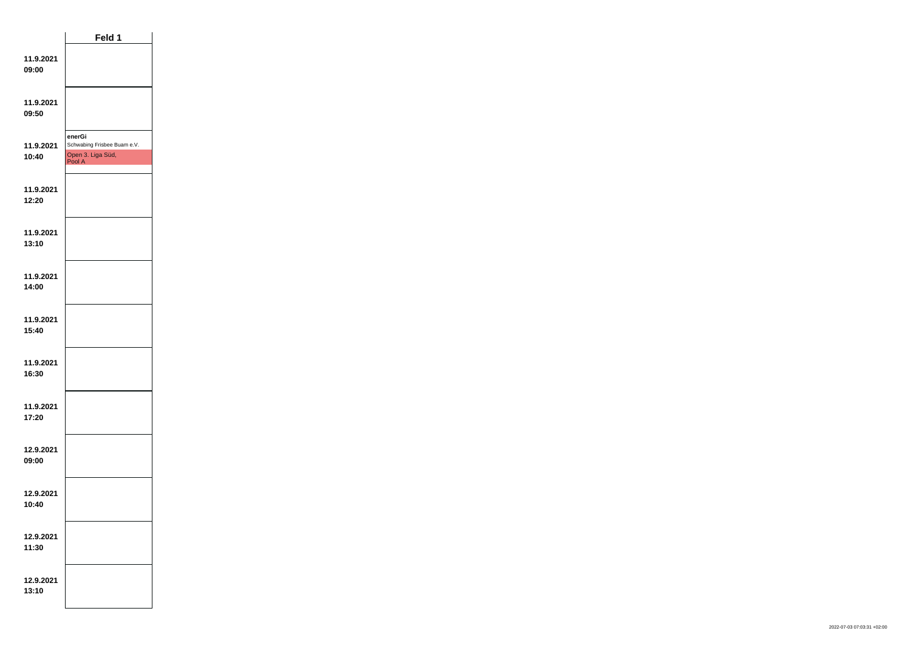|                    | Feld 1                                                               |  |
|--------------------|----------------------------------------------------------------------|--|
| 11.9.2021<br>09:00 |                                                                      |  |
| 11.9.2021<br>09:50 |                                                                      |  |
| 11.9.2021<br>10:40 | enerGi<br>Schwabing Frisbee Buam e.V.<br>Open 3. Liga Süd,<br>Pool A |  |
| 11.9.2021<br>12:20 |                                                                      |  |
| 11.9.2021<br>13:10 |                                                                      |  |
| 11.9.2021<br>14:00 |                                                                      |  |
| 11.9.2021<br>15:40 |                                                                      |  |
| 11.9.2021<br>16:30 |                                                                      |  |
| 11.9.2021<br>17:20 |                                                                      |  |
| 12.9.2021<br>09:00 |                                                                      |  |
| 12.9.2021<br>10:40 |                                                                      |  |
| 12.9.2021<br>11:30 |                                                                      |  |
| 12.9.2021<br>13:10 |                                                                      |  |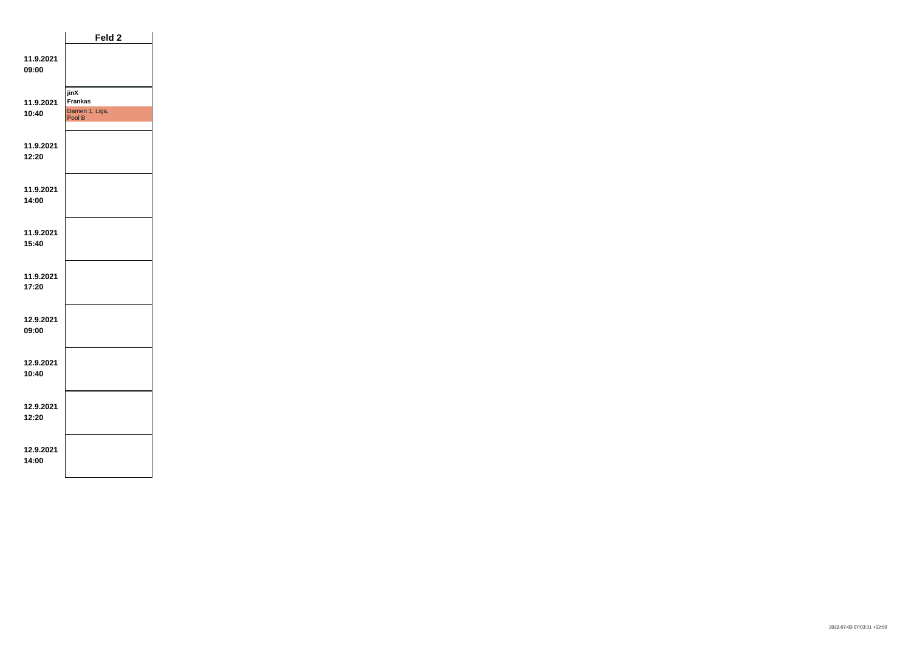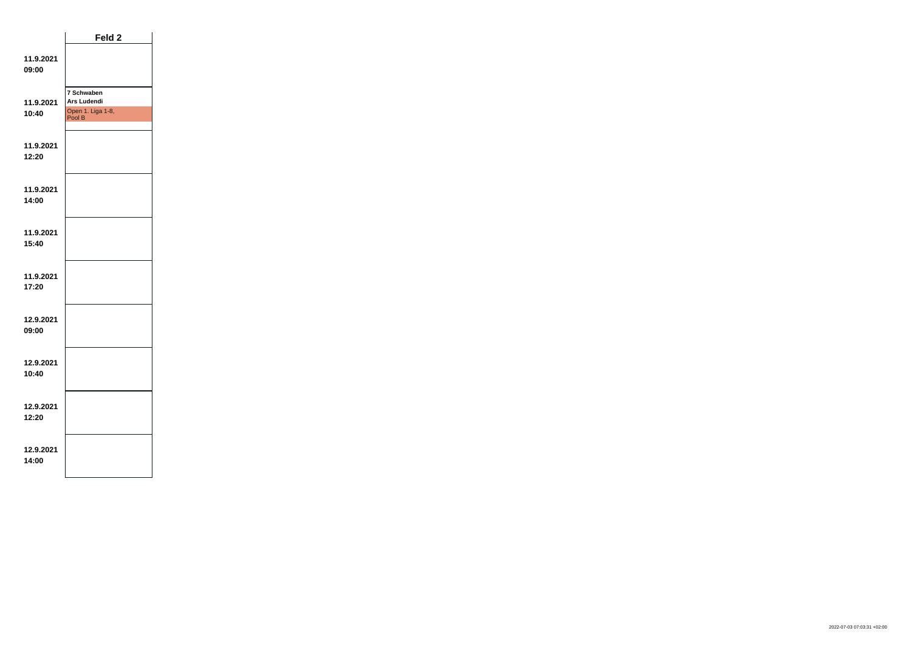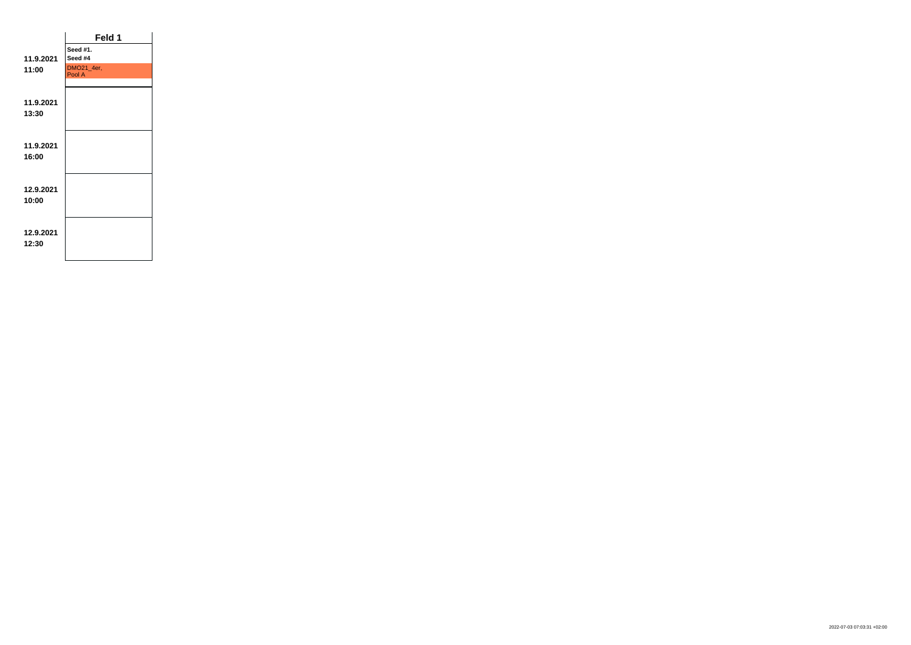|           | Feld 1               |  |
|-----------|----------------------|--|
|           | Seed #1.             |  |
| 11.9.2021 | Seed #4              |  |
| 11:00     | DMO21_4er,<br>Pool A |  |
|           |                      |  |
| 11.9.2021 |                      |  |
| 13:30     |                      |  |
|           |                      |  |
| 11.9.2021 |                      |  |
| 16:00     |                      |  |
|           |                      |  |
| 12.9.2021 |                      |  |
| 10:00     |                      |  |
|           |                      |  |
|           |                      |  |
| 12.9.2021 |                      |  |
| 12:30     |                      |  |
|           |                      |  |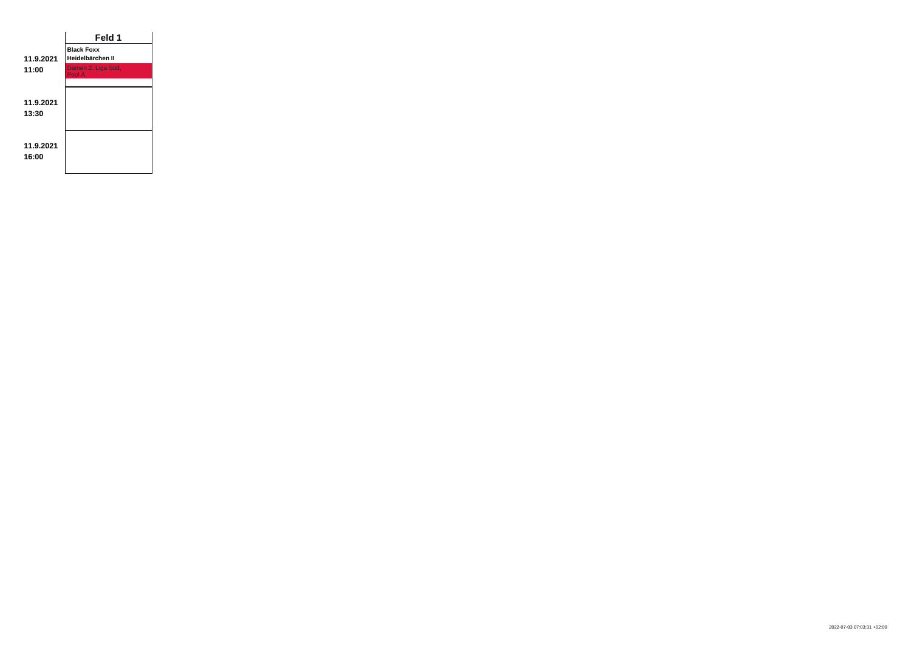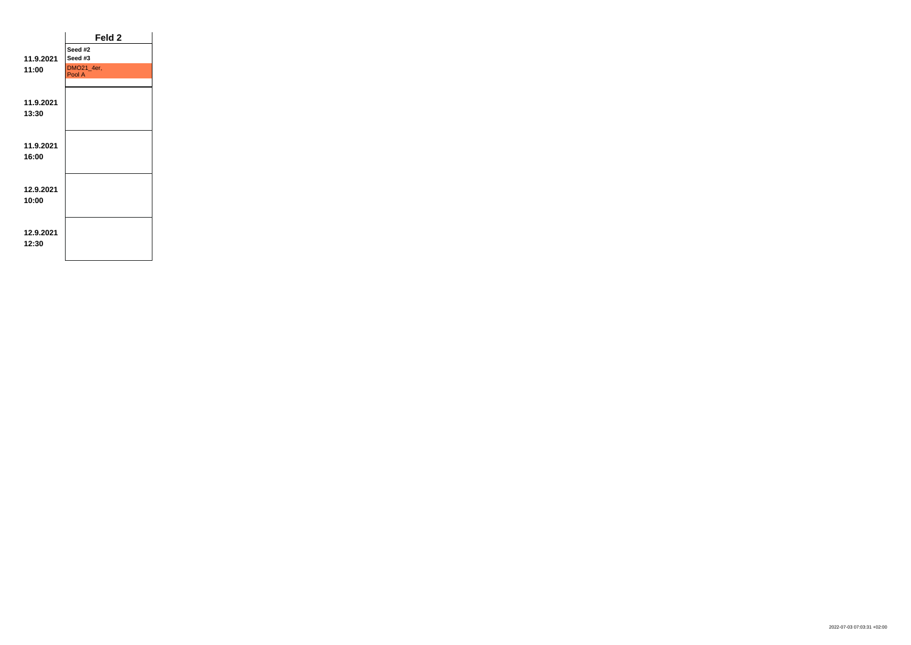|           | Feld 2               |  |
|-----------|----------------------|--|
|           | Seed #2              |  |
| 11.9.2021 | Seed #3              |  |
| 11:00     | DMO21_4er,<br>Pool A |  |
|           |                      |  |
| 11.9.2021 |                      |  |
| 13:30     |                      |  |
|           |                      |  |
| 11.9.2021 |                      |  |
| 16:00     |                      |  |
|           |                      |  |
| 12.9.2021 |                      |  |
| 10:00     |                      |  |
|           |                      |  |
| 12.9.2021 |                      |  |
| 12:30     |                      |  |
|           |                      |  |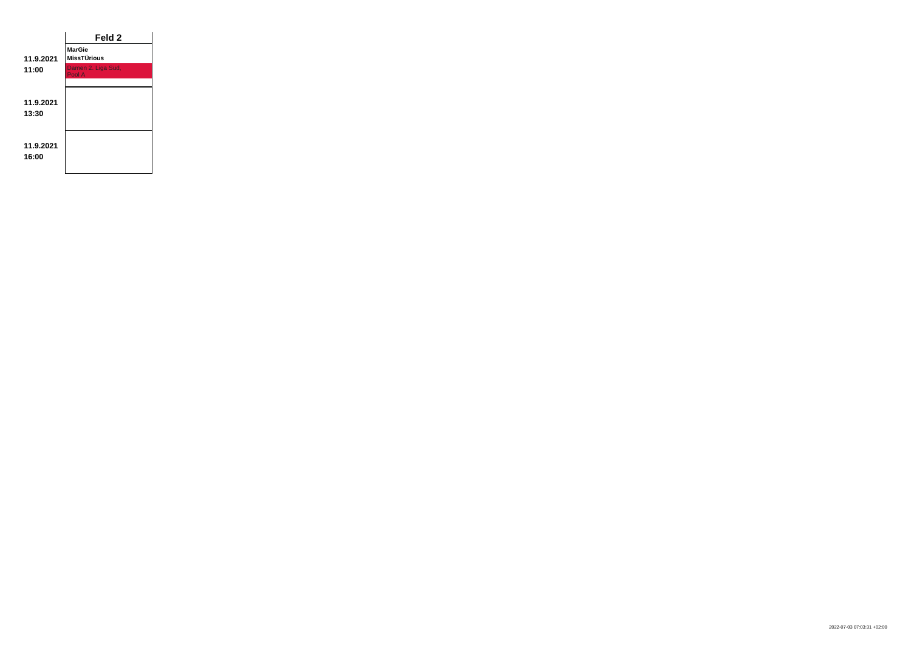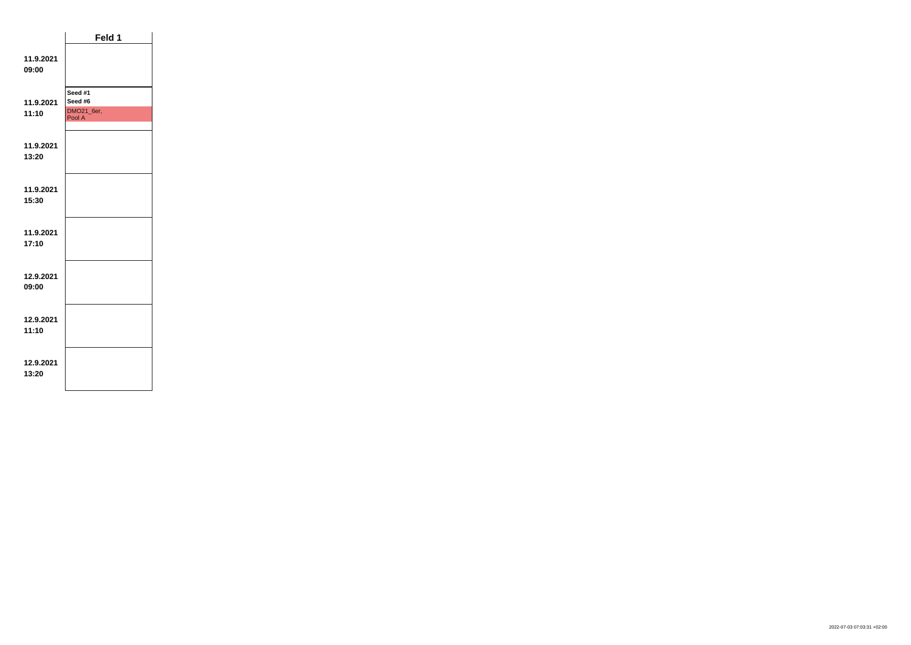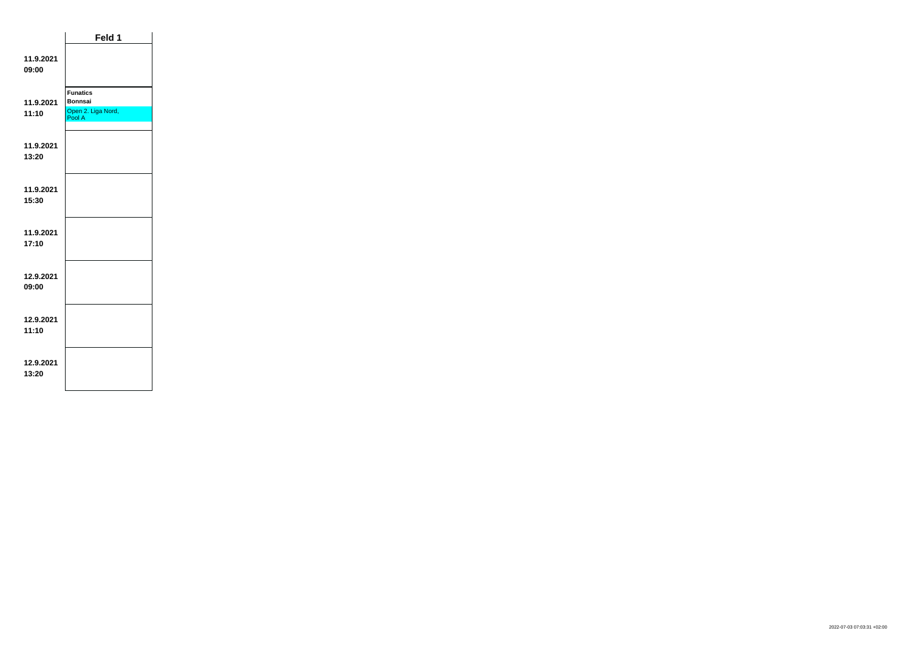|                    | Feld 1                                                            |  |
|--------------------|-------------------------------------------------------------------|--|
| 11.9.2021<br>09:00 |                                                                   |  |
| 11.9.2021<br>11:10 | <b>Funatics</b><br><b>Bonnsai</b><br>Open 2. Liga Nord,<br>Pool A |  |
| 11.9.2021<br>13:20 |                                                                   |  |
| 11.9.2021<br>15:30 |                                                                   |  |
| 11.9.2021<br>17:10 |                                                                   |  |
| 12.9.2021<br>09:00 |                                                                   |  |
| 12.9.2021<br>11:10 |                                                                   |  |
| 12.9.2021<br>13:20 |                                                                   |  |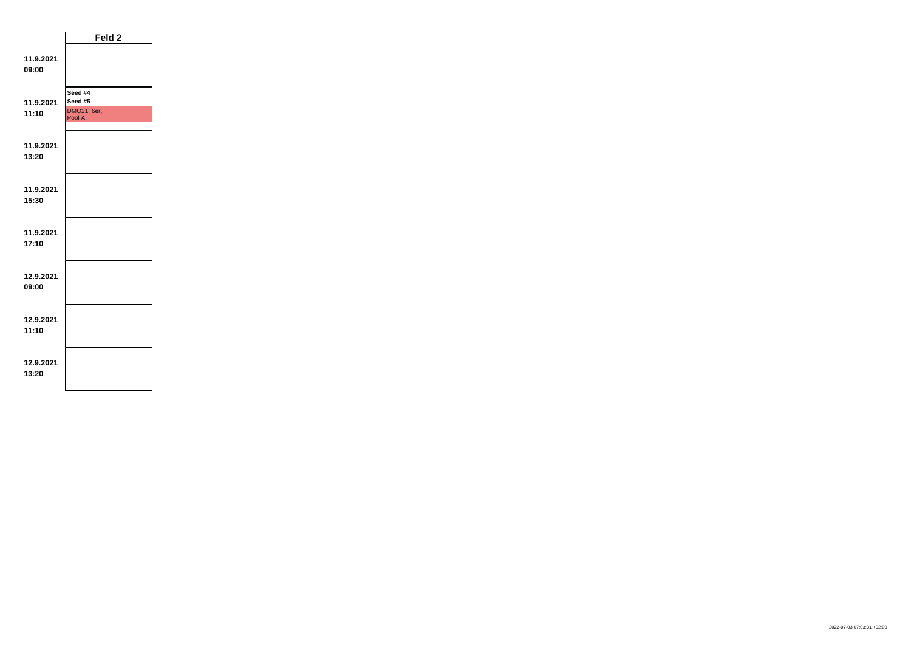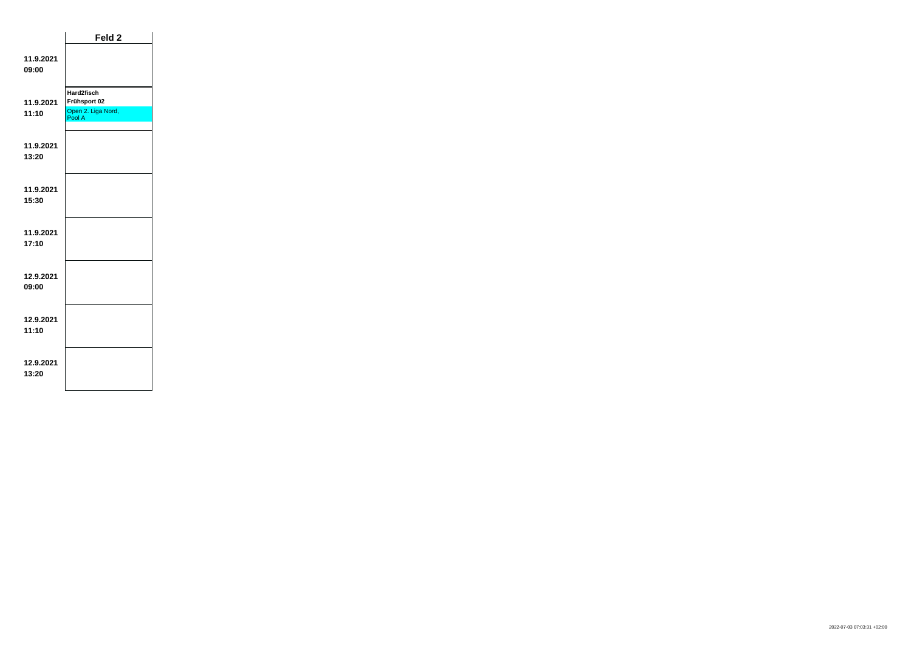|                    | Feld <sub>2</sub>                                          |  |
|--------------------|------------------------------------------------------------|--|
| 11.9.2021<br>09:00 |                                                            |  |
| 11.9.2021<br>11:10 | Hard2fisch<br>Frühsport 02<br>Open 2. Liga Nord,<br>Pool A |  |
| 11.9.2021<br>13:20 |                                                            |  |
| 11.9.2021<br>15:30 |                                                            |  |
| 11.9.2021<br>17:10 |                                                            |  |
| 12.9.2021<br>09:00 |                                                            |  |
| 12.9.2021<br>11:10 |                                                            |  |
| 12.9.2021<br>13:20 |                                                            |  |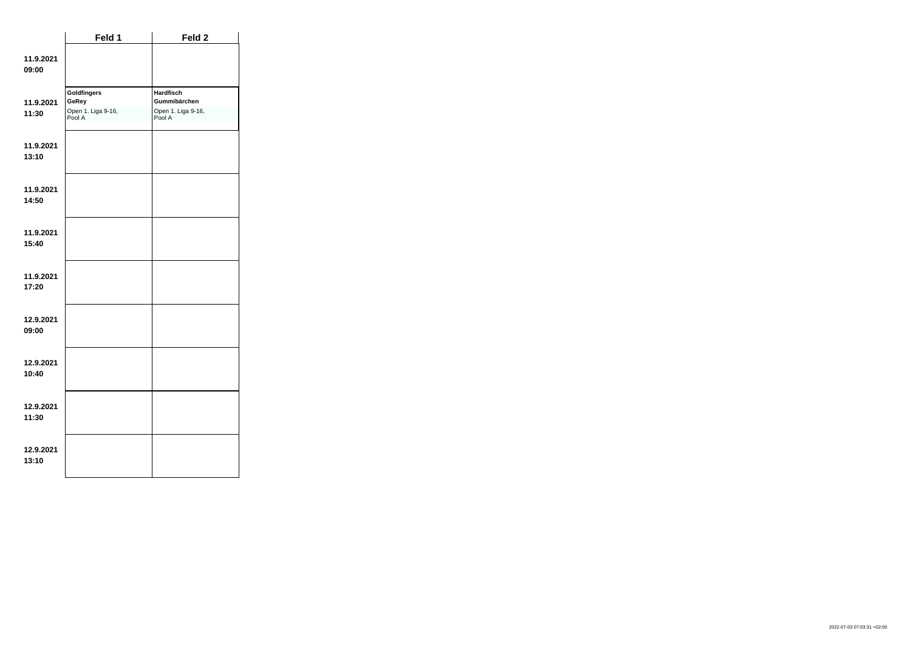|                    | Feld 1                                               | Feld 2                                                    |
|--------------------|------------------------------------------------------|-----------------------------------------------------------|
| 11.9.2021<br>09:00 |                                                      |                                                           |
| 11.9.2021<br>11:30 | Goldfingers<br>GeRey<br>Open 1. Liga 9-16,<br>Pool A | Hardfisch<br>Gummibärchen<br>Open 1. Liga 9-16,<br>Pool A |
| 11.9.2021<br>13:10 |                                                      |                                                           |
| 11.9.2021<br>14:50 |                                                      |                                                           |
| 11.9.2021<br>15:40 |                                                      |                                                           |
| 11.9.2021<br>17:20 |                                                      |                                                           |
| 12.9.2021<br>09:00 |                                                      |                                                           |
| 12.9.2021<br>10:40 |                                                      |                                                           |
| 12.9.2021<br>11:30 |                                                      |                                                           |
| 12.9.2021<br>13:10 |                                                      |                                                           |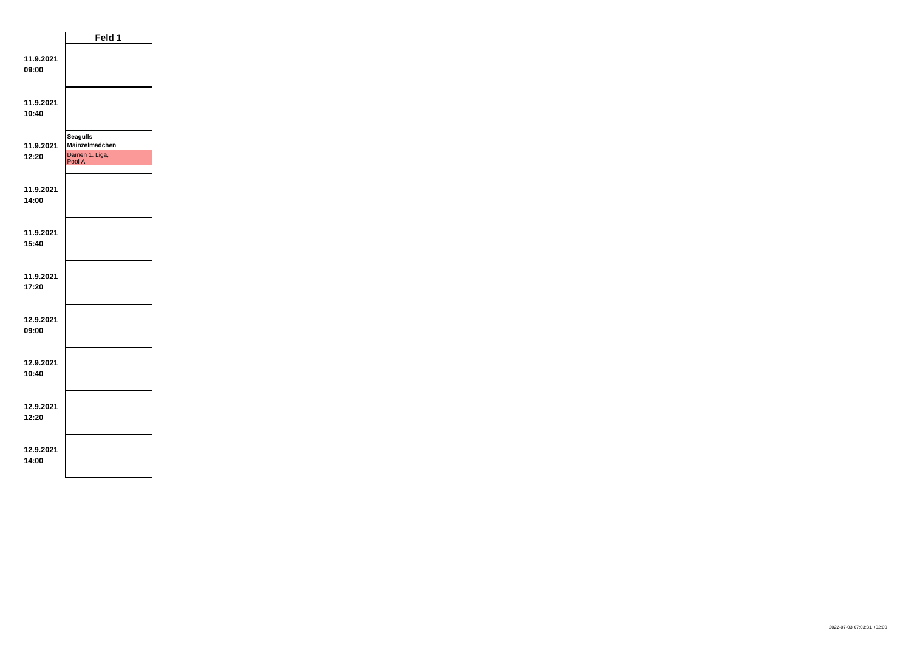|                    | Feld 1                                                        |  |
|--------------------|---------------------------------------------------------------|--|
| 11.9.2021<br>09:00 |                                                               |  |
| 11.9.2021<br>10:40 |                                                               |  |
| 11.9.2021<br>12:20 | <b>Seagulls</b><br>Mainzelmädchen<br>Damen 1. Liga,<br>Pool A |  |
| 11.9.2021<br>14:00 |                                                               |  |
| 11.9.2021<br>15:40 |                                                               |  |
| 11.9.2021<br>17:20 |                                                               |  |
| 12.9.2021<br>09:00 |                                                               |  |
| 12.9.2021<br>10:40 |                                                               |  |
| 12.9.2021<br>12:20 |                                                               |  |
| 12.9.2021<br>14:00 |                                                               |  |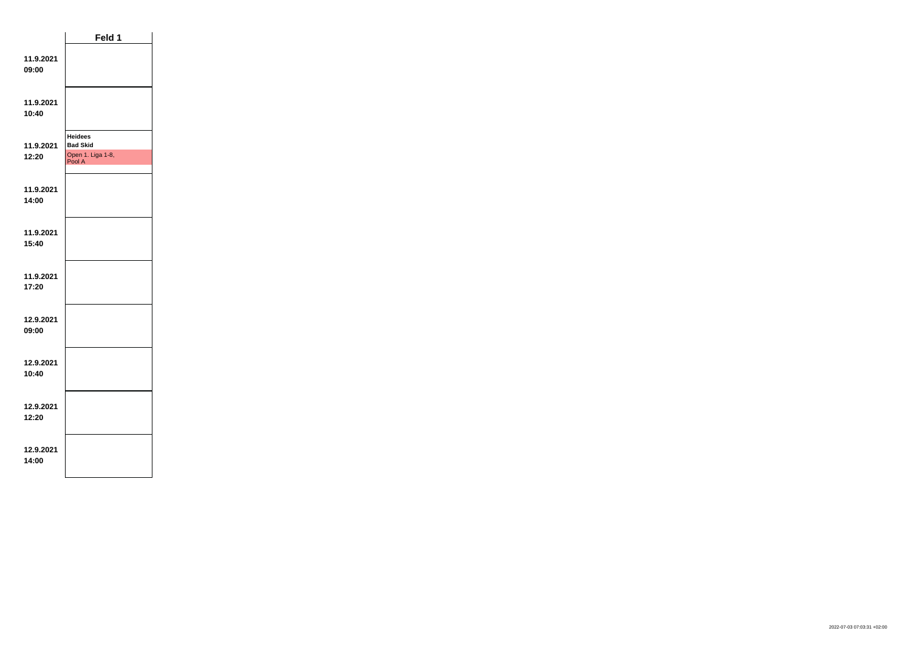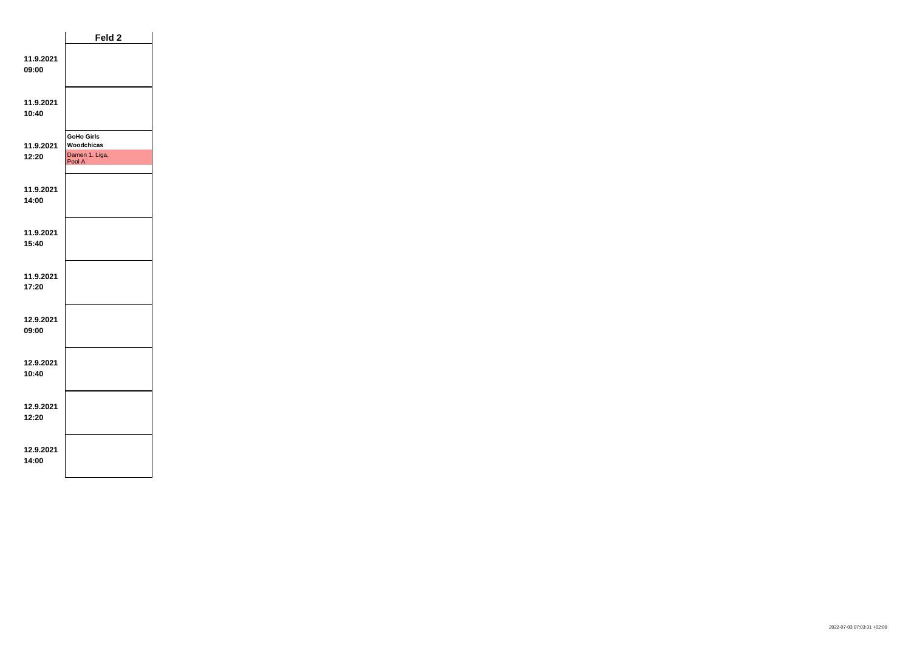|                    | Feld 2                                                      |  |
|--------------------|-------------------------------------------------------------|--|
| 11.9.2021<br>09:00 |                                                             |  |
| 11.9.2021<br>10:40 |                                                             |  |
| 11.9.2021<br>12:20 | <b>GoHo Girls</b><br>Woodchicas<br>Damen 1. Liga,<br>Pool A |  |
| 11.9.2021<br>14:00 |                                                             |  |
| 11.9.2021<br>15:40 |                                                             |  |
| 11.9.2021<br>17:20 |                                                             |  |
| 12.9.2021<br>09:00 |                                                             |  |
| 12.9.2021<br>10:40 |                                                             |  |
| 12.9.2021<br>12:20 |                                                             |  |
| 12.9.2021<br>14:00 |                                                             |  |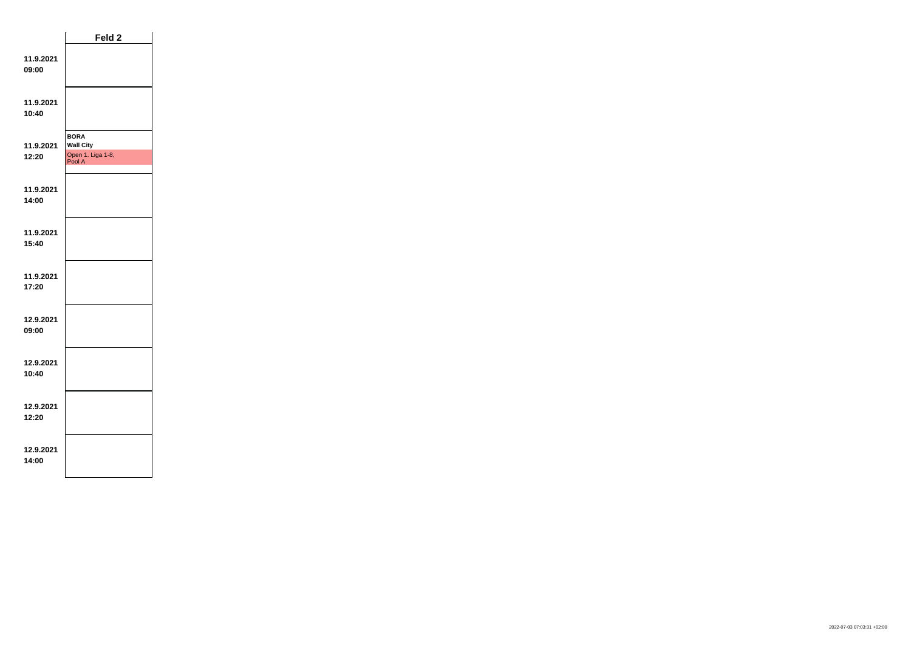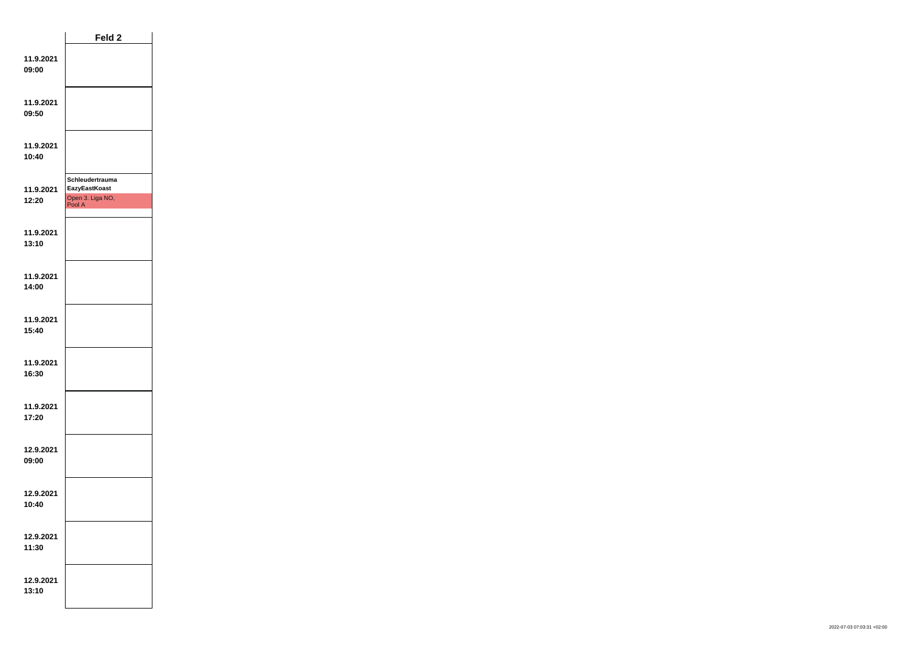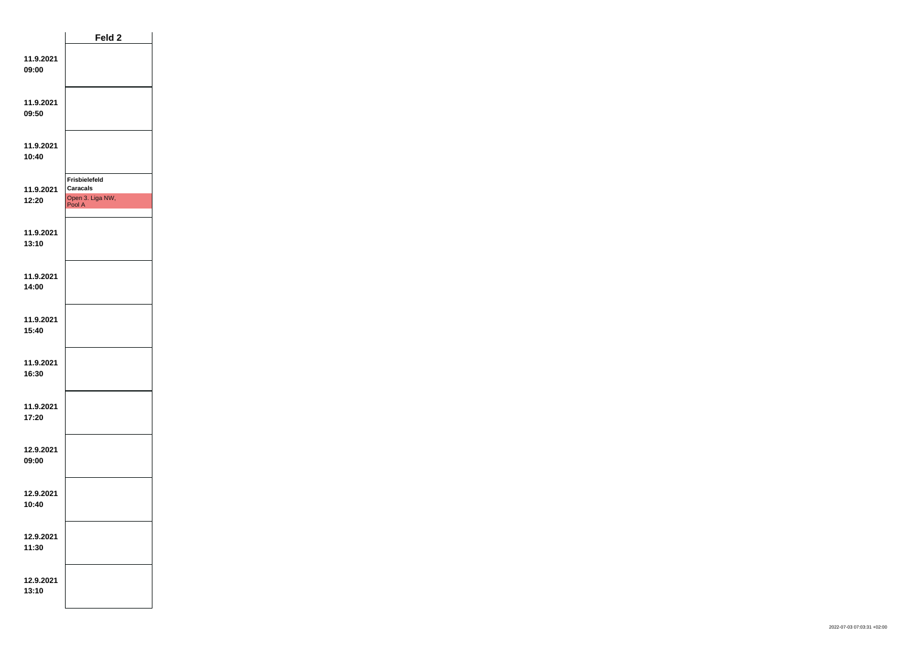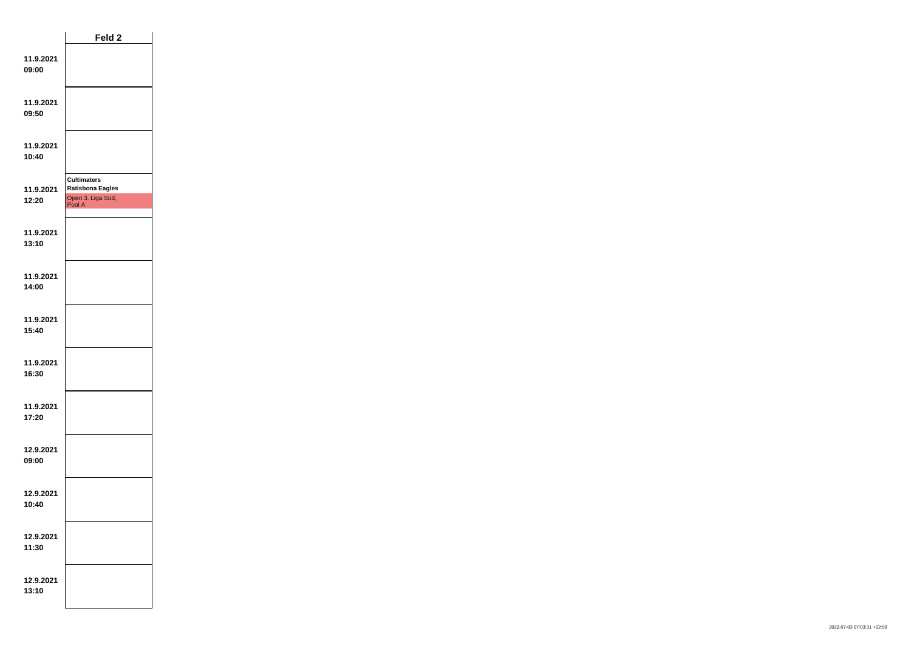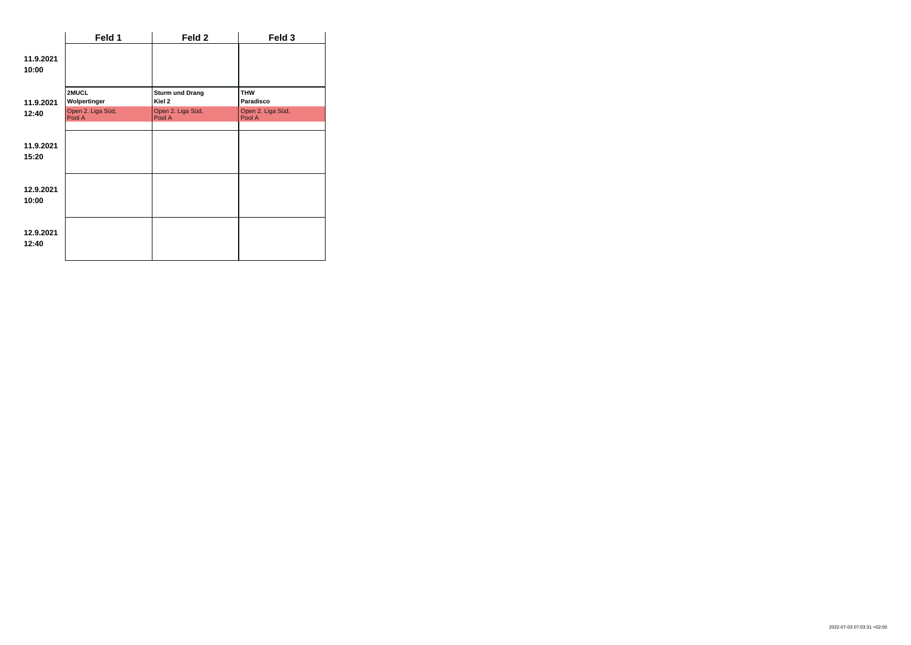|                    | Feld 1                      | Feld 2                                      | Feld 3                      |  |
|--------------------|-----------------------------|---------------------------------------------|-----------------------------|--|
| 11.9.2021<br>10:00 |                             |                                             |                             |  |
| 11.9.2021          | 2MUCL<br>Wolpertinger       | <b>Sturm und Drang</b><br>Kiel <sub>2</sub> | <b>THW</b><br>Paradisco     |  |
| 12:40              | Open 2. Liga Süd,<br>Pool A | Open 2. Liga Süd,<br>Pool A                 | Open 2. Liga Süd,<br>Pool A |  |
| 11.9.2021<br>15:20 |                             |                                             |                             |  |
| 12.9.2021<br>10:00 |                             |                                             |                             |  |
| 12.9.2021<br>12:40 |                             |                                             |                             |  |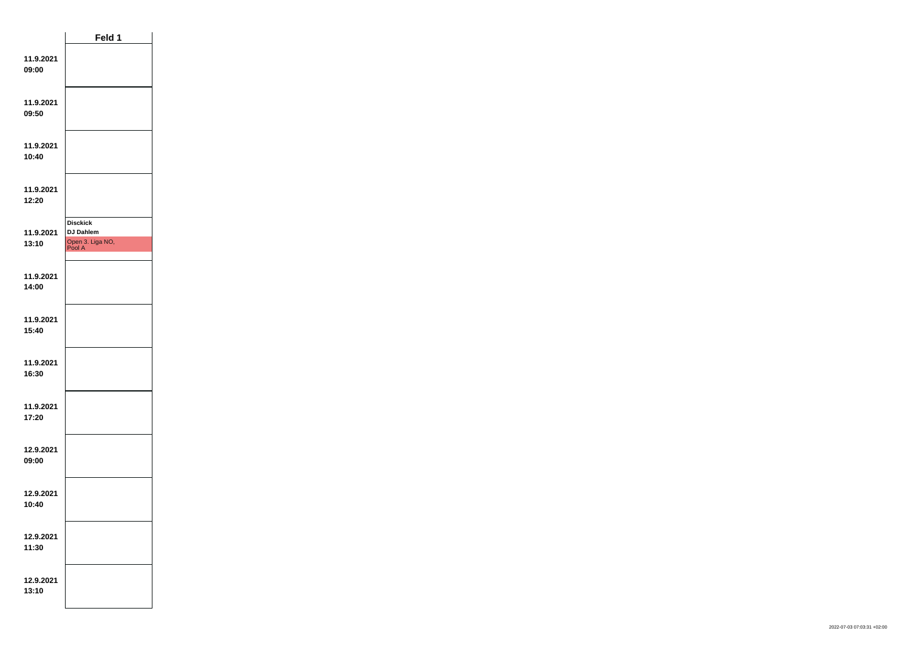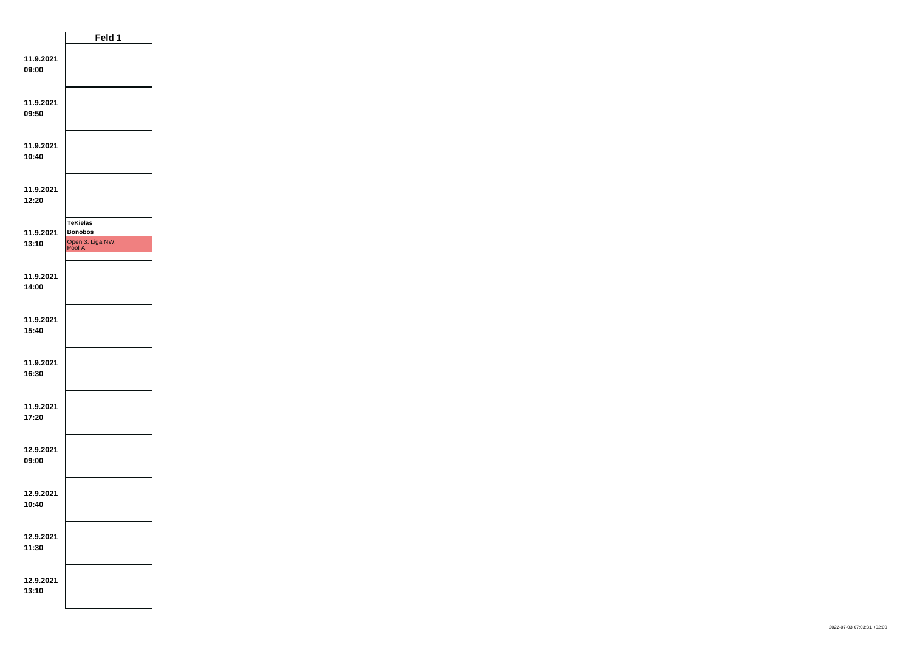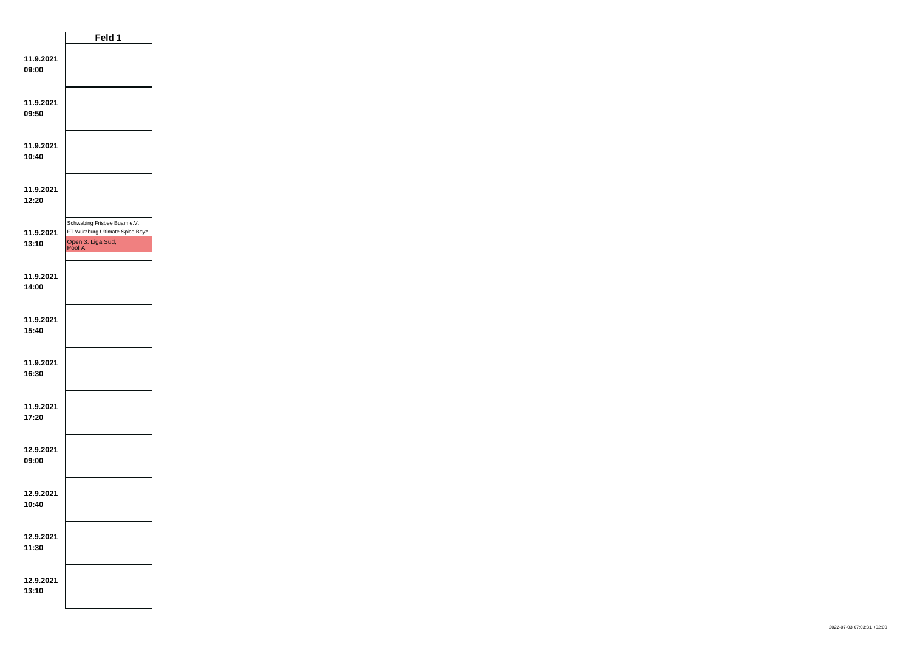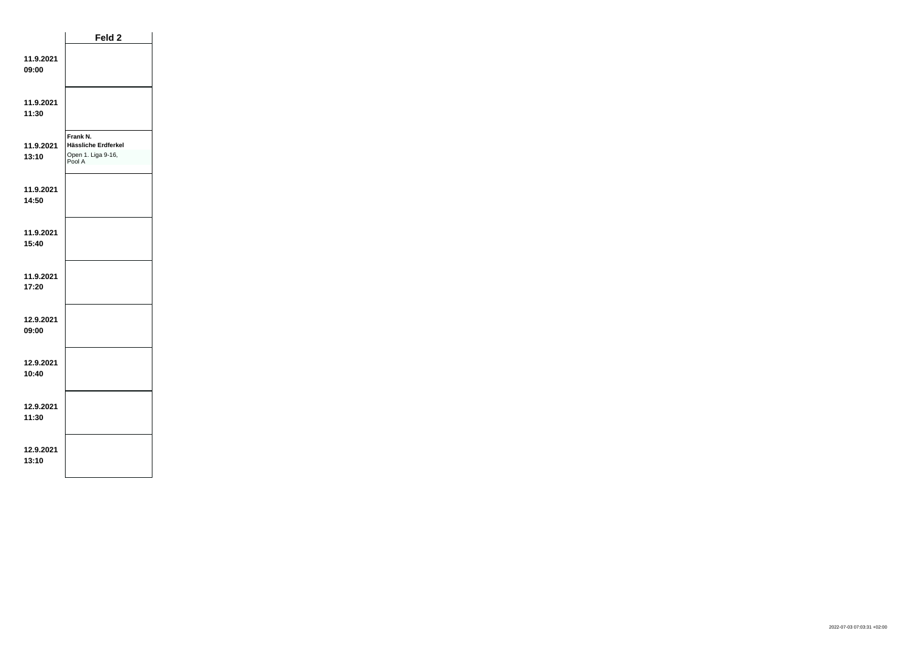|                    | Feld 2                                                          |  |
|--------------------|-----------------------------------------------------------------|--|
| 11.9.2021<br>09:00 |                                                                 |  |
| 11.9.2021<br>11:30 |                                                                 |  |
| 11.9.2021<br>13:10 | Frank N.<br>Hässliche Erdferkel<br>Open 1. Liga 9-16,<br>Pool A |  |
| 11.9.2021<br>14:50 |                                                                 |  |
| 11.9.2021<br>15:40 |                                                                 |  |
| 11.9.2021<br>17:20 |                                                                 |  |
| 12.9.2021<br>09:00 |                                                                 |  |
| 12.9.2021<br>10:40 |                                                                 |  |
| 12.9.2021<br>11:30 |                                                                 |  |
| 12.9.2021<br>13:10 |                                                                 |  |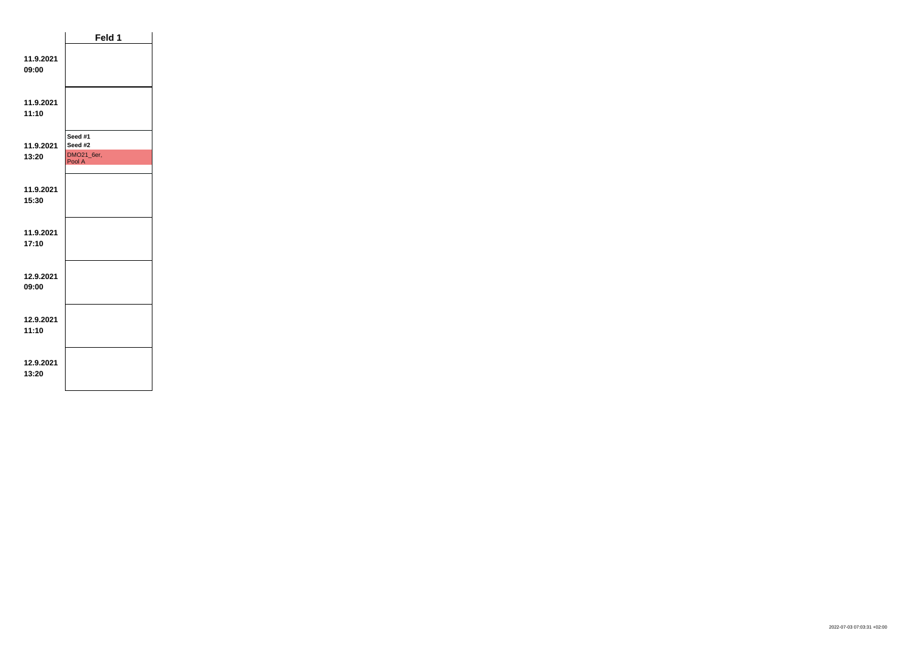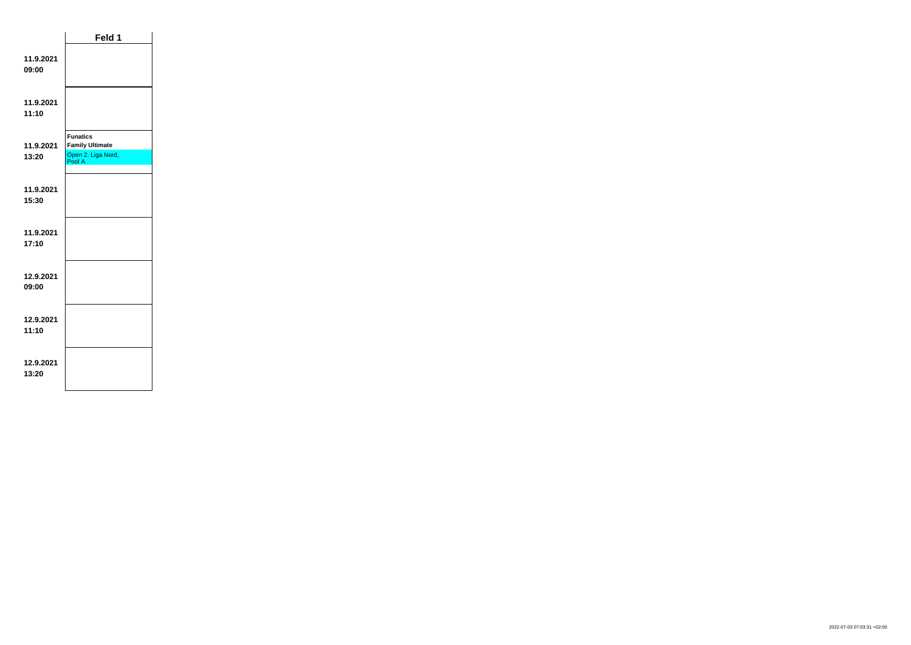|                    | Feld 1                                                                    |  |
|--------------------|---------------------------------------------------------------------------|--|
| 11.9.2021<br>09:00 |                                                                           |  |
| 11.9.2021<br>11:10 |                                                                           |  |
| 11.9.2021<br>13:20 | <b>Funatics</b><br><b>Family Ultimate</b><br>Open 2. Liga Nord,<br>Pool A |  |
| 11.9.2021<br>15:30 |                                                                           |  |
| 11.9.2021<br>17:10 |                                                                           |  |
| 12.9.2021<br>09:00 |                                                                           |  |
| 12.9.2021<br>11:10 |                                                                           |  |
| 12.9.2021<br>13:20 |                                                                           |  |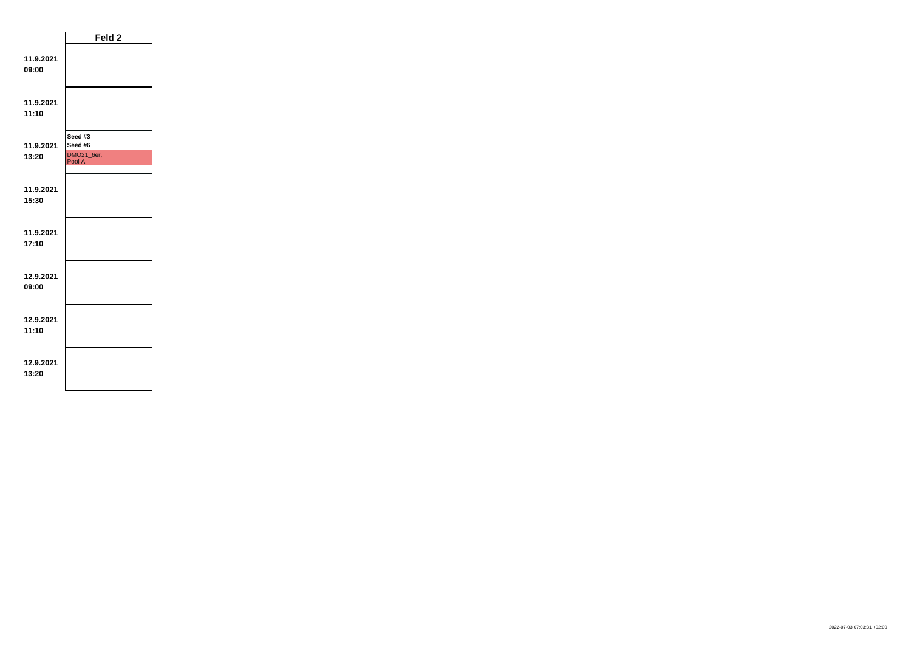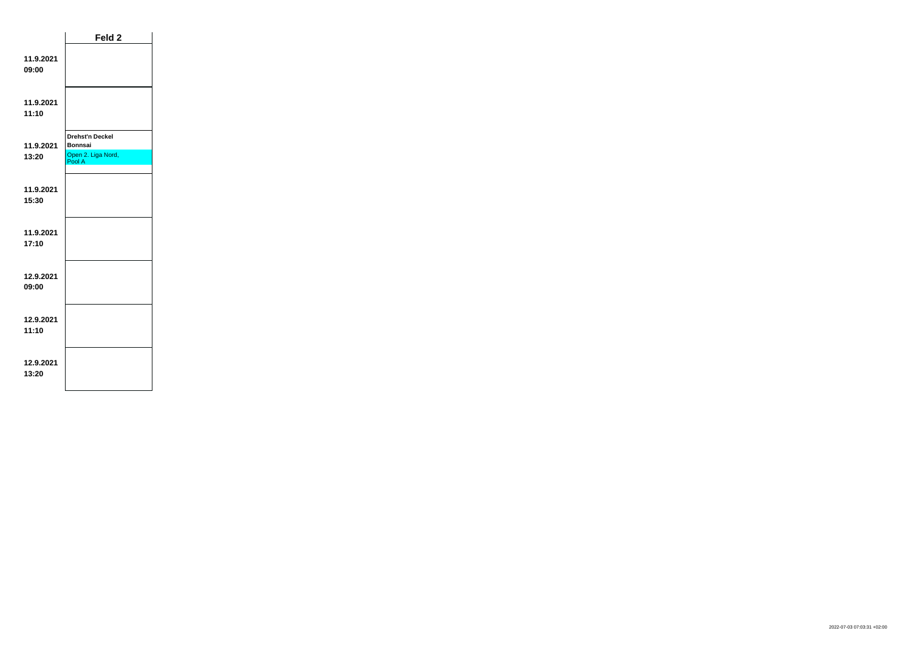|                    | Feld <sub>2</sub>            |  |
|--------------------|------------------------------|--|
| 11.9.2021<br>09:00 |                              |  |
| 11.9.2021<br>11:10 |                              |  |
|                    | <b>Drehst'n Deckel</b>       |  |
| 11.9.2021          | <b>Bonnsai</b>               |  |
| 13:20              | Open 2. Liga Nord,<br>Pool A |  |
|                    |                              |  |
| 11.9.2021          |                              |  |
| 15:30              |                              |  |
|                    |                              |  |
| 11.9.2021<br>17:10 |                              |  |
|                    |                              |  |
| 12.9.2021<br>09:00 |                              |  |
|                    |                              |  |
| 12.9.2021          |                              |  |
| 11:10              |                              |  |
| 12.9.2021<br>13:20 |                              |  |
|                    |                              |  |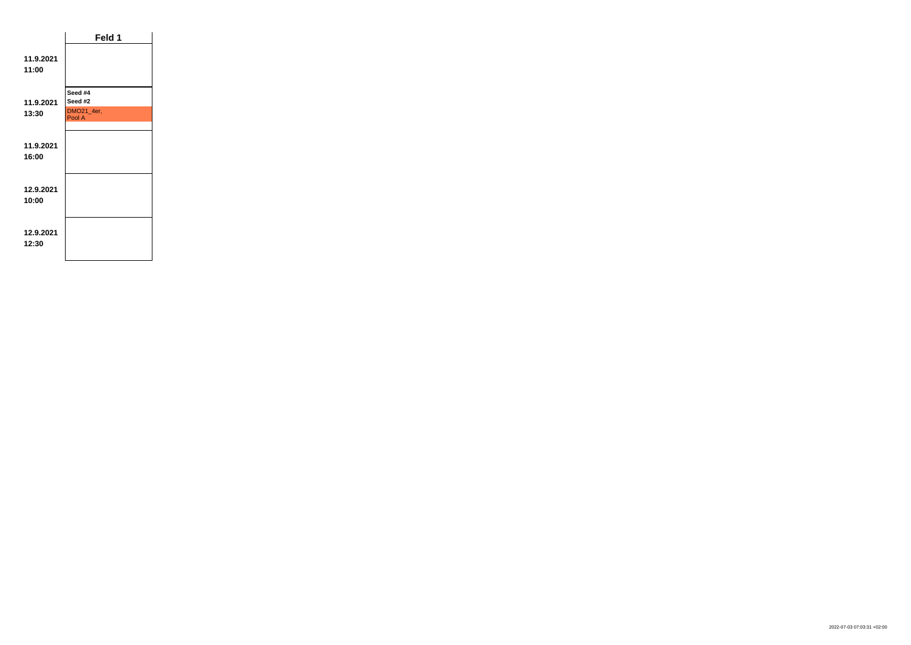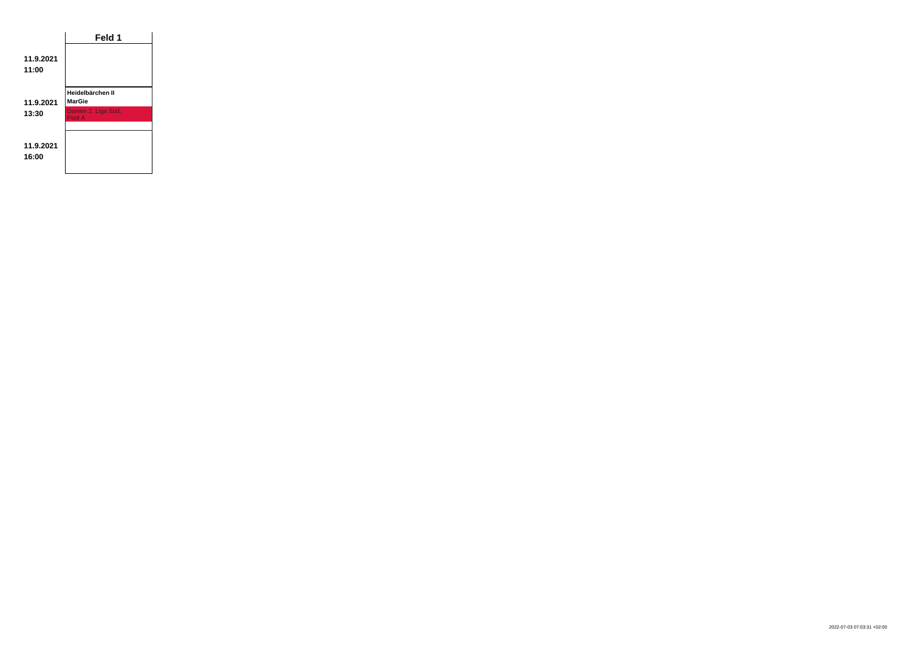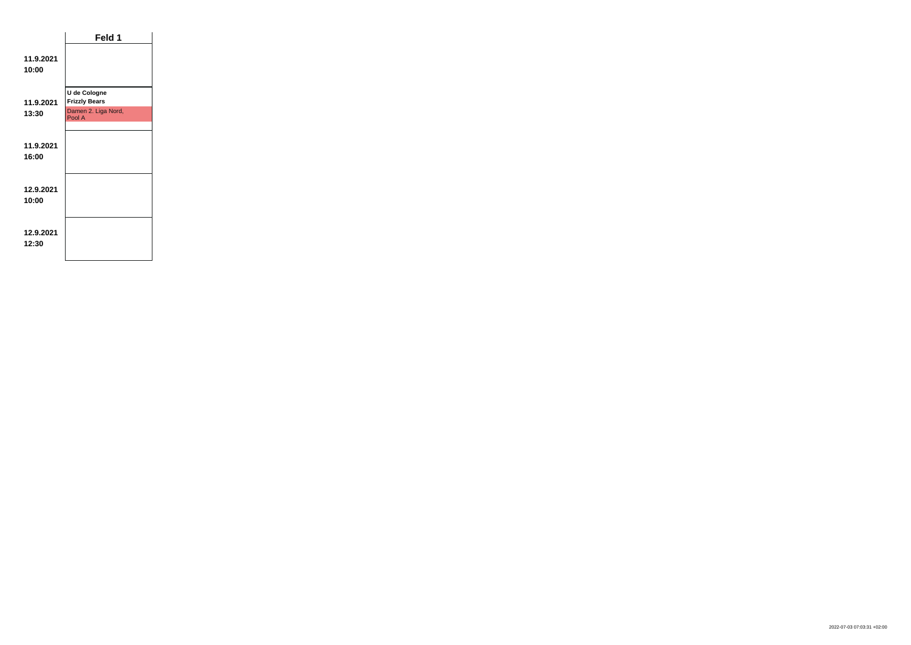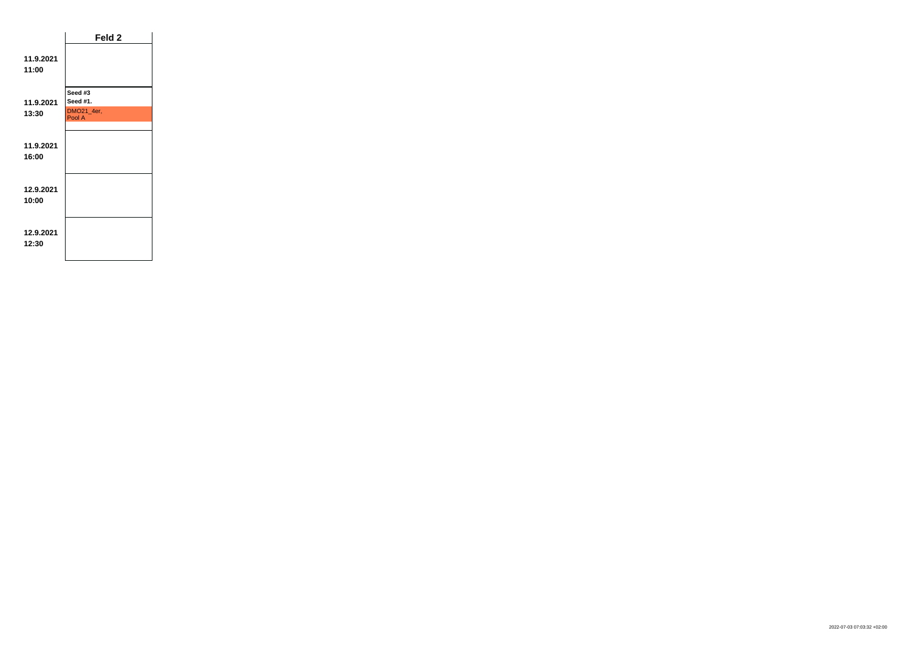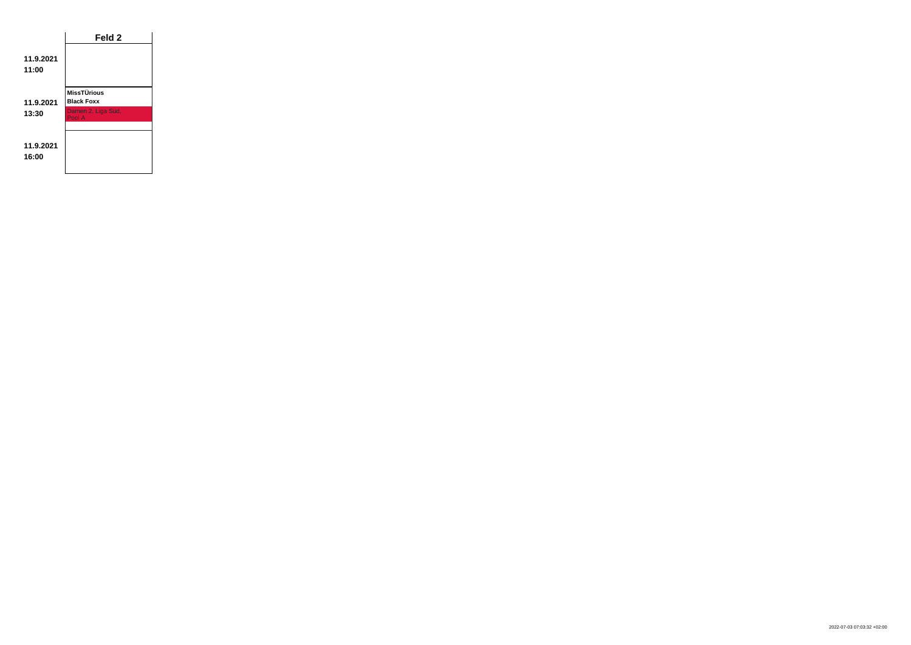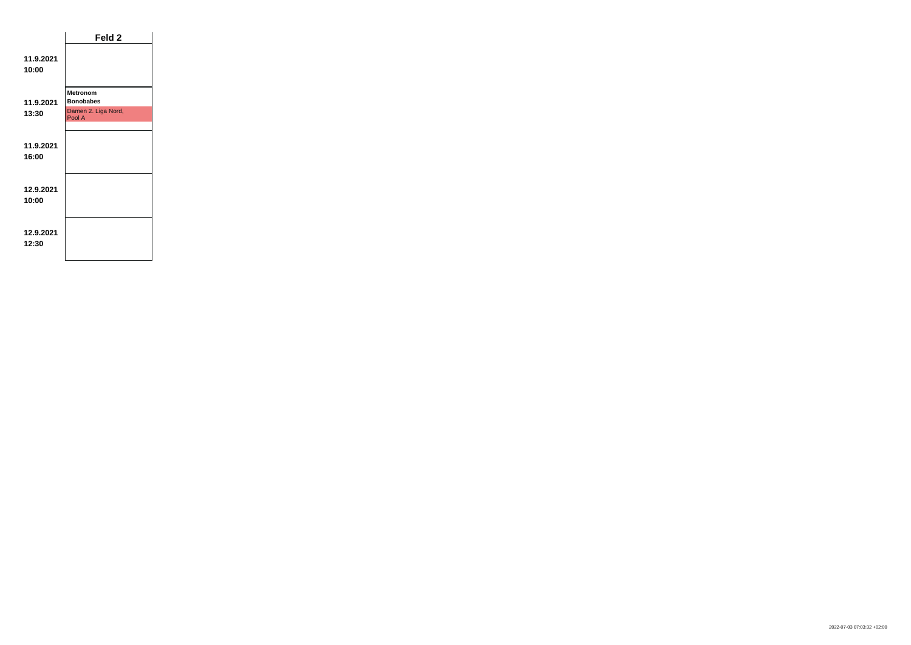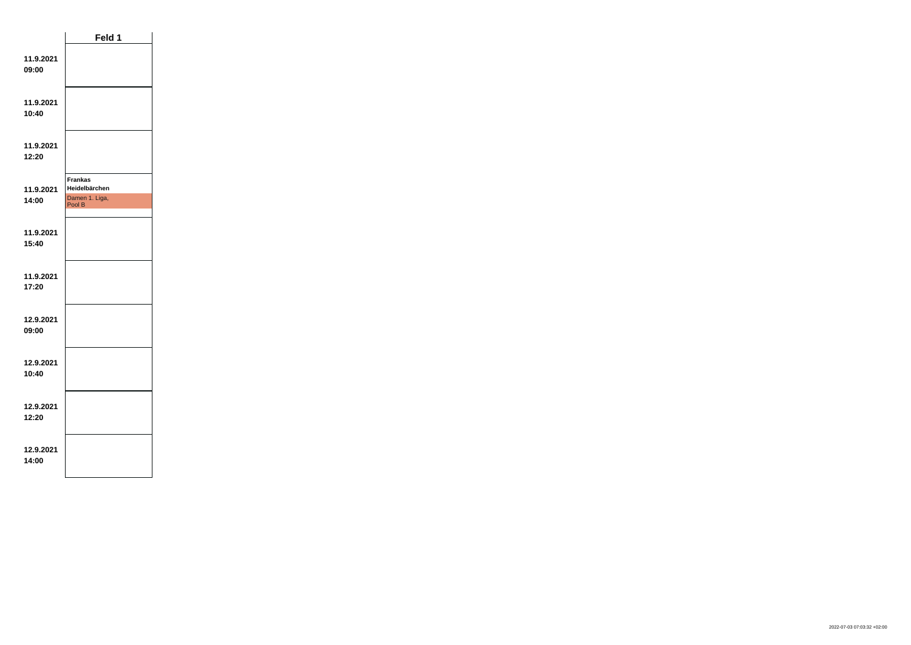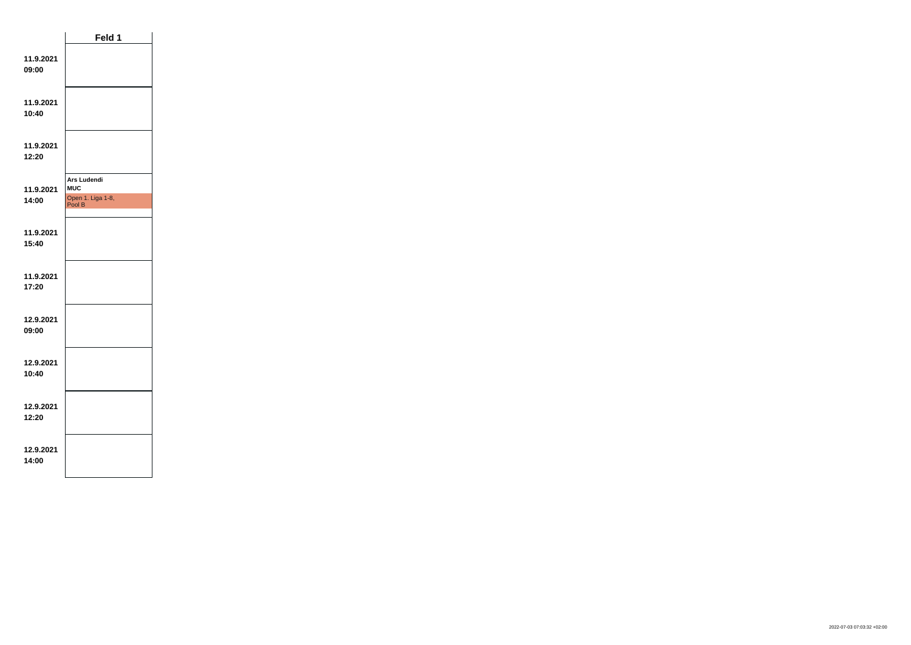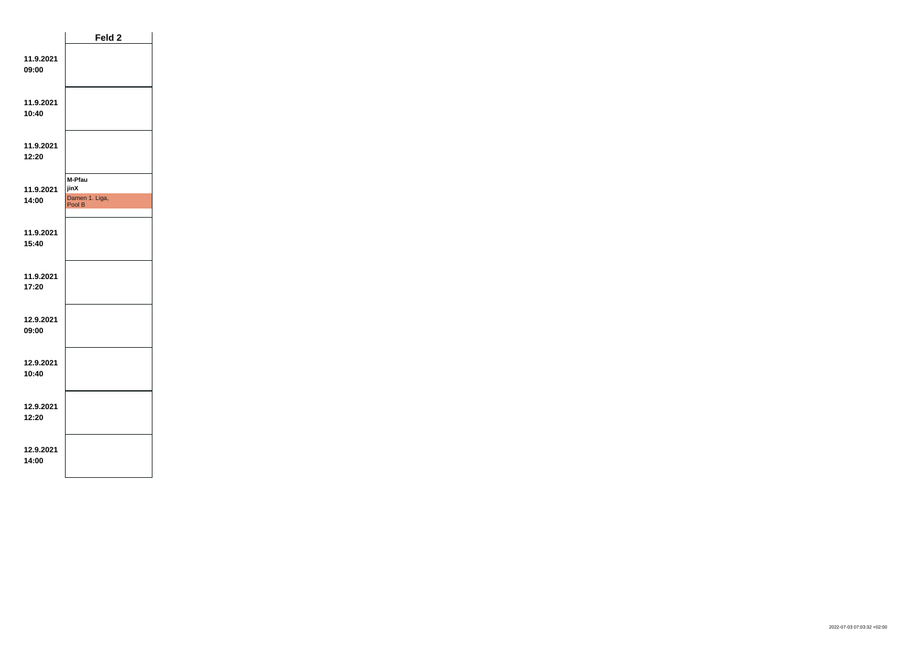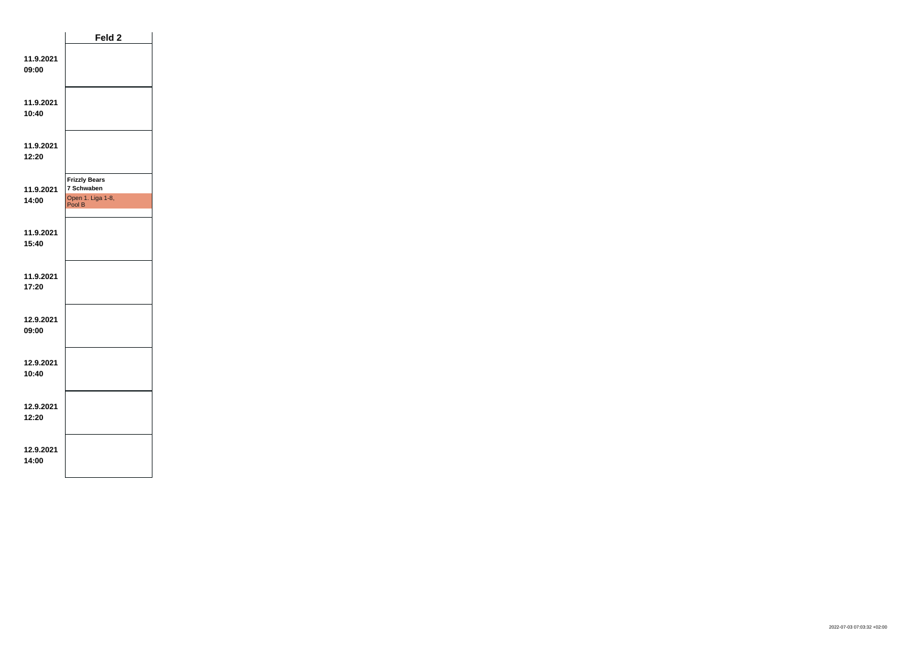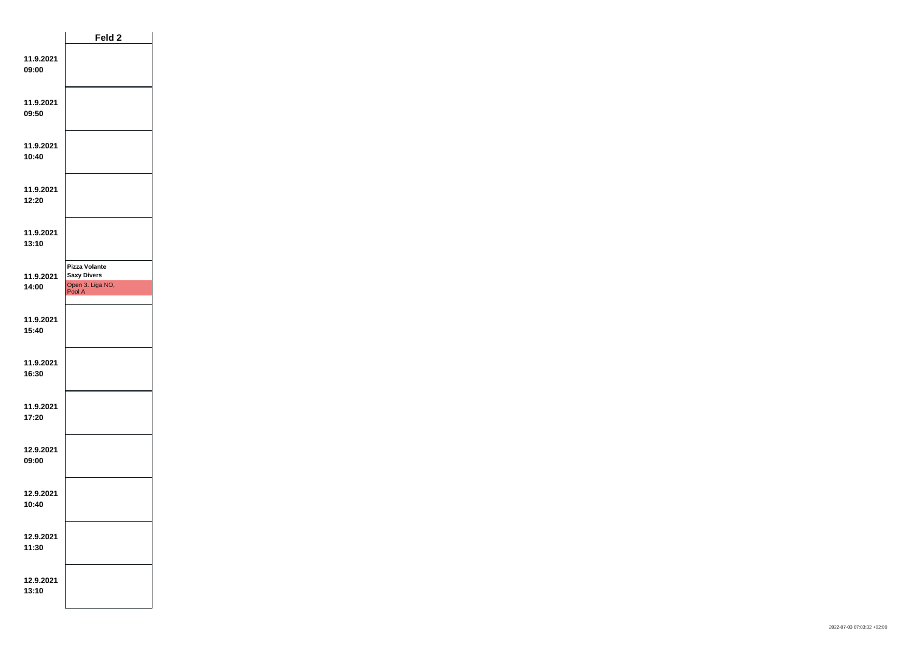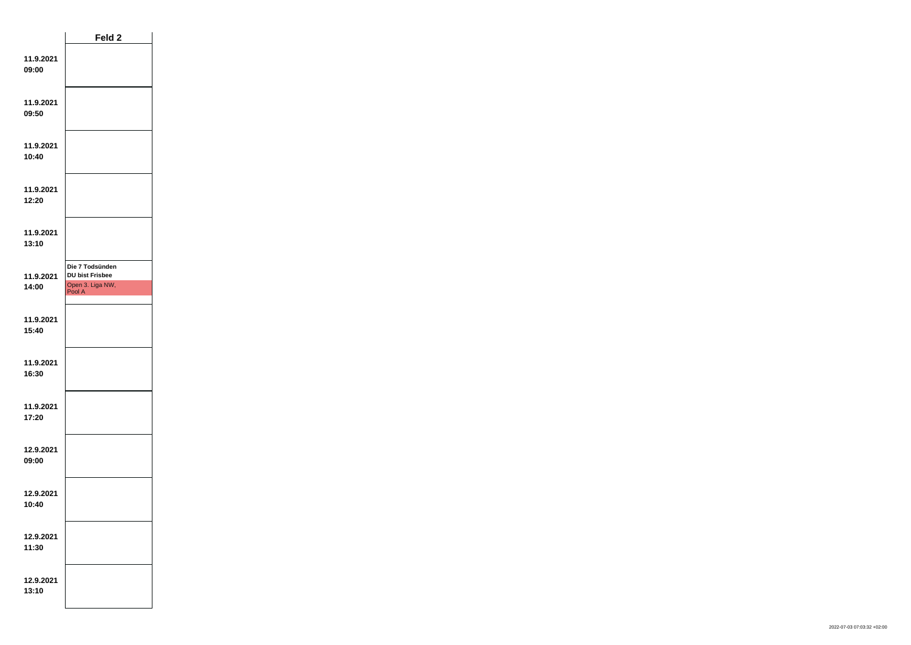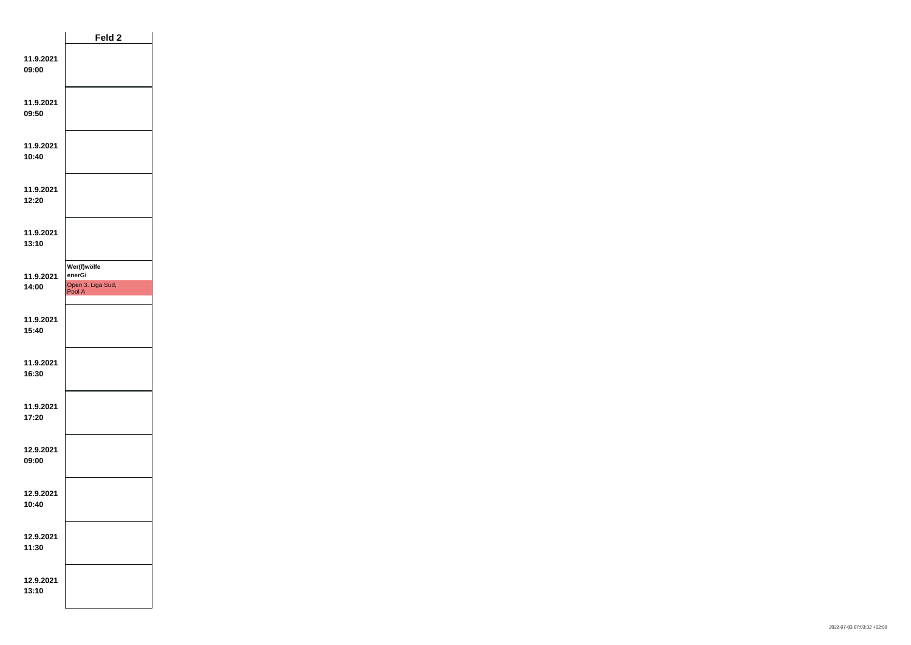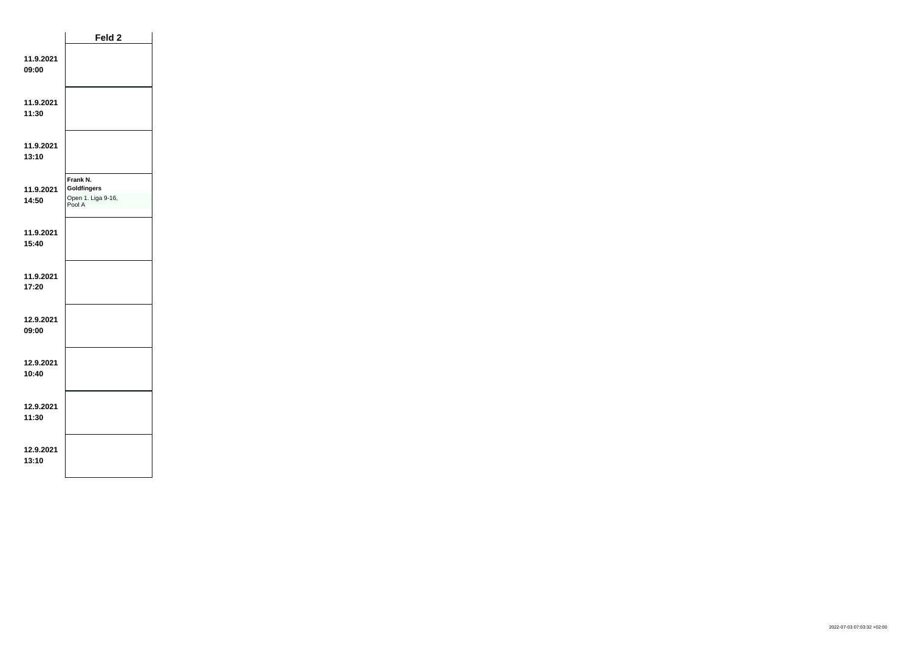|                    | Feld 2                                                         |  |
|--------------------|----------------------------------------------------------------|--|
| 11.9.2021<br>09:00 |                                                                |  |
| 11.9.2021<br>11:30 |                                                                |  |
| 11.9.2021<br>13:10 |                                                                |  |
| 11.9.2021<br>14:50 | Frank N.<br><b>Goldfingers</b><br>Open 1. Liga 9-16,<br>Pool A |  |
| 11.9.2021<br>15:40 |                                                                |  |
| 11.9.2021<br>17:20 |                                                                |  |
| 12.9.2021<br>09:00 |                                                                |  |
| 12.9.2021<br>10:40 |                                                                |  |
| 12.9.2021<br>11:30 |                                                                |  |
| 12.9.2021<br>13:10 |                                                                |  |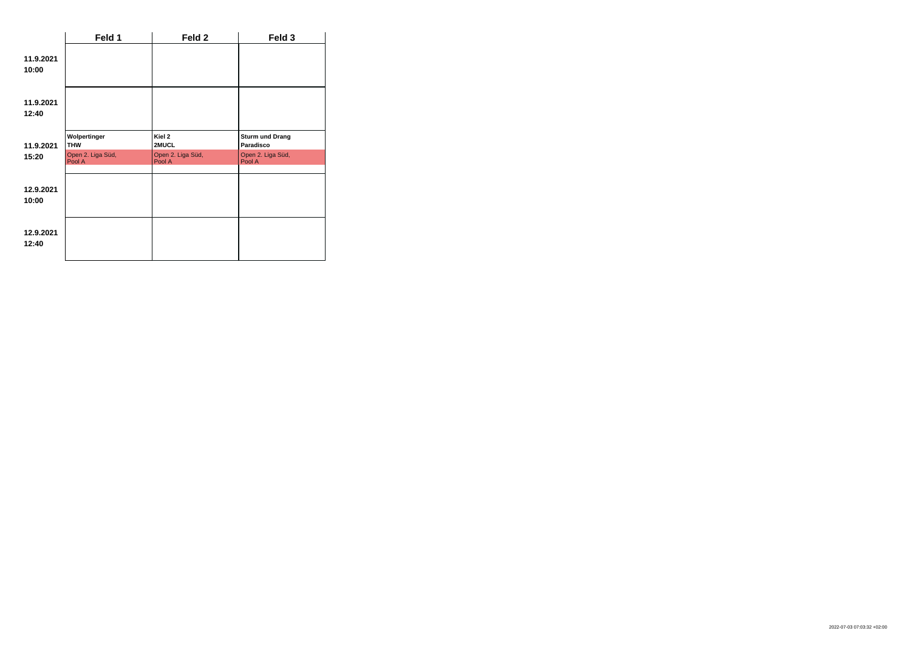|                    | Feld 1                      | Feld 2                      | Feld 3                              |
|--------------------|-----------------------------|-----------------------------|-------------------------------------|
| 11.9.2021<br>10:00 |                             |                             |                                     |
| 11.9.2021<br>12:40 |                             |                             |                                     |
| 11.9.2021          | Wolpertinger<br><b>THW</b>  | Kiel 2<br>2MUCL             | <b>Sturm und Drang</b><br>Paradisco |
| 15:20              | Open 2. Liga Süd,<br>Pool A | Open 2. Liga Süd,<br>Pool A | Open 2. Liga Süd,<br>Pool A         |
| 12.9.2021<br>10:00 |                             |                             |                                     |
| 12.9.2021<br>12:40 |                             |                             |                                     |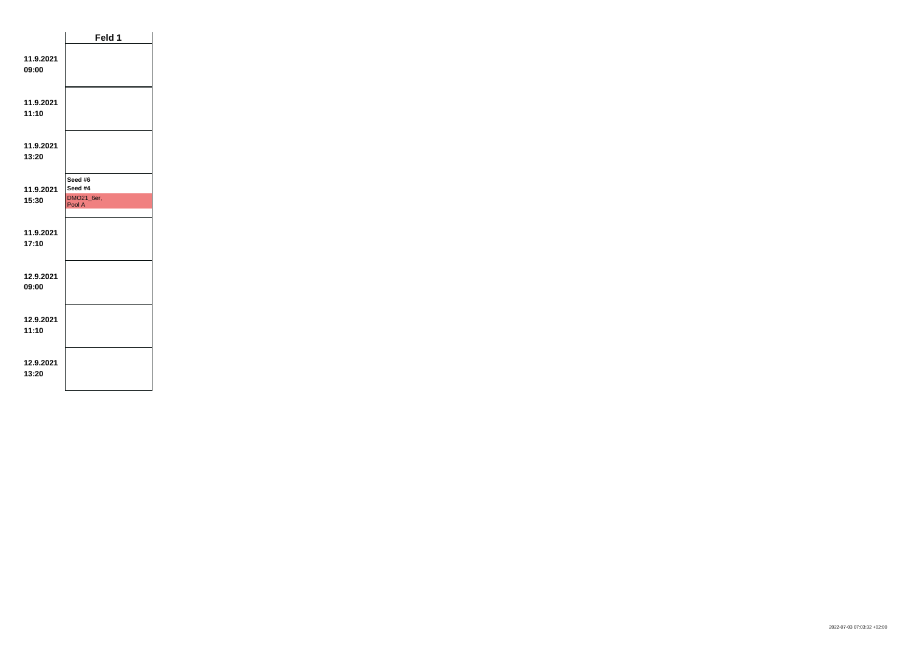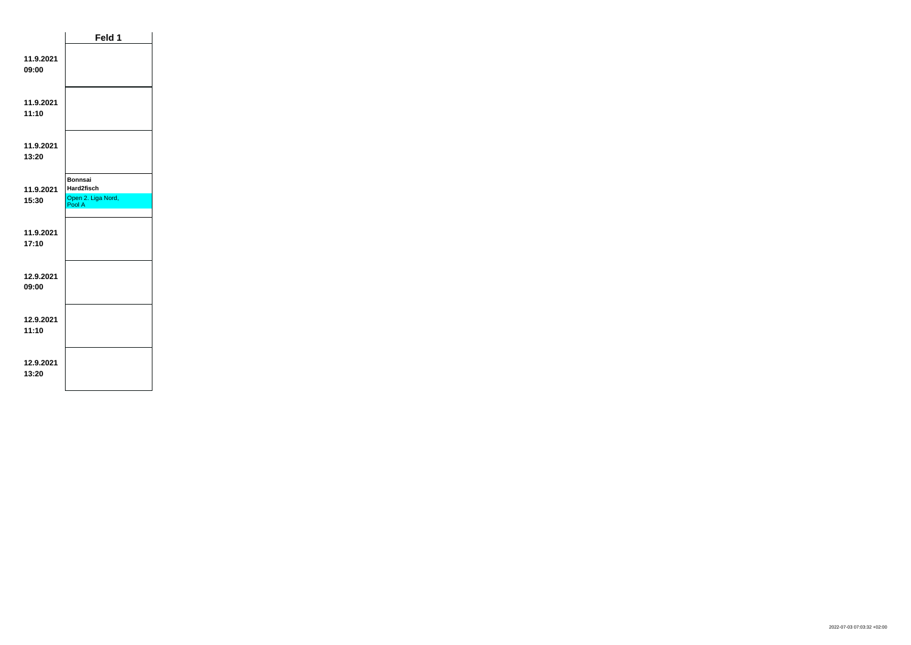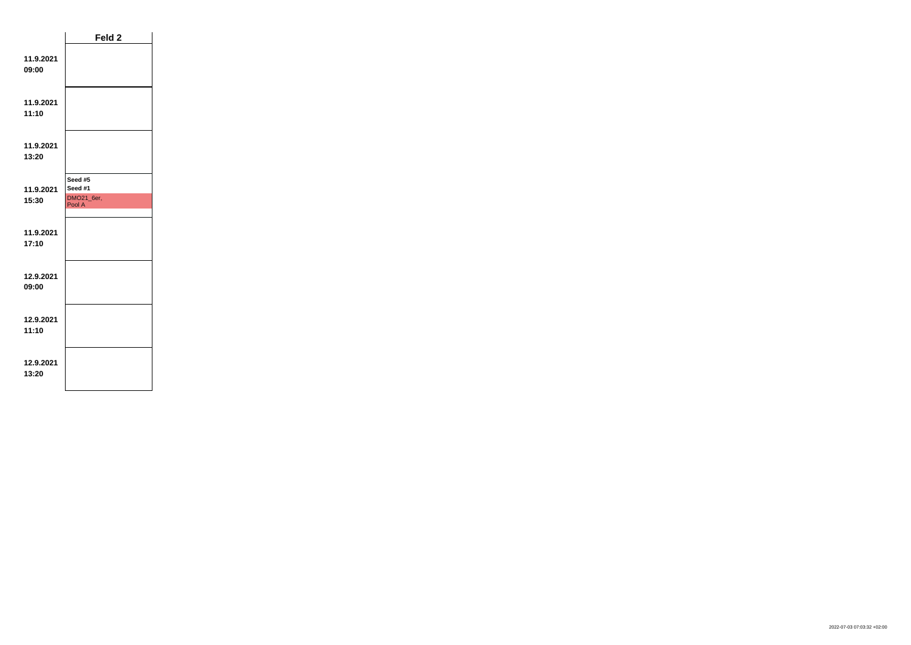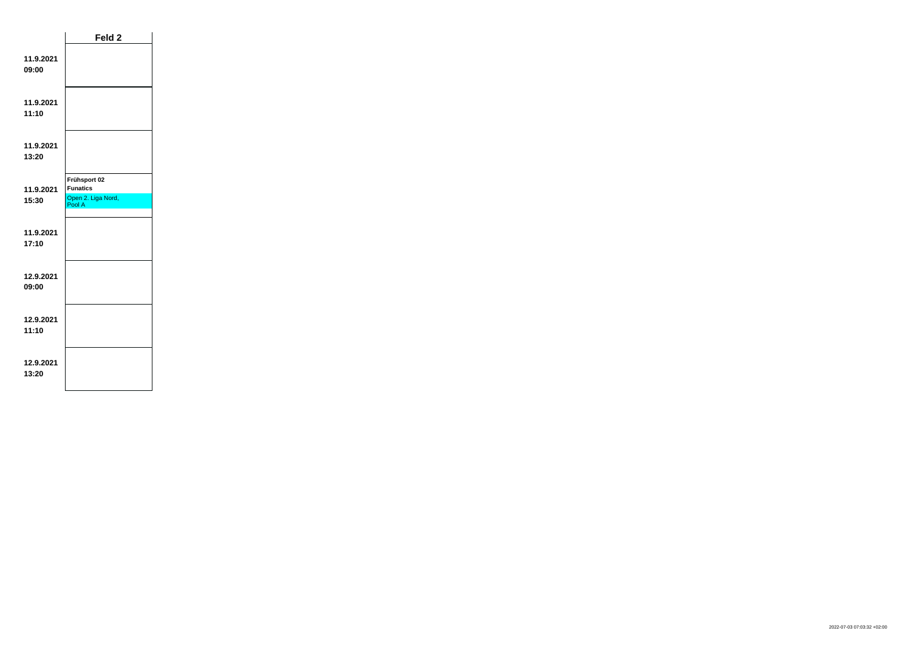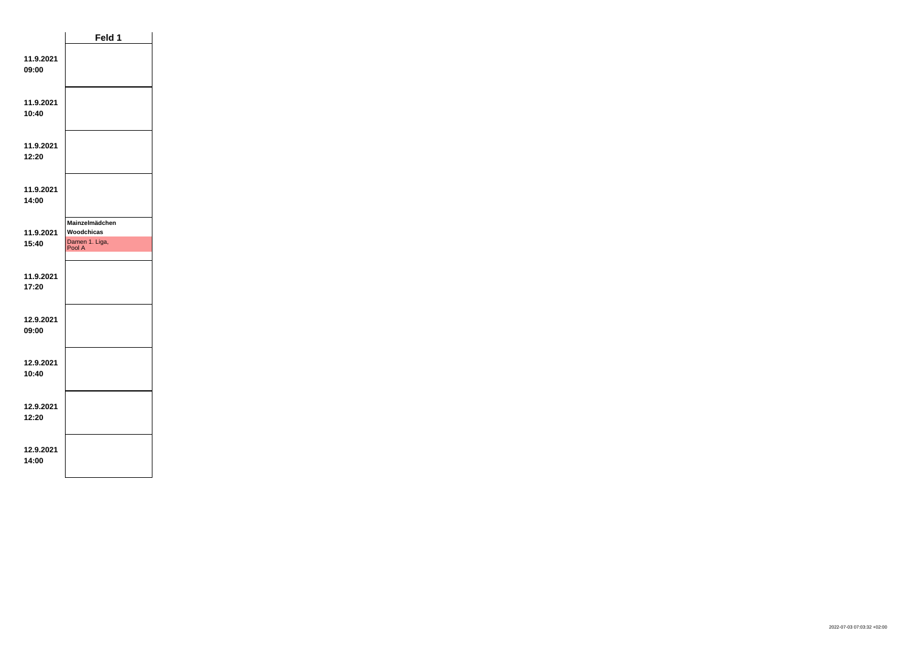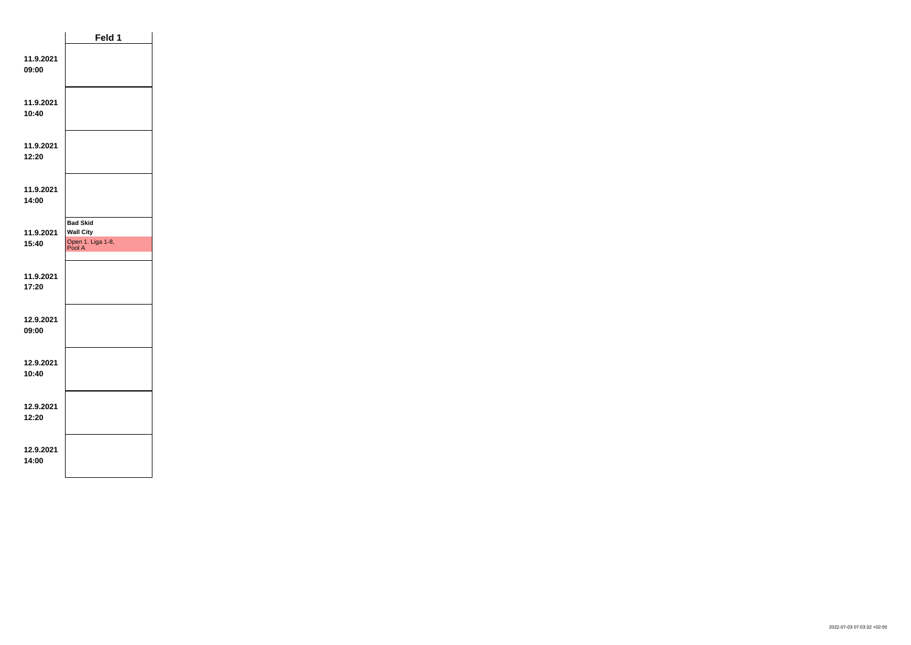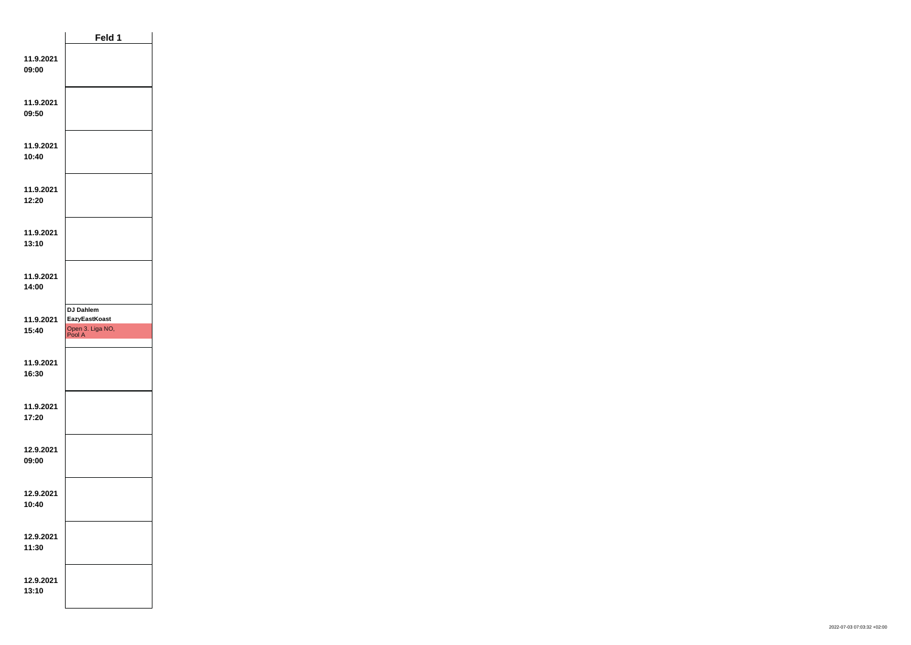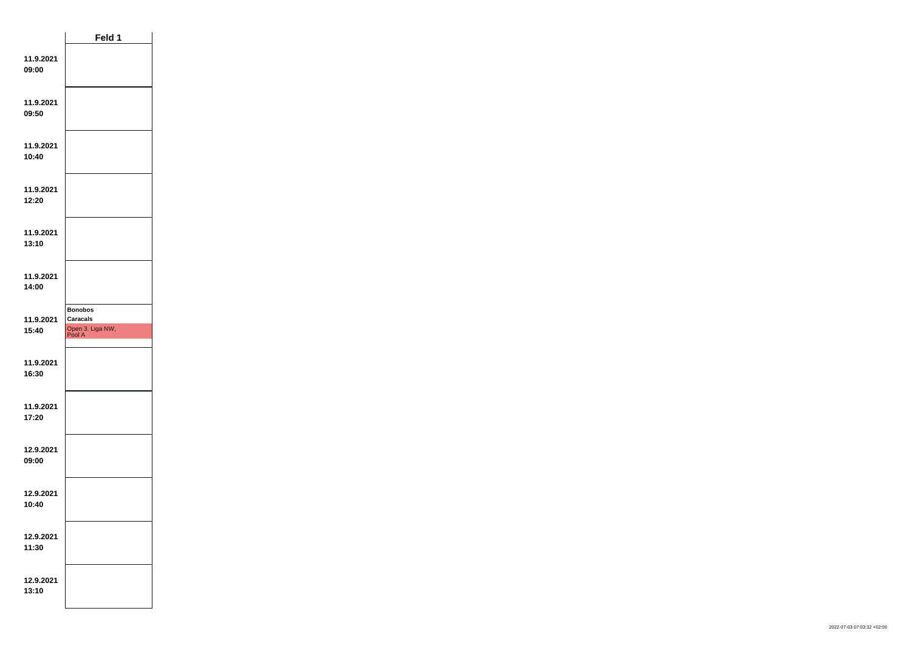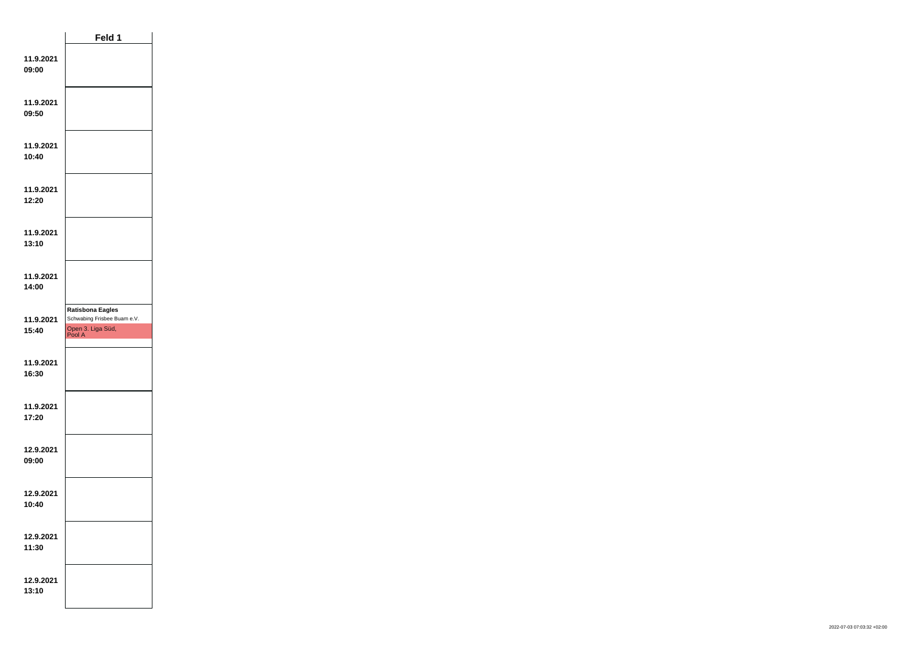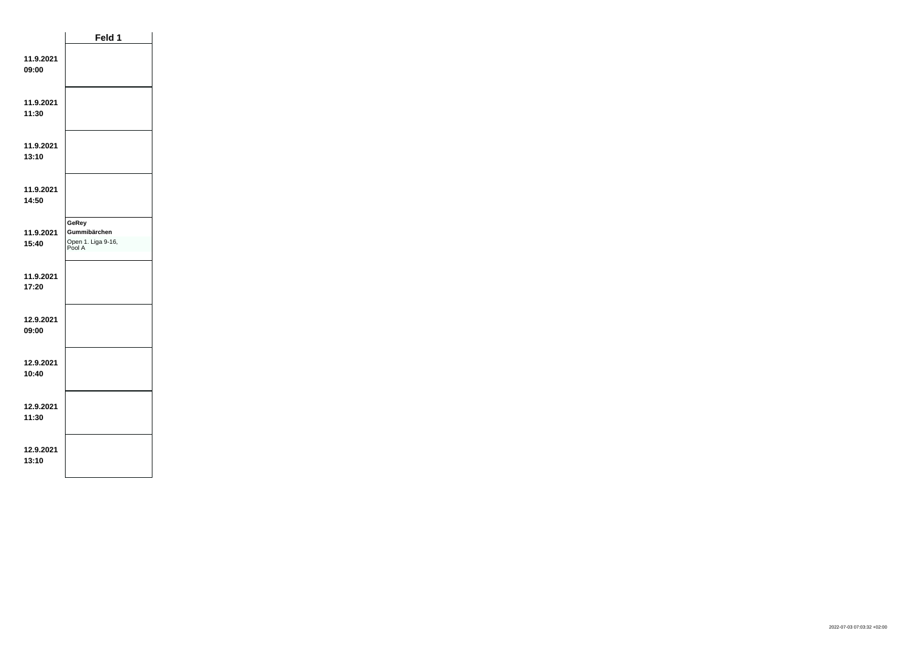|                    | Feld 1                                                |  |  |
|--------------------|-------------------------------------------------------|--|--|
| 11.9.2021<br>09:00 |                                                       |  |  |
| 11.9.2021<br>11:30 |                                                       |  |  |
| 11.9.2021<br>13:10 |                                                       |  |  |
| 11.9.2021<br>14:50 |                                                       |  |  |
| 11.9.2021<br>15:40 | GeRey<br>Gummibärchen<br>Open 1. Liga 9-16,<br>Pool A |  |  |
| 11.9.2021<br>17:20 |                                                       |  |  |
| 12.9.2021<br>09:00 |                                                       |  |  |
| 12.9.2021<br>10:40 |                                                       |  |  |
| 12.9.2021<br>11:30 |                                                       |  |  |
| 12.9.2021<br>13:10 |                                                       |  |  |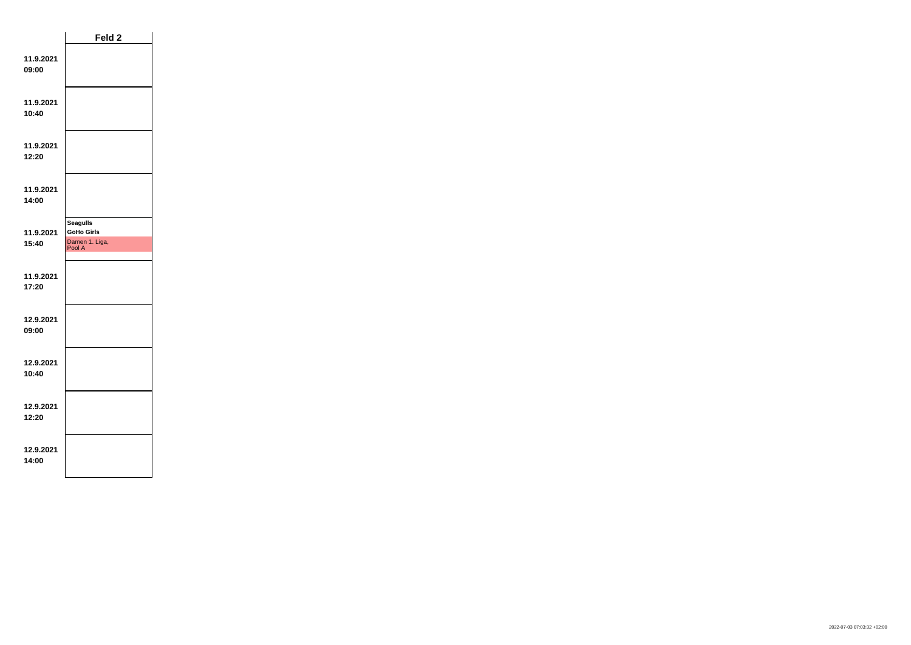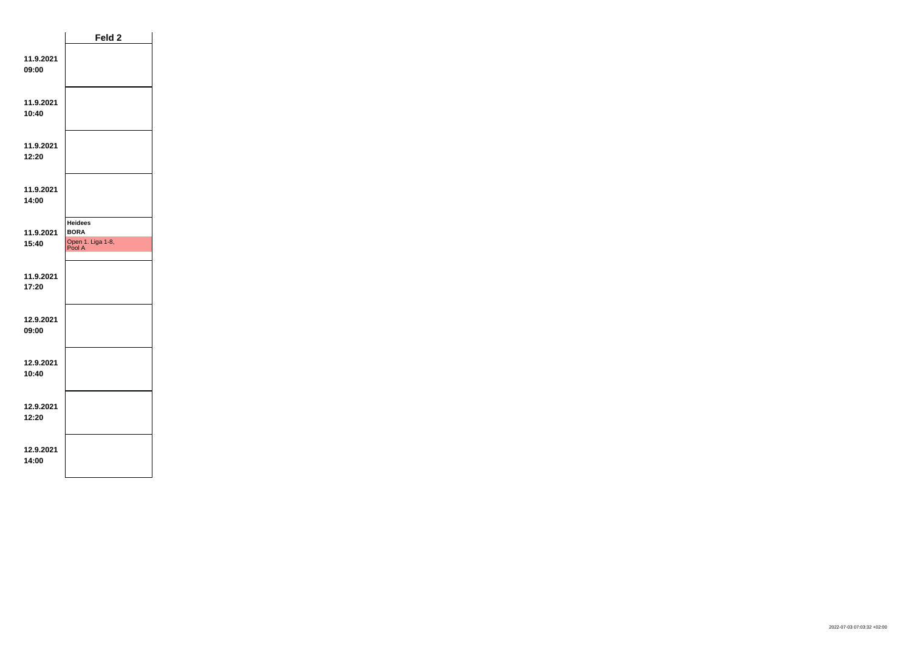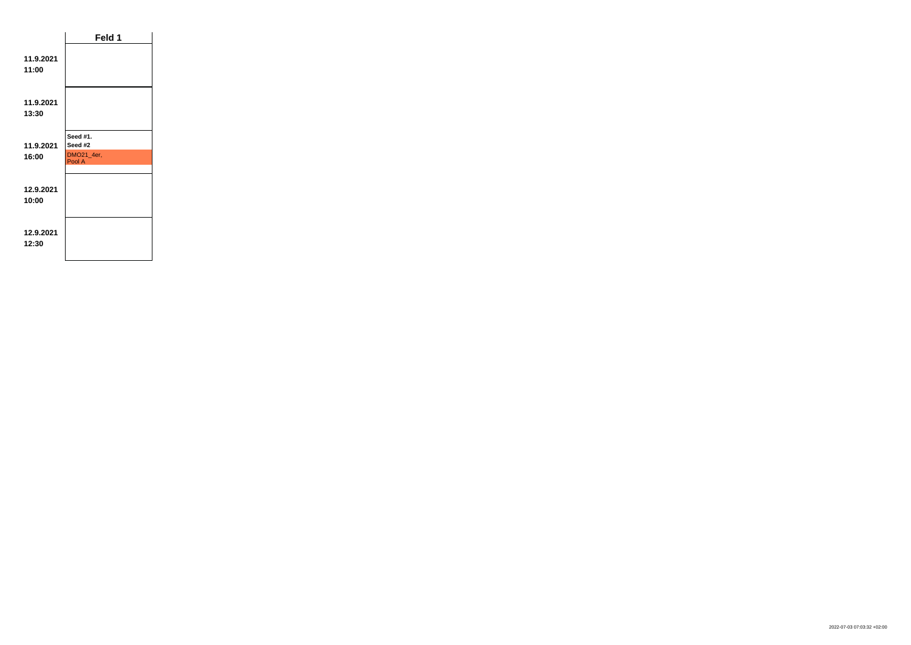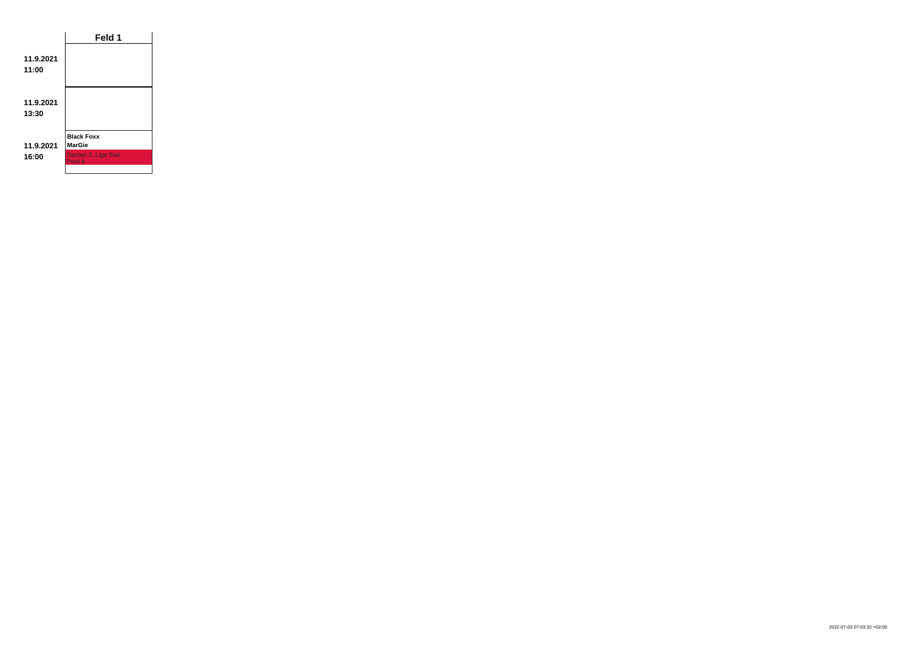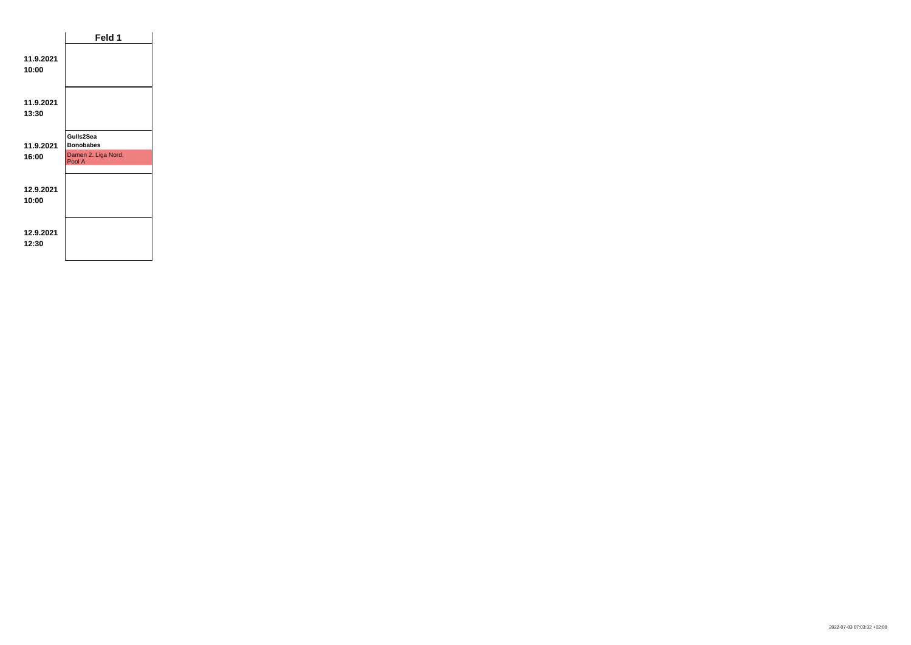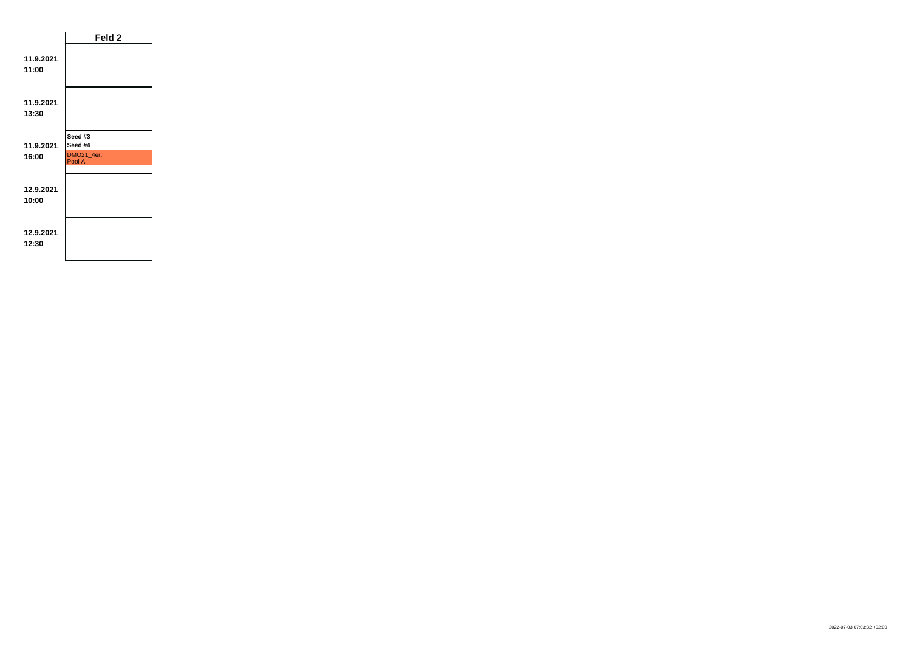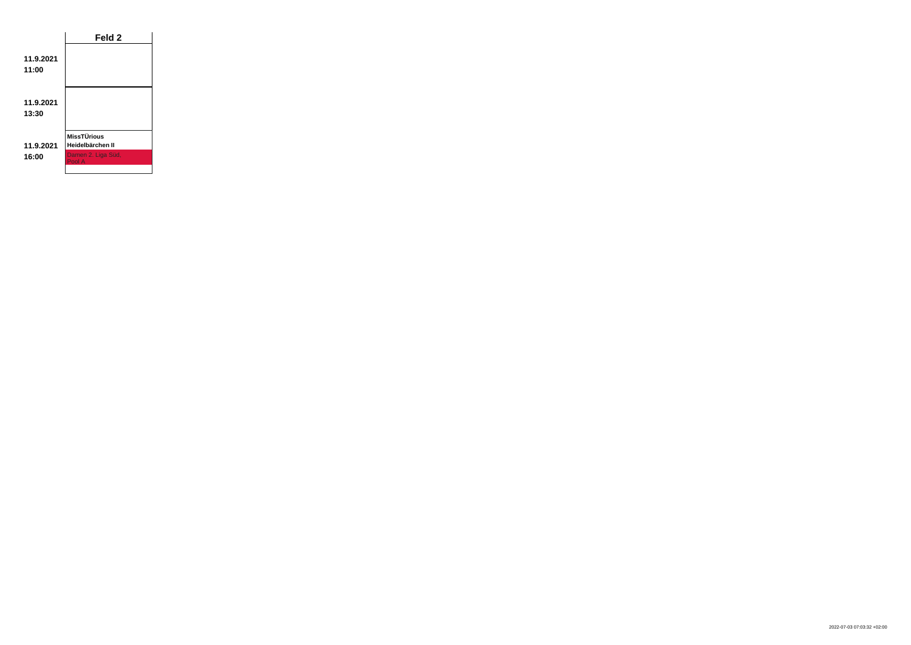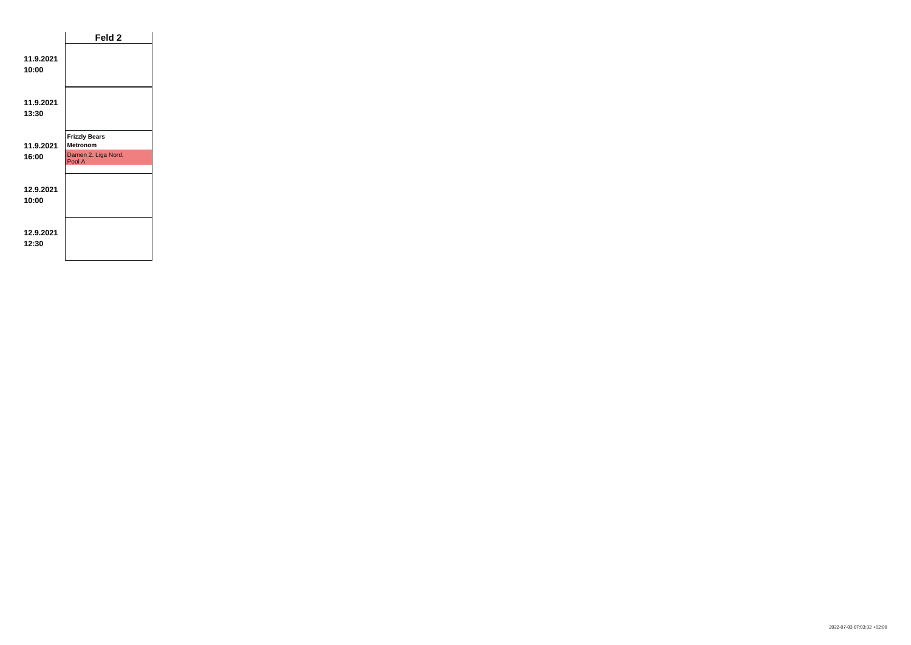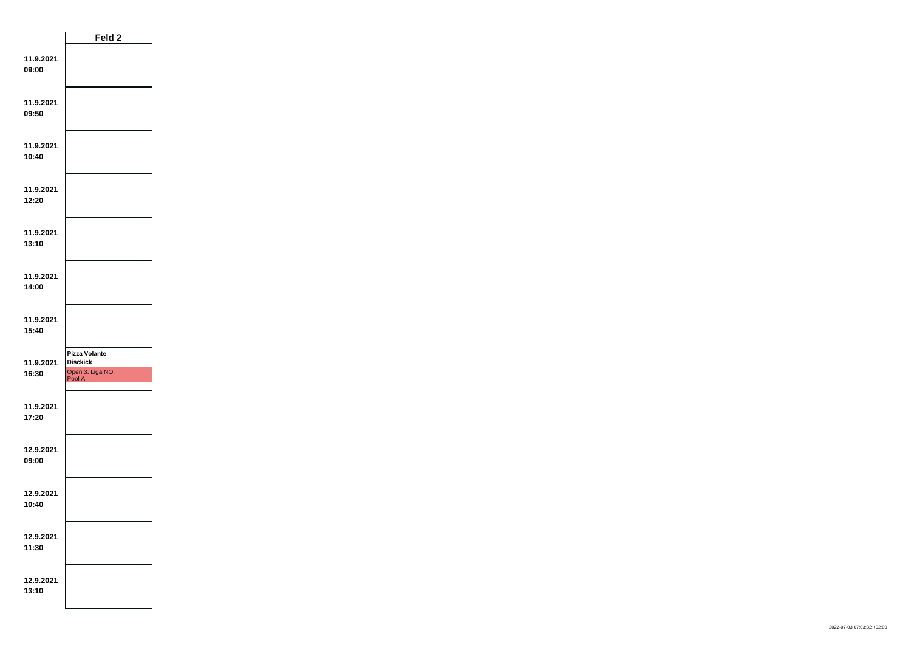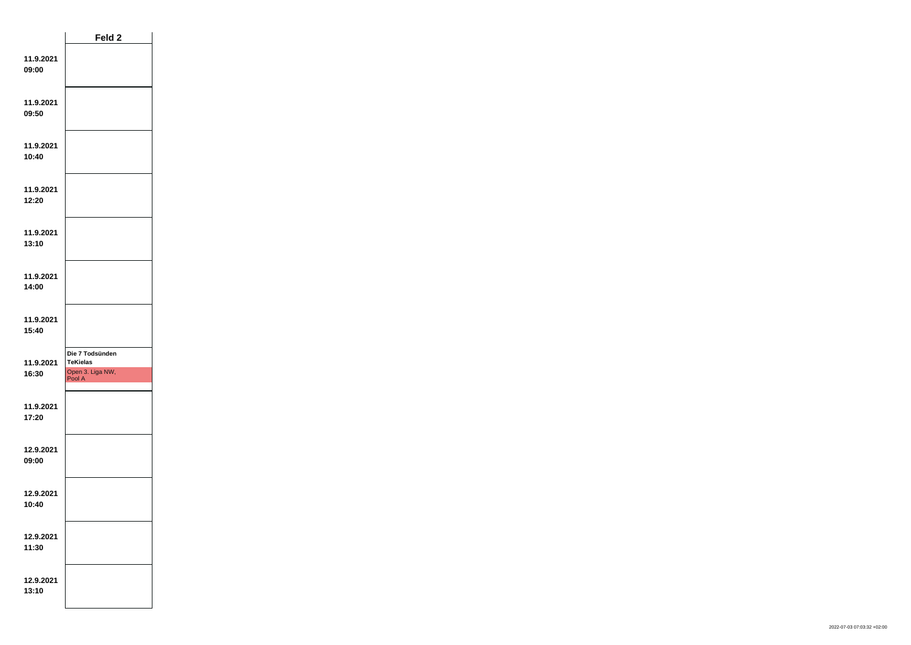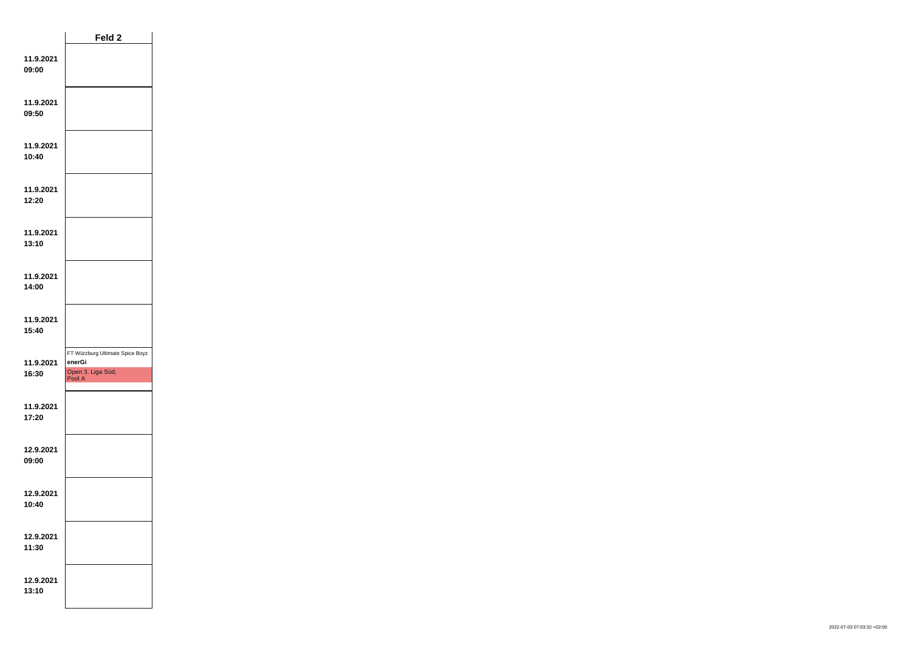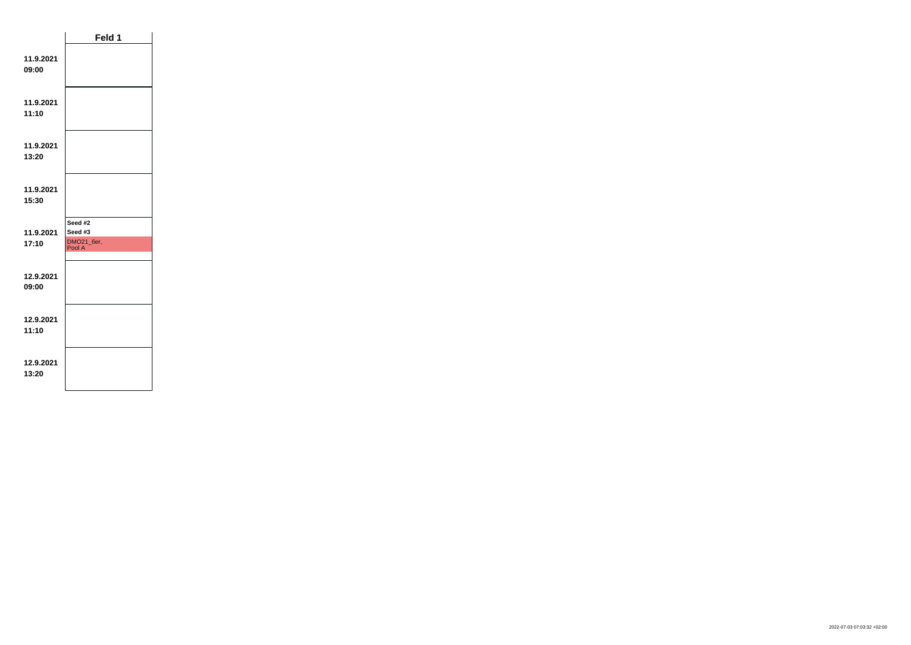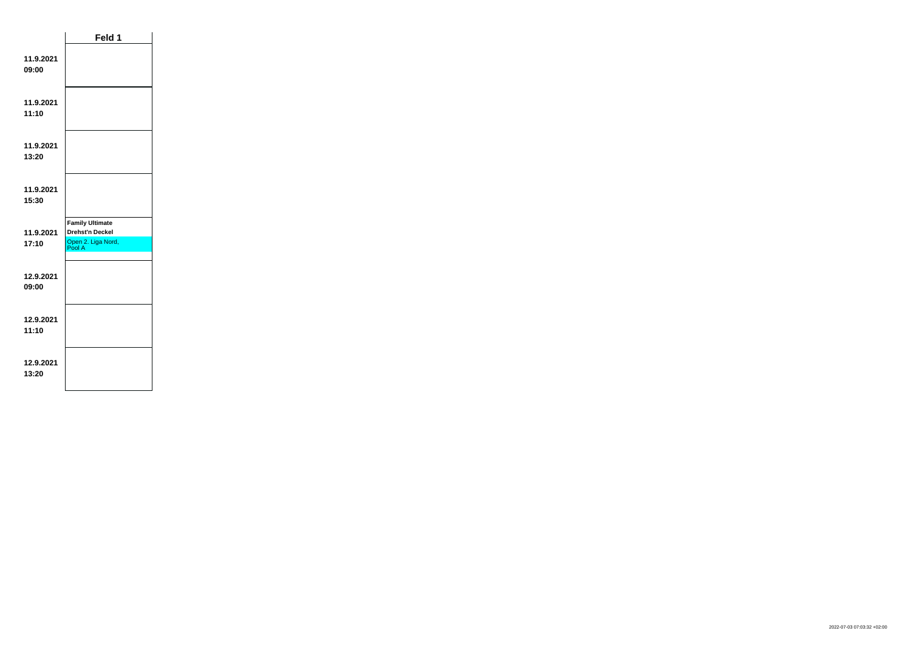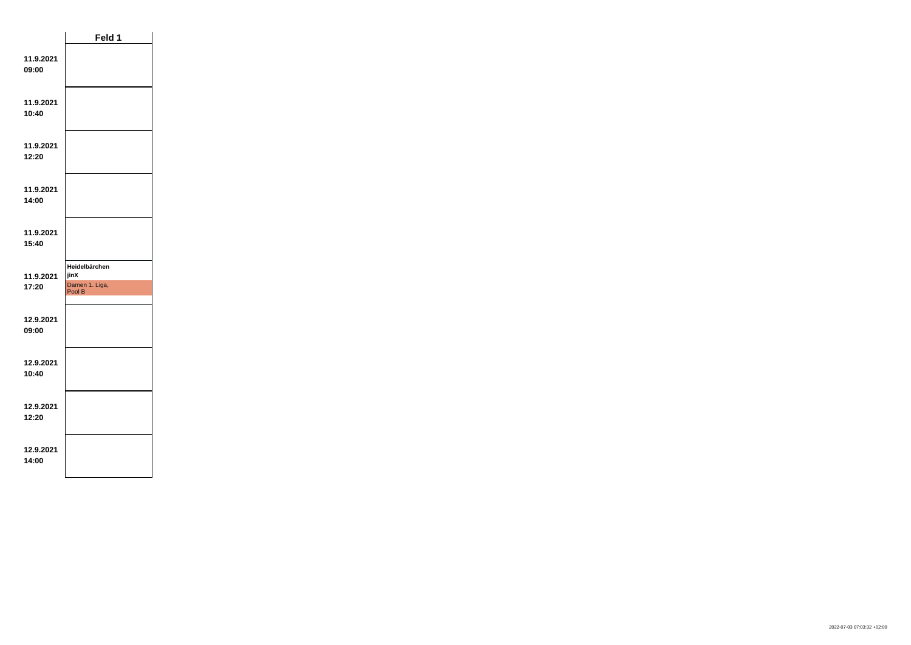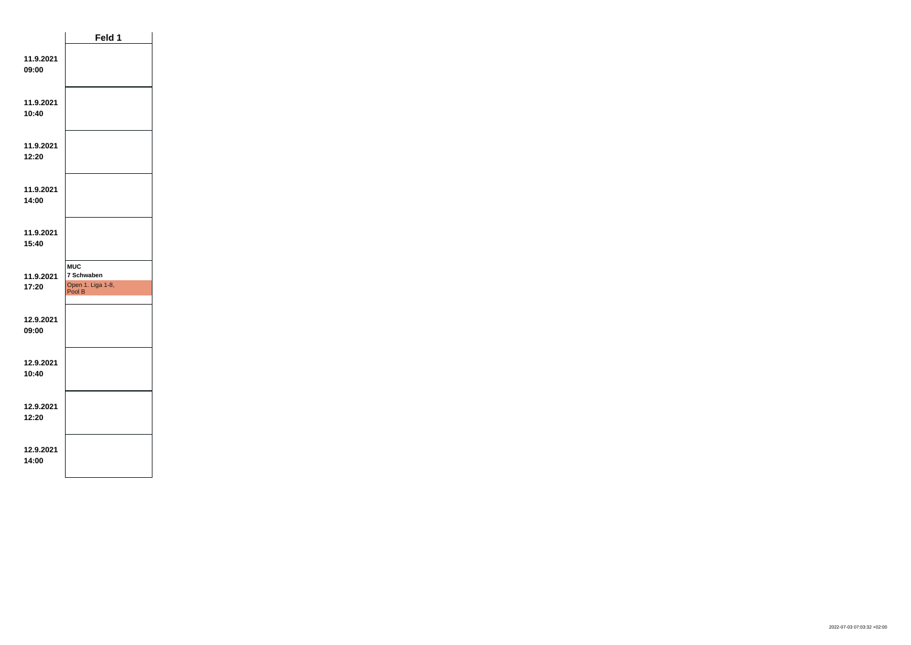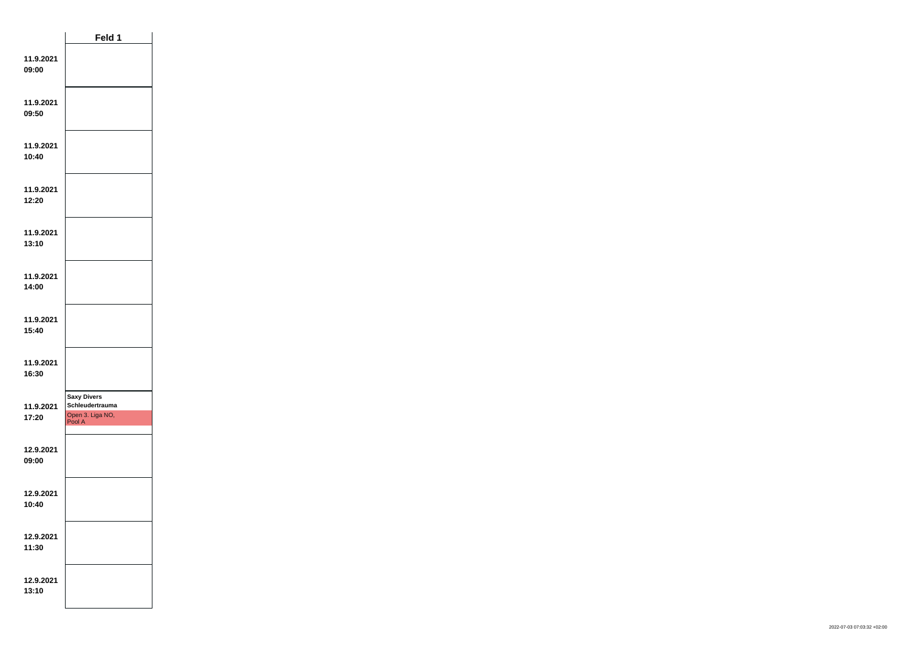|                    | Feld 1                                                              |  |  |
|--------------------|---------------------------------------------------------------------|--|--|
| 11.9.2021<br>09:00 |                                                                     |  |  |
| 11.9.2021<br>09:50 |                                                                     |  |  |
| 11.9.2021<br>10:40 |                                                                     |  |  |
| 11.9.2021<br>12:20 |                                                                     |  |  |
| 11.9.2021<br>13:10 |                                                                     |  |  |
| 11.9.2021<br>14:00 |                                                                     |  |  |
| 11.9.2021<br>15:40 |                                                                     |  |  |
| 11.9.2021<br>16:30 |                                                                     |  |  |
| 11.9.2021<br>17:20 | <b>Saxy Divers</b><br>Schleudertrauma<br>Open 3. Liga NO,<br>Pool A |  |  |
| 12.9.2021<br>09:00 |                                                                     |  |  |
| 12.9.2021<br>10:40 |                                                                     |  |  |
| 12.9.2021<br>11:30 |                                                                     |  |  |
| 12.9.2021<br>13:10 |                                                                     |  |  |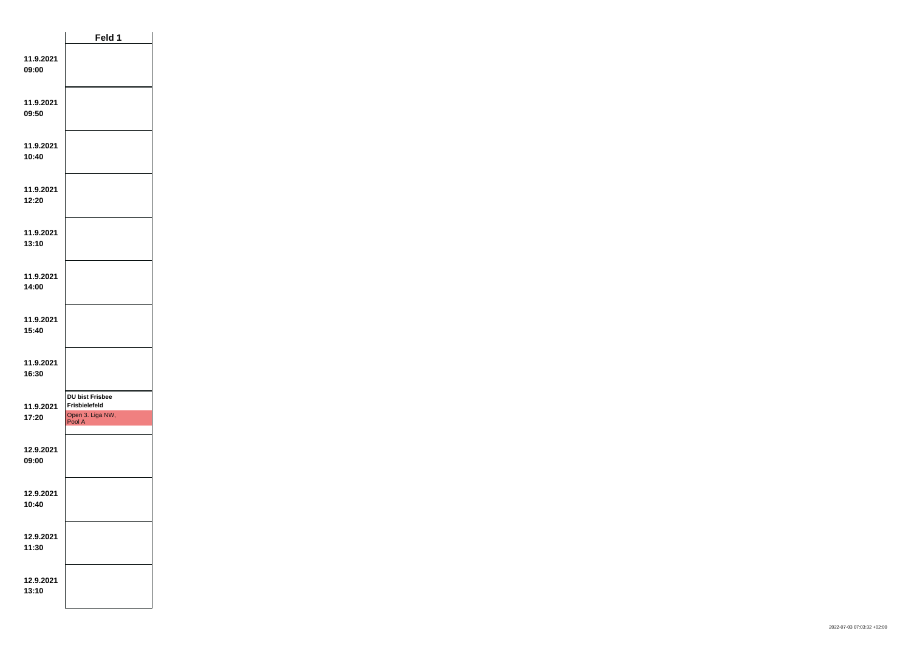|                    | Feld 1                                                                       |  |
|--------------------|------------------------------------------------------------------------------|--|
| 11.9.2021<br>09:00 |                                                                              |  |
| 11.9.2021<br>09:50 |                                                                              |  |
| 11.9.2021<br>10:40 |                                                                              |  |
| 11.9.2021<br>12:20 |                                                                              |  |
| 11.9.2021<br>13:10 |                                                                              |  |
| 11.9.2021<br>14:00 |                                                                              |  |
| 11.9.2021<br>15:40 |                                                                              |  |
| 11.9.2021<br>16:30 |                                                                              |  |
| 11.9.2021<br>17:20 | <b>DU bist Frisbee</b><br><b>Frisbielefeld</b><br>Open 3. Liga NW,<br>Pool A |  |
| 12.9.2021<br>09:00 |                                                                              |  |
| 12.9.2021<br>10:40 |                                                                              |  |
| 12.9.2021<br>11:30 |                                                                              |  |
| 12.9.2021<br>13:10 |                                                                              |  |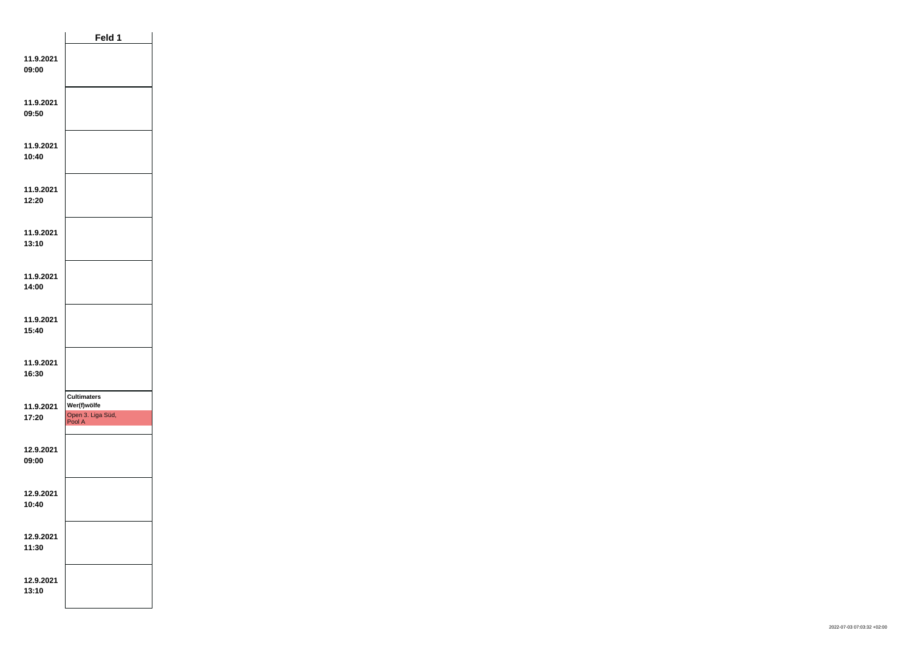|                    | Feld 1                                                           |  |
|--------------------|------------------------------------------------------------------|--|
| 11.9.2021<br>09:00 |                                                                  |  |
| 11.9.2021<br>09:50 |                                                                  |  |
| 11.9.2021<br>10:40 |                                                                  |  |
| 11.9.2021<br>12:20 |                                                                  |  |
| 11.9.2021<br>13:10 |                                                                  |  |
| 11.9.2021<br>14:00 |                                                                  |  |
| 11.9.2021<br>15:40 |                                                                  |  |
| 11.9.2021<br>16:30 |                                                                  |  |
| 11.9.2021<br>17:20 | <b>Cultimaters</b><br>Wer(f)wölfe<br>Open 3. Liga Süd,<br>Pool A |  |
| 12.9.2021<br>09:00 |                                                                  |  |
| 12.9.2021<br>10:40 |                                                                  |  |
| 12.9.2021<br>11:30 |                                                                  |  |
| 12.9.2021<br>13:10 |                                                                  |  |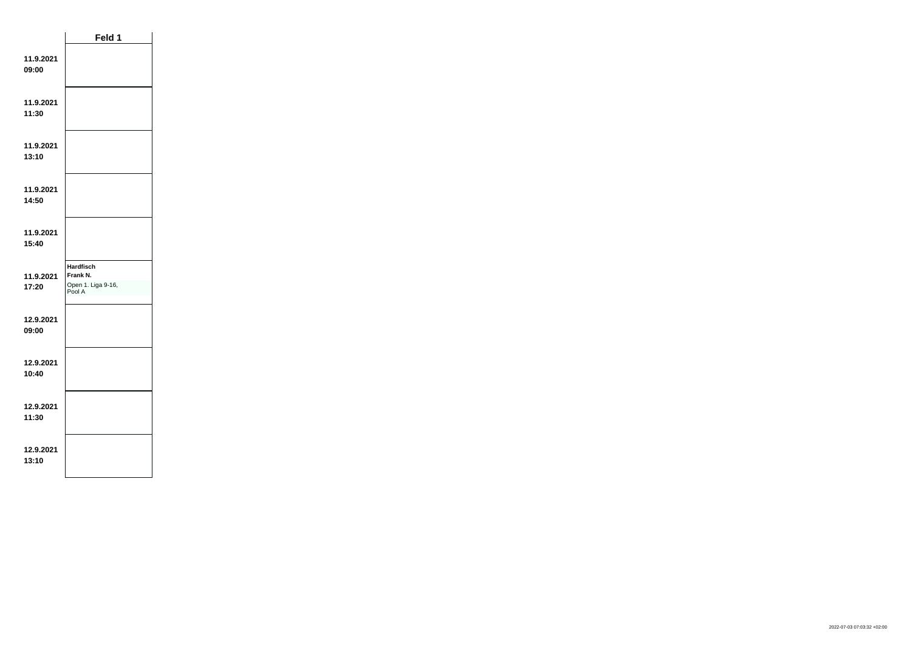|                    | Feld 1                                                       |  |
|--------------------|--------------------------------------------------------------|--|
| 11.9.2021<br>09:00 |                                                              |  |
| 11.9.2021<br>11:30 |                                                              |  |
| 11.9.2021<br>13:10 |                                                              |  |
| 11.9.2021<br>14:50 |                                                              |  |
| 11.9.2021<br>15:40 |                                                              |  |
| 11.9.2021<br>17:20 | <b>Hardfisch</b><br>Frank N.<br>Open 1. Liga 9-16,<br>Pool A |  |
| 12.9.2021<br>09:00 |                                                              |  |
| 12.9.2021<br>10:40 |                                                              |  |
| 12.9.2021<br>11:30 |                                                              |  |
| 12.9.2021<br>13:10 |                                                              |  |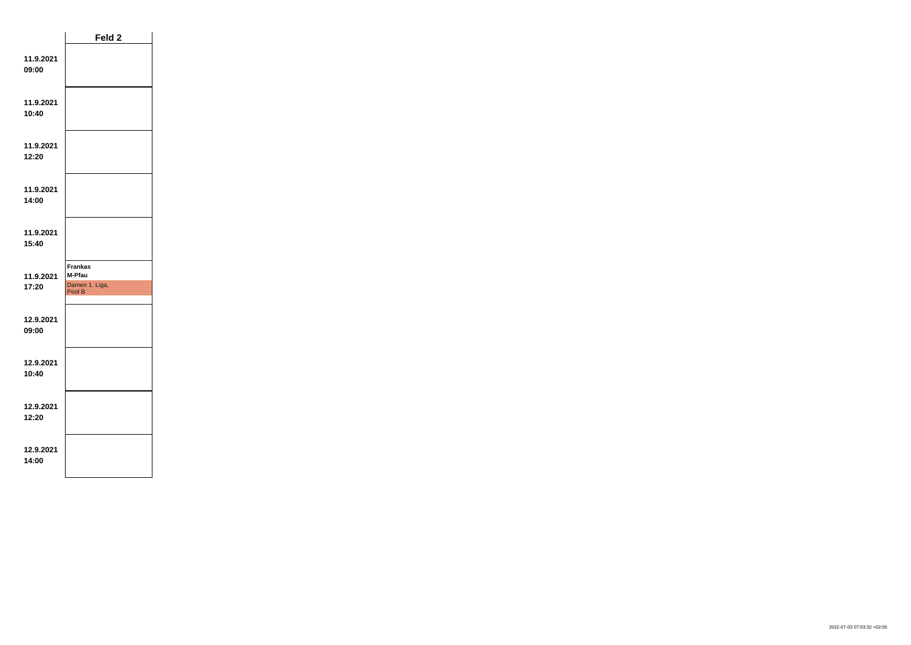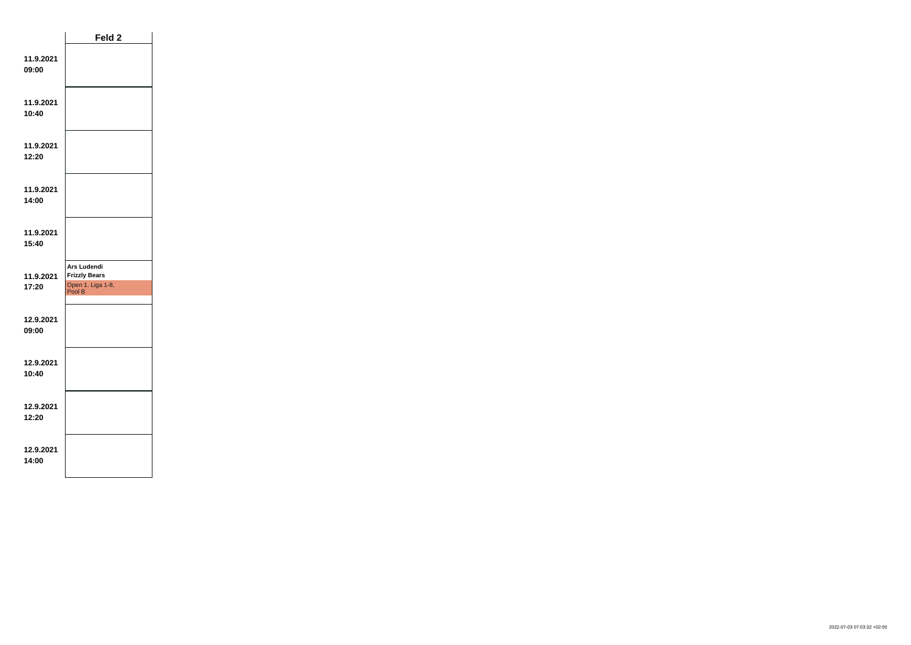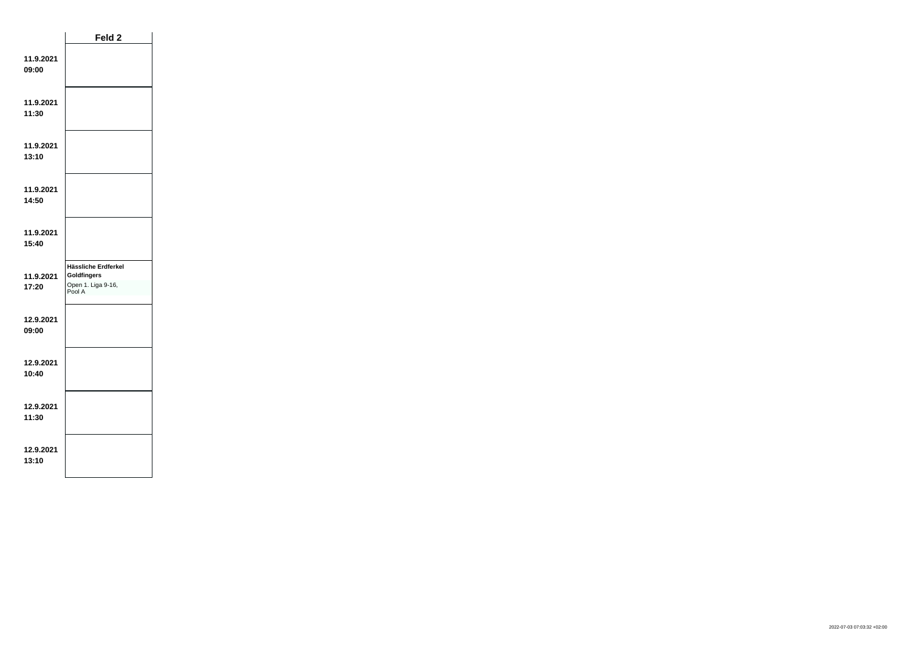|                    | Feld 2                                                             |  |
|--------------------|--------------------------------------------------------------------|--|
| 11.9.2021<br>09:00 |                                                                    |  |
| 11.9.2021<br>11:30 |                                                                    |  |
| 11.9.2021<br>13:10 |                                                                    |  |
| 11.9.2021<br>14:50 |                                                                    |  |
| 11.9.2021<br>15:40 |                                                                    |  |
| 11.9.2021<br>17:20 | Hässliche Erdferkel<br>Goldfingers<br>Open 1. Liga 9-16,<br>Pool A |  |
| 12.9.2021<br>09:00 |                                                                    |  |
| 12.9.2021<br>10:40 |                                                                    |  |
| 12.9.2021<br>11:30 |                                                                    |  |
| 12.9.2021<br>13:10 |                                                                    |  |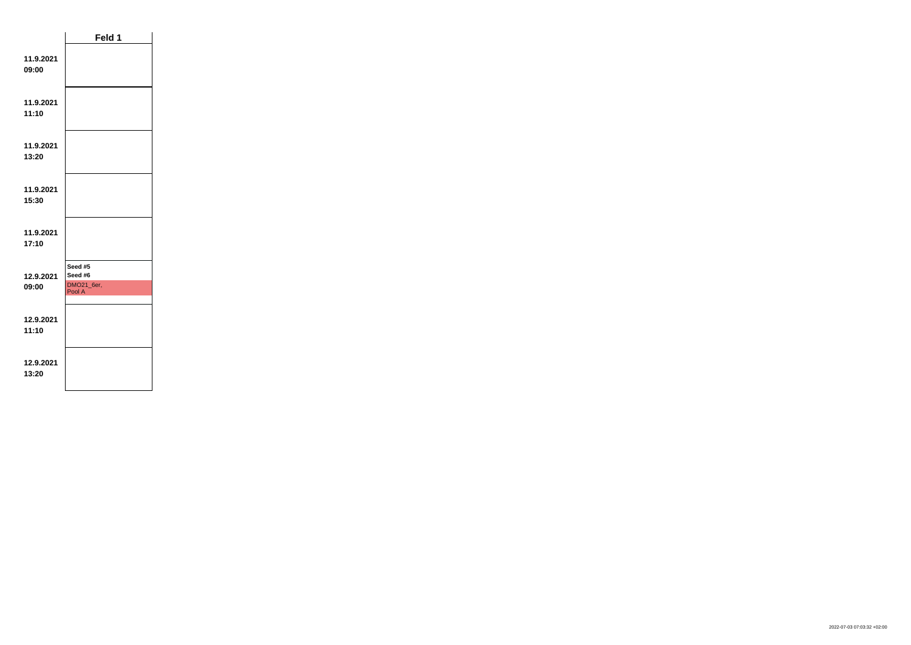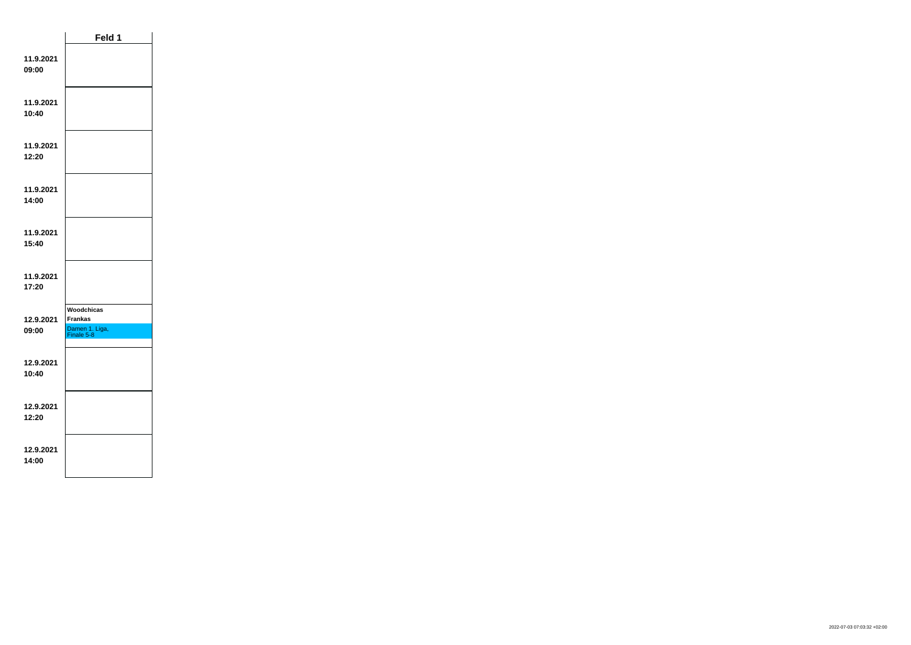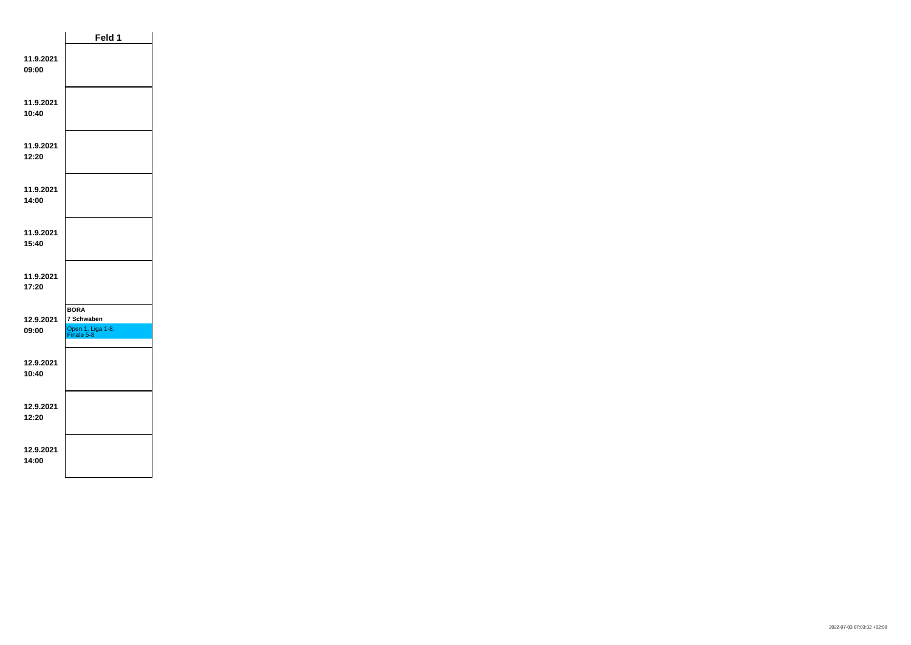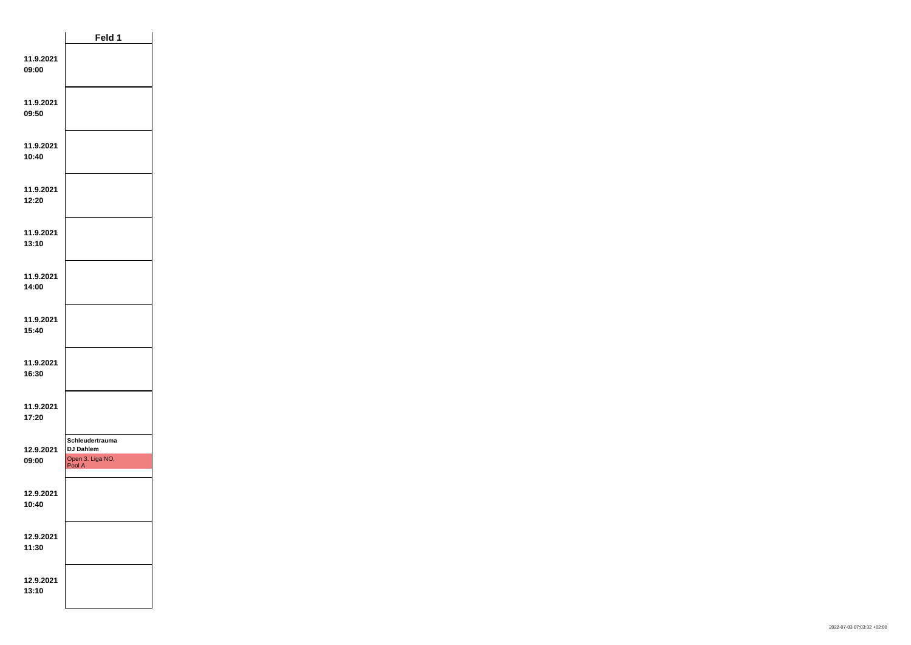|                    | Feld 1                                                            |  |
|--------------------|-------------------------------------------------------------------|--|
| 11.9.2021<br>09:00 |                                                                   |  |
| 11.9.2021<br>09:50 |                                                                   |  |
| 11.9.2021<br>10:40 |                                                                   |  |
| 11.9.2021<br>12:20 |                                                                   |  |
| 11.9.2021<br>13:10 |                                                                   |  |
| 11.9.2021<br>14:00 |                                                                   |  |
| 11.9.2021<br>15:40 |                                                                   |  |
| 11.9.2021<br>16:30 |                                                                   |  |
| 11.9.2021<br>17:20 |                                                                   |  |
| 12.9.2021<br>09:00 | Schleudertrauma<br><b>DJ Dahlem</b><br>Open 3. Liga NO,<br>Pool A |  |
| 12.9.2021<br>10:40 |                                                                   |  |
| 12.9.2021<br>11:30 |                                                                   |  |
| 12.9.2021<br>13:10 |                                                                   |  |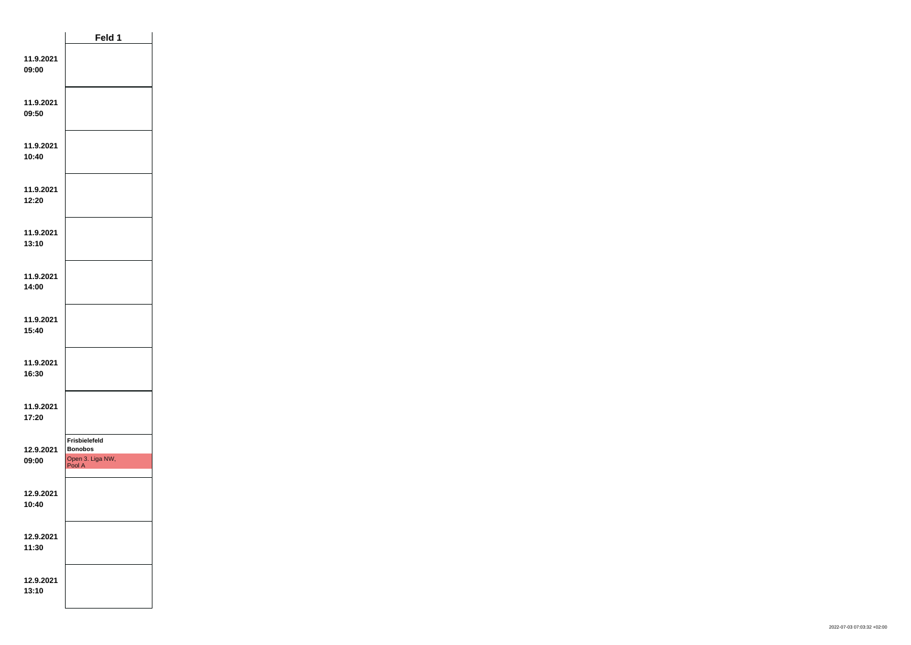|                    | Feld 1                                                        |  |
|--------------------|---------------------------------------------------------------|--|
| 11.9.2021<br>09:00 |                                                               |  |
| 11.9.2021<br>09:50 |                                                               |  |
| 11.9.2021<br>10:40 |                                                               |  |
| 11.9.2021<br>12:20 |                                                               |  |
| 11.9.2021<br>13:10 |                                                               |  |
| 11.9.2021<br>14:00 |                                                               |  |
| 11.9.2021<br>15:40 |                                                               |  |
| 11.9.2021<br>16:30 |                                                               |  |
| 11.9.2021<br>17:20 |                                                               |  |
| 12.9.2021<br>09:00 | Frisbielefeld<br><b>Bonobos</b><br>Open 3. Liga NW,<br>Pool A |  |
| 12.9.2021<br>10:40 |                                                               |  |
| 12.9.2021<br>11:30 |                                                               |  |
| 12.9.2021<br>13:10 |                                                               |  |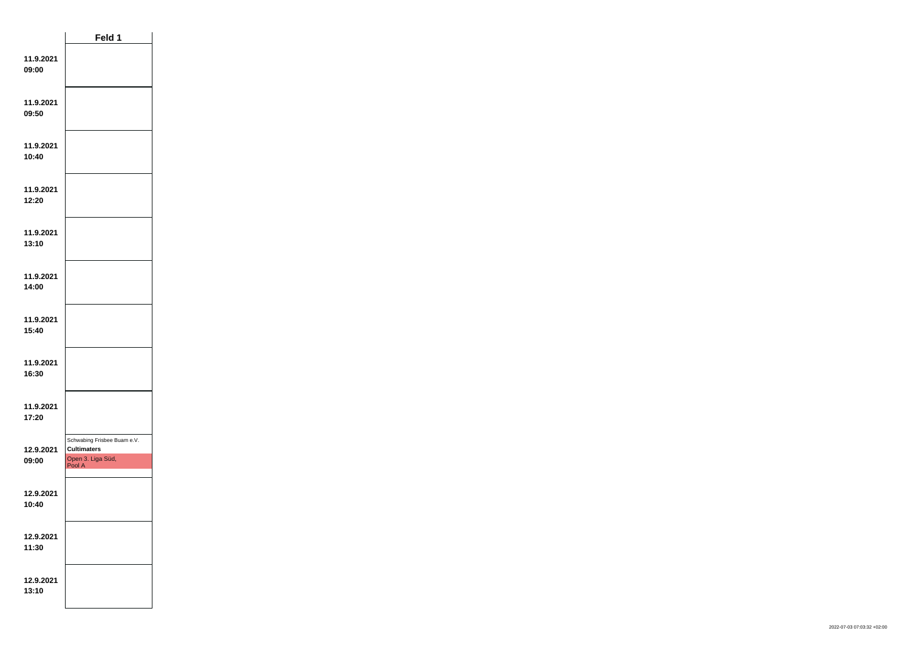|                    | Feld 1                                                                           |  |
|--------------------|----------------------------------------------------------------------------------|--|
| 11.9.2021<br>09:00 |                                                                                  |  |
| 11.9.2021<br>09:50 |                                                                                  |  |
| 11.9.2021<br>10:40 |                                                                                  |  |
| 11.9.2021<br>12:20 |                                                                                  |  |
| 11.9.2021<br>13:10 |                                                                                  |  |
| 11.9.2021<br>14:00 |                                                                                  |  |
| 11.9.2021<br>15:40 |                                                                                  |  |
| 11.9.2021<br>16:30 |                                                                                  |  |
| 11.9.2021<br>17:20 |                                                                                  |  |
| 12.9.2021<br>09:00 | Schwabing Frisbee Buam e.V.<br><b>Cultimaters</b><br>Open 3. Liga Süd,<br>Pool A |  |
| 12.9.2021<br>10:40 |                                                                                  |  |
| 12.9.2021<br>11:30 |                                                                                  |  |
| 12.9.2021<br>13:10 |                                                                                  |  |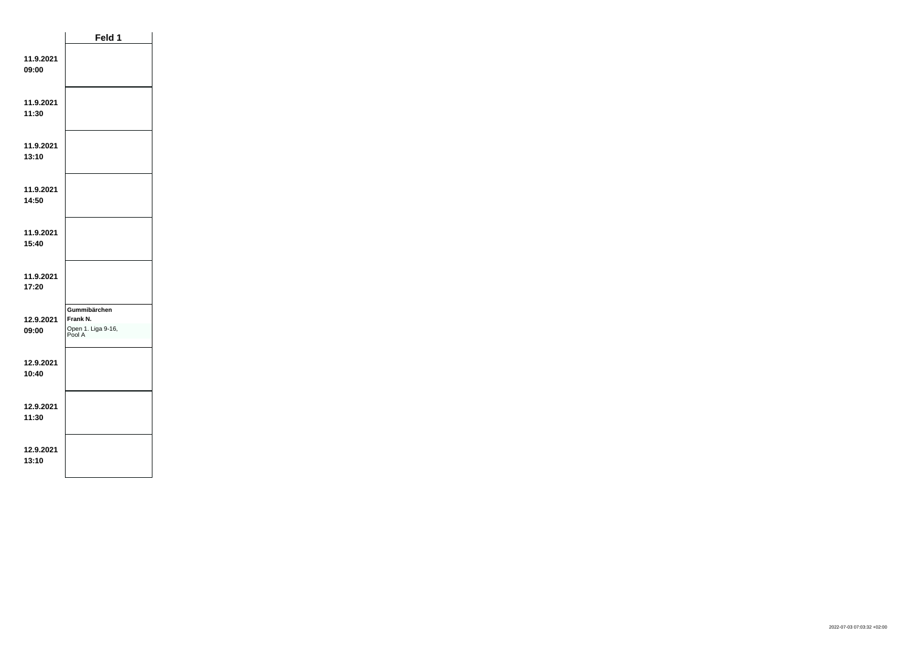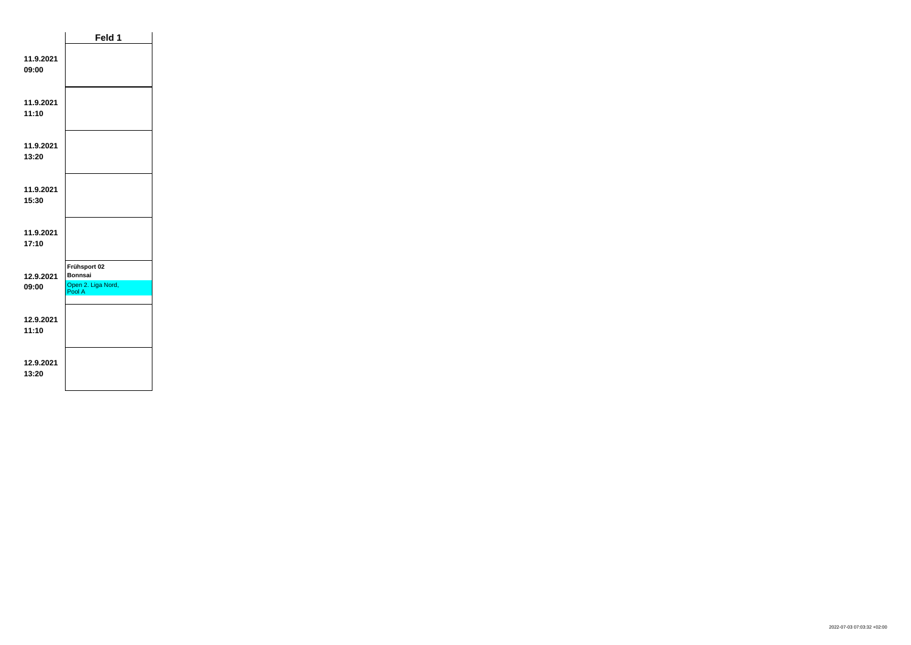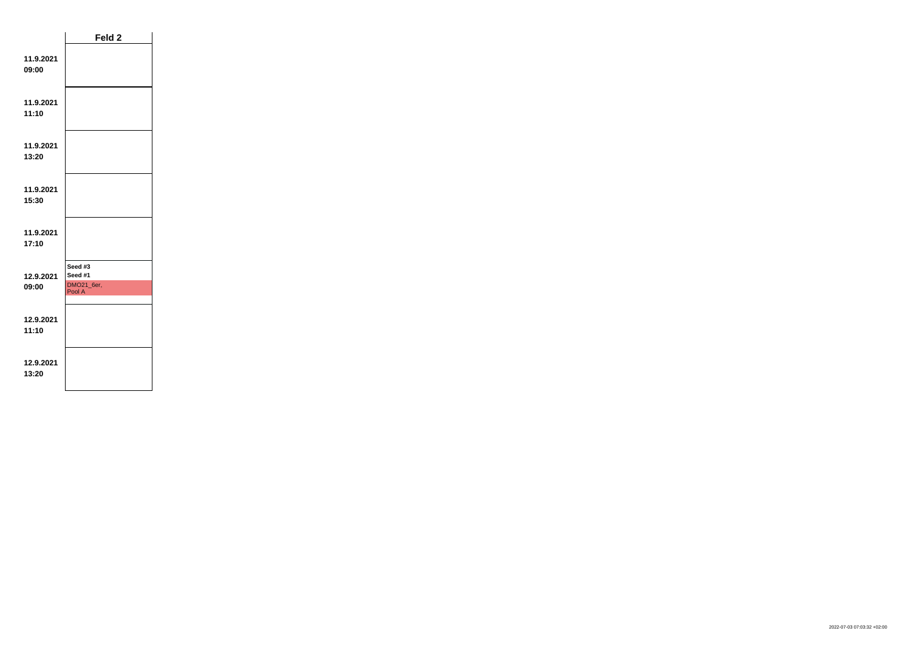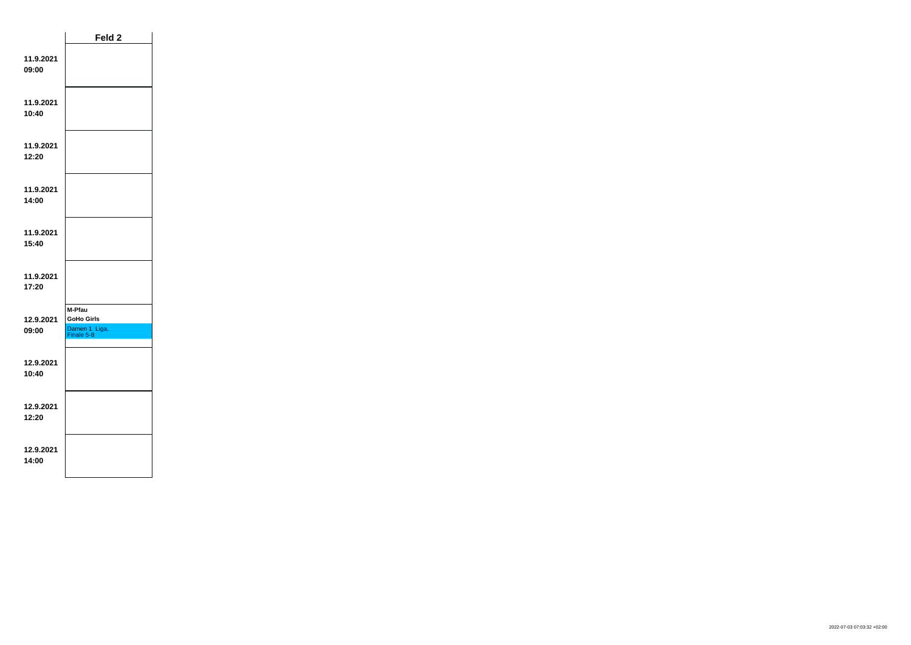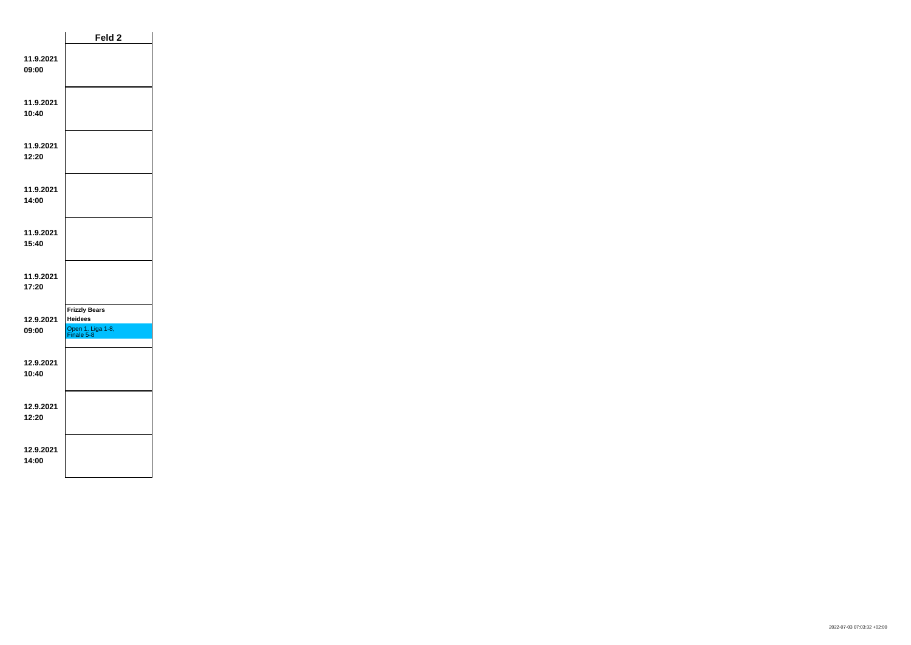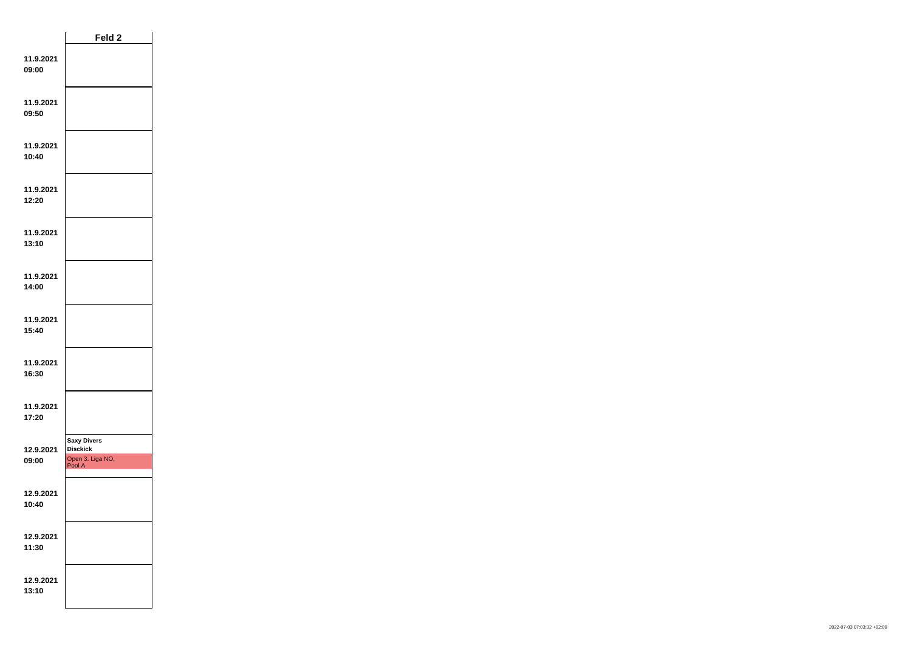|                    | Feld <sub>2</sub>                                                   |  |
|--------------------|---------------------------------------------------------------------|--|
| 11.9.2021<br>09:00 |                                                                     |  |
| 11.9.2021<br>09:50 |                                                                     |  |
| 11.9.2021<br>10:40 |                                                                     |  |
| 11.9.2021<br>12:20 |                                                                     |  |
| 11.9.2021<br>13:10 |                                                                     |  |
| 11.9.2021<br>14:00 |                                                                     |  |
| 11.9.2021<br>15:40 |                                                                     |  |
| 11.9.2021<br>16:30 |                                                                     |  |
| 11.9.2021<br>17:20 |                                                                     |  |
| 12.9.2021<br>09:00 | <b>Saxy Divers</b><br><b>Disckick</b><br>Open 3. Liga NO,<br>Pool A |  |
| 12.9.2021<br>10:40 |                                                                     |  |
| 12.9.2021<br>11:30 |                                                                     |  |
| 12.9.2021<br>13:10 |                                                                     |  |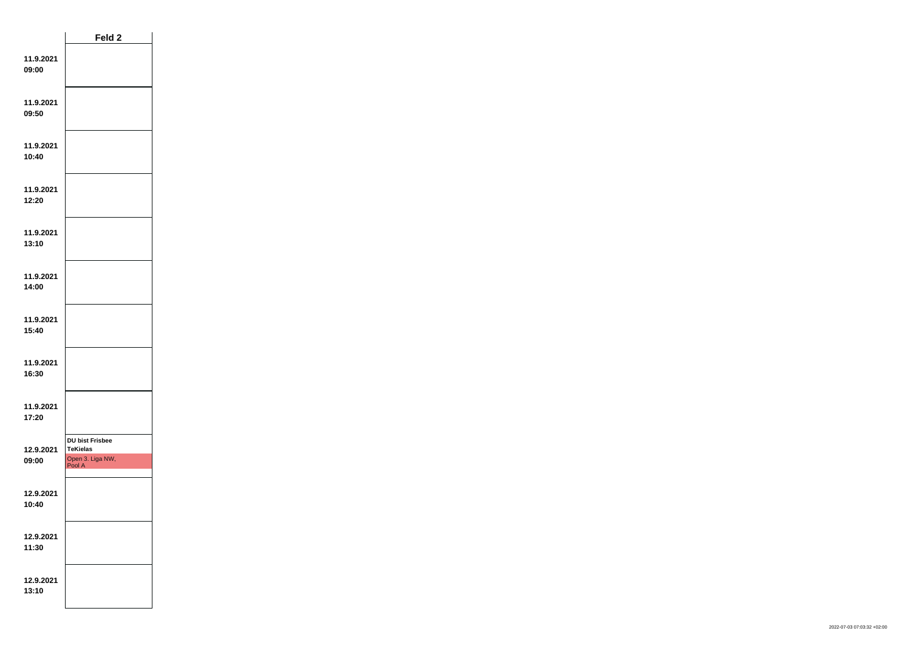|                    | Feld <sub>2</sub>                                                       |  |
|--------------------|-------------------------------------------------------------------------|--|
| 11.9.2021<br>09:00 |                                                                         |  |
| 11.9.2021<br>09:50 |                                                                         |  |
| 11.9.2021<br>10:40 |                                                                         |  |
| 11.9.2021<br>12:20 |                                                                         |  |
| 11.9.2021<br>13:10 |                                                                         |  |
| 11.9.2021<br>14:00 |                                                                         |  |
| 11.9.2021<br>15:40 |                                                                         |  |
| 11.9.2021<br>16:30 |                                                                         |  |
| 11.9.2021<br>17:20 |                                                                         |  |
| 12.9.2021<br>09:00 | <b>DU bist Frisbee</b><br><b>TeKielas</b><br>Open 3. Liga NW,<br>Pool A |  |
| 12.9.2021<br>10:40 |                                                                         |  |
| 12.9.2021<br>11:30 |                                                                         |  |
| 12.9.2021<br>13:10 |                                                                         |  |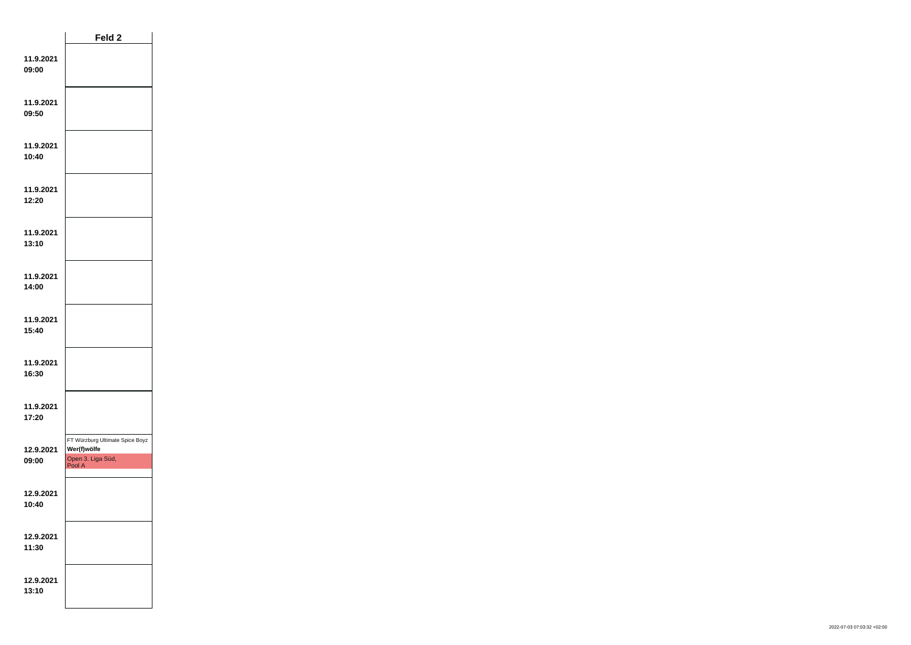|                    | Feld <sub>2</sub>                                                             |  |
|--------------------|-------------------------------------------------------------------------------|--|
| 11.9.2021<br>09:00 |                                                                               |  |
| 11.9.2021<br>09:50 |                                                                               |  |
| 11.9.2021<br>10:40 |                                                                               |  |
| 11.9.2021<br>12:20 |                                                                               |  |
| 11.9.2021<br>13:10 |                                                                               |  |
| 11.9.2021<br>14:00 |                                                                               |  |
| 11.9.2021<br>15:40 |                                                                               |  |
| 11.9.2021<br>16:30 |                                                                               |  |
| 11.9.2021<br>17:20 |                                                                               |  |
| 12.9.2021<br>09:00 | FT Würzburg Ultimate Spice Boyz<br>Wer(f)wölfe<br>Open 3. Liga Süd,<br>Pool A |  |
| 12.9.2021<br>10:40 |                                                                               |  |
| 12.9.2021<br>11:30 |                                                                               |  |
| 12.9.2021<br>13:10 |                                                                               |  |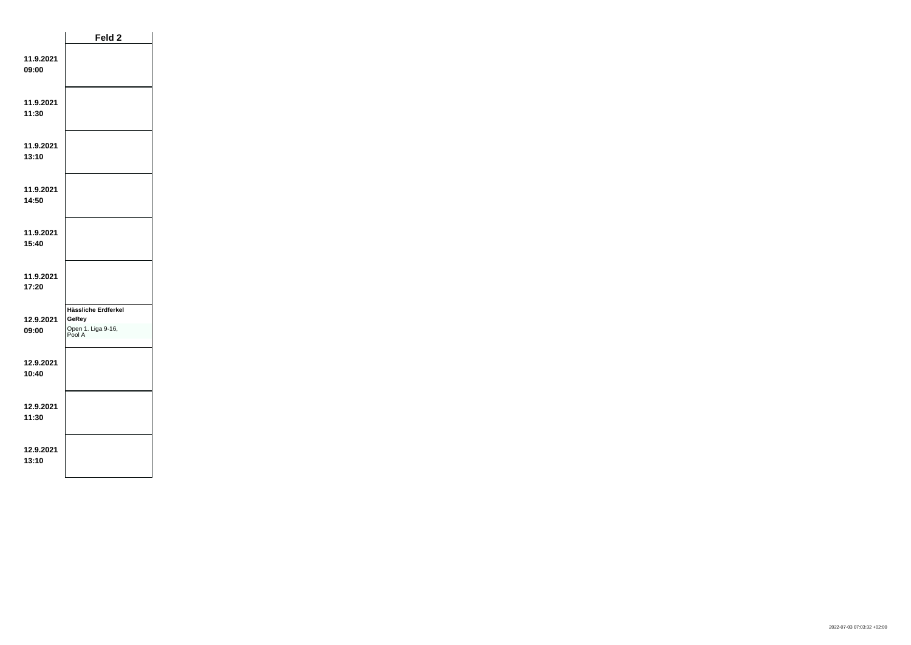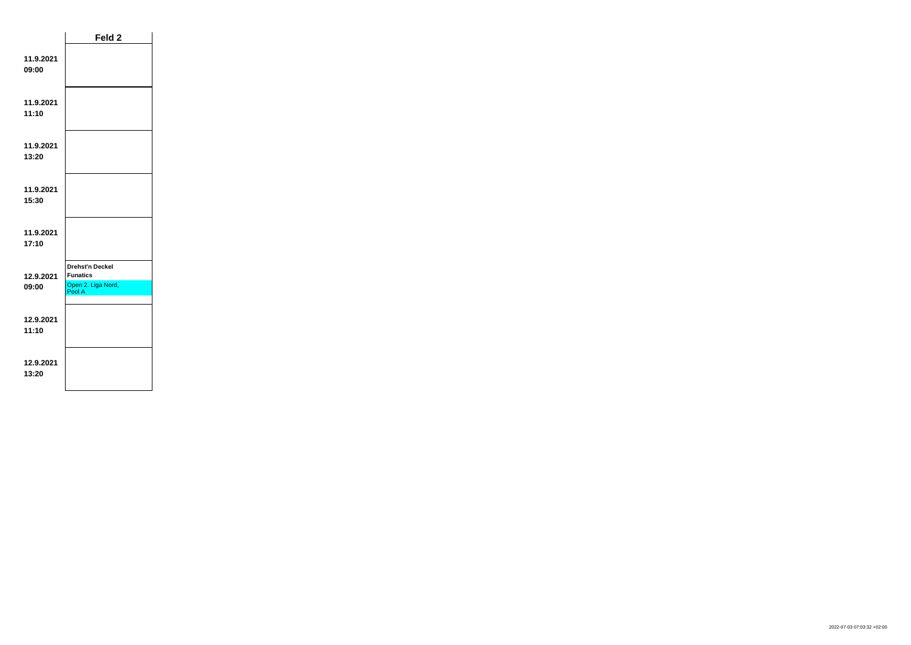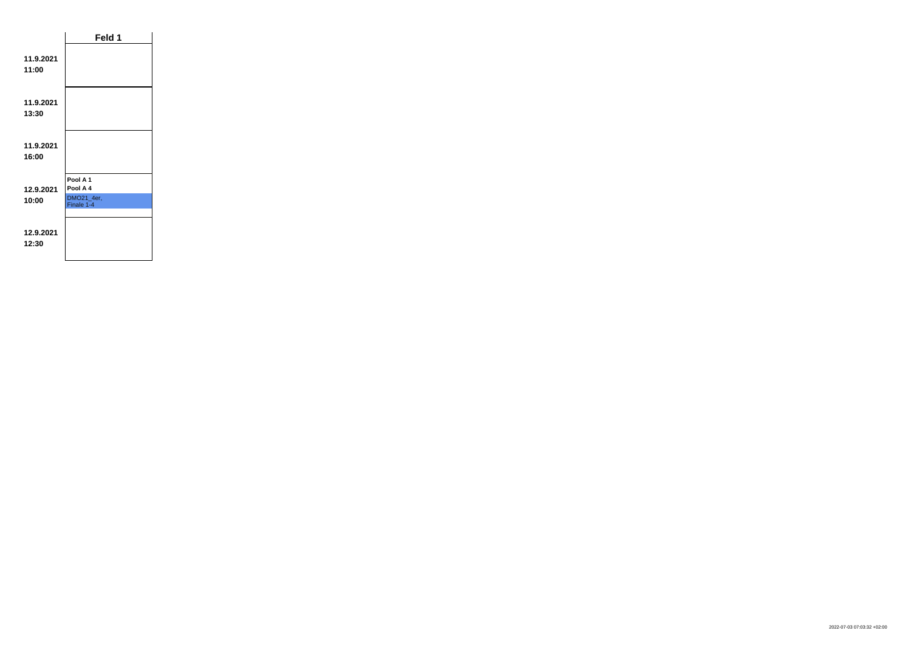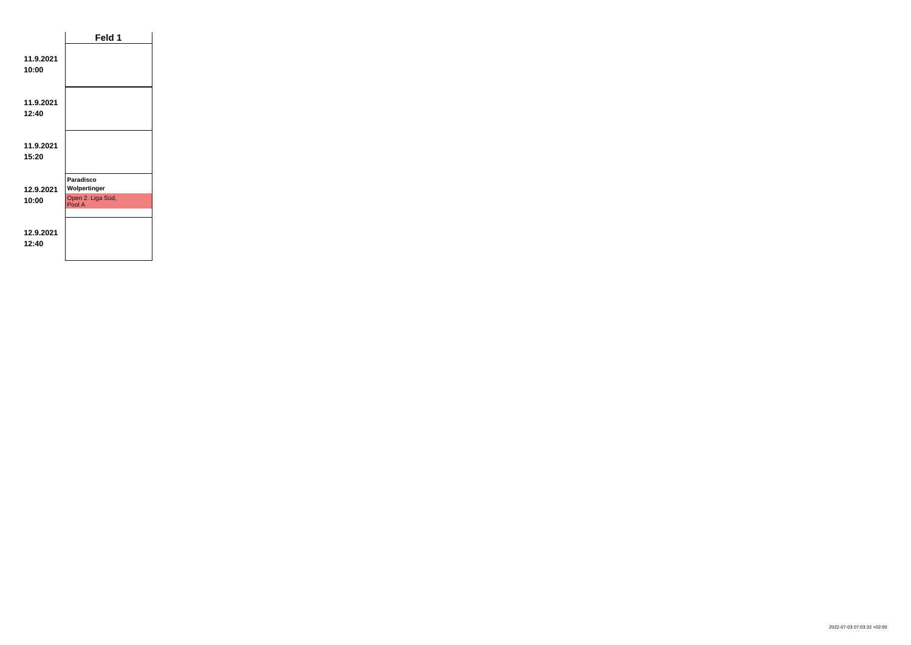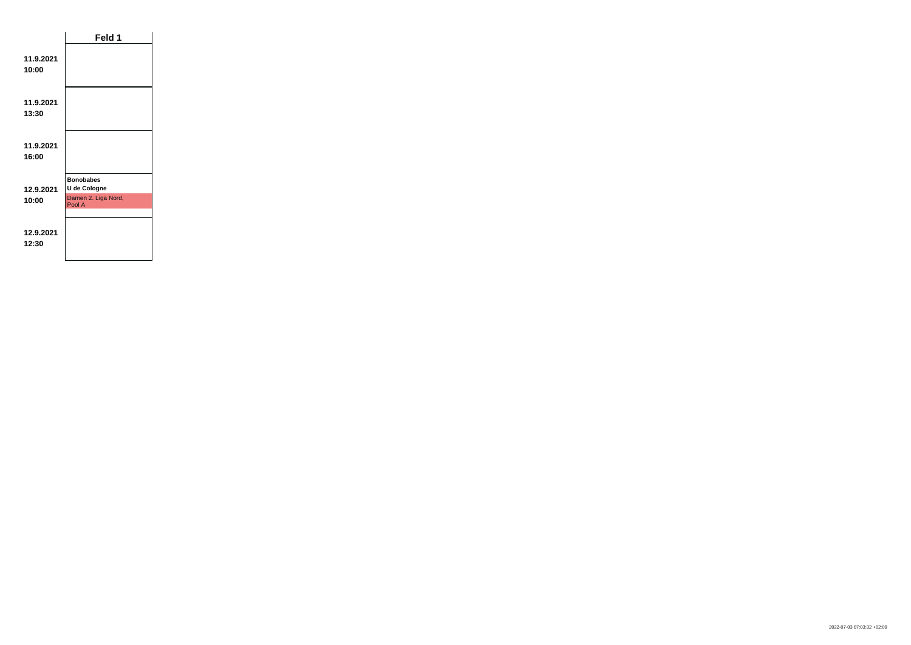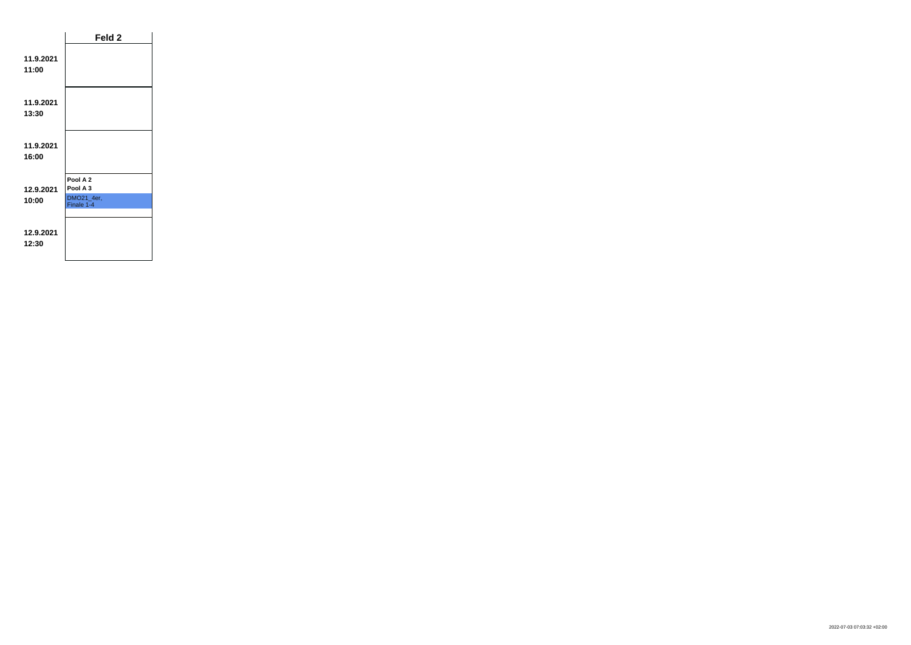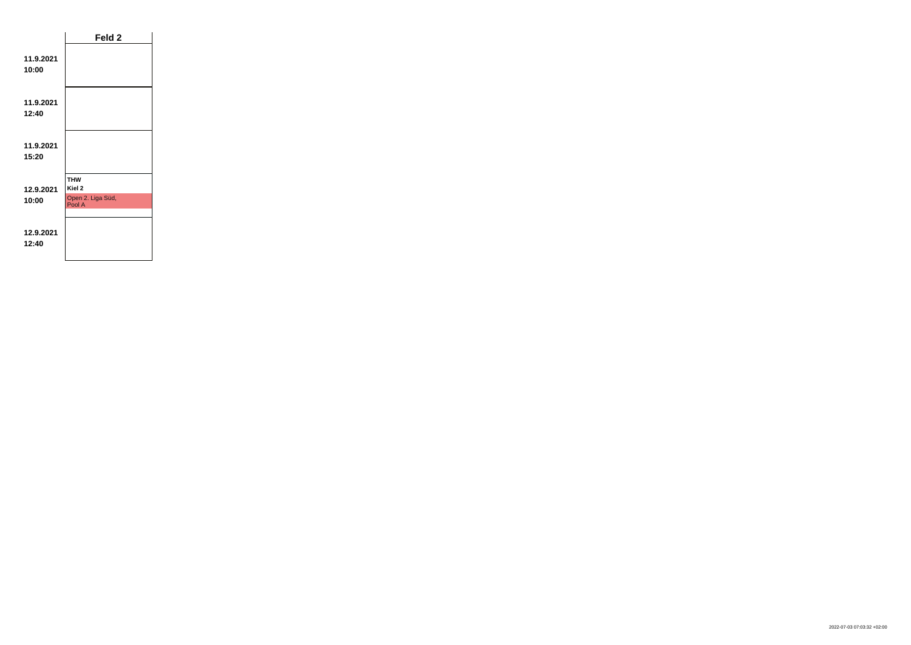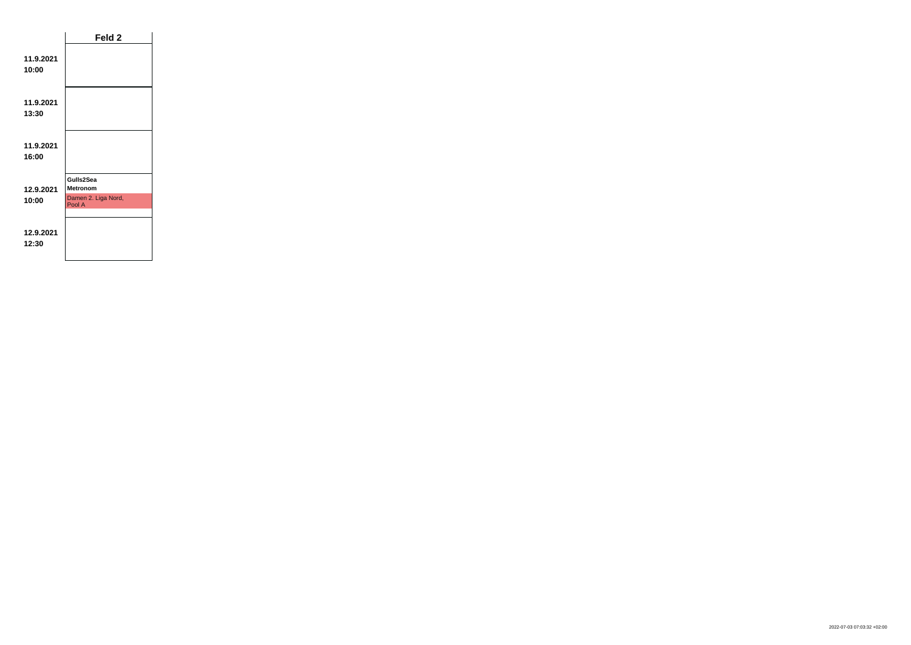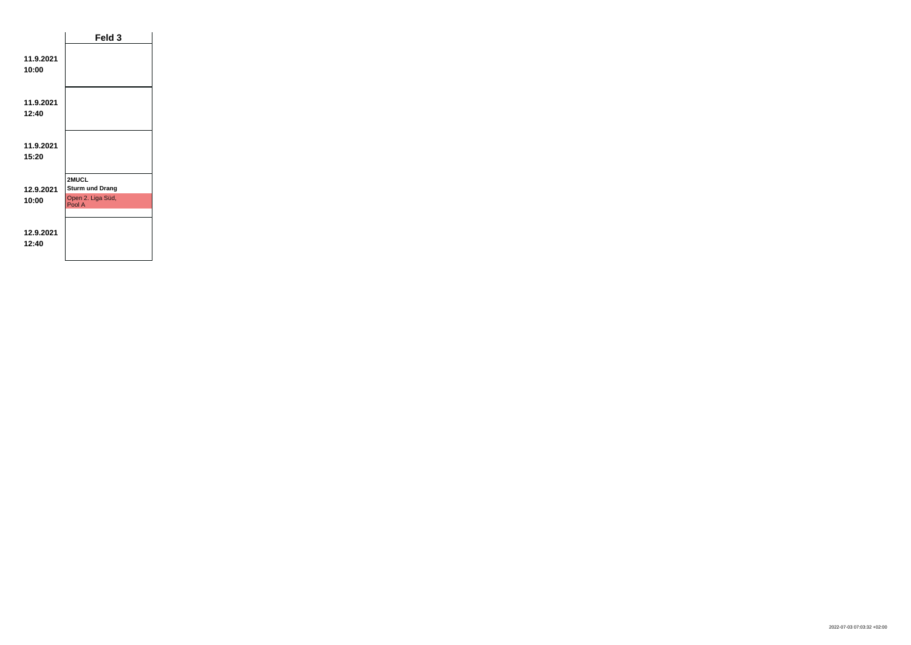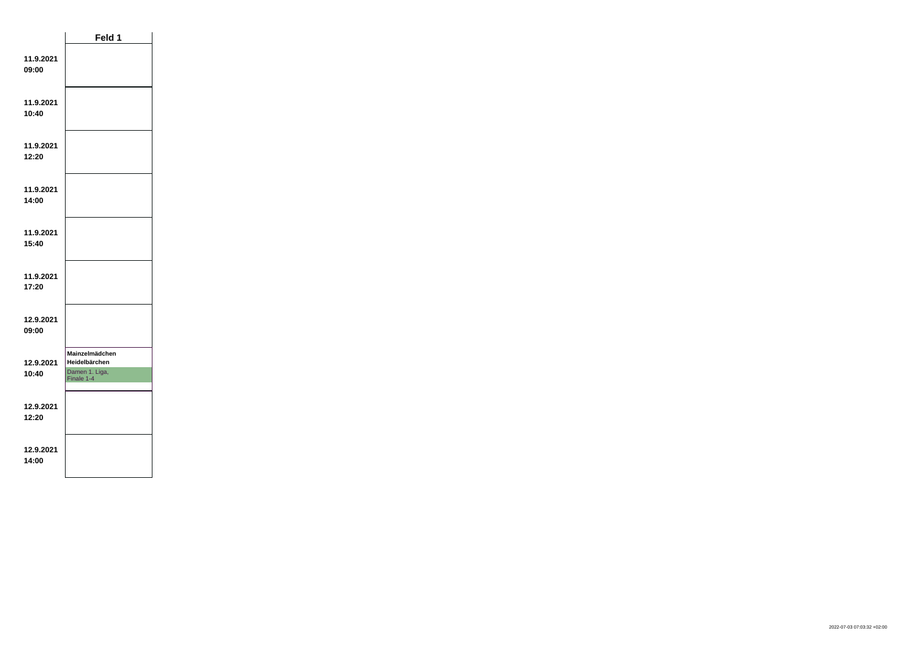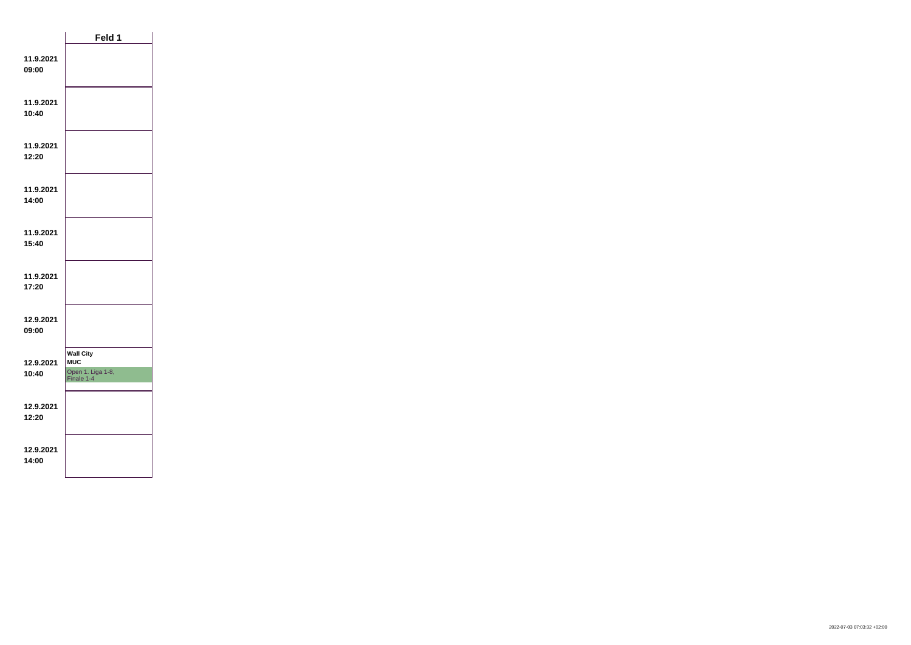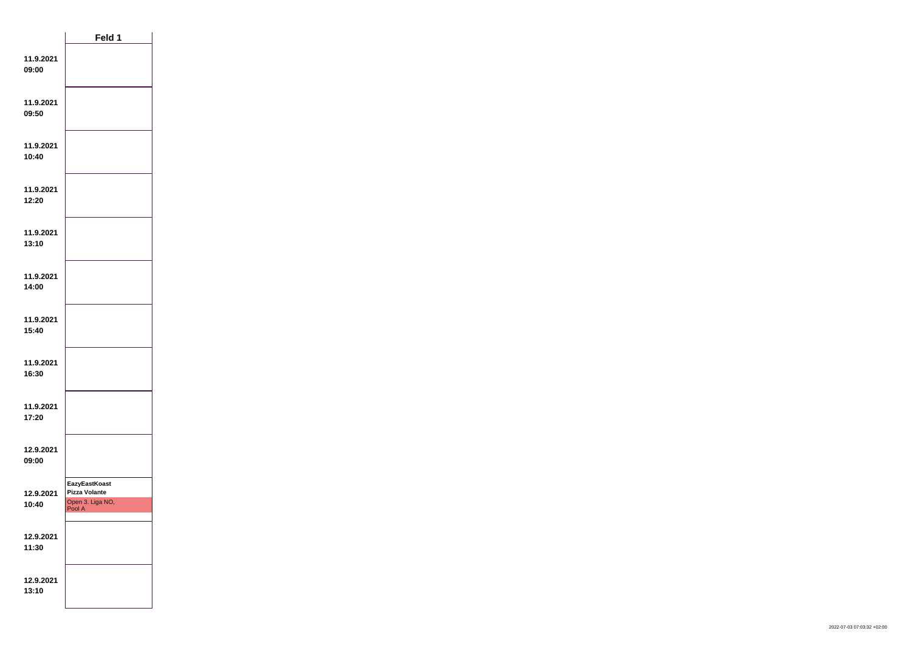|                    | Feld 1                                                                     |  |
|--------------------|----------------------------------------------------------------------------|--|
| 11.9.2021<br>09:00 |                                                                            |  |
| 11.9.2021<br>09:50 |                                                                            |  |
| 11.9.2021<br>10:40 |                                                                            |  |
| 11.9.2021<br>12:20 |                                                                            |  |
| 11.9.2021<br>13:10 |                                                                            |  |
| 11.9.2021<br>14:00 |                                                                            |  |
| 11.9.2021<br>15:40 |                                                                            |  |
| 11.9.2021<br>16:30 |                                                                            |  |
| 11.9.2021<br>17:20 |                                                                            |  |
| 12.9.2021<br>09:00 |                                                                            |  |
| 12.9.2021<br>10:40 | <b>EazyEastKoast</b><br><b>Pizza Volante</b><br>Open 3. Liga NO,<br>Pool A |  |
| 12.9.2021<br>11:30 |                                                                            |  |
| 12.9.2021<br>13:10 |                                                                            |  |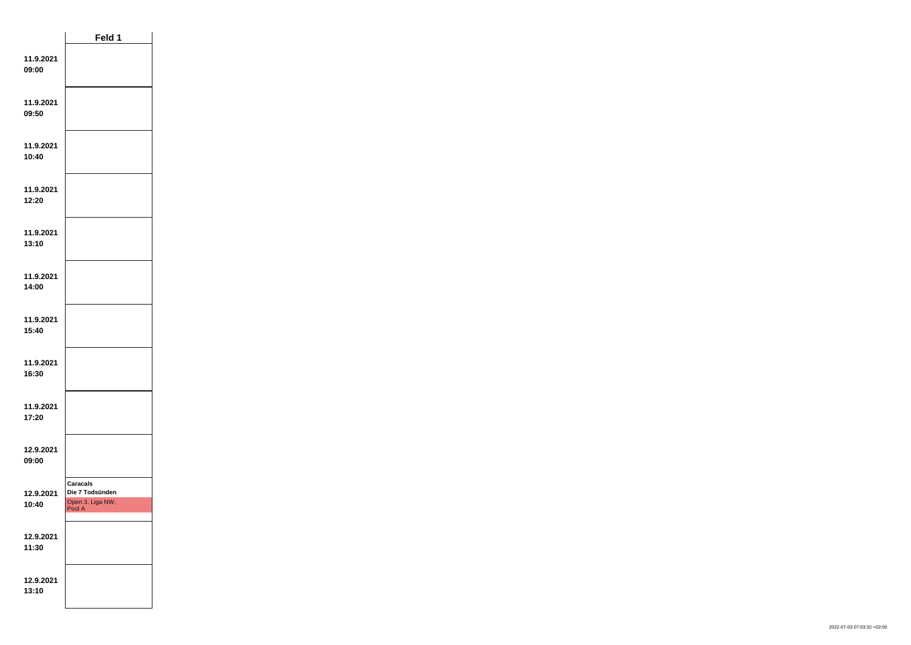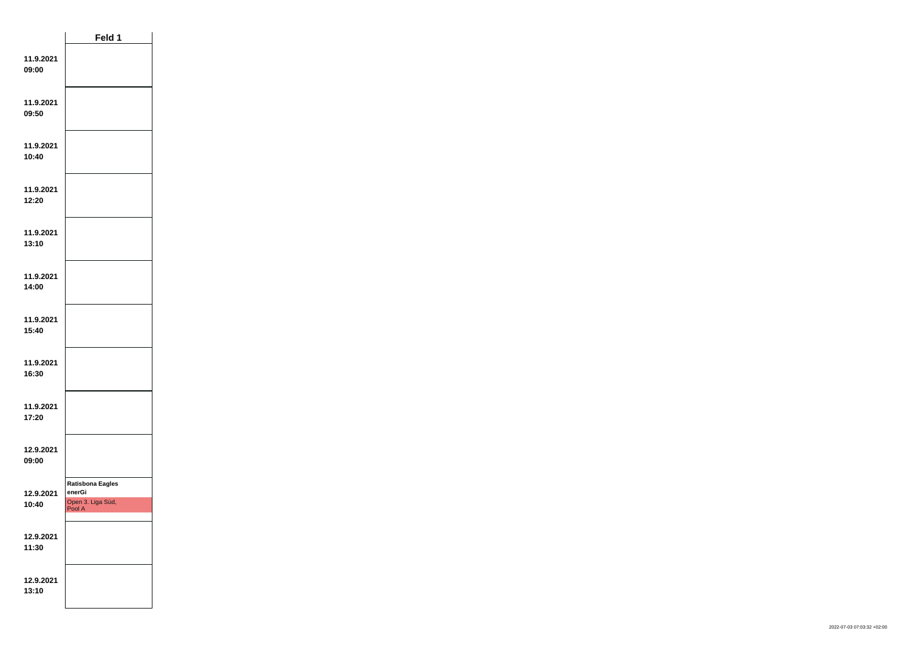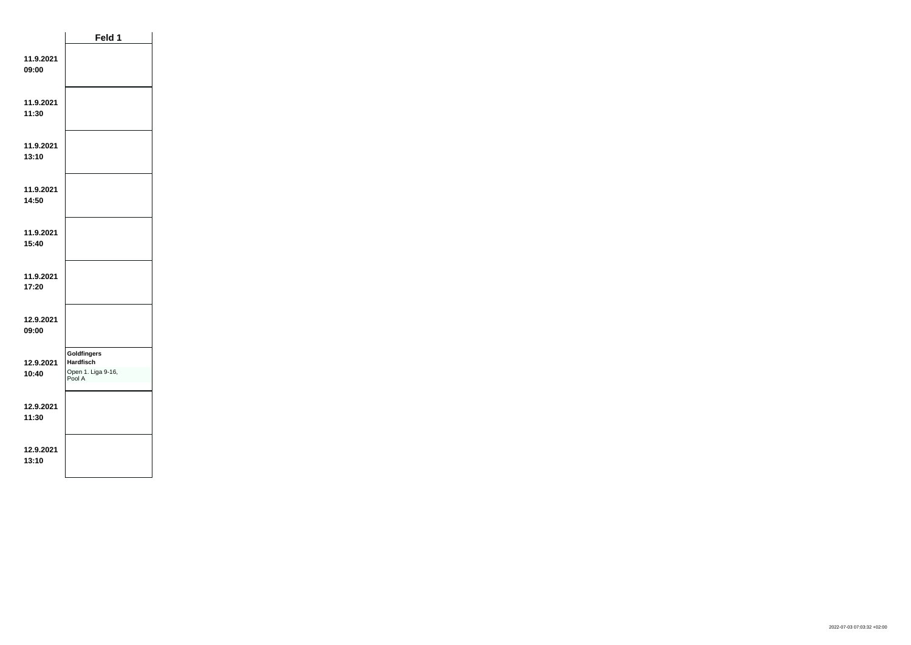|                    | Feld 1                                                                 |  |
|--------------------|------------------------------------------------------------------------|--|
| 11.9.2021<br>09:00 |                                                                        |  |
| 11.9.2021<br>11:30 |                                                                        |  |
| 11.9.2021<br>13:10 |                                                                        |  |
| 11.9.2021<br>14:50 |                                                                        |  |
| 11.9.2021<br>15:40 |                                                                        |  |
| 11.9.2021<br>17:20 |                                                                        |  |
| 12.9.2021<br>09:00 |                                                                        |  |
| 12.9.2021<br>10:40 | <b>Goldfingers</b><br><b>Hardfisch</b><br>Open 1. Liga 9-16,<br>Pool A |  |
| 12.9.2021<br>11:30 |                                                                        |  |
| 12.9.2021<br>13:10 |                                                                        |  |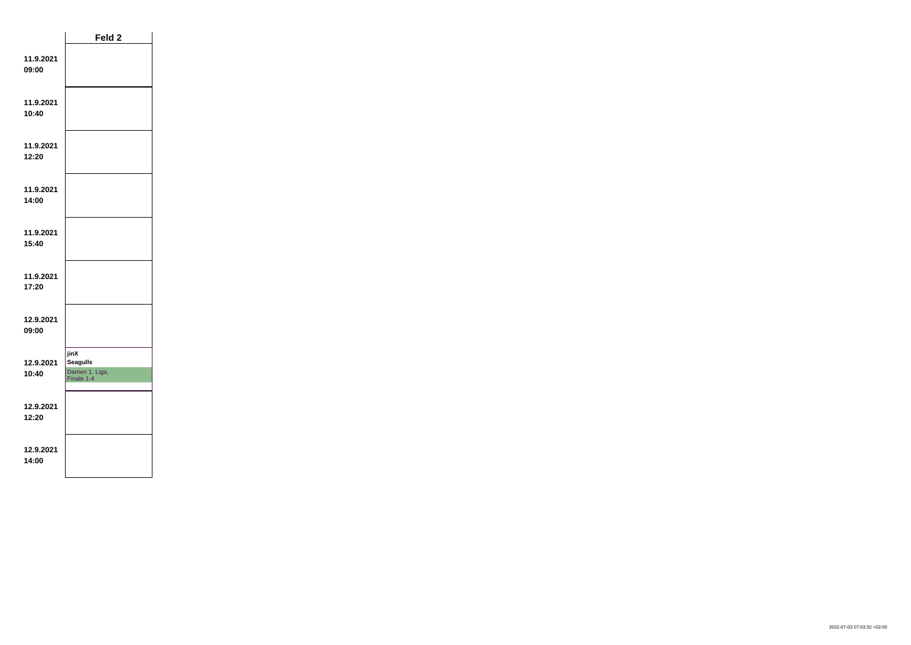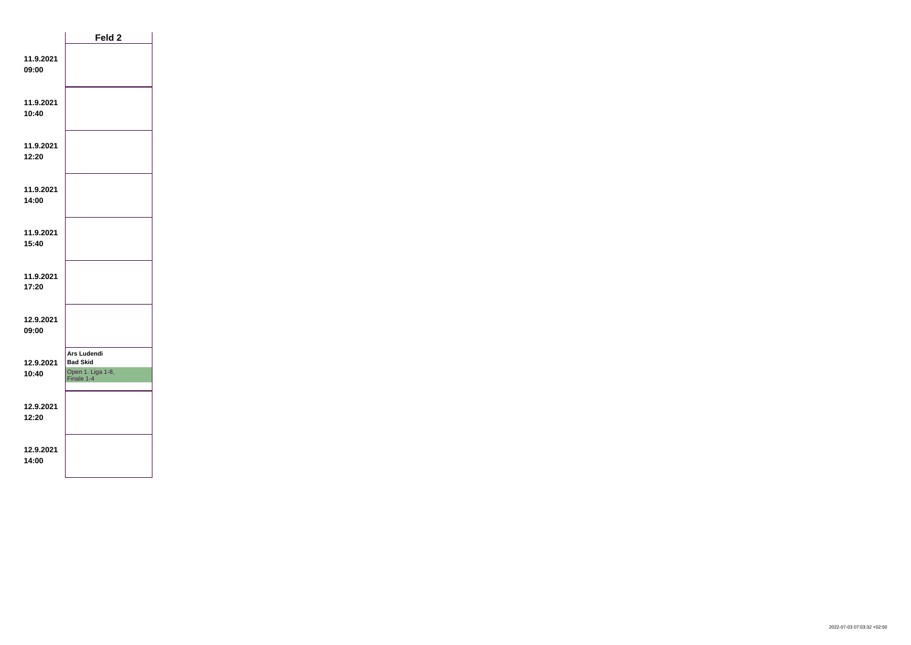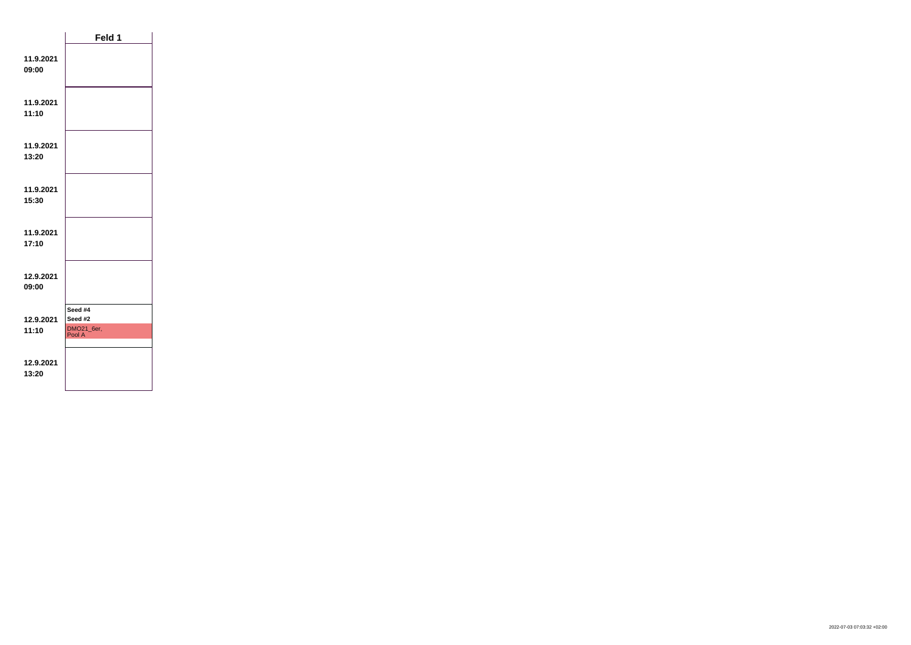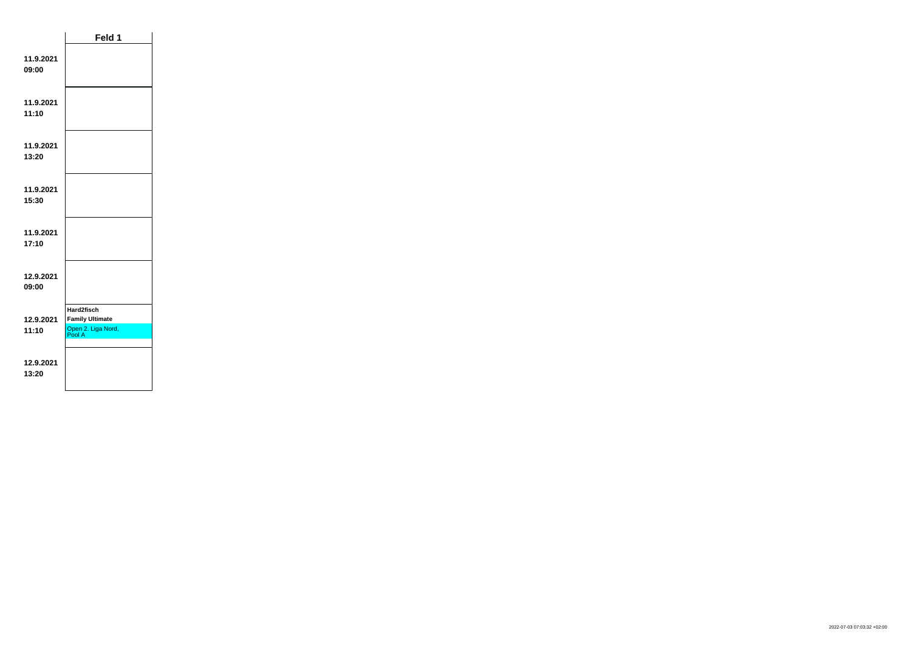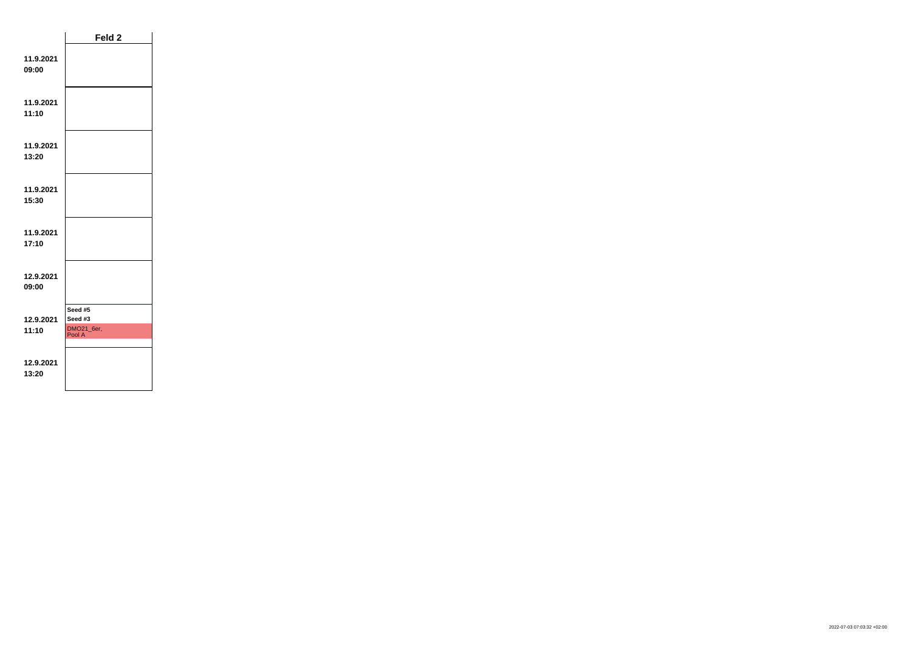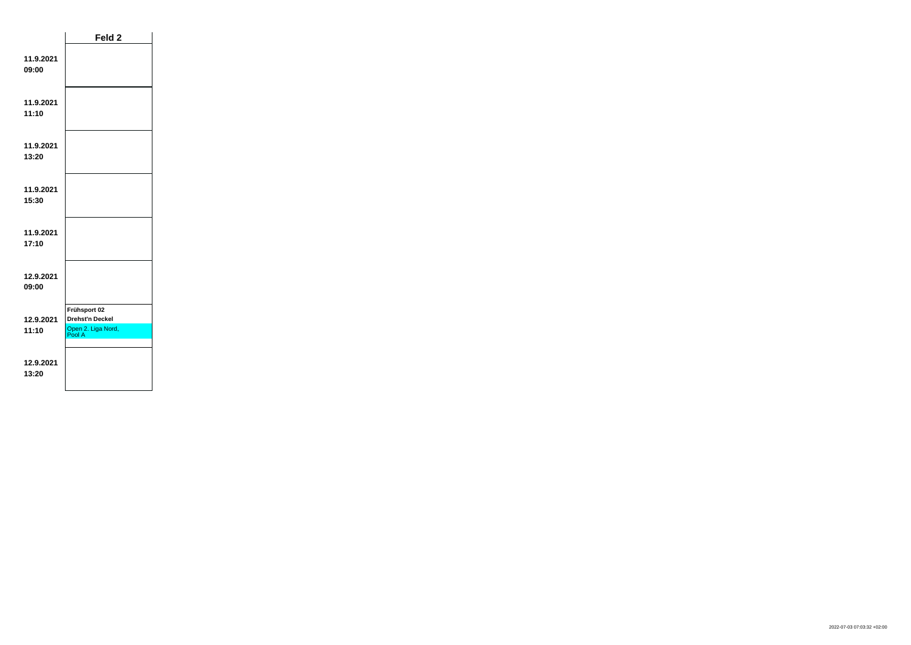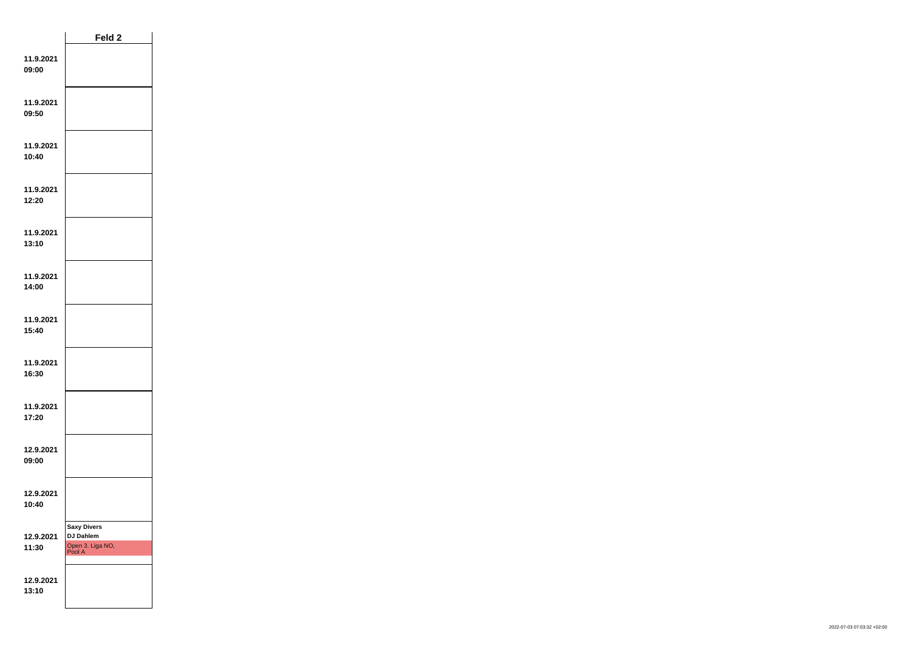|                    | Feld <sub>2</sub>                                                    |  |
|--------------------|----------------------------------------------------------------------|--|
| 11.9.2021<br>09:00 |                                                                      |  |
| 11.9.2021<br>09:50 |                                                                      |  |
| 11.9.2021<br>10:40 |                                                                      |  |
| 11.9.2021<br>12:20 |                                                                      |  |
| 11.9.2021<br>13:10 |                                                                      |  |
| 11.9.2021<br>14:00 |                                                                      |  |
| 11.9.2021<br>15:40 |                                                                      |  |
| 11.9.2021<br>16:30 |                                                                      |  |
| 11.9.2021<br>17:20 |                                                                      |  |
| 12.9.2021<br>09:00 |                                                                      |  |
| 12.9.2021<br>10:40 |                                                                      |  |
| 12.9.2021<br>11:30 | <b>Saxy Divers</b><br><b>DJ Dahlem</b><br>Open 3. Liga NO,<br>Pool A |  |
| 12.9.2021<br>13:10 |                                                                      |  |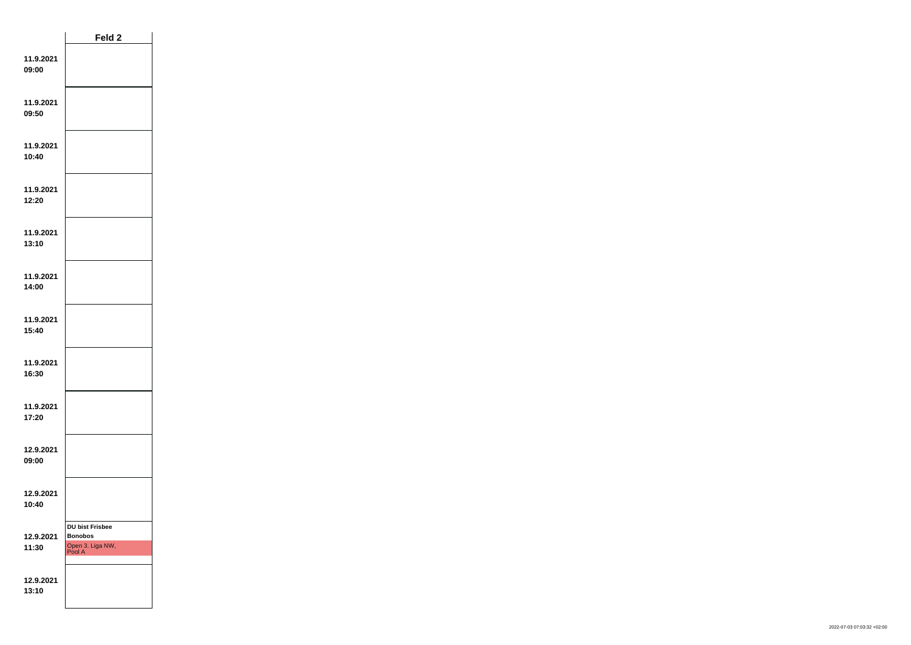|                    | Feld 2                                                                 |  |
|--------------------|------------------------------------------------------------------------|--|
| 11.9.2021<br>09:00 |                                                                        |  |
| 11.9.2021<br>09:50 |                                                                        |  |
| 11.9.2021<br>10:40 |                                                                        |  |
| 11.9.2021<br>12:20 |                                                                        |  |
| 11.9.2021<br>13:10 |                                                                        |  |
| 11.9.2021<br>14:00 |                                                                        |  |
| 11.9.2021<br>15:40 |                                                                        |  |
| 11.9.2021<br>16:30 |                                                                        |  |
| 11.9.2021<br>17:20 |                                                                        |  |
| 12.9.2021<br>09:00 |                                                                        |  |
| 12.9.2021<br>10:40 |                                                                        |  |
| 12.9.2021<br>11:30 | <b>DU bist Frisbee</b><br><b>Bonobos</b><br>Open 3. Liga NW,<br>Pool A |  |
| 12.9.2021<br>13:10 |                                                                        |  |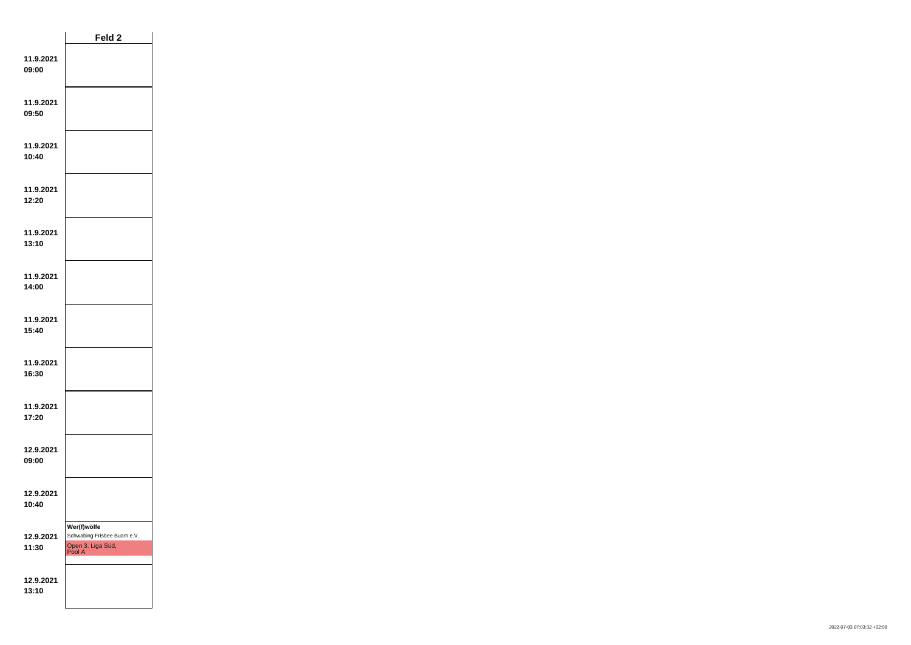|                    | Feld <sub>2</sub>                                                         |  |
|--------------------|---------------------------------------------------------------------------|--|
| 11.9.2021<br>09:00 |                                                                           |  |
| 11.9.2021<br>09:50 |                                                                           |  |
| 11.9.2021<br>10:40 |                                                                           |  |
| 11.9.2021<br>12:20 |                                                                           |  |
| 11.9.2021<br>13:10 |                                                                           |  |
| 11.9.2021<br>14:00 |                                                                           |  |
| 11.9.2021<br>15:40 |                                                                           |  |
| 11.9.2021<br>16:30 |                                                                           |  |
| 11.9.2021<br>17:20 |                                                                           |  |
| 12.9.2021<br>09:00 |                                                                           |  |
| 12.9.2021<br>10:40 |                                                                           |  |
| 12.9.2021<br>11:30 | Wer(f)wölfe<br>Schwabing Frisbee Buam e.V.<br>Open 3. Liga Süd,<br>Pool A |  |
| 12.9.2021<br>13:10 |                                                                           |  |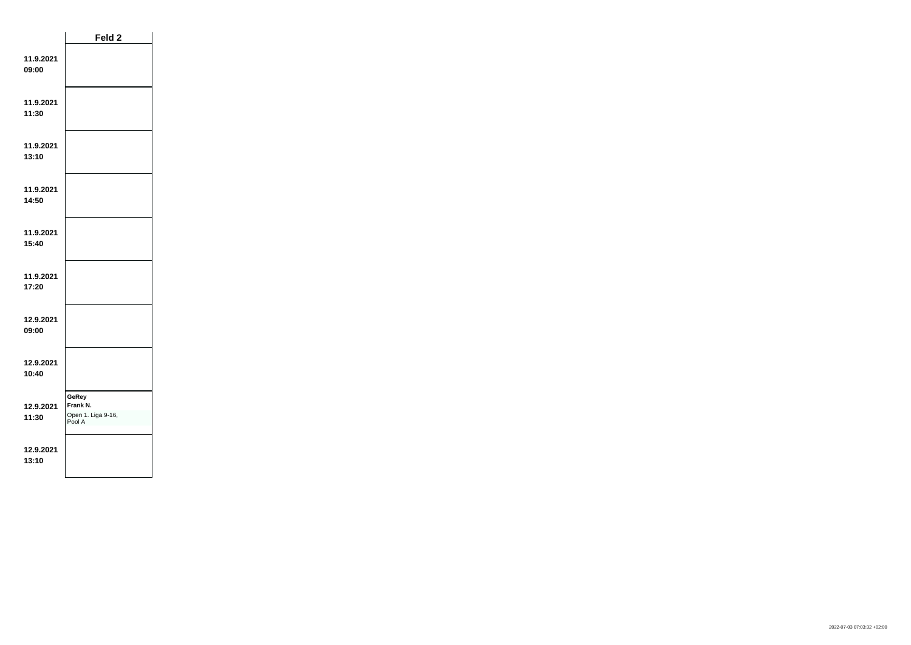|                    | Feld 2                                            |  |
|--------------------|---------------------------------------------------|--|
| 11.9.2021<br>09:00 |                                                   |  |
| 11.9.2021<br>11:30 |                                                   |  |
| 11.9.2021<br>13:10 |                                                   |  |
| 11.9.2021<br>14:50 |                                                   |  |
| 11.9.2021<br>15:40 |                                                   |  |
| 11.9.2021<br>17:20 |                                                   |  |
| 12.9.2021<br>09:00 |                                                   |  |
| 12.9.2021<br>10:40 |                                                   |  |
| 12.9.2021<br>11:30 | GeRey<br>Frank N.<br>Open 1. Liga 9-16,<br>Pool A |  |
| 12.9.2021<br>13:10 |                                                   |  |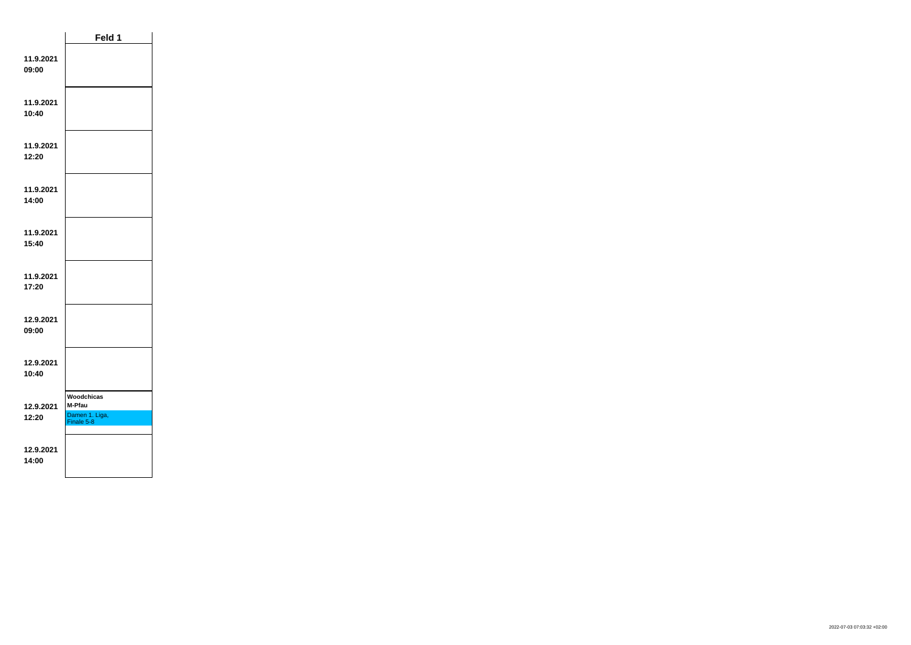|                    | Feld 1                                               |  |
|--------------------|------------------------------------------------------|--|
| 11.9.2021<br>09:00 |                                                      |  |
| 11.9.2021<br>10:40 |                                                      |  |
| 11.9.2021<br>12:20 |                                                      |  |
| 11.9.2021<br>14:00 |                                                      |  |
| 11.9.2021<br>15:40 |                                                      |  |
| 11.9.2021<br>17:20 |                                                      |  |
| 12.9.2021<br>09:00 |                                                      |  |
| 12.9.2021<br>10:40 |                                                      |  |
| 12.9.2021<br>12:20 | Woodchicas<br>M-Pfau<br>Damen 1. Liga,<br>Finale 5-8 |  |
| 12.9.2021<br>14:00 |                                                      |  |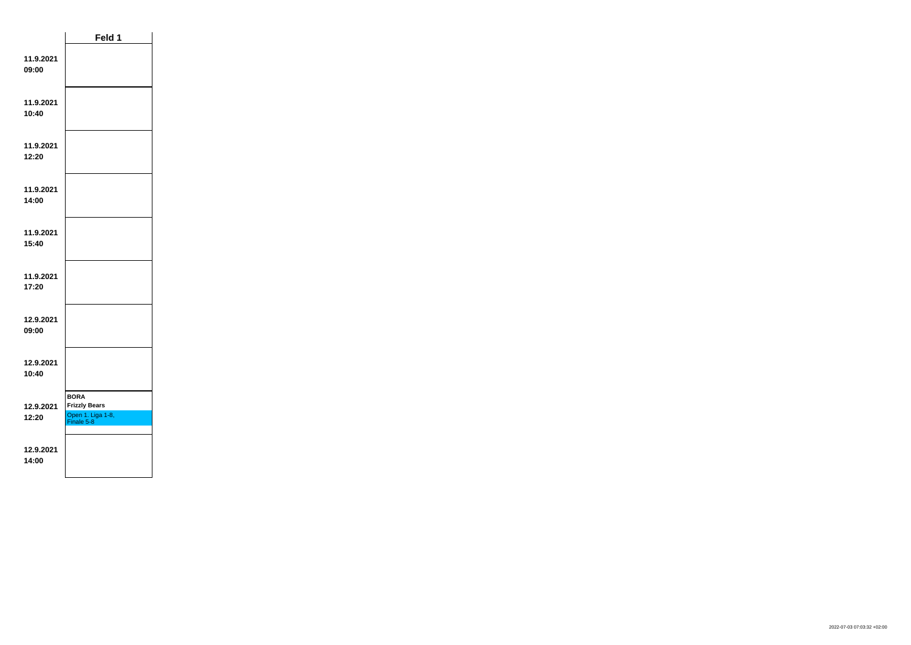|                    | Feld 1                                                                 |  |
|--------------------|------------------------------------------------------------------------|--|
| 11.9.2021<br>09:00 |                                                                        |  |
| 11.9.2021<br>10:40 |                                                                        |  |
| 11.9.2021<br>12:20 |                                                                        |  |
| 11.9.2021<br>14:00 |                                                                        |  |
| 11.9.2021<br>15:40 |                                                                        |  |
| 11.9.2021<br>17:20 |                                                                        |  |
| 12.9.2021<br>09:00 |                                                                        |  |
| 12.9.2021<br>10:40 |                                                                        |  |
| 12.9.2021<br>12:20 | <b>BORA</b><br><b>Frizzly Bears</b><br>Open 1. Liga 1-8,<br>Finale 5-8 |  |
| 12.9.2021<br>14:00 |                                                                        |  |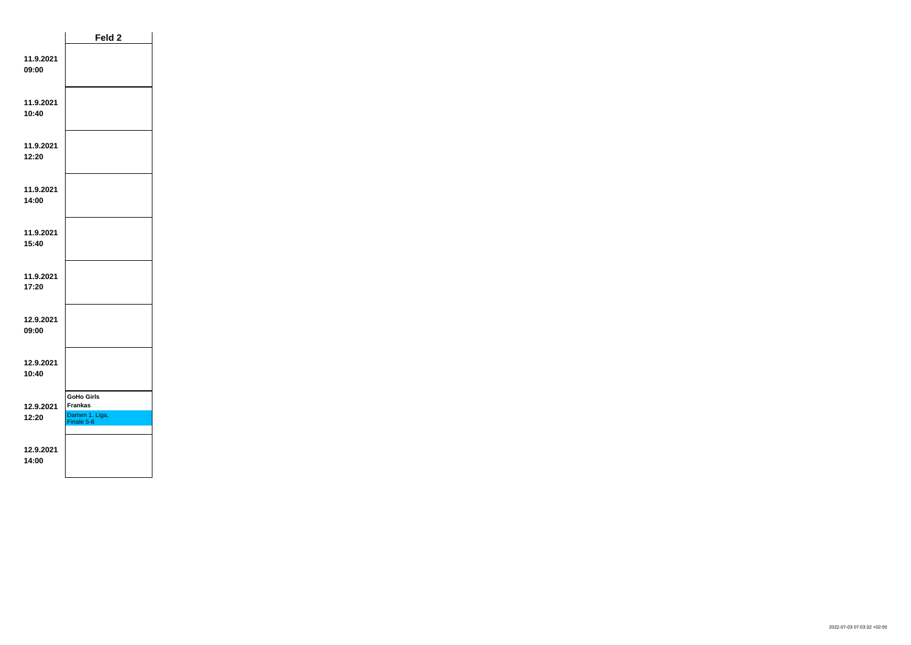|                    | Feld 2                                                              |  |
|--------------------|---------------------------------------------------------------------|--|
| 11.9.2021<br>09:00 |                                                                     |  |
| 11.9.2021<br>10:40 |                                                                     |  |
| 11.9.2021<br>12:20 |                                                                     |  |
| 11.9.2021<br>14:00 |                                                                     |  |
| 11.9.2021<br>15:40 |                                                                     |  |
| 11.9.2021<br>17:20 |                                                                     |  |
| 12.9.2021<br>09:00 |                                                                     |  |
| 12.9.2021<br>10:40 |                                                                     |  |
| 12.9.2021<br>12:20 | <b>GoHo Girls</b><br><b>Frankas</b><br>Damen 1. Liga,<br>Finale 5-8 |  |
| 12.9.2021<br>14:00 |                                                                     |  |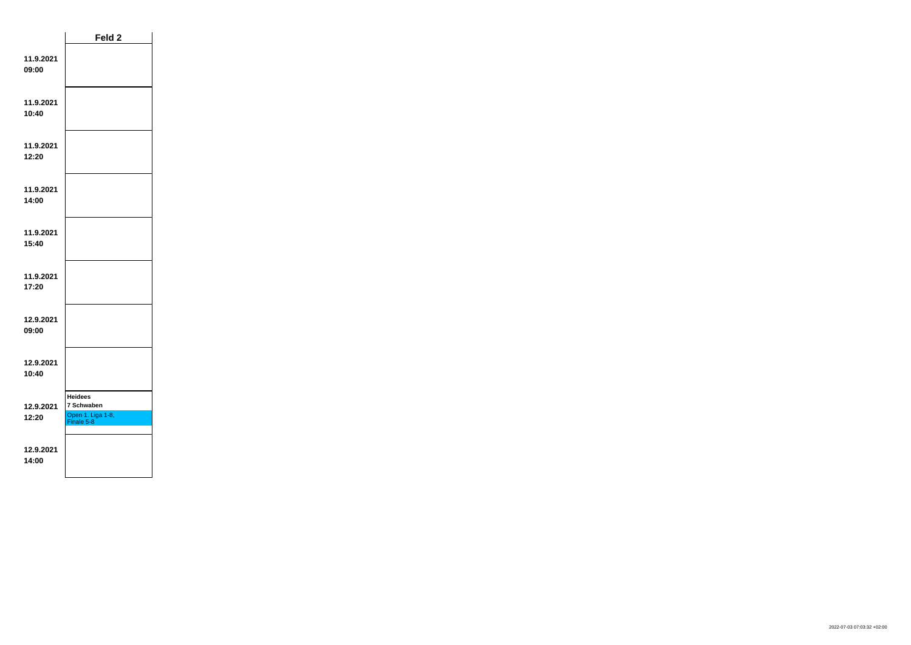|                    | Feld <sub>2</sub>                                               |  |
|--------------------|-----------------------------------------------------------------|--|
| 11.9.2021<br>09:00 |                                                                 |  |
| 11.9.2021<br>10:40 |                                                                 |  |
| 11.9.2021<br>12:20 |                                                                 |  |
| 11.9.2021<br>14:00 |                                                                 |  |
| 11.9.2021<br>15:40 |                                                                 |  |
| 11.9.2021<br>17:20 |                                                                 |  |
| 12.9.2021<br>09:00 |                                                                 |  |
| 12.9.2021<br>10:40 |                                                                 |  |
| 12.9.2021<br>12:20 | <b>Heidees</b><br>7 Schwaben<br>Open 1. Liga 1-8,<br>Finale 5-8 |  |
| 12.9.2021<br>14:00 |                                                                 |  |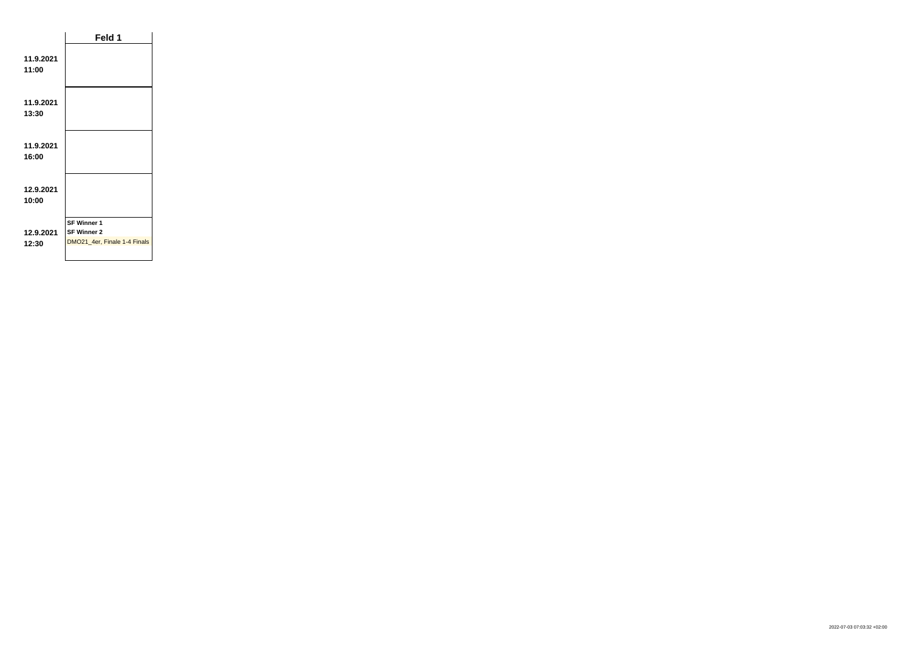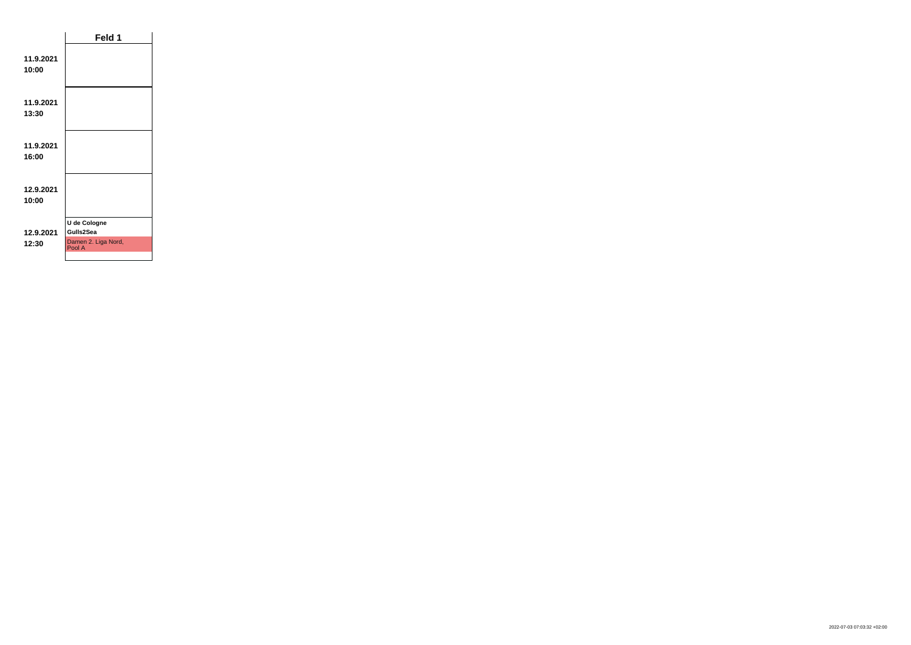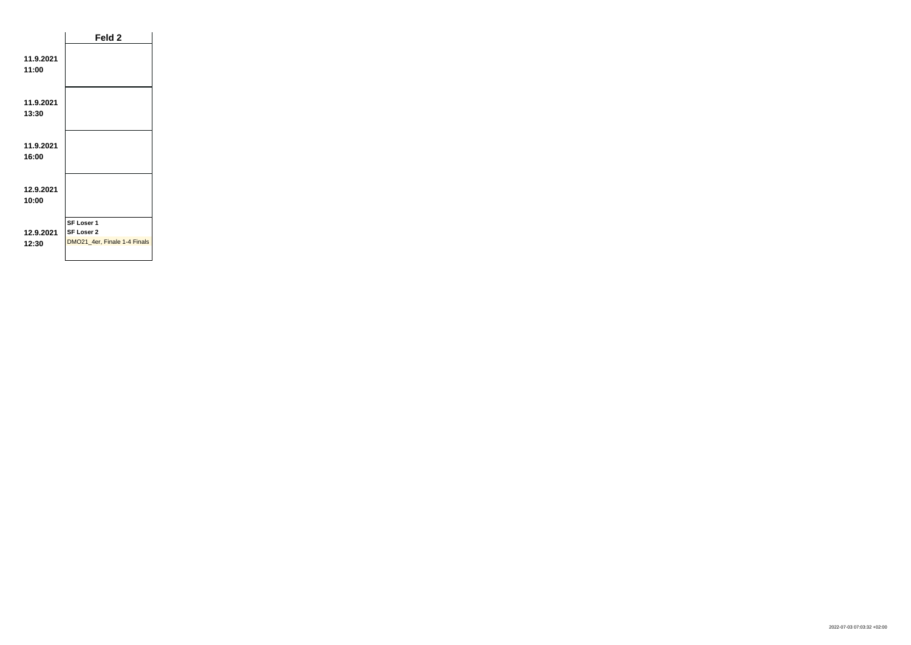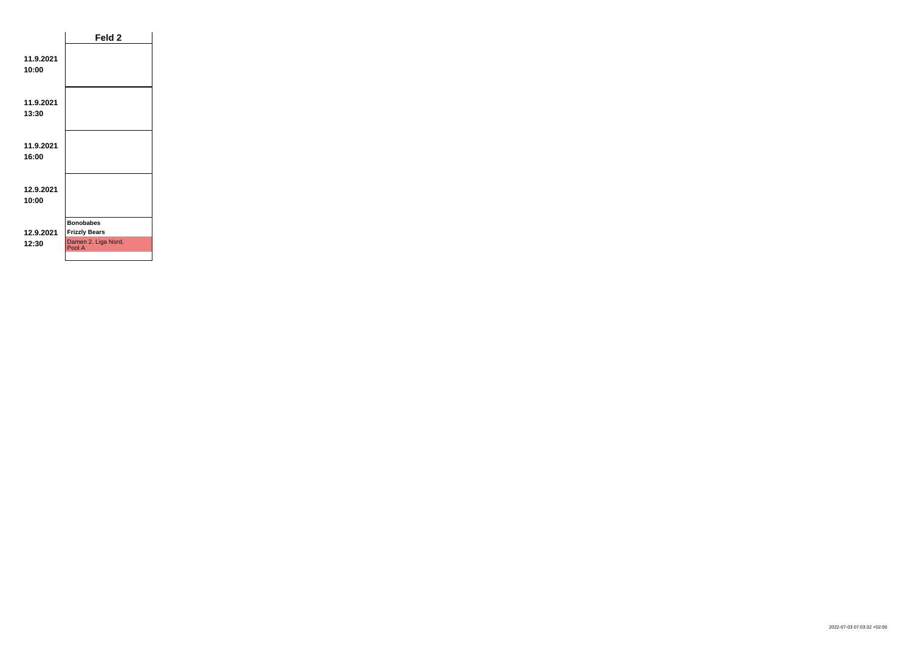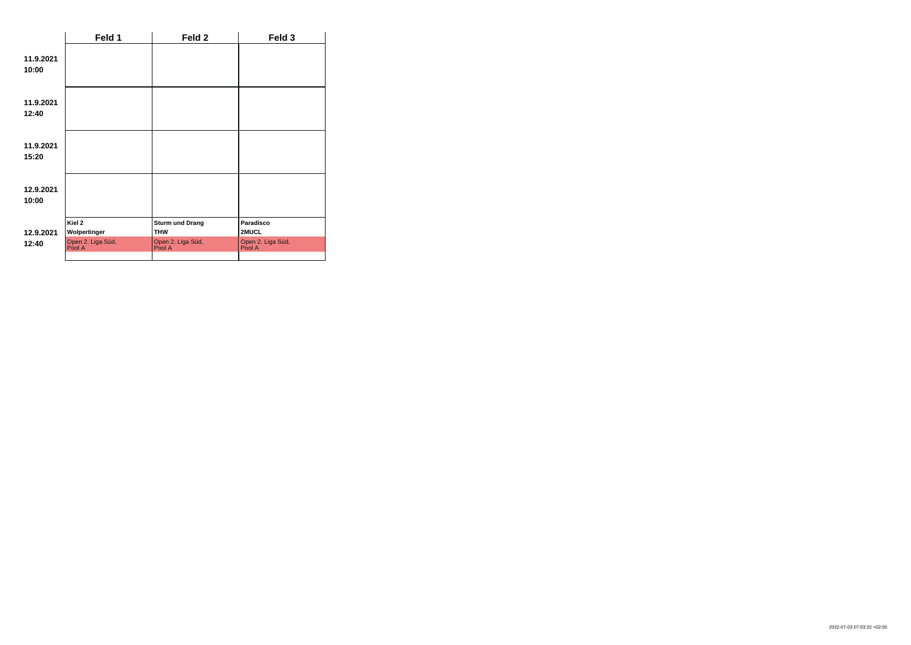|                    | Feld 1                                                | Feld 2                                                              | Feld 3                                            |
|--------------------|-------------------------------------------------------|---------------------------------------------------------------------|---------------------------------------------------|
| 11.9.2021<br>10:00 |                                                       |                                                                     |                                                   |
| 11.9.2021<br>12:40 |                                                       |                                                                     |                                                   |
| 11.9.2021<br>15:20 |                                                       |                                                                     |                                                   |
| 12.9.2021<br>10:00 |                                                       |                                                                     |                                                   |
| 12.9.2021<br>12:40 | Kiel 2<br>Wolpertinger<br>Open 2. Liga Süd,<br>Pool A | <b>Sturm und Drang</b><br><b>THW</b><br>Open 2. Liga Süd,<br>Pool A | Paradisco<br>2MUCL<br>Open 2. Liga Süd,<br>Pool A |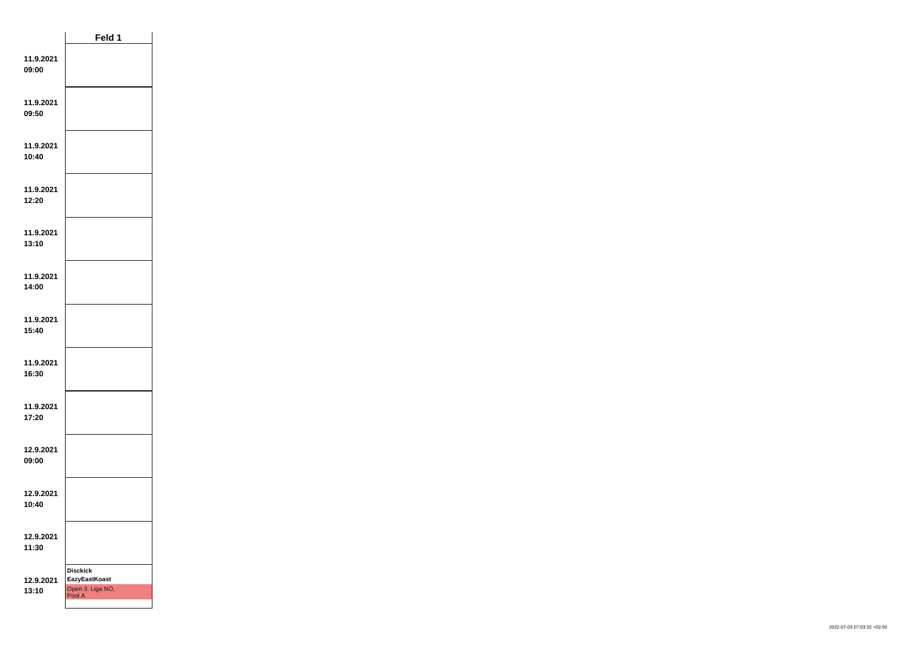|                    | Feld 1                                                                |  |
|--------------------|-----------------------------------------------------------------------|--|
| 11.9.2021<br>09:00 |                                                                       |  |
| 11.9.2021<br>09:50 |                                                                       |  |
| 11.9.2021<br>10:40 |                                                                       |  |
| 11.9.2021<br>12:20 |                                                                       |  |
| 11.9.2021<br>13:10 |                                                                       |  |
| 11.9.2021<br>14:00 |                                                                       |  |
| 11.9.2021<br>15:40 |                                                                       |  |
| 11.9.2021<br>16:30 |                                                                       |  |
| 11.9.2021<br>17:20 |                                                                       |  |
| 12.9.2021<br>09:00 |                                                                       |  |
| 12.9.2021<br>10:40 |                                                                       |  |
| 12.9.2021<br>11:30 |                                                                       |  |
| 12.9.2021<br>13:10 | <b>Disckick</b><br><b>EazyEastKoast</b><br>Open 3. Liga NO,<br>Pool A |  |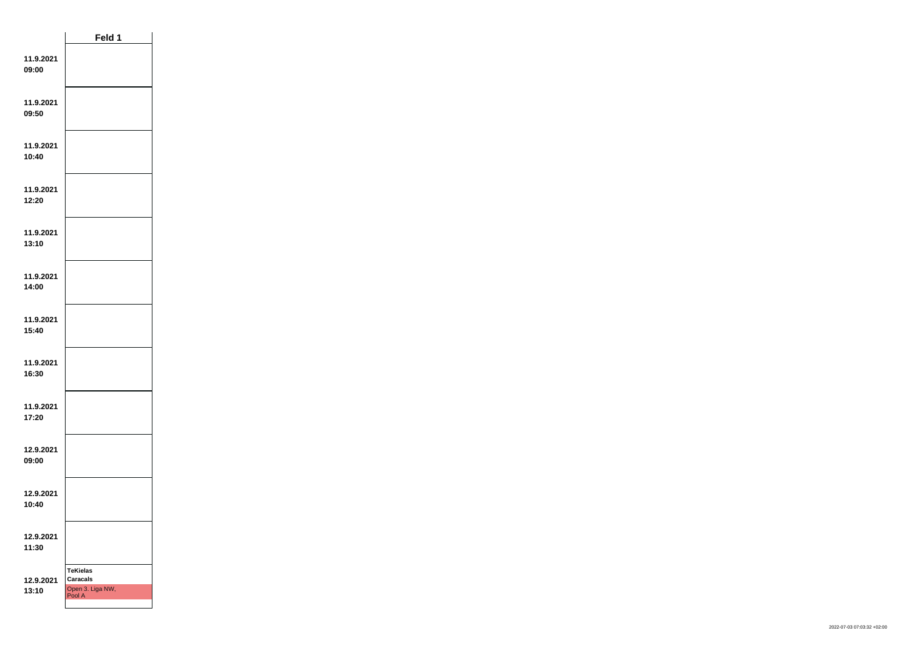|                    | Feld 1                                                           |  |
|--------------------|------------------------------------------------------------------|--|
| 11.9.2021<br>09:00 |                                                                  |  |
| 11.9.2021<br>09:50 |                                                                  |  |
| 11.9.2021<br>10:40 |                                                                  |  |
| 11.9.2021<br>12:20 |                                                                  |  |
| 11.9.2021<br>13:10 |                                                                  |  |
| 11.9.2021<br>14:00 |                                                                  |  |
| 11.9.2021<br>15:40 |                                                                  |  |
| 11.9.2021<br>16:30 |                                                                  |  |
| 11.9.2021<br>17:20 |                                                                  |  |
| 12.9.2021<br>09:00 |                                                                  |  |
| 12.9.2021<br>10:40 |                                                                  |  |
| 12.9.2021<br>11:30 |                                                                  |  |
| 12.9.2021<br>13:10 | <b>TeKielas</b><br><b>Caracals</b><br>Open 3. Liga NW,<br>Pool A |  |
|                    |                                                                  |  |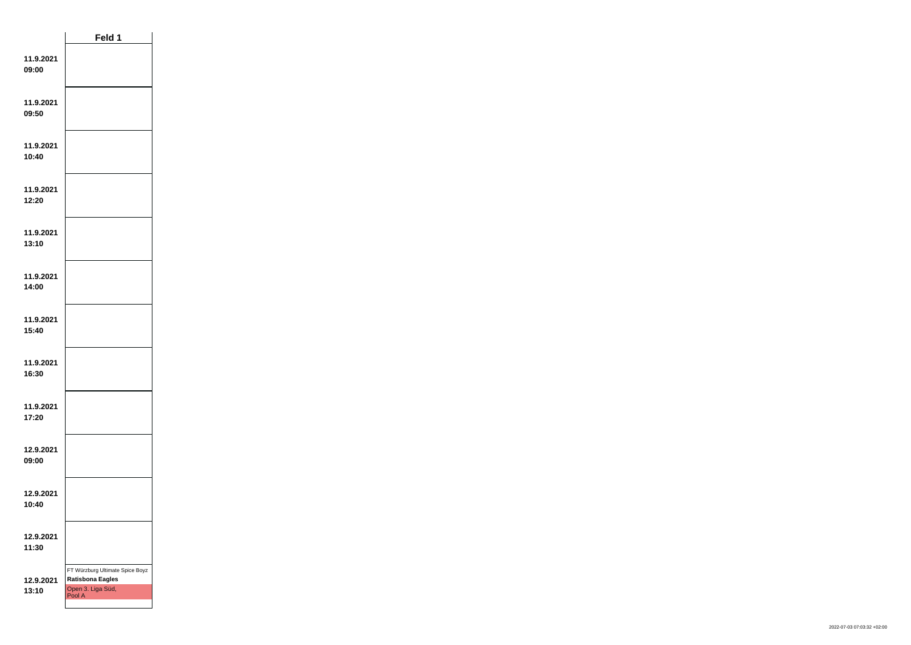|                    | Feld 1                                                                                    |  |
|--------------------|-------------------------------------------------------------------------------------------|--|
| 11.9.2021<br>09:00 |                                                                                           |  |
| 11.9.2021<br>09:50 |                                                                                           |  |
| 11.9.2021<br>10:40 |                                                                                           |  |
| 11.9.2021<br>12:20 |                                                                                           |  |
| 11.9.2021<br>13:10 |                                                                                           |  |
| 11.9.2021<br>14:00 |                                                                                           |  |
| 11.9.2021<br>15:40 |                                                                                           |  |
| 11.9.2021<br>16:30 |                                                                                           |  |
| 11.9.2021<br>17:20 |                                                                                           |  |
| 12.9.2021<br>09:00 |                                                                                           |  |
| 12.9.2021<br>10:40 |                                                                                           |  |
| 12.9.2021<br>11:30 |                                                                                           |  |
| 12.9.2021<br>13:10 | FT Würzburg Ultimate Spice Boyz<br><b>Ratisbona Eagles</b><br>Open 3. Liga Süd,<br>Pool A |  |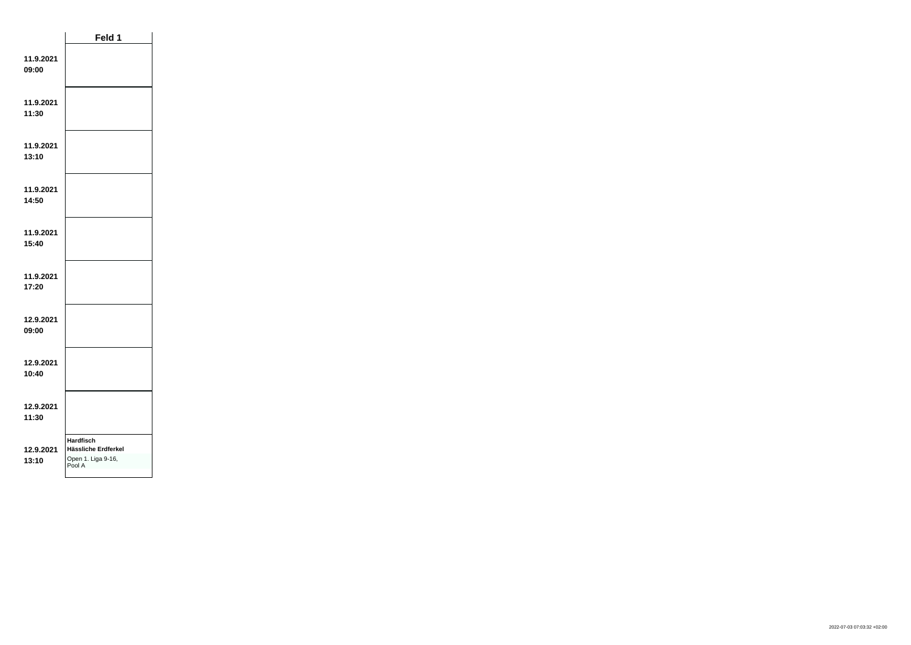|                    | Feld 1                                                                  |  |
|--------------------|-------------------------------------------------------------------------|--|
| 11.9.2021<br>09:00 |                                                                         |  |
| 11.9.2021<br>11:30 |                                                                         |  |
| 11.9.2021<br>13:10 |                                                                         |  |
| 11.9.2021<br>14:50 |                                                                         |  |
| 11.9.2021<br>15:40 |                                                                         |  |
| 11.9.2021<br>17:20 |                                                                         |  |
| 12.9.2021<br>09:00 |                                                                         |  |
| 12.9.2021<br>10:40 |                                                                         |  |
| 12.9.2021<br>11:30 |                                                                         |  |
| 12.9.2021<br>13:10 | <b>Hardfisch</b><br>Hässliche Erdferkel<br>Open 1. Liga 9-16,<br>Pool A |  |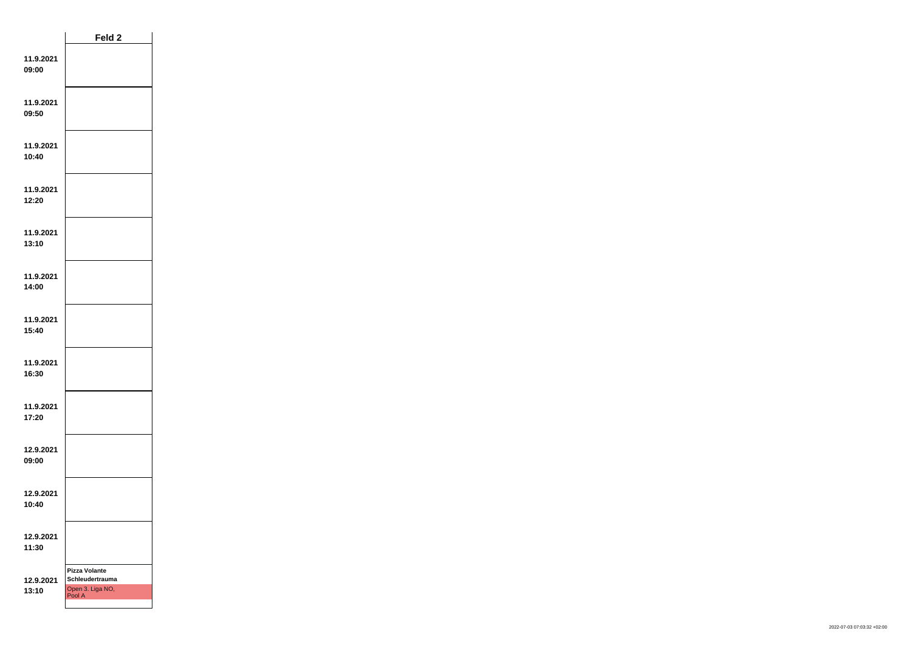|                    | Feld <sub>2</sub>                                                     |  |
|--------------------|-----------------------------------------------------------------------|--|
| 11.9.2021<br>09:00 |                                                                       |  |
| 11.9.2021<br>09:50 |                                                                       |  |
| 11.9.2021<br>10:40 |                                                                       |  |
| 11.9.2021<br>12:20 |                                                                       |  |
| 11.9.2021<br>13:10 |                                                                       |  |
| 11.9.2021<br>14:00 |                                                                       |  |
| 11.9.2021<br>15:40 |                                                                       |  |
| 11.9.2021<br>16:30 |                                                                       |  |
| 11.9.2021<br>17:20 |                                                                       |  |
| 12.9.2021<br>09:00 |                                                                       |  |
| 12.9.2021<br>10:40 |                                                                       |  |
| 12.9.2021<br>11:30 |                                                                       |  |
| 12.9.2021<br>13:10 | <b>Pizza Volante</b><br>Schleudertrauma<br>Open 3. Liga NO,<br>Pool A |  |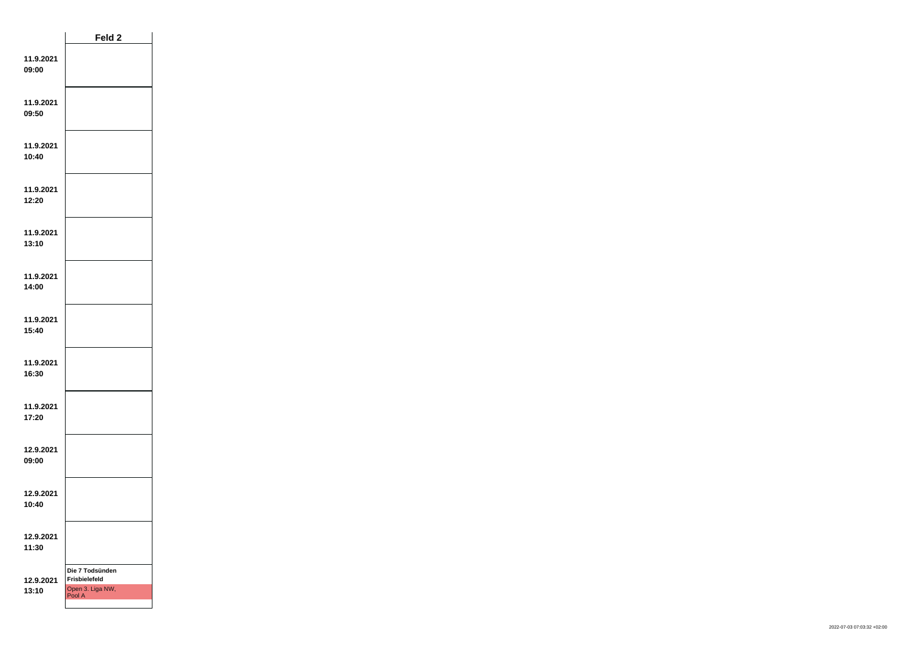|                    | Feld <sub>2</sub>                                              |  |
|--------------------|----------------------------------------------------------------|--|
| 11.9.2021<br>09:00 |                                                                |  |
| 11.9.2021<br>09:50 |                                                                |  |
| 11.9.2021<br>10:40 |                                                                |  |
| 11.9.2021<br>12:20 |                                                                |  |
| 11.9.2021<br>13:10 |                                                                |  |
| 11.9.2021<br>14:00 |                                                                |  |
| 11.9.2021<br>15:40 |                                                                |  |
| 11.9.2021<br>16:30 |                                                                |  |
| 11.9.2021<br>17:20 |                                                                |  |
| 12.9.2021<br>09:00 |                                                                |  |
| 12.9.2021<br>10:40 |                                                                |  |
| 12.9.2021<br>11:30 |                                                                |  |
| 12.9.2021<br>13:10 | Die 7 Todsünden<br>Frisbielefeld<br>Open 3. Liga NW,<br>Pool A |  |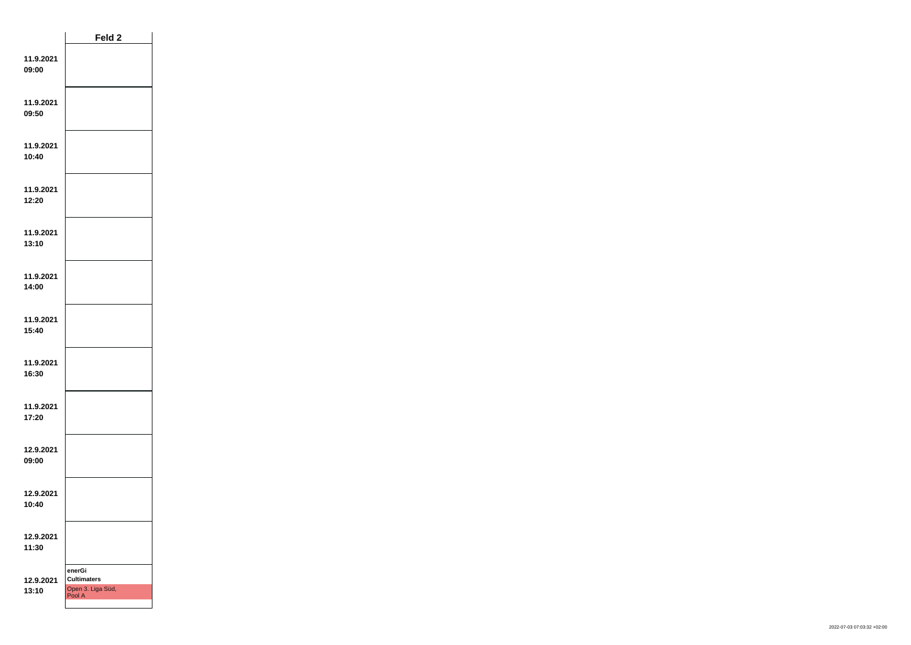|                    | Feld <sub>2</sub>                                           |  |
|--------------------|-------------------------------------------------------------|--|
| 11.9.2021<br>09:00 |                                                             |  |
| 11.9.2021<br>09:50 |                                                             |  |
| 11.9.2021<br>10:40 |                                                             |  |
| 11.9.2021<br>12:20 |                                                             |  |
| 11.9.2021<br>13:10 |                                                             |  |
| 11.9.2021<br>14:00 |                                                             |  |
| 11.9.2021<br>15:40 |                                                             |  |
| 11.9.2021<br>16:30 |                                                             |  |
| 11.9.2021<br>17:20 |                                                             |  |
| 12.9.2021<br>09:00 |                                                             |  |
| 12.9.2021<br>10:40 |                                                             |  |
| 12.9.2021<br>11:30 |                                                             |  |
| 12.9.2021<br>13:10 | enerGi<br><b>Cultimaters</b><br>Open 3. Liga Süd,<br>Pool A |  |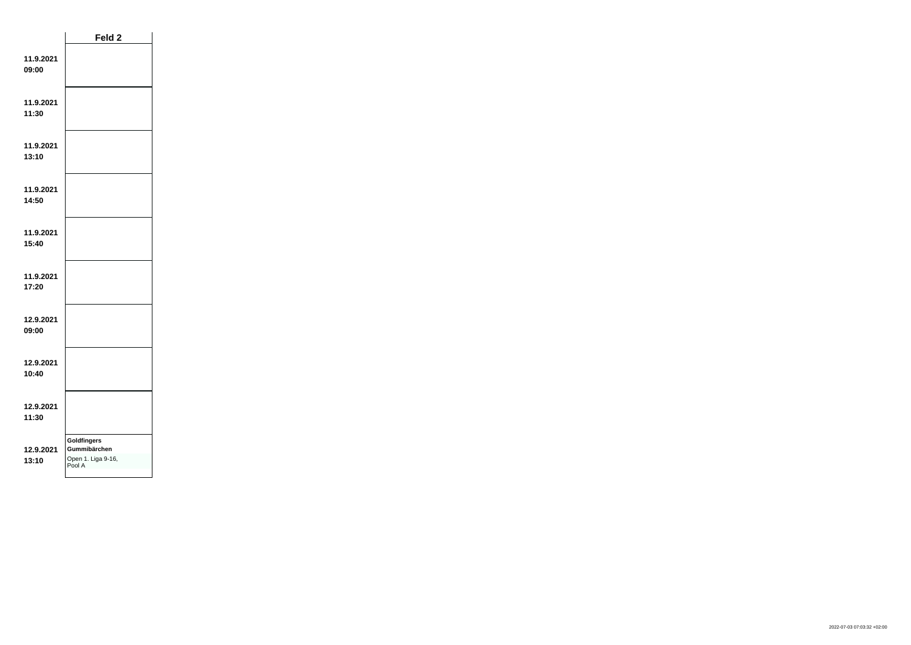|                    | Feld 2                                                             |  |
|--------------------|--------------------------------------------------------------------|--|
| 11.9.2021<br>09:00 |                                                                    |  |
| 11.9.2021<br>11:30 |                                                                    |  |
| 11.9.2021<br>13:10 |                                                                    |  |
| 11.9.2021<br>14:50 |                                                                    |  |
| 11.9.2021<br>15:40 |                                                                    |  |
| 11.9.2021<br>17:20 |                                                                    |  |
| 12.9.2021<br>09:00 |                                                                    |  |
| 12.9.2021<br>10:40 |                                                                    |  |
| 12.9.2021<br>11:30 |                                                                    |  |
| 12.9.2021<br>13:10 | <b>Goldfingers</b><br>Gummibärchen<br>Open 1. Liga 9-16,<br>Pool A |  |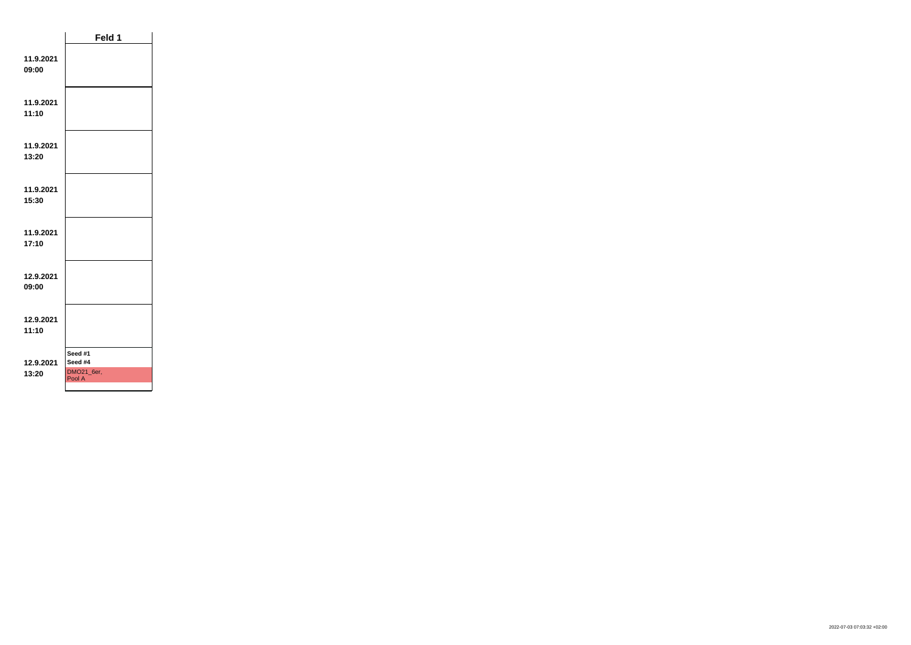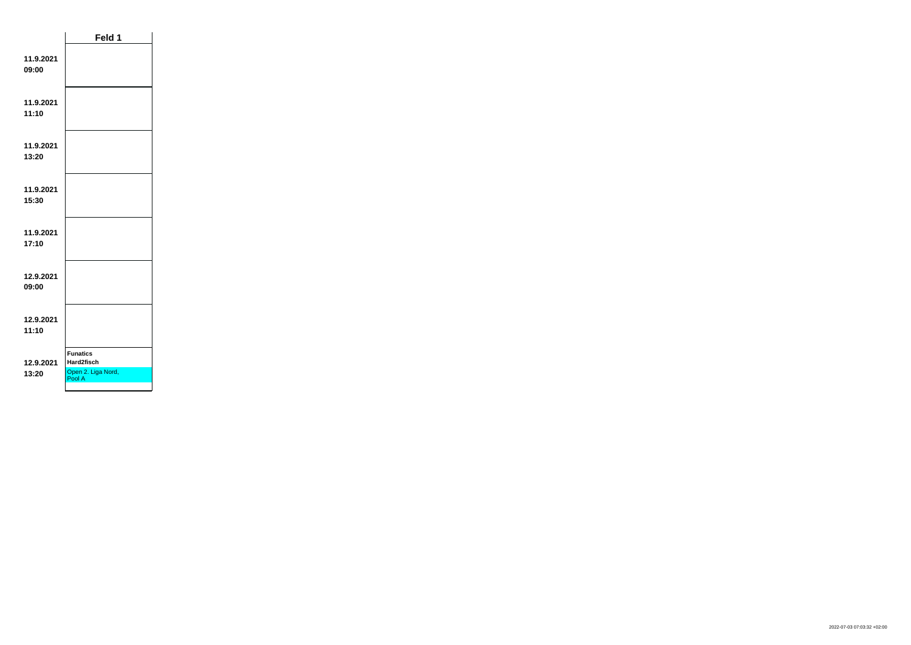|                    | Feld 1                                                        |  |
|--------------------|---------------------------------------------------------------|--|
| 11.9.2021<br>09:00 |                                                               |  |
| 11.9.2021<br>11:10 |                                                               |  |
| 11.9.2021<br>13:20 |                                                               |  |
| 11.9.2021<br>15:30 |                                                               |  |
| 11.9.2021<br>17:10 |                                                               |  |
| 12.9.2021<br>09:00 |                                                               |  |
| 12.9.2021<br>11:10 |                                                               |  |
| 12.9.2021<br>13:20 | <b>Funatics</b><br>Hard2fisch<br>Open 2. Liga Nord,<br>Pool A |  |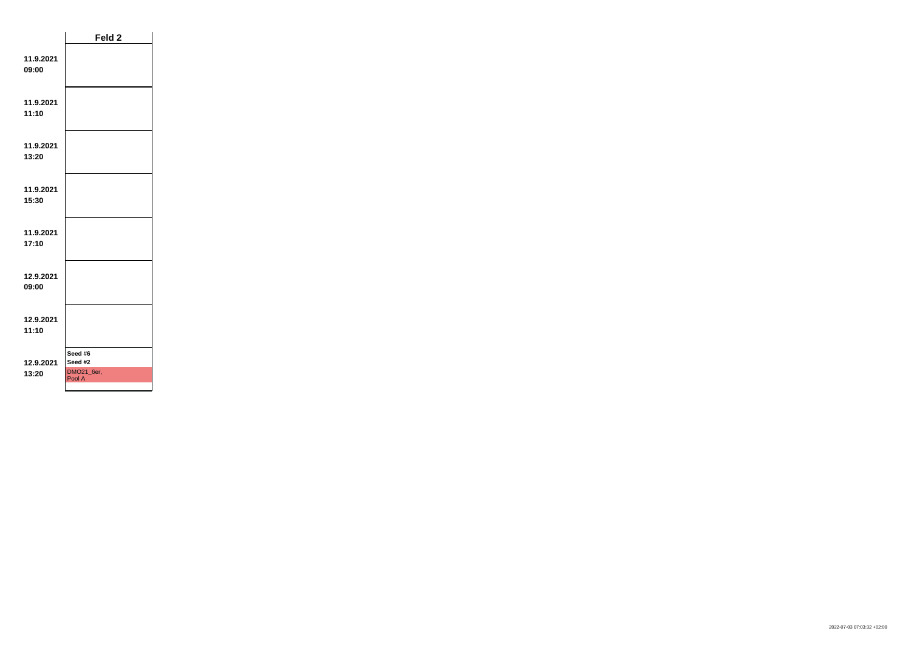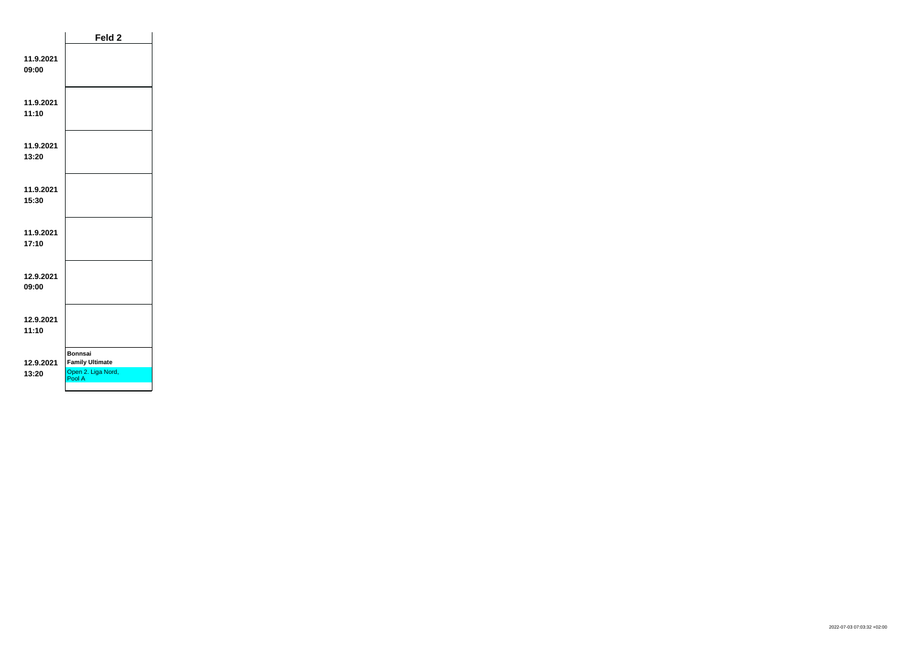|                    | Feld <sub>2</sub>                                                        |  |
|--------------------|--------------------------------------------------------------------------|--|
| 11.9.2021<br>09:00 |                                                                          |  |
| 11.9.2021<br>11:10 |                                                                          |  |
| 11.9.2021<br>13:20 |                                                                          |  |
| 11.9.2021<br>15:30 |                                                                          |  |
| 11.9.2021<br>17:10 |                                                                          |  |
| 12.9.2021<br>09:00 |                                                                          |  |
| 12.9.2021<br>11:10 |                                                                          |  |
| 12.9.2021<br>13:20 | <b>Bonnsai</b><br><b>Family Ultimate</b><br>Open 2. Liga Nord,<br>Pool A |  |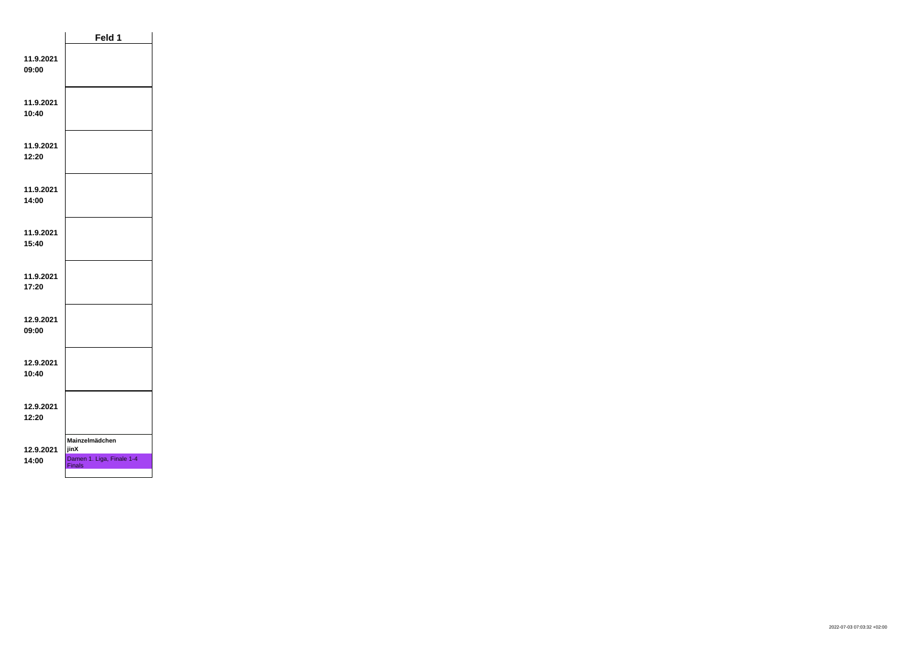|                    | Feld 1                                                               |  |
|--------------------|----------------------------------------------------------------------|--|
| 11.9.2021<br>09:00 |                                                                      |  |
| 11.9.2021<br>10:40 |                                                                      |  |
| 11.9.2021<br>12:20 |                                                                      |  |
| 11.9.2021<br>14:00 |                                                                      |  |
| 11.9.2021<br>15:40 |                                                                      |  |
| 11.9.2021<br>17:20 |                                                                      |  |
| 12.9.2021<br>09:00 |                                                                      |  |
| 12.9.2021<br>10:40 |                                                                      |  |
| 12.9.2021<br>12:20 |                                                                      |  |
| 12.9.2021<br>14:00 | Mainzelmädchen<br>jinX<br>Damen 1. Liga, Finale 1-4<br><b>Finals</b> |  |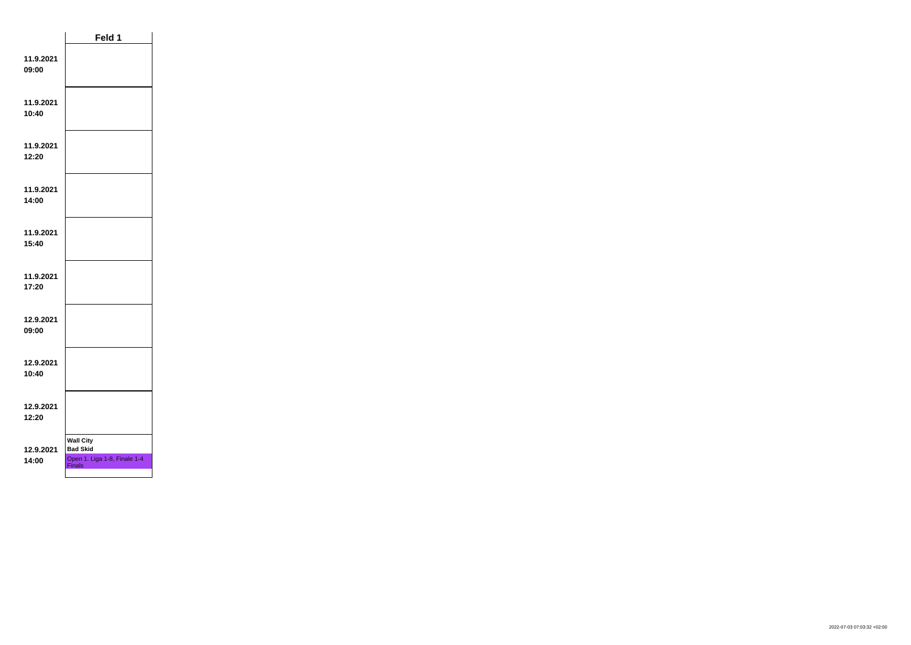|                    | Feld 1                                                                               |  |
|--------------------|--------------------------------------------------------------------------------------|--|
| 11.9.2021<br>09:00 |                                                                                      |  |
| 11.9.2021<br>10:40 |                                                                                      |  |
| 11.9.2021<br>12:20 |                                                                                      |  |
| 11.9.2021<br>14:00 |                                                                                      |  |
| 11.9.2021<br>15:40 |                                                                                      |  |
| 11.9.2021<br>17:20 |                                                                                      |  |
| 12.9.2021<br>09:00 |                                                                                      |  |
| 12.9.2021<br>10:40 |                                                                                      |  |
| 12.9.2021<br>12:20 |                                                                                      |  |
| 12.9.2021<br>14:00 | <b>Wall City</b><br><b>Bad Skid</b><br>Open 1. Liga 1-8, Finale 1-4<br><b>Finals</b> |  |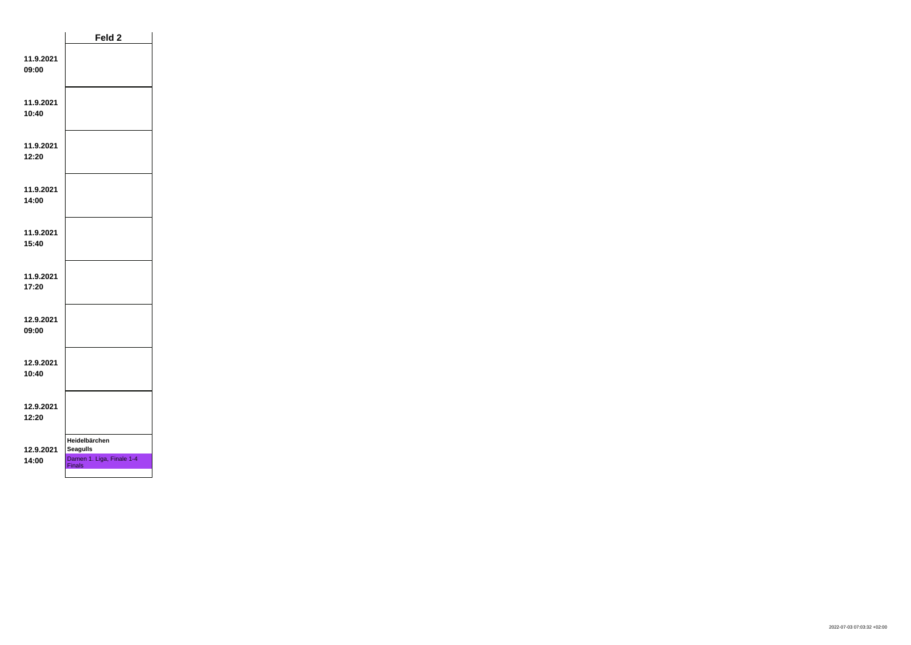|                    | Feld 2                                                                         |  |
|--------------------|--------------------------------------------------------------------------------|--|
| 11.9.2021<br>09:00 |                                                                                |  |
| 11.9.2021<br>10:40 |                                                                                |  |
| 11.9.2021<br>12:20 |                                                                                |  |
| 11.9.2021<br>14:00 |                                                                                |  |
| 11.9.2021<br>15:40 |                                                                                |  |
| 11.9.2021<br>17:20 |                                                                                |  |
| 12.9.2021<br>09:00 |                                                                                |  |
| 12.9.2021<br>10:40 |                                                                                |  |
| 12.9.2021<br>12:20 |                                                                                |  |
| 12.9.2021<br>14:00 | Heidelbärchen<br><b>Seagulls</b><br>Damen 1. Liga, Finale 1-4<br><b>Finals</b> |  |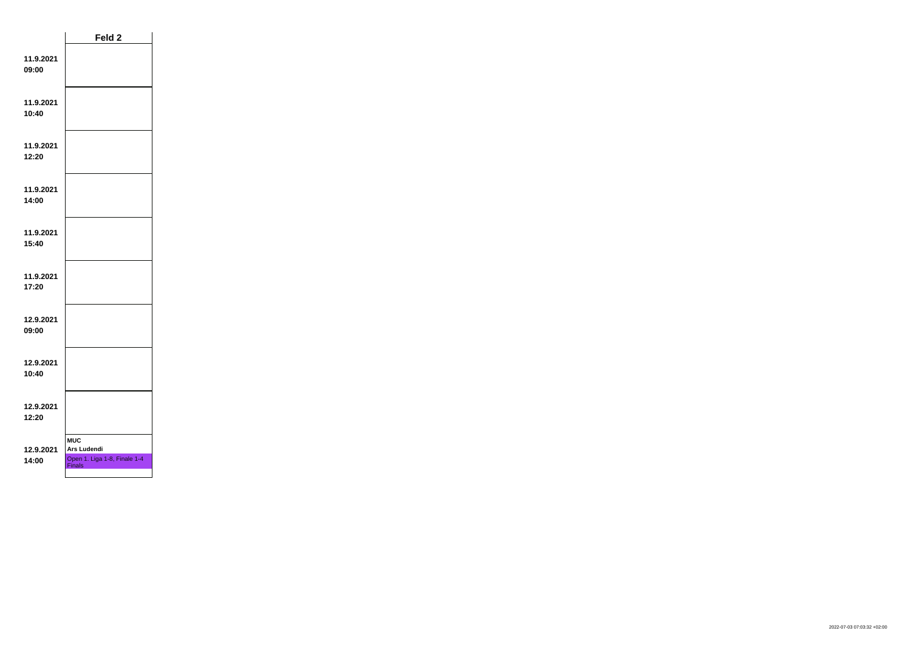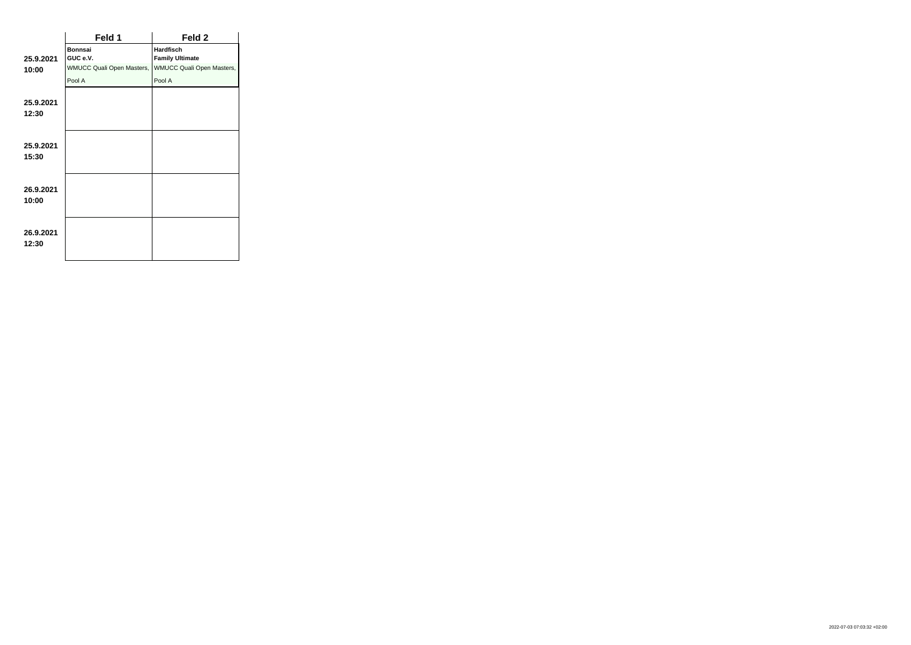|                    | Feld 1                           | Feld 2                           |
|--------------------|----------------------------------|----------------------------------|
|                    | <b>Bonnsai</b>                   | <b>Hardfisch</b>                 |
| 25.9.2021          | GUC e.V.                         | <b>Family Ultimate</b>           |
| 10:00              | <b>WMUCC Quali Open Masters,</b> | <b>WMUCC Quali Open Masters,</b> |
|                    | Pool A                           | Pool A                           |
| 25.9.2021<br>12:30 |                                  |                                  |
| 25.9.2021<br>15:30 |                                  |                                  |
| 26.9.2021<br>10:00 |                                  |                                  |
| 26.9.2021<br>12:30 |                                  |                                  |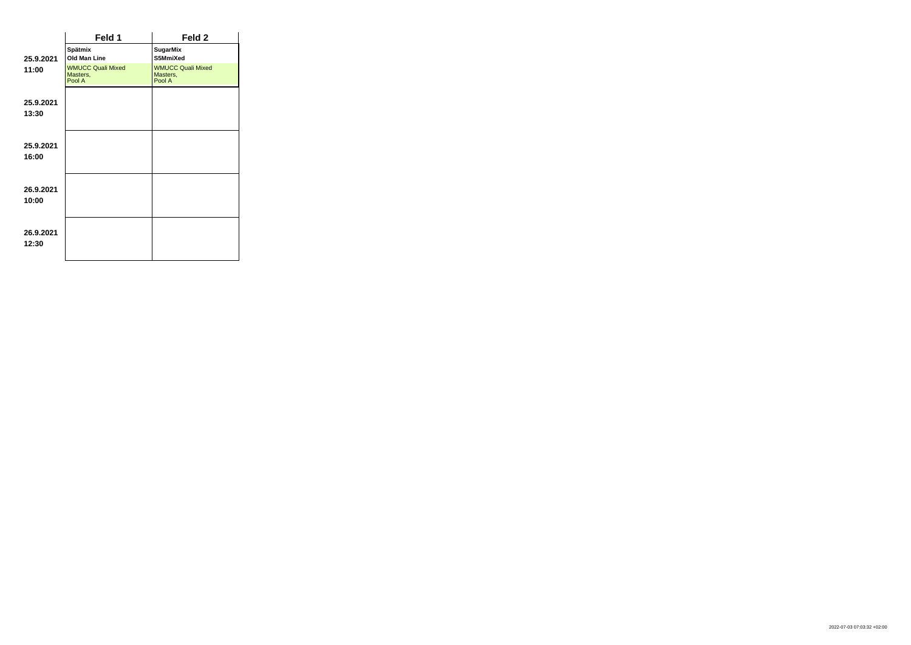|                    | Feld 1                                         | Feld 2                                         |
|--------------------|------------------------------------------------|------------------------------------------------|
| 25.9.2021          | Spätmix<br>Old Man Line                        | <b>SugarMix</b><br>S5MmiXed                    |
| 11:00              | <b>WMUCC Quali Mixed</b><br>Masters,<br>Pool A | <b>WMUCC Quali Mixed</b><br>Masters,<br>Pool A |
| 25.9.2021<br>13:30 |                                                |                                                |
| 25.9.2021<br>16:00 |                                                |                                                |
| 26.9.2021<br>10:00 |                                                |                                                |
| 26.9.2021<br>12:30 |                                                |                                                |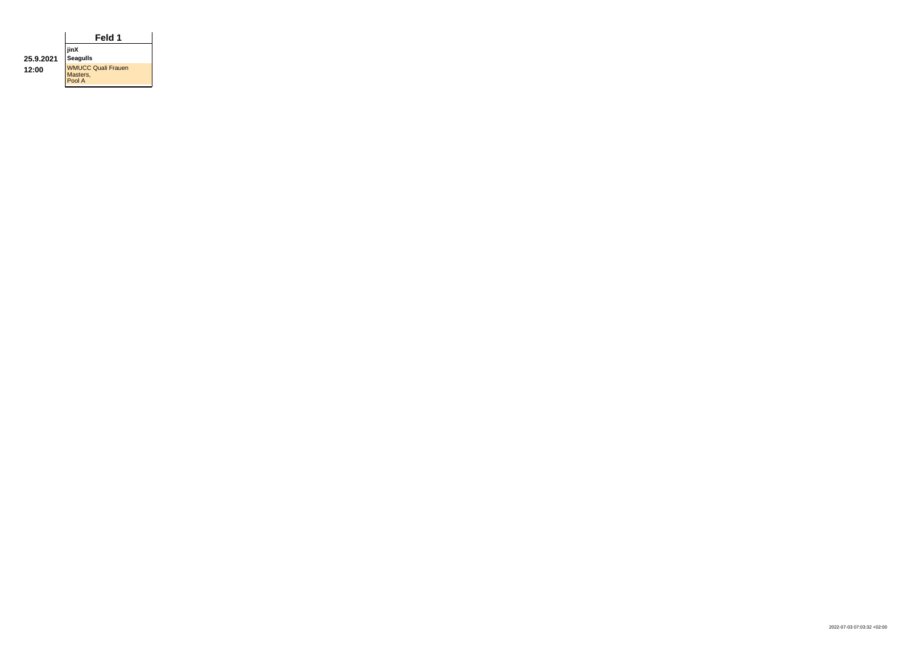|           | Feld 1                                          |  |  |
|-----------|-------------------------------------------------|--|--|
|           | jinX                                            |  |  |
| 25.9.2021 | <b>Seagulls</b>                                 |  |  |
| 12:00     | <b>WMUCC Quali Frauen</b><br>Masters,<br>Pool A |  |  |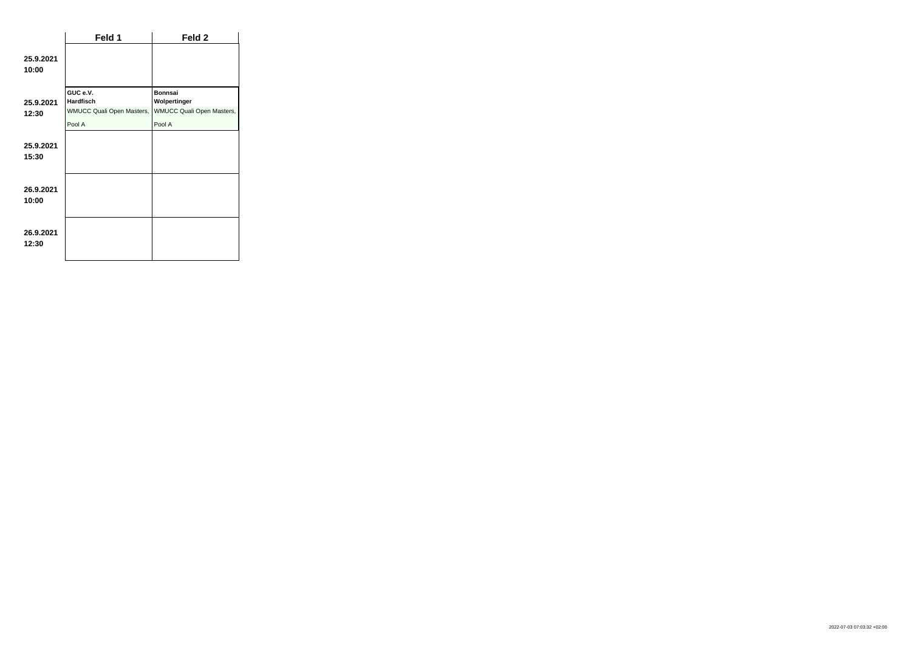|                    | Feld 1                                                           | Feld 2                                                      |
|--------------------|------------------------------------------------------------------|-------------------------------------------------------------|
| 25.9.2021<br>10:00 |                                                                  |                                                             |
| 25.9.2021<br>12:30 | GUC e.V.<br><b>Hardfisch</b><br><b>WMUCC Quali Open Masters,</b> | <b>Bonnsai</b><br>Wolpertinger<br>WMUCC Quali Open Masters, |
|                    | Pool A                                                           | Pool A                                                      |
| 25.9.2021<br>15:30 |                                                                  |                                                             |
| 26.9.2021<br>10:00 |                                                                  |                                                             |
| 26.9.2021<br>12:30 |                                                                  |                                                             |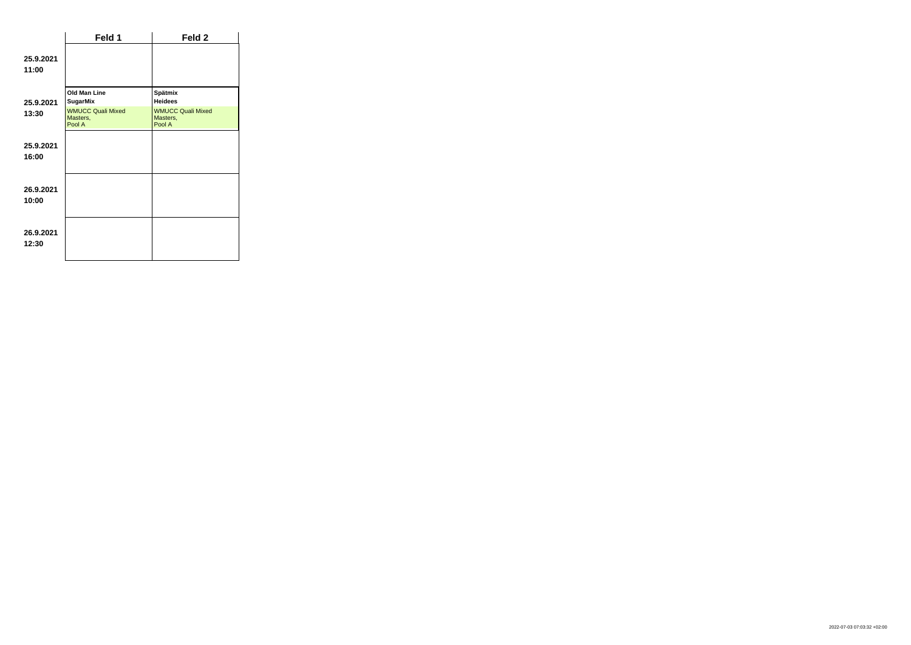|                    | Feld 1                                         | Feld 2                                         |
|--------------------|------------------------------------------------|------------------------------------------------|
| 25.9.2021<br>11:00 |                                                |                                                |
| 25.9.2021          | Old Man Line<br><b>SugarMix</b>                | Spätmix<br><b>Heidees</b>                      |
| 13:30              | <b>WMUCC Quali Mixed</b><br>Masters,<br>Pool A | <b>WMUCC Quali Mixed</b><br>Masters,<br>Pool A |
| 25.9.2021<br>16:00 |                                                |                                                |
| 26.9.2021<br>10:00 |                                                |                                                |
| 26.9.2021<br>12:30 |                                                |                                                |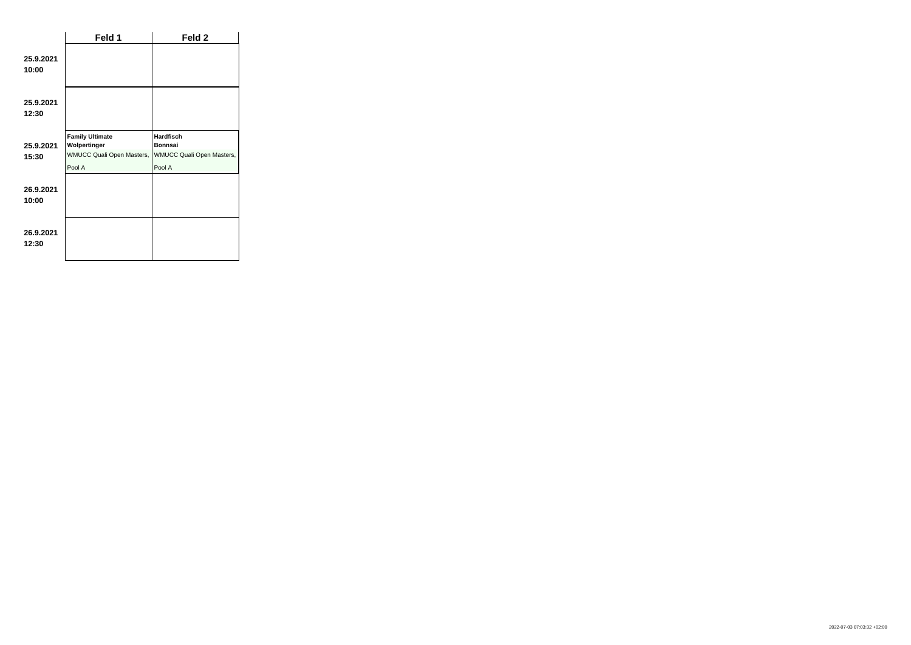|                    | Feld 1                                                                               | Feld 2                                                                    |
|--------------------|--------------------------------------------------------------------------------------|---------------------------------------------------------------------------|
| 25.9.2021<br>10:00 |                                                                                      |                                                                           |
| 25.9.2021<br>12:30 |                                                                                      |                                                                           |
| 25.9.2021<br>15:30 | <b>Family Ultimate</b><br>Wolpertinger<br><b>WMUCC Quali Open Masters,</b><br>Pool A | <b>Hardfisch</b><br><b>Bonnsai</b><br>WMUCC Quali Open Masters,<br>Pool A |
| 26.9.2021<br>10:00 |                                                                                      |                                                                           |
| 26.9.2021<br>12:30 |                                                                                      |                                                                           |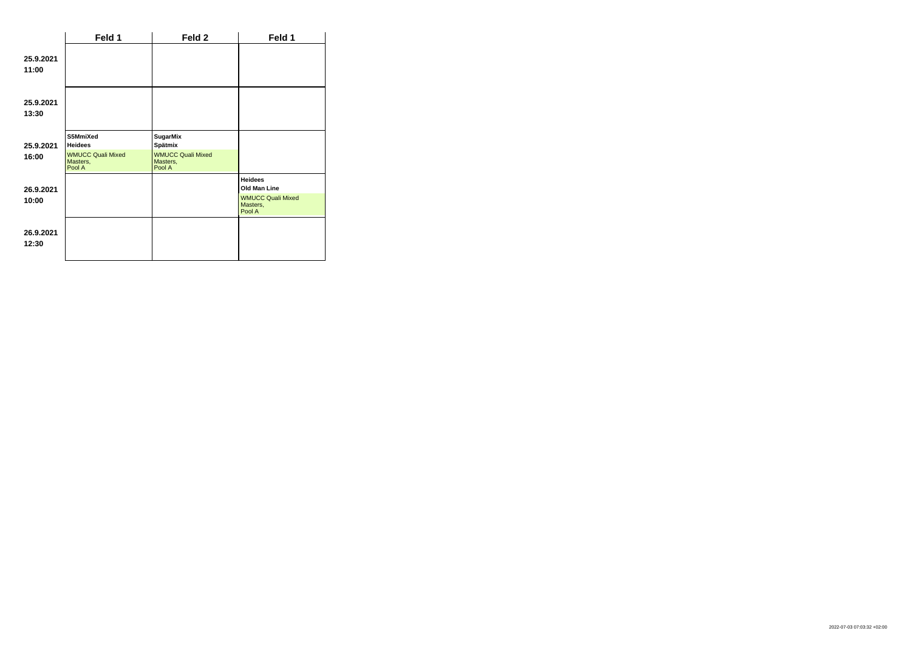|                    | Feld 1                                                                       | Feld 2                                                                       | Feld 1                                                                           |
|--------------------|------------------------------------------------------------------------------|------------------------------------------------------------------------------|----------------------------------------------------------------------------------|
| 25.9.2021<br>11:00 |                                                                              |                                                                              |                                                                                  |
| 25.9.2021<br>13:30 |                                                                              |                                                                              |                                                                                  |
| 25.9.2021<br>16:00 | S5MmiXed<br><b>Heidees</b><br><b>WMUCC Quali Mixed</b><br>Masters,<br>Pool A | <b>SugarMix</b><br>Spätmix<br><b>WMUCC Quali Mixed</b><br>Masters,<br>Pool A |                                                                                  |
| 26.9.2021<br>10:00 |                                                                              |                                                                              | <b>Heidees</b><br>Old Man Line<br><b>WMUCC Quali Mixed</b><br>Masters,<br>Pool A |
| 26.9.2021<br>12:30 |                                                                              |                                                                              |                                                                                  |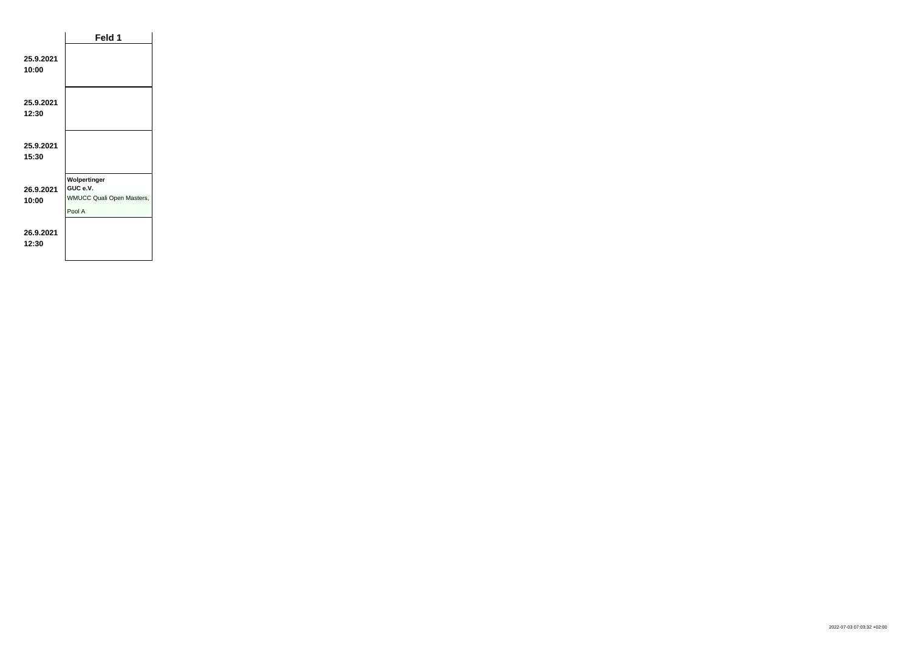|                    | Feld 1                                                                 |  |
|--------------------|------------------------------------------------------------------------|--|
| 25.9.2021<br>10:00 |                                                                        |  |
| 25.9.2021<br>12:30 |                                                                        |  |
| 25.9.2021<br>15:30 |                                                                        |  |
| 26.9.2021<br>10:00 | Wolpertinger<br>GUC e.V.<br><b>WMUCC Quali Open Masters,</b><br>Pool A |  |
| 26.9.2021<br>12:30 |                                                                        |  |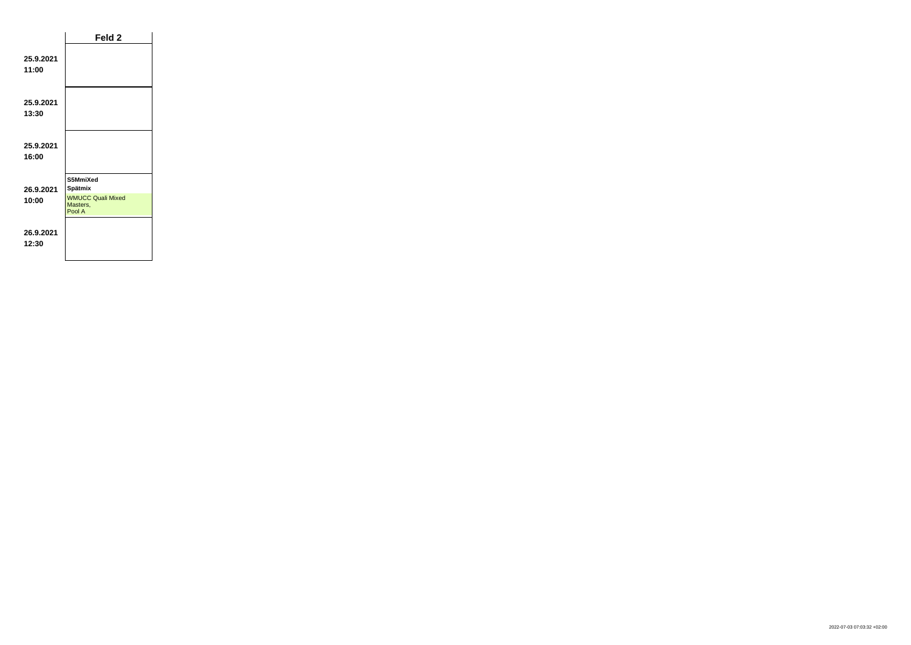|                    | Feld 2                                                      |  |
|--------------------|-------------------------------------------------------------|--|
| 25.9.2021<br>11:00 |                                                             |  |
| 25.9.2021<br>13:30 |                                                             |  |
| 25.9.2021<br>16:00 |                                                             |  |
| 26.9.2021<br>10:00 | S5MmiXed<br>Spätmix<br><b>WMUCC Quali Mixed</b><br>Masters, |  |
| 26.9.2021<br>12:30 | Pool A                                                      |  |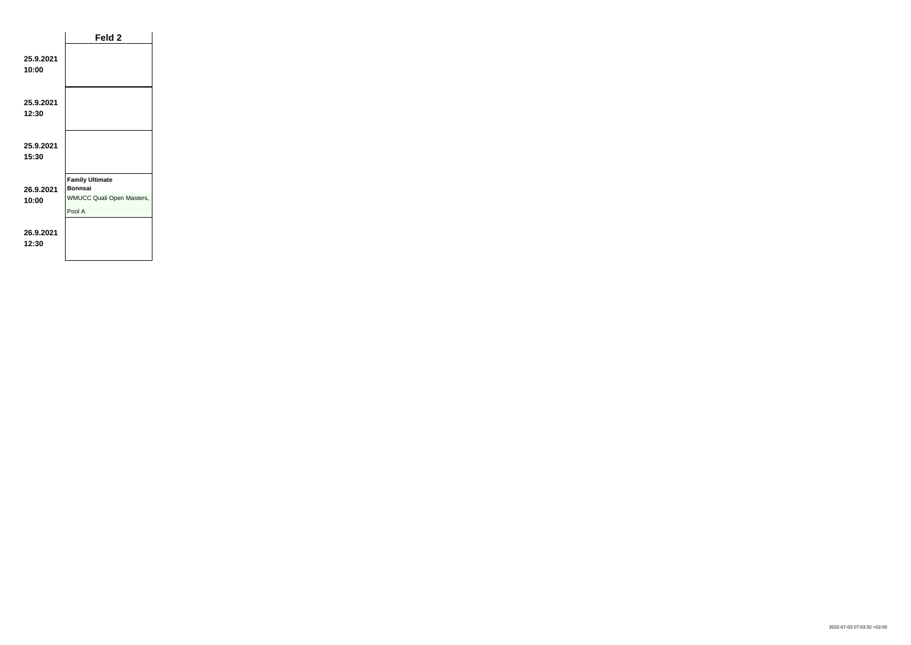|                    | Feld 2                                                                                 |  |
|--------------------|----------------------------------------------------------------------------------------|--|
| 25.9.2021<br>10:00 |                                                                                        |  |
| 25.9.2021<br>12:30 |                                                                                        |  |
| 25.9.2021<br>15:30 |                                                                                        |  |
| 26.9.2021<br>10:00 | <b>Family Ultimate</b><br><b>Bonnsai</b><br><b>WMUCC Quali Open Masters,</b><br>Pool A |  |
| 26.9.2021<br>12:30 |                                                                                        |  |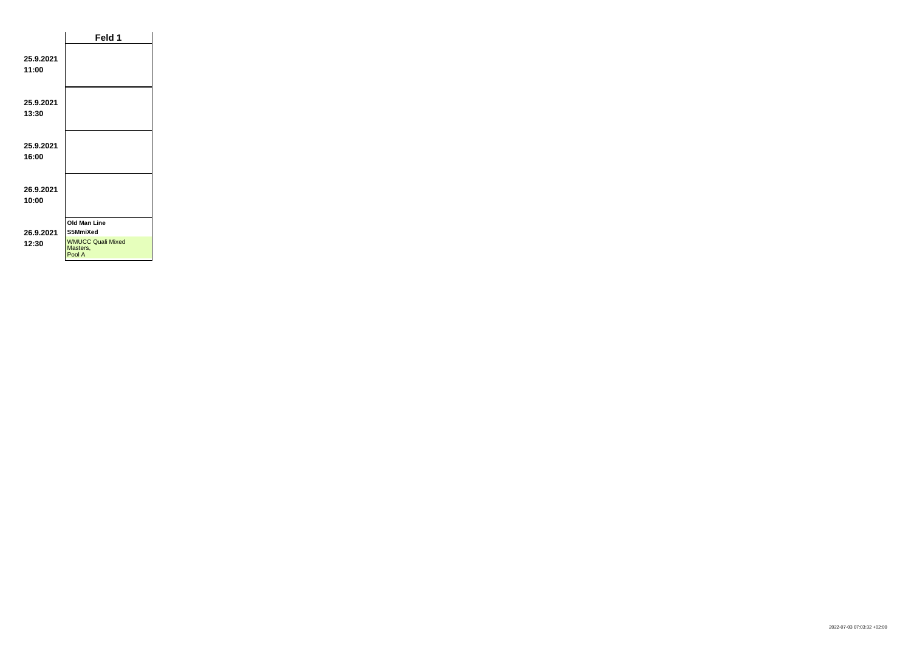|                    | Feld 1                                                                            |  |
|--------------------|-----------------------------------------------------------------------------------|--|
| 25.9.2021<br>11:00 |                                                                                   |  |
| 25.9.2021<br>13:30 |                                                                                   |  |
| 25.9.2021<br>16:00 |                                                                                   |  |
| 26.9.2021<br>10:00 |                                                                                   |  |
| 26.9.2021<br>12:30 | <b>Old Man Line</b><br>S5MmiXed<br><b>WMUCC Quali Mixed</b><br>Masters,<br>Pool A |  |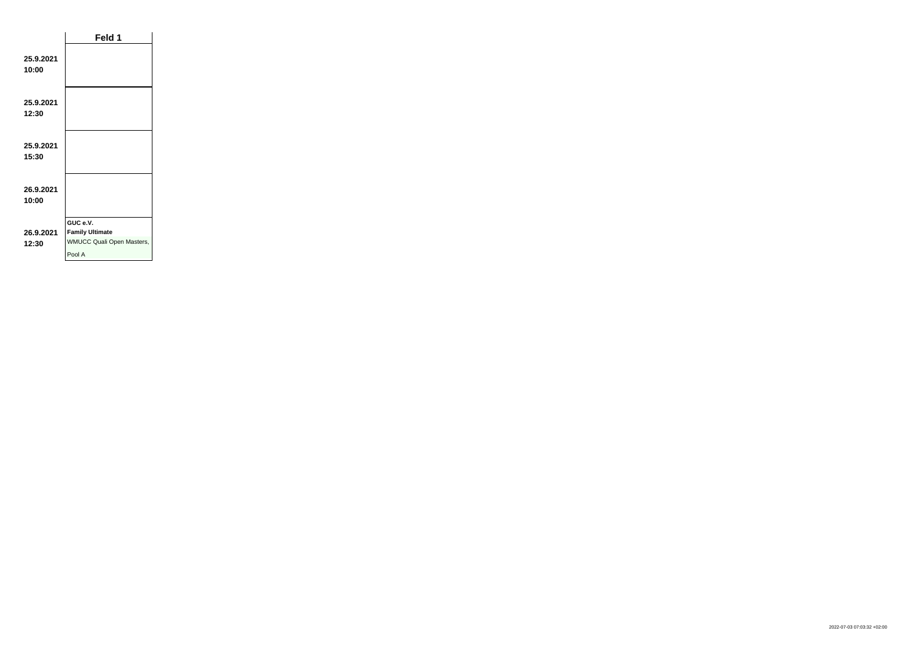|                    | Feld 1                                                                           |  |
|--------------------|----------------------------------------------------------------------------------|--|
| 25.9.2021<br>10:00 |                                                                                  |  |
| 25.9.2021<br>12:30 |                                                                                  |  |
| 25.9.2021<br>15:30 |                                                                                  |  |
| 26.9.2021<br>10:00 |                                                                                  |  |
| 26.9.2021<br>12:30 | GUC e.V.<br><b>Family Ultimate</b><br><b>WMUCC Quali Open Masters,</b><br>Pool A |  |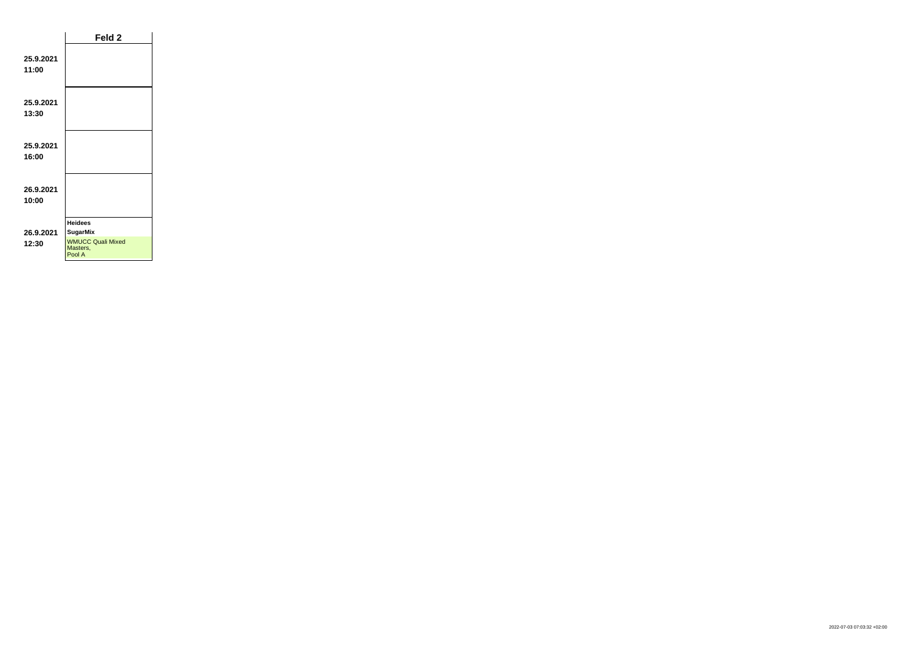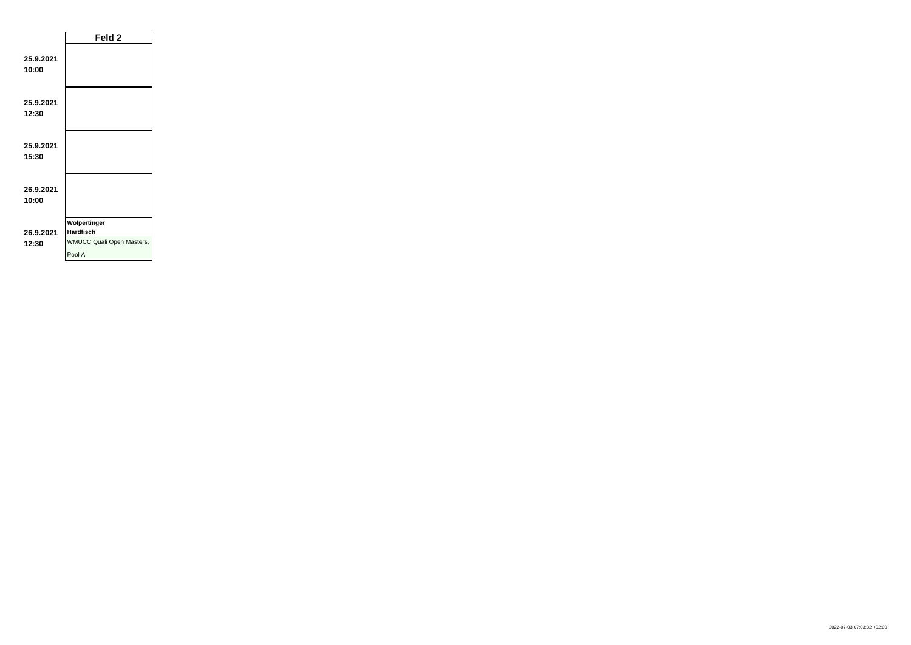|                    | Feld <sub>2</sub>                                                              |  |
|--------------------|--------------------------------------------------------------------------------|--|
| 25.9.2021<br>10:00 |                                                                                |  |
| 25.9.2021<br>12:30 |                                                                                |  |
| 25.9.2021<br>15:30 |                                                                                |  |
| 26.9.2021<br>10:00 |                                                                                |  |
| 26.9.2021<br>12:30 | Wolpertinger<br><b>Hardfisch</b><br><b>WMUCC Quali Open Masters,</b><br>Pool A |  |